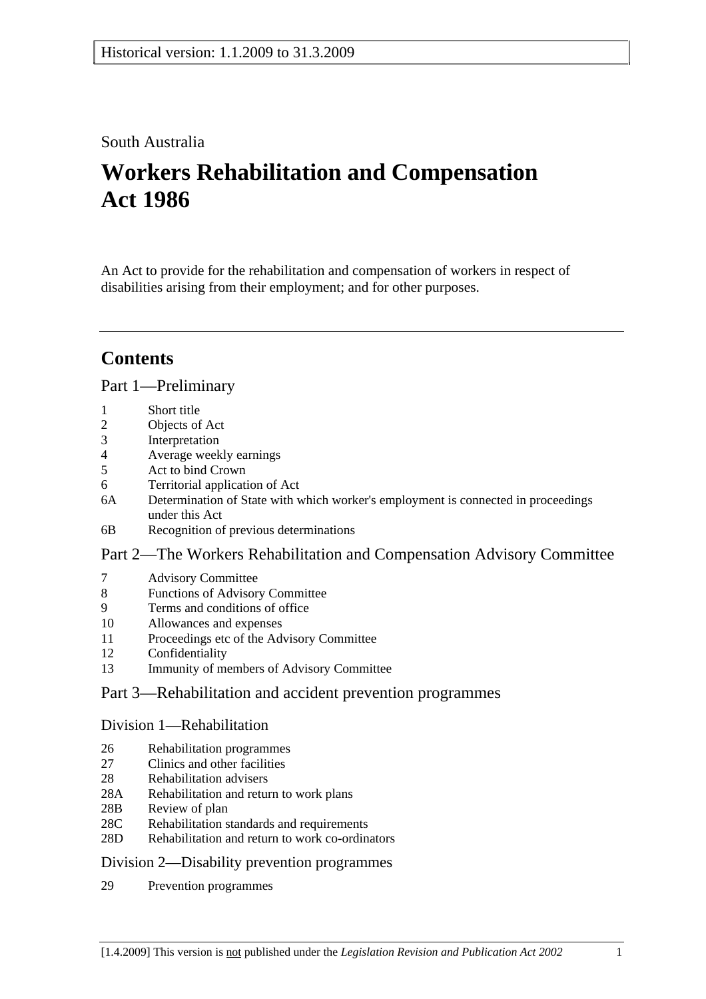# South Australia

# **Workers Rehabilitation and Compensation Act 1986**

An Act to provide for the rehabilitation and compensation of workers in respect of disabilities arising from their employment; and for other purposes.

# **Contents**

## Part 1—Preliminary

- 1 Short title
- 2 Objects of Act
- 3 Interpretation
- 4 Average weekly earnings
- 5 Act to bind Crown
- 6 Territorial application of Act
- 6A Determination of State with which worker's employment is connected in proceedings under this Act
- 6B Recognition of previous determinations

## Part 2—The Workers Rehabilitation and Compensation Advisory Committee

- 7 Advisory Committee
- 8 Functions of Advisory Committee
- 9 Terms and conditions of office
- 10 Allowances and expenses
- 11 Proceedings etc of the Advisory Committee
- 12 Confidentiality
- 13 Immunity of members of Advisory Committee

# Part 3—Rehabilitation and accident prevention programmes

## Division 1—Rehabilitation

- 26 Rehabilitation programmes
- 27 Clinics and other facilities
- 28 Rehabilitation advisers
- 28A Rehabilitation and return to work plans
- 28B Review of plan
- 28C Rehabilitation standards and requirements
- 28D Rehabilitation and return to work co-ordinators

## Division 2—Disability prevention programmes

29 Prevention programmes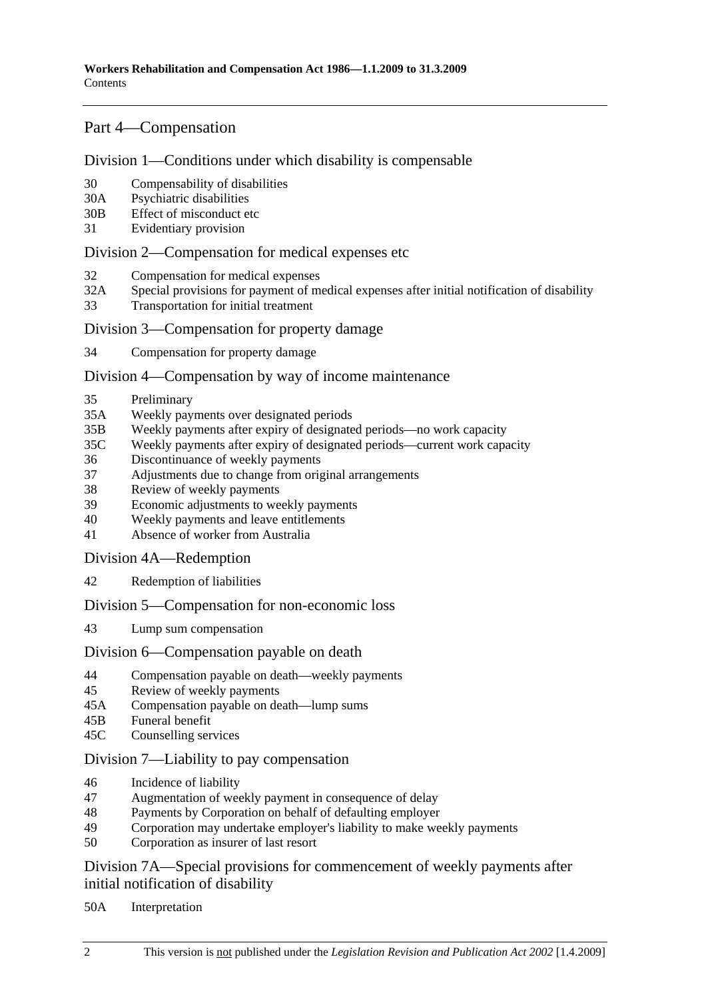## Part 4—Compensation

## Division 1—Conditions under which disability is compensable

- 30 Compensability of disabilities
- 30A Psychiatric disabilities
- 30B Effect of misconduct etc
- 31 Evidentiary provision

## Division 2—Compensation for medical expenses etc

- 32 Compensation for medical expenses
- 32A Special provisions for payment of medical expenses after initial notification of disability
- 33 Transportation for initial treatment

## Division 3—Compensation for property damage

34 Compensation for property damage

## Division 4—Compensation by way of income maintenance

- 35 Preliminary
- 35A Weekly payments over designated periods
- 35B Weekly payments after expiry of designated periods—no work capacity
- 35C Weekly payments after expiry of designated periods—current work capacity
- 36 Discontinuance of weekly payments
- 37 Adjustments due to change from original arrangements
- 38 Review of weekly payments
- 39 Economic adjustments to weekly payments
- 40 Weekly payments and leave entitlements
- 41 Absence of worker from Australia

Division 4A—Redemption

42 Redemption of liabilities

Division 5—Compensation for non-economic loss

43 Lump sum compensation

## Division 6—Compensation payable on death

- 44 Compensation payable on death—weekly payments
- 45 Review of weekly payments
- 45A Compensation payable on death—lump sums
- 45B Funeral benefit
- 45C Counselling services

## Division 7—Liability to pay compensation

- 46 Incidence of liability
- 47 Augmentation of weekly payment in consequence of delay
- 48 Payments by Corporation on behalf of defaulting employer
- 49 Corporation may undertake employer's liability to make weekly payments
- 50 Corporation as insurer of last resort

Division 7A—Special provisions for commencement of weekly payments after initial notification of disability

50A Interpretation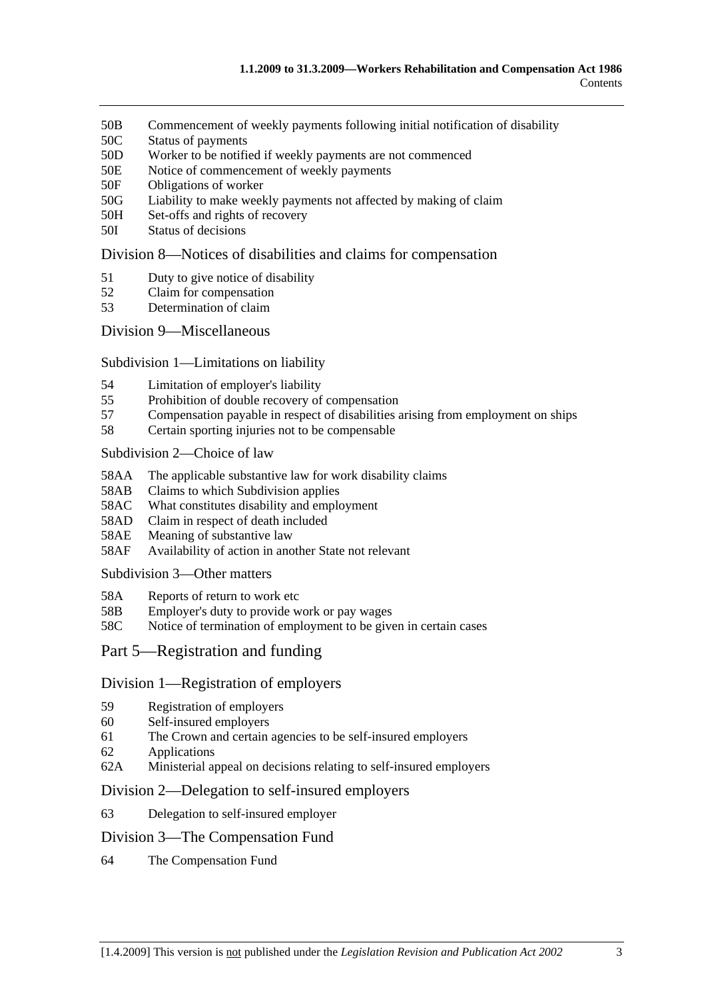- 50B Commencement of weekly payments following initial notification of disability
- 50C Status of payments
- 50D Worker to be notified if weekly payments are not commenced
- 50E Notice of commencement of weekly payments
- 50F Obligations of worker
- 50G Liability to make weekly payments not affected by making of claim
- 50H Set-offs and rights of recovery
- 50I Status of decisions

## Division 8—Notices of disabilities and claims for compensation

- 51 Duty to give notice of disability
- 52 Claim for compensation
- 53 Determination of claim

Division 9—Miscellaneous

#### Subdivision 1—Limitations on liability

- 54 Limitation of employer's liability
- 55 Prohibition of double recovery of compensation
- 57 Compensation payable in respect of disabilities arising from employment on ships
- 58 Certain sporting injuries not to be compensable

#### Subdivision 2—Choice of law

- 58AA The applicable substantive law for work disability claims
- 58AB Claims to which Subdivision applies
- 58AC What constitutes disability and employment
- 58AD Claim in respect of death included
- 58AE Meaning of substantive law
- 58AF Availability of action in another State not relevant

Subdivision 3—Other matters

- 58A Reports of return to work etc
- 58B Employer's duty to provide work or pay wages
- 58C Notice of termination of employment to be given in certain cases

## Part 5—Registration and funding

#### Division 1—Registration of employers

- 59 Registration of employers
- 60 Self-insured employers
- 61 The Crown and certain agencies to be self-insured employers
- 62 Applications
- 62A Ministerial appeal on decisions relating to self-insured employers

#### Division 2—Delegation to self-insured employers

63 Delegation to self-insured employer

#### Division 3—The Compensation Fund

64 The Compensation Fund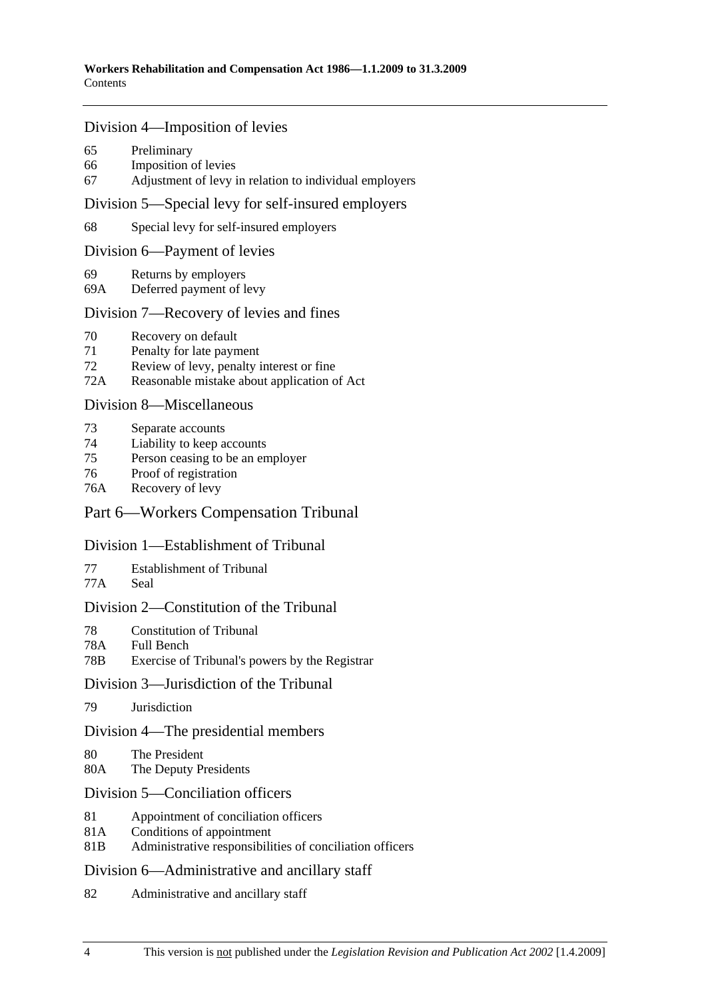#### Division 4—Imposition of levies

- 65 Preliminary
- 66 Imposition of levies
- 67 Adjustment of levy in relation to individual employers

## Division 5—Special levy for self-insured employers

68 Special levy for self-insured employers

#### Division 6—Payment of levies

- 69 Returns by employers
- 69A Deferred payment of levy

#### Division 7—Recovery of levies and fines

- 70 Recovery on default
- 71 Penalty for late payment
- 72 Review of levy, penalty interest or fine
- 72A Reasonable mistake about application of Act

#### Division 8—Miscellaneous

- 73 Separate accounts
- 74 Liability to keep accounts
- 75 Person ceasing to be an employer
- 76 Proof of registration
- 76A Recovery of levy

## Part 6—Workers Compensation Tribunal

#### Division 1—Establishment of Tribunal

- 77 Establishment of Tribunal
- 77A Seal

#### Division 2—Constitution of the Tribunal

- 78 Constitution of Tribunal
- 78A Full Bench
- 78B Exercise of Tribunal's powers by the Registrar

## Division 3—Jurisdiction of the Tribunal

79 Jurisdiction

#### Division 4—The presidential members

- 80 The President
- 80A The Deputy Presidents

#### Division 5—Conciliation officers

- 81 Appointment of conciliation officers
- 81A Conditions of appointment
- 81B Administrative responsibilities of conciliation officers

#### Division 6—Administrative and ancillary staff

82 Administrative and ancillary staff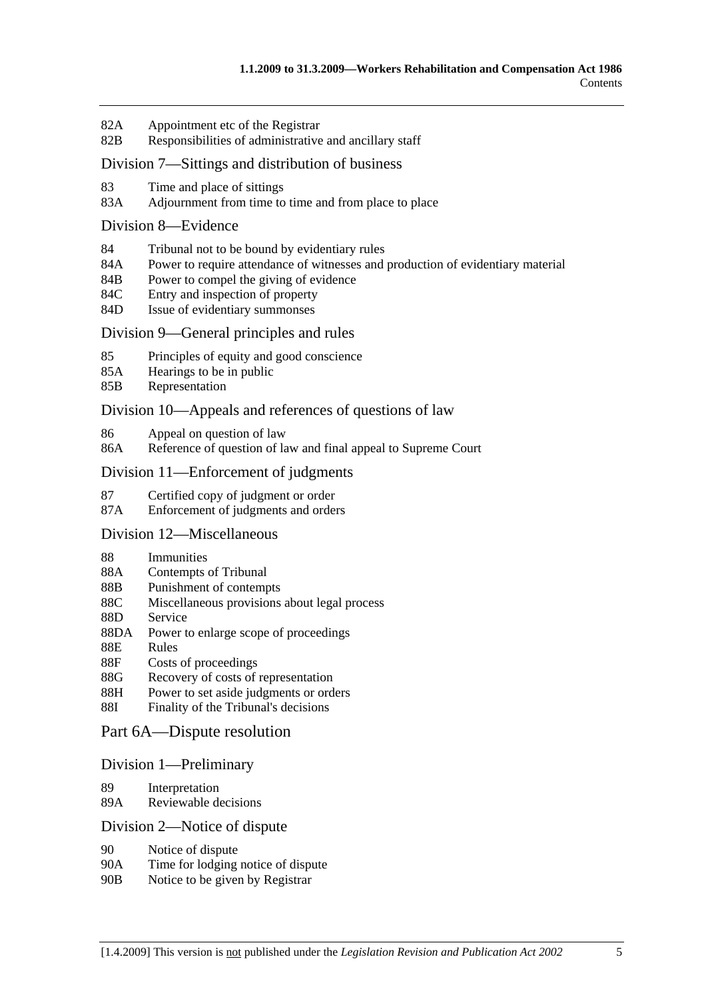- 82A Appointment etc of the Registrar
- 82B Responsibilities of administrative and ancillary staff

#### Division 7—Sittings and distribution of business

- 83 Time and place of sittings
- 83A Adjournment from time to time and from place to place

#### Division 8—Evidence

- 84 Tribunal not to be bound by evidentiary rules
- 84A Power to require attendance of witnesses and production of evidentiary material
- 84B Power to compel the giving of evidence
- 84C Entry and inspection of property
- 84D Issue of evidentiary summonses

#### Division 9—General principles and rules

- 85 Principles of equity and good conscience
- 85A Hearings to be in public
- 85B Representation

#### Division 10—Appeals and references of questions of law

- 86 Appeal on question of law
- 86A Reference of question of law and final appeal to Supreme Court

#### Division 11—Enforcement of judgments

- 87 Certified copy of judgment or order
- 87A Enforcement of judgments and orders

## Division 12—Miscellaneous

- 88 Immunities
- 88A Contempts of Tribunal
- 88B Punishment of contempts
- 88C Miscellaneous provisions about legal process
- 88D Service
- 88DA Power to enlarge scope of proceedings
- 88E Rules
- 88F Costs of proceedings
- 88G Recovery of costs of representation
- 88H Power to set aside judgments or orders
- 88I Finality of the Tribunal's decisions

#### Part 6A—Dispute resolution

#### Division 1—Preliminary

- 89 Interpretation
- 89A Reviewable decisions

#### Division 2—Notice of dispute

- 90 Notice of dispute
- 90A Time for lodging notice of dispute
- 90B Notice to be given by Registrar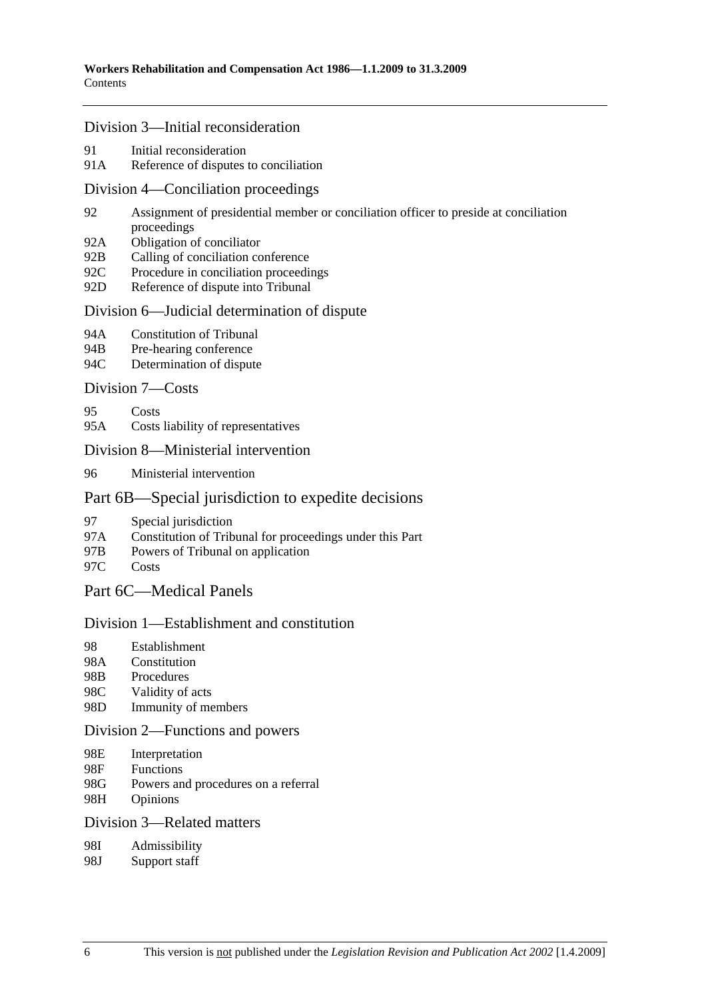#### Division 3—Initial reconsideration

- 91 Initial reconsideration
- 91A Reference of disputes to conciliation

#### Division 4—Conciliation proceedings

- 92 Assignment of presidential member or conciliation officer to preside at conciliation proceedings
- 92A Obligation of conciliator
- 92B Calling of conciliation conference
- 92C Procedure in conciliation proceedings
- 92D Reference of dispute into Tribunal

## Division 6—Judicial determination of dispute

- 94A Constitution of Tribunal
- 94B Pre-hearing conference
- 94C Determination of dispute

#### Division 7—Costs

- 95 Costs
- 95A Costs liability of representatives

## Division 8—Ministerial intervention

96 Ministerial intervention

#### Part 6B—Special jurisdiction to expedite decisions

- 97 Special jurisdiction
- 97A Constitution of Tribunal for proceedings under this Part
- 97B Powers of Tribunal on application
- 97C Costs

## Part 6C—Medical Panels

#### Division 1—Establishment and constitution

- 98 Establishment
- 98A Constitution
- 98B Procedures
- 98C Validity of acts
- 98D Immunity of members

#### Division 2—Functions and powers

- 98E Interpretation
- 98F Functions
- 98G Powers and procedures on a referral
- 98H Opinions

#### Division 3—Related matters

- 98I Admissibility
- 98J Support staff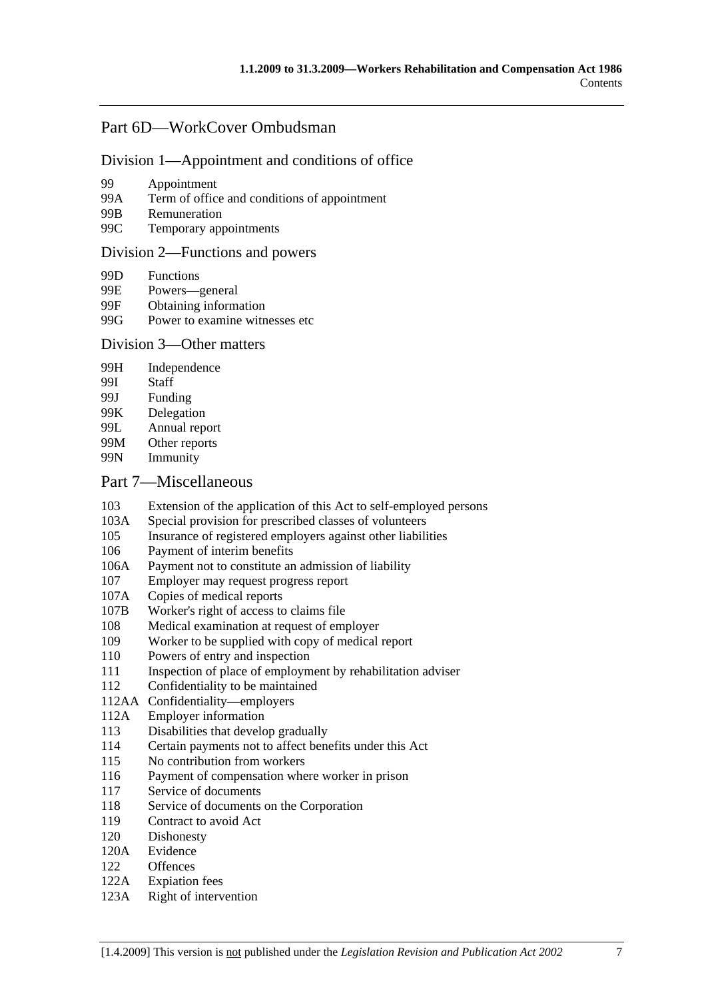## Part 6D—WorkCover Ombudsman

#### Division 1—Appointment and conditions of office

- 99 Appointment
- 99A Term of office and conditions of appointment
- 99B Remuneration
- 99C Temporary appointments

#### Division 2—Functions and powers

- 99D Functions
- 99E Powers—general<br>99F Obtaining inform
- Obtaining information
- 99G Power to examine witnesses etc.

## Division 3—Other matters

- 99H Independence
- 99I Staff
- 99J Funding
- 99K Delegation
- 99L Annual report
- 99M Other reports
- 99N Immunity

## Part 7—Miscellaneous

- 103 Extension of the application of this Act to self-employed persons
- 103A Special provision for prescribed classes of volunteers
- 105 Insurance of registered employers against other liabilities
- 106 Payment of interim benefits
- 106A Payment not to constitute an admission of liability
- 107 Employer may request progress report
- 107A Copies of medical reports
- 107B Worker's right of access to claims file
- 108 Medical examination at request of employer
- 109 Worker to be supplied with copy of medical report
- 110 Powers of entry and inspection
- 111 Inspection of place of employment by rehabilitation adviser
- 112 Confidentiality to be maintained
- 112AA Confidentiality—employers
- 112A Employer information
- 113 Disabilities that develop gradually
- 114 Certain payments not to affect benefits under this Act
- 115 No contribution from workers
- 116 Payment of compensation where worker in prison
- 117 Service of documents
- 118 Service of documents on the Corporation
- 119 Contract to avoid Act
- 120 Dishonesty
- 120A Evidence
- 122 Offences
- 122A Expiation fees
- 123A Right of intervention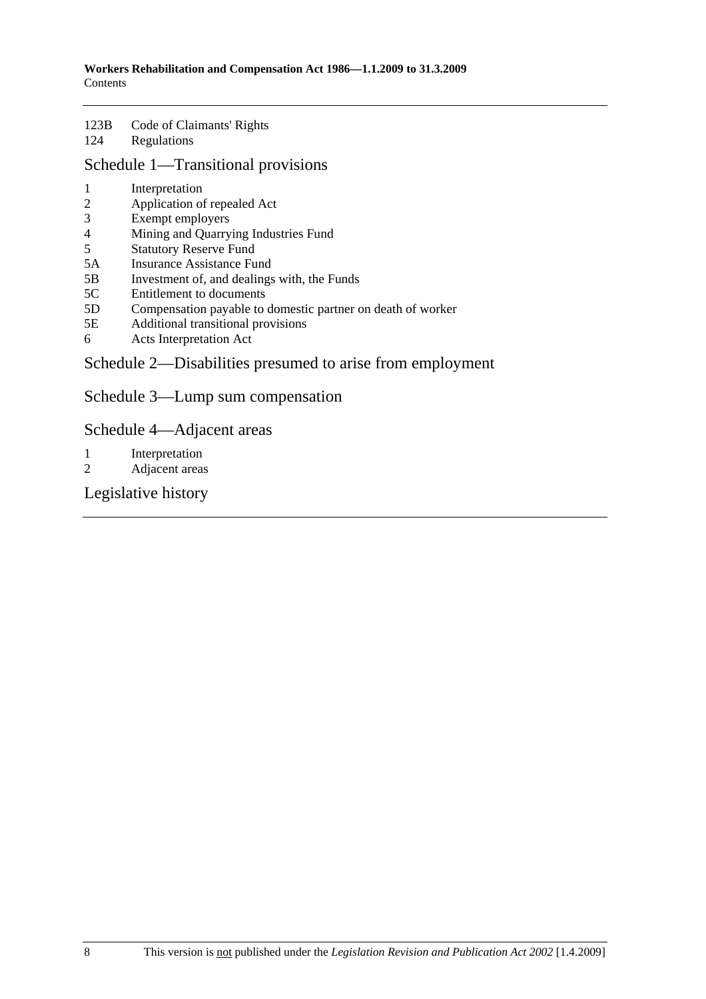#### 123B Code of Claimants' Rights 124 Regulations

# Schedule 1—Transitional provisions

- 1 Interpretation
- 2 Application of repealed Act
- 3 Exempt employers
- 4 Mining and Quarrying Industries Fund
- 5 Statutory Reserve Fund
- 5A Insurance Assistance Fund
- 5B Investment of, and dealings with, the Funds
- 5C Entitlement to documents
- 5D Compensation payable to domestic partner on death of worker
- 5E Additional transitional provisions
- 6 Acts Interpretation Act

# Schedule 2—Disabilities presumed to arise from employment

Schedule 3—Lump sum compensation

Schedule 4—Adjacent areas

- 1 Interpretation
- 2 Adjacent areas

Legislative history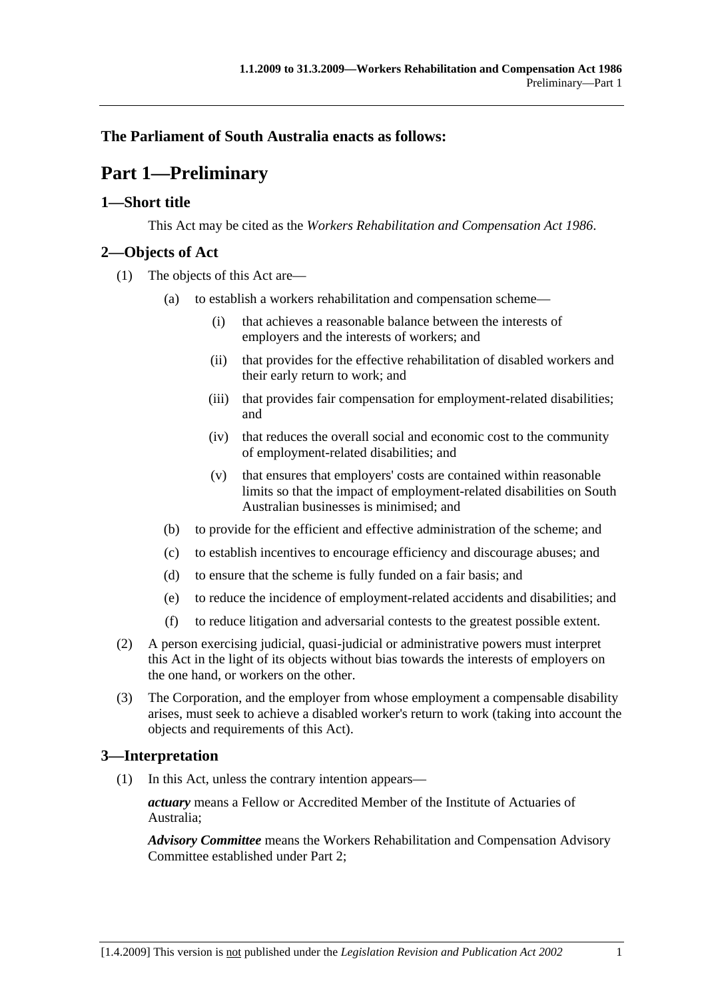## **The Parliament of South Australia enacts as follows:**

# **Part 1—Preliminary**

## **1—Short title**

This Act may be cited as the *Workers Rehabilitation and Compensation Act 1986*.

## **2—Objects of Act**

- (1) The objects of this Act are—
	- (a) to establish a workers rehabilitation and compensation scheme—
		- (i) that achieves a reasonable balance between the interests of employers and the interests of workers; and
		- (ii) that provides for the effective rehabilitation of disabled workers and their early return to work; and
		- (iii) that provides fair compensation for employment-related disabilities; and
		- (iv) that reduces the overall social and economic cost to the community of employment-related disabilities; and
		- (v) that ensures that employers' costs are contained within reasonable limits so that the impact of employment-related disabilities on South Australian businesses is minimised; and
	- (b) to provide for the efficient and effective administration of the scheme; and
	- (c) to establish incentives to encourage efficiency and discourage abuses; and
	- (d) to ensure that the scheme is fully funded on a fair basis; and
	- (e) to reduce the incidence of employment-related accidents and disabilities; and
	- (f) to reduce litigation and adversarial contests to the greatest possible extent.
- (2) A person exercising judicial, quasi-judicial or administrative powers must interpret this Act in the light of its objects without bias towards the interests of employers on the one hand, or workers on the other.
- (3) The Corporation, and the employer from whose employment a compensable disability arises, must seek to achieve a disabled worker's return to work (taking into account the objects and requirements of this Act).

## **3—Interpretation**

(1) In this Act, unless the contrary intention appears—

*actuary* means a Fellow or Accredited Member of the Institute of Actuaries of Australia;

*Advisory Committee* means the Workers Rehabilitation and Compensation Advisory Committee established under Part 2;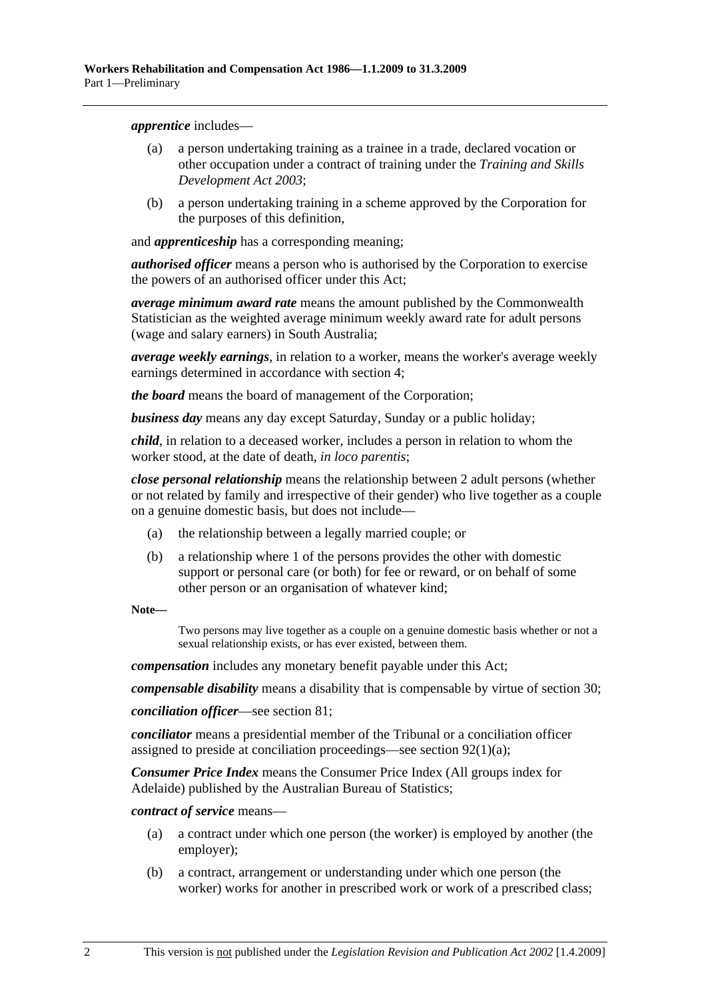*apprentice* includes—

- (a) a person undertaking training as a trainee in a trade, declared vocation or other occupation under a contract of training under the *Training and Skills Development Act 2003*;
- (b) a person undertaking training in a scheme approved by the Corporation for the purposes of this definition,

and *apprenticeship* has a corresponding meaning;

*authorised officer* means a person who is authorised by the Corporation to exercise the powers of an authorised officer under this Act;

*average minimum award rate* means the amount published by the Commonwealth Statistician as the weighted average minimum weekly award rate for adult persons (wage and salary earners) in South Australia;

*average weekly earnings*, in relation to a worker, means the worker's average weekly earnings determined in accordance with section 4;

*the board* means the board of management of the Corporation;

*business day* means any day except Saturday, Sunday or a public holiday;

*child*, in relation to a deceased worker, includes a person in relation to whom the worker stood, at the date of death, *in loco parentis*;

*close personal relationship* means the relationship between 2 adult persons (whether or not related by family and irrespective of their gender) who live together as a couple on a genuine domestic basis, but does not include—

- (a) the relationship between a legally married couple; or
- (b) a relationship where 1 of the persons provides the other with domestic support or personal care (or both) for fee or reward, or on behalf of some other person or an organisation of whatever kind;

**Note—** 

Two persons may live together as a couple on a genuine domestic basis whether or not a sexual relationship exists, or has ever existed, between them.

*compensation* includes any monetary benefit payable under this Act;

*compensable disability* means a disability that is compensable by virtue of section 30;

*conciliation officer*—see section 81;

*conciliator* means a presidential member of the Tribunal or a conciliation officer assigned to preside at conciliation proceedings—see section 92(1)(a);

*Consumer Price Index* means the Consumer Price Index (All groups index for Adelaide) published by the Australian Bureau of Statistics;

*contract of service* means—

- (a) a contract under which one person (the worker) is employed by another (the employer);
- (b) a contract, arrangement or understanding under which one person (the worker) works for another in prescribed work or work of a prescribed class;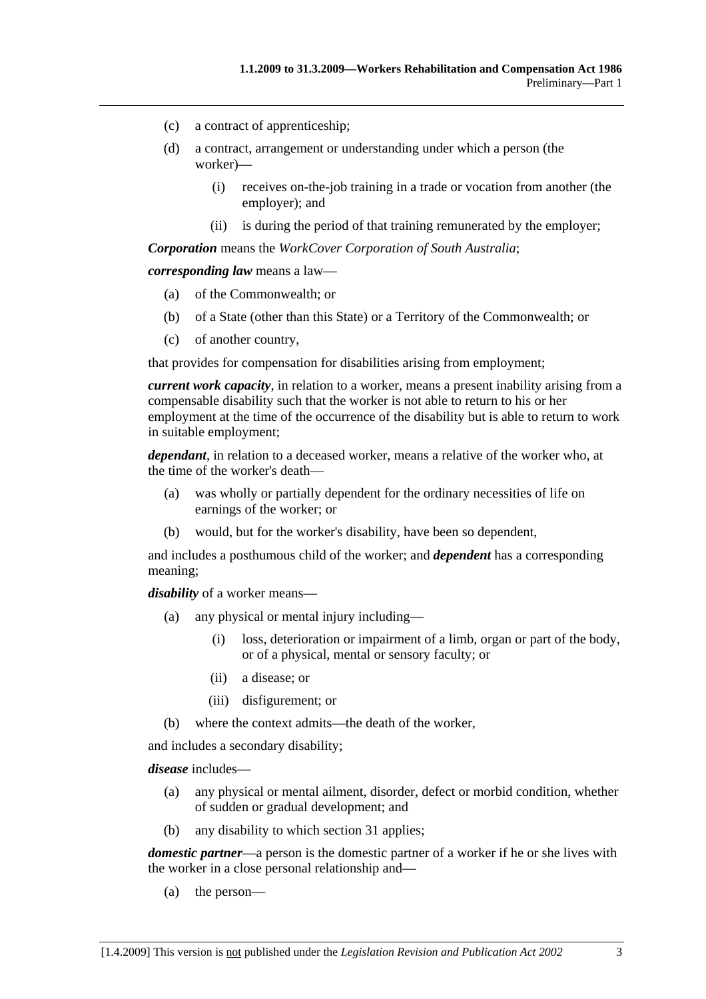- (c) a contract of apprenticeship;
- (d) a contract, arrangement or understanding under which a person (the worker)—
	- (i) receives on-the-job training in a trade or vocation from another (the employer); and
	- (ii) is during the period of that training remunerated by the employer;

*Corporation* means the *WorkCover Corporation of South Australia*;

*corresponding law* means a law—

- (a) of the Commonwealth; or
- (b) of a State (other than this State) or a Territory of the Commonwealth; or
- (c) of another country,

that provides for compensation for disabilities arising from employment;

*current work capacity*, in relation to a worker, means a present inability arising from a compensable disability such that the worker is not able to return to his or her employment at the time of the occurrence of the disability but is able to return to work in suitable employment;

*dependant*, in relation to a deceased worker, means a relative of the worker who, at the time of the worker's death—

- (a) was wholly or partially dependent for the ordinary necessities of life on earnings of the worker; or
- (b) would, but for the worker's disability, have been so dependent,

and includes a posthumous child of the worker; and *dependent* has a corresponding meaning;

*disability* of a worker means—

- (a) any physical or mental injury including—
	- (i) loss, deterioration or impairment of a limb, organ or part of the body, or of a physical, mental or sensory faculty; or
	- (ii) a disease; or
	- (iii) disfigurement; or
- (b) where the context admits—the death of the worker,

and includes a secondary disability;

*disease* includes—

- (a) any physical or mental ailment, disorder, defect or morbid condition, whether of sudden or gradual development; and
- (b) any disability to which section 31 applies;

*domestic partner*—a person is the domestic partner of a worker if he or she lives with the worker in a close personal relationship and—

(a) the person—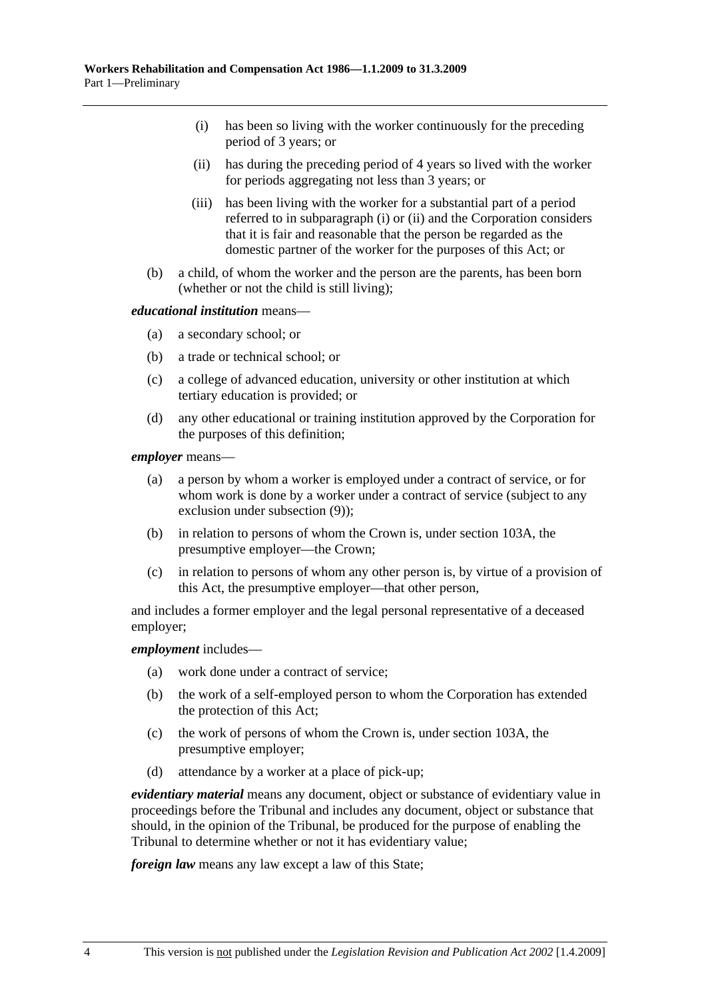- (i) has been so living with the worker continuously for the preceding period of 3 years; or
- (ii) has during the preceding period of 4 years so lived with the worker for periods aggregating not less than 3 years; or
- (iii) has been living with the worker for a substantial part of a period referred to in subparagraph (i) or (ii) and the Corporation considers that it is fair and reasonable that the person be regarded as the domestic partner of the worker for the purposes of this Act; or
- (b) a child, of whom the worker and the person are the parents, has been born (whether or not the child is still living);

#### *educational institution* means—

- (a) a secondary school; or
- (b) a trade or technical school; or
- (c) a college of advanced education, university or other institution at which tertiary education is provided; or
- (d) any other educational or training institution approved by the Corporation for the purposes of this definition;

*employer* means—

- (a) a person by whom a worker is employed under a contract of service, or for whom work is done by a worker under a contract of service (subject to any exclusion under subsection (9));
- (b) in relation to persons of whom the Crown is, under section 103A, the presumptive employer—the Crown;
- (c) in relation to persons of whom any other person is, by virtue of a provision of this Act, the presumptive employer—that other person,

and includes a former employer and the legal personal representative of a deceased employer;

#### *employment* includes—

- (a) work done under a contract of service;
- (b) the work of a self-employed person to whom the Corporation has extended the protection of this Act;
- (c) the work of persons of whom the Crown is, under section 103A, the presumptive employer;
- (d) attendance by a worker at a place of pick-up;

*evidentiary material* means any document, object or substance of evidentiary value in proceedings before the Tribunal and includes any document, object or substance that should, in the opinion of the Tribunal, be produced for the purpose of enabling the Tribunal to determine whether or not it has evidentiary value;

*foreign law* means any law except a law of this State;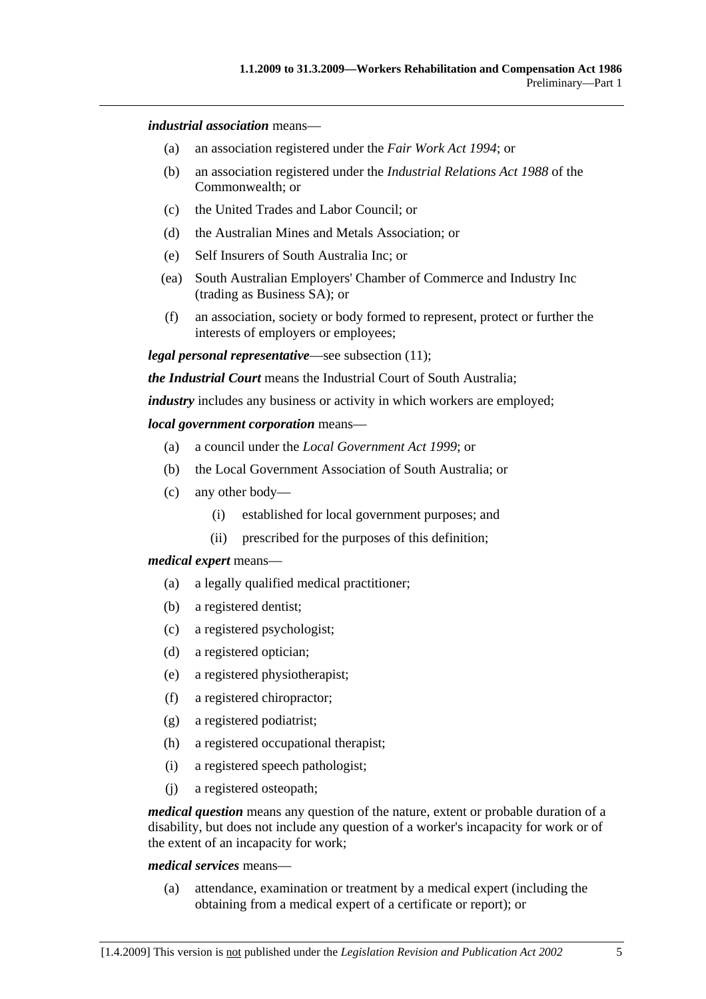#### *industrial association* means—

- (a) an association registered under the *Fair Work Act 1994*; or
- (b) an association registered under the *Industrial Relations Act 1988* of the Commonwealth; or
- (c) the United Trades and Labor Council; or
- (d) the Australian Mines and Metals Association; or
- (e) Self Insurers of South Australia Inc; or
- (ea) South Australian Employers' Chamber of Commerce and Industry Inc (trading as Business SA); or
- (f) an association, society or body formed to represent, protect or further the interests of employers or employees;

*legal personal representative*—see subsection (11);

*the Industrial Court* means the Industrial Court of South Australia;

*industry* includes any business or activity in which workers are employed;

#### *local government corporation* means—

- (a) a council under the *Local Government Act 1999*; or
- (b) the Local Government Association of South Australia; or
- (c) any other body—
	- (i) established for local government purposes; and
	- (ii) prescribed for the purposes of this definition;

#### *medical expert* means—

- (a) a legally qualified medical practitioner;
- (b) a registered dentist;
- (c) a registered psychologist;
- (d) a registered optician;
- (e) a registered physiotherapist;
- (f) a registered chiropractor;
- (g) a registered podiatrist;
- (h) a registered occupational therapist;
- (i) a registered speech pathologist;
- (j) a registered osteopath;

*medical question* means any question of the nature, extent or probable duration of a disability, but does not include any question of a worker's incapacity for work or of the extent of an incapacity for work;

#### *medical services* means—

 (a) attendance, examination or treatment by a medical expert (including the obtaining from a medical expert of a certificate or report); or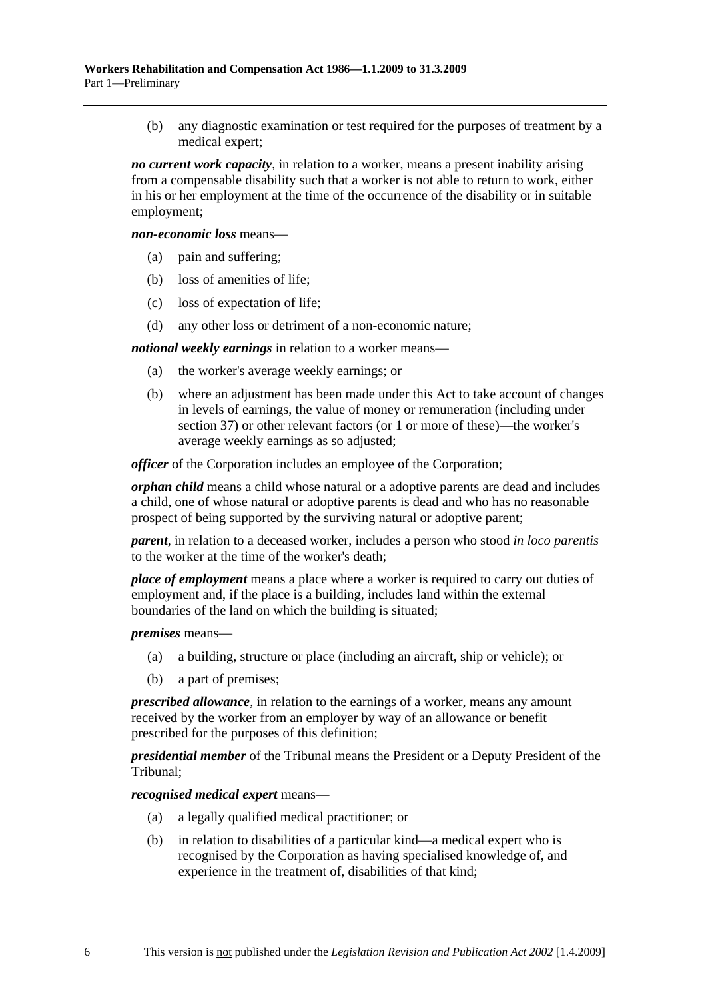(b) any diagnostic examination or test required for the purposes of treatment by a medical expert;

*no current work capacity*, in relation to a worker, means a present inability arising from a compensable disability such that a worker is not able to return to work, either in his or her employment at the time of the occurrence of the disability or in suitable employment;

*non-economic loss* means—

- (a) pain and suffering;
- (b) loss of amenities of life;
- (c) loss of expectation of life;
- (d) any other loss or detriment of a non-economic nature;

*notional weekly earnings* in relation to a worker means—

- (a) the worker's average weekly earnings; or
- (b) where an adjustment has been made under this Act to take account of changes in levels of earnings, the value of money or remuneration (including under section 37) or other relevant factors (or 1 or more of these)—the worker's average weekly earnings as so adjusted;

*officer* of the Corporation includes an employee of the Corporation:

*orphan child* means a child whose natural or a adoptive parents are dead and includes a child, one of whose natural or adoptive parents is dead and who has no reasonable prospect of being supported by the surviving natural or adoptive parent;

*parent*, in relation to a deceased worker, includes a person who stood *in loco parentis* to the worker at the time of the worker's death;

*place of employment* means a place where a worker is required to carry out duties of employment and, if the place is a building, includes land within the external boundaries of the land on which the building is situated;

*premises* means—

- (a) a building, structure or place (including an aircraft, ship or vehicle); or
- (b) a part of premises;

*prescribed allowance*, in relation to the earnings of a worker, means any amount received by the worker from an employer by way of an allowance or benefit prescribed for the purposes of this definition;

*presidential member* of the Tribunal means the President or a Deputy President of the Tribunal;

*recognised medical expert* means—

- (a) a legally qualified medical practitioner; or
- (b) in relation to disabilities of a particular kind—a medical expert who is recognised by the Corporation as having specialised knowledge of, and experience in the treatment of, disabilities of that kind;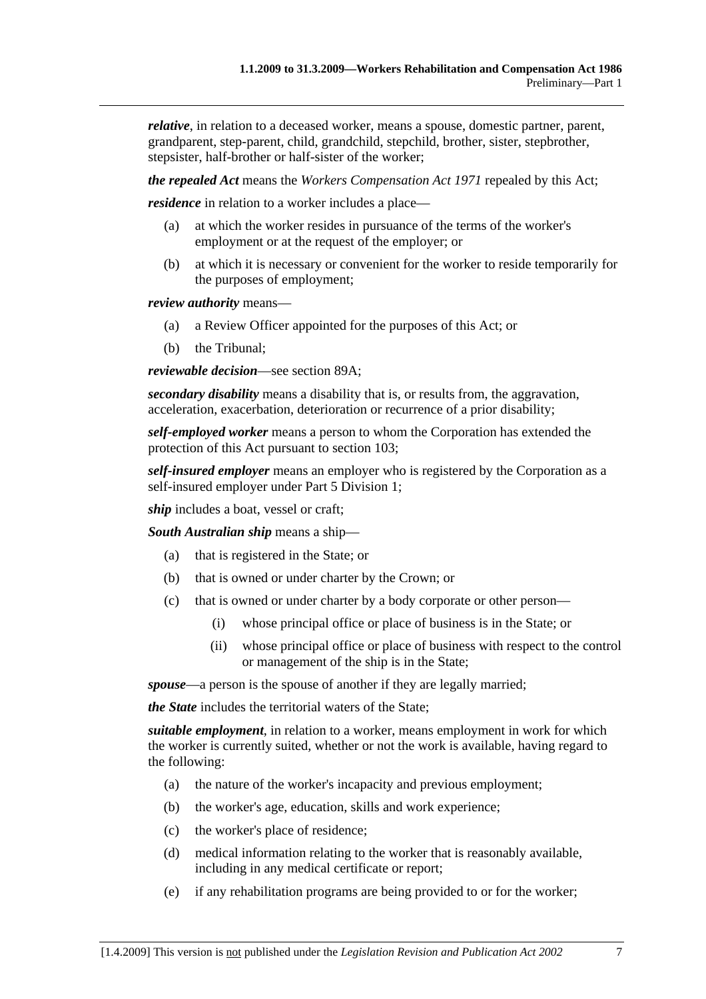*relative*, in relation to a deceased worker, means a spouse, domestic partner, parent, grandparent, step-parent, child, grandchild, stepchild, brother, sister, stepbrother, stepsister, half-brother or half-sister of the worker;

*the repealed Act* means the *Workers Compensation Act 1971* repealed by this Act;

*residence* in relation to a worker includes a place—

- (a) at which the worker resides in pursuance of the terms of the worker's employment or at the request of the employer; or
- (b) at which it is necessary or convenient for the worker to reside temporarily for the purposes of employment;

*review authority* means—

- (a) a Review Officer appointed for the purposes of this Act; or
- (b) the Tribunal;

*reviewable decision*—see section 89A;

*secondary disability* means a disability that is, or results from, the aggravation, acceleration, exacerbation, deterioration or recurrence of a prior disability;

*self-employed worker* means a person to whom the Corporation has extended the protection of this Act pursuant to section 103;

*self-insured employer* means an employer who is registered by the Corporation as a self-insured employer under Part 5 Division 1;

*ship* includes a boat, vessel or craft;

*South Australian ship* means a ship—

- (a) that is registered in the State; or
- (b) that is owned or under charter by the Crown; or
- (c) that is owned or under charter by a body corporate or other person—
	- (i) whose principal office or place of business is in the State; or
	- (ii) whose principal office or place of business with respect to the control or management of the ship is in the State;

*spouse*—a person is the spouse of another if they are legally married;

*the State* includes the territorial waters of the State;

*suitable employment*, in relation to a worker, means employment in work for which the worker is currently suited, whether or not the work is available, having regard to the following:

- (a) the nature of the worker's incapacity and previous employment;
- (b) the worker's age, education, skills and work experience;
- (c) the worker's place of residence;
- (d) medical information relating to the worker that is reasonably available, including in any medical certificate or report;
- (e) if any rehabilitation programs are being provided to or for the worker;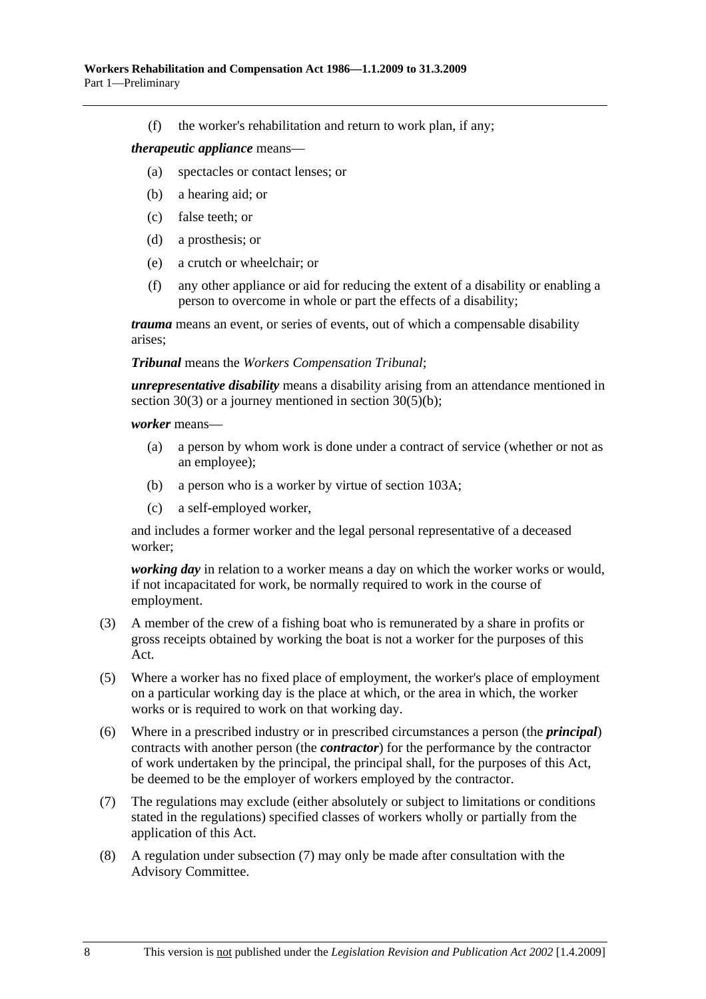(f) the worker's rehabilitation and return to work plan, if any;

#### *therapeutic appliance* means—

- (a) spectacles or contact lenses; or
- (b) a hearing aid; or
- (c) false teeth; or
- (d) a prosthesis; or
- (e) a crutch or wheelchair; or
- (f) any other appliance or aid for reducing the extent of a disability or enabling a person to overcome in whole or part the effects of a disability;

*trauma* means an event, or series of events, out of which a compensable disability arises;

#### *Tribunal* means the *Workers Compensation Tribunal*;

*unrepresentative disability* means a disability arising from an attendance mentioned in section 30(3) or a journey mentioned in section 30(5)(b);

*worker* means—

- (a) a person by whom work is done under a contract of service (whether or not as an employee);
- (b) a person who is a worker by virtue of section 103A;
- (c) a self-employed worker,

and includes a former worker and the legal personal representative of a deceased worker;

*working day* in relation to a worker means a day on which the worker works or would, if not incapacitated for work, be normally required to work in the course of employment.

- (3) A member of the crew of a fishing boat who is remunerated by a share in profits or gross receipts obtained by working the boat is not a worker for the purposes of this Act.
- (5) Where a worker has no fixed place of employment, the worker's place of employment on a particular working day is the place at which, or the area in which, the worker works or is required to work on that working day.
- (6) Where in a prescribed industry or in prescribed circumstances a person (the *principal*) contracts with another person (the *contractor*) for the performance by the contractor of work undertaken by the principal, the principal shall, for the purposes of this Act, be deemed to be the employer of workers employed by the contractor.
- (7) The regulations may exclude (either absolutely or subject to limitations or conditions stated in the regulations) specified classes of workers wholly or partially from the application of this Act.
- (8) A regulation under subsection (7) may only be made after consultation with the Advisory Committee.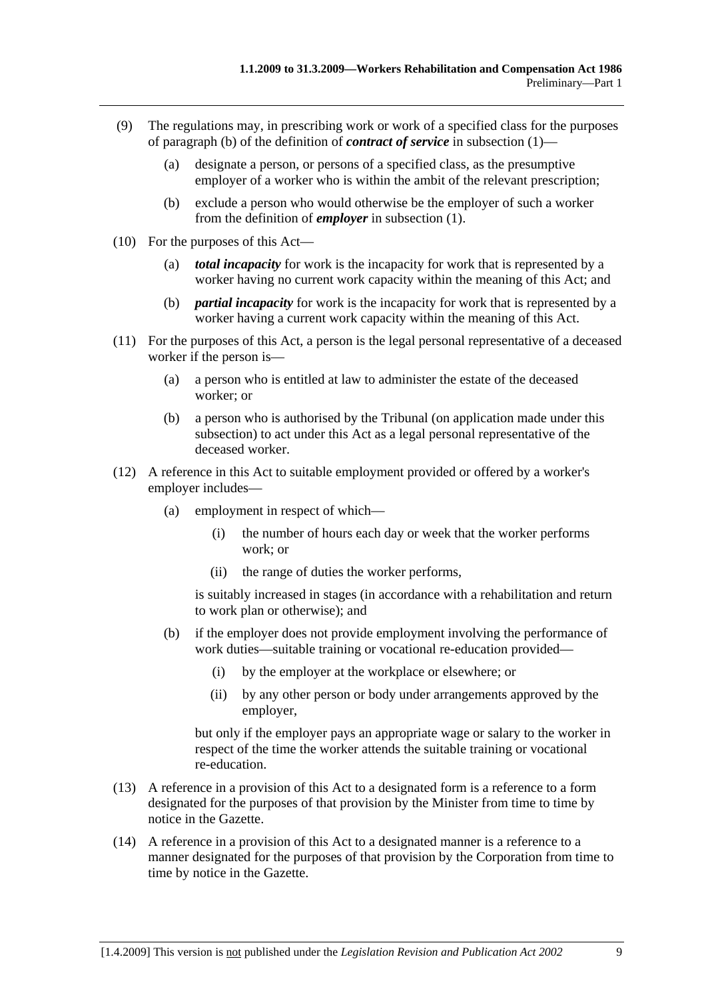- (9) The regulations may, in prescribing work or work of a specified class for the purposes of paragraph (b) of the definition of *contract of service* in subsection (1)—
	- (a) designate a person, or persons of a specified class, as the presumptive employer of a worker who is within the ambit of the relevant prescription;
	- (b) exclude a person who would otherwise be the employer of such a worker from the definition of *employer* in subsection (1).
- (10) For the purposes of this Act—
	- (a) *total incapacity* for work is the incapacity for work that is represented by a worker having no current work capacity within the meaning of this Act; and
	- (b) *partial incapacity* for work is the incapacity for work that is represented by a worker having a current work capacity within the meaning of this Act.
- (11) For the purposes of this Act, a person is the legal personal representative of a deceased worker if the person is—
	- (a) a person who is entitled at law to administer the estate of the deceased worker; or
	- (b) a person who is authorised by the Tribunal (on application made under this subsection) to act under this Act as a legal personal representative of the deceased worker.
- (12) A reference in this Act to suitable employment provided or offered by a worker's employer includes—
	- (a) employment in respect of which—
		- (i) the number of hours each day or week that the worker performs work; or
		- (ii) the range of duties the worker performs,

is suitably increased in stages (in accordance with a rehabilitation and return to work plan or otherwise); and

- (b) if the employer does not provide employment involving the performance of work duties—suitable training or vocational re-education provided—
	- (i) by the employer at the workplace or elsewhere; or
	- (ii) by any other person or body under arrangements approved by the employer,

but only if the employer pays an appropriate wage or salary to the worker in respect of the time the worker attends the suitable training or vocational re-education.

- (13) A reference in a provision of this Act to a designated form is a reference to a form designated for the purposes of that provision by the Minister from time to time by notice in the Gazette.
- (14) A reference in a provision of this Act to a designated manner is a reference to a manner designated for the purposes of that provision by the Corporation from time to time by notice in the Gazette.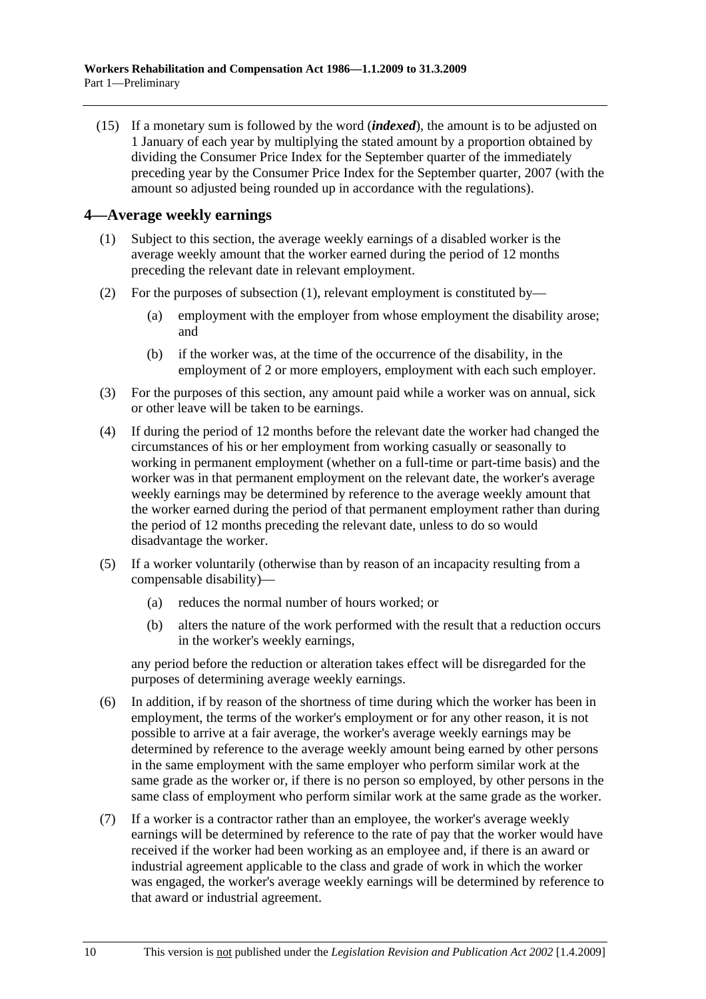(15) If a monetary sum is followed by the word (*indexed*), the amount is to be adjusted on 1 January of each year by multiplying the stated amount by a proportion obtained by dividing the Consumer Price Index for the September quarter of the immediately preceding year by the Consumer Price Index for the September quarter, 2007 (with the amount so adjusted being rounded up in accordance with the regulations).

## **4—Average weekly earnings**

- (1) Subject to this section, the average weekly earnings of a disabled worker is the average weekly amount that the worker earned during the period of 12 months preceding the relevant date in relevant employment.
- (2) For the purposes of subsection (1), relevant employment is constituted by—
	- (a) employment with the employer from whose employment the disability arose; and
	- (b) if the worker was, at the time of the occurrence of the disability, in the employment of 2 or more employers, employment with each such employer.
- (3) For the purposes of this section, any amount paid while a worker was on annual, sick or other leave will be taken to be earnings.
- (4) If during the period of 12 months before the relevant date the worker had changed the circumstances of his or her employment from working casually or seasonally to working in permanent employment (whether on a full-time or part-time basis) and the worker was in that permanent employment on the relevant date, the worker's average weekly earnings may be determined by reference to the average weekly amount that the worker earned during the period of that permanent employment rather than during the period of 12 months preceding the relevant date, unless to do so would disadvantage the worker.
- (5) If a worker voluntarily (otherwise than by reason of an incapacity resulting from a compensable disability)—
	- (a) reduces the normal number of hours worked; or
	- (b) alters the nature of the work performed with the result that a reduction occurs in the worker's weekly earnings,

any period before the reduction or alteration takes effect will be disregarded for the purposes of determining average weekly earnings.

- (6) In addition, if by reason of the shortness of time during which the worker has been in employment, the terms of the worker's employment or for any other reason, it is not possible to arrive at a fair average, the worker's average weekly earnings may be determined by reference to the average weekly amount being earned by other persons in the same employment with the same employer who perform similar work at the same grade as the worker or, if there is no person so employed, by other persons in the same class of employment who perform similar work at the same grade as the worker.
- (7) If a worker is a contractor rather than an employee, the worker's average weekly earnings will be determined by reference to the rate of pay that the worker would have received if the worker had been working as an employee and, if there is an award or industrial agreement applicable to the class and grade of work in which the worker was engaged, the worker's average weekly earnings will be determined by reference to that award or industrial agreement.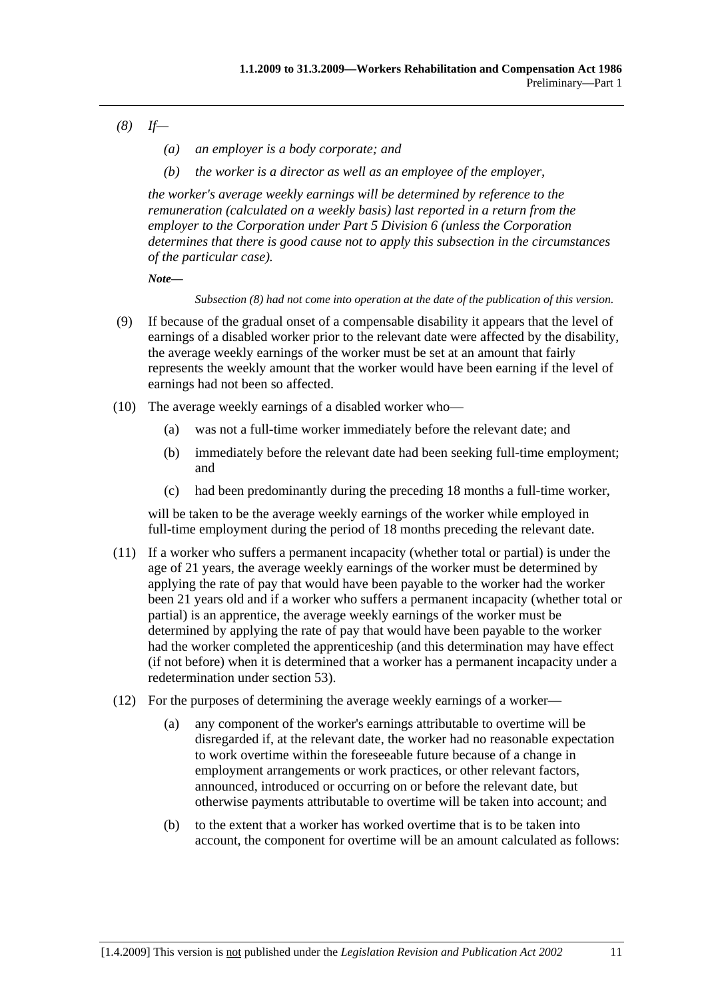- *(8) If—* 
	- *(a) an employer is a body corporate; and*
	- *(b) the worker is a director as well as an employee of the employer,*

*the worker's average weekly earnings will be determined by reference to the remuneration (calculated on a weekly basis) last reported in a return from the employer to the Corporation under Part 5 Division 6 (unless the Corporation determines that there is good cause not to apply this subsection in the circumstances of the particular case).* 

*Note—* 

*Subsection (8) had not come into operation at the date of the publication of this version.* 

- (9) If because of the gradual onset of a compensable disability it appears that the level of earnings of a disabled worker prior to the relevant date were affected by the disability, the average weekly earnings of the worker must be set at an amount that fairly represents the weekly amount that the worker would have been earning if the level of earnings had not been so affected.
- (10) The average weekly earnings of a disabled worker who—
	- (a) was not a full-time worker immediately before the relevant date; and
	- (b) immediately before the relevant date had been seeking full-time employment; and
	- (c) had been predominantly during the preceding 18 months a full-time worker,

will be taken to be the average weekly earnings of the worker while employed in full-time employment during the period of 18 months preceding the relevant date.

- (11) If a worker who suffers a permanent incapacity (whether total or partial) is under the age of 21 years, the average weekly earnings of the worker must be determined by applying the rate of pay that would have been payable to the worker had the worker been 21 years old and if a worker who suffers a permanent incapacity (whether total or partial) is an apprentice, the average weekly earnings of the worker must be determined by applying the rate of pay that would have been payable to the worker had the worker completed the apprenticeship (and this determination may have effect (if not before) when it is determined that a worker has a permanent incapacity under a redetermination under section 53).
- (12) For the purposes of determining the average weekly earnings of a worker—
	- (a) any component of the worker's earnings attributable to overtime will be disregarded if, at the relevant date, the worker had no reasonable expectation to work overtime within the foreseeable future because of a change in employment arrangements or work practices, or other relevant factors, announced, introduced or occurring on or before the relevant date, but otherwise payments attributable to overtime will be taken into account; and
	- (b) to the extent that a worker has worked overtime that is to be taken into account, the component for overtime will be an amount calculated as follows: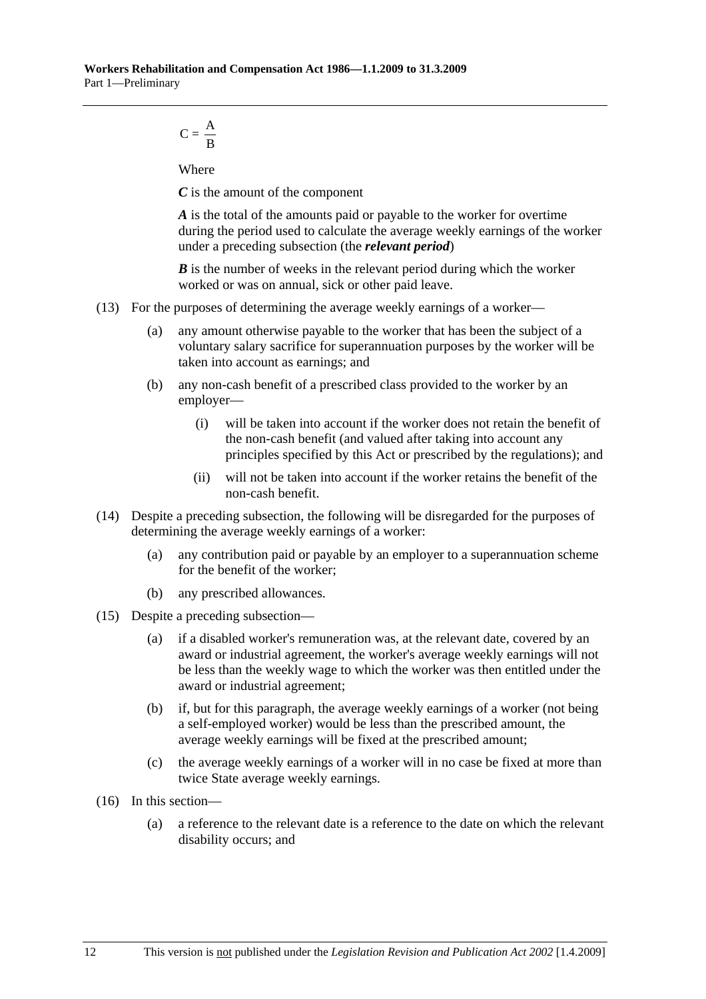$$
C = \frac{A}{B}
$$

Where

*C* is the amount of the component

*A* is the total of the amounts paid or payable to the worker for overtime during the period used to calculate the average weekly earnings of the worker under a preceding subsection (the *relevant period*)

*B* is the number of weeks in the relevant period during which the worker worked or was on annual, sick or other paid leave.

- (13) For the purposes of determining the average weekly earnings of a worker—
	- (a) any amount otherwise payable to the worker that has been the subject of a voluntary salary sacrifice for superannuation purposes by the worker will be taken into account as earnings; and
	- (b) any non-cash benefit of a prescribed class provided to the worker by an employer—
		- (i) will be taken into account if the worker does not retain the benefit of the non-cash benefit (and valued after taking into account any principles specified by this Act or prescribed by the regulations); and
		- (ii) will not be taken into account if the worker retains the benefit of the non-cash benefit.
- (14) Despite a preceding subsection, the following will be disregarded for the purposes of determining the average weekly earnings of a worker:
	- (a) any contribution paid or payable by an employer to a superannuation scheme for the benefit of the worker;
	- (b) any prescribed allowances.
- (15) Despite a preceding subsection—
	- (a) if a disabled worker's remuneration was, at the relevant date, covered by an award or industrial agreement, the worker's average weekly earnings will not be less than the weekly wage to which the worker was then entitled under the award or industrial agreement;
	- (b) if, but for this paragraph, the average weekly earnings of a worker (not being a self-employed worker) would be less than the prescribed amount, the average weekly earnings will be fixed at the prescribed amount;
	- (c) the average weekly earnings of a worker will in no case be fixed at more than twice State average weekly earnings.
- (16) In this section—
	- (a) a reference to the relevant date is a reference to the date on which the relevant disability occurs; and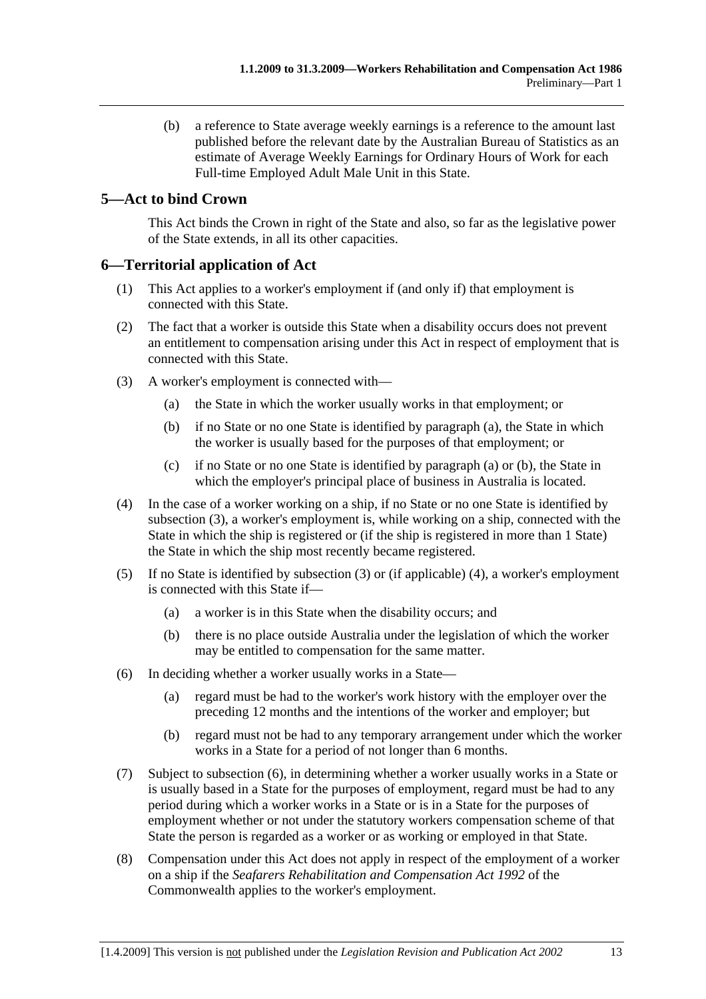(b) a reference to State average weekly earnings is a reference to the amount last published before the relevant date by the Australian Bureau of Statistics as an estimate of Average Weekly Earnings for Ordinary Hours of Work for each Full-time Employed Adult Male Unit in this State.

# **5—Act to bind Crown**

This Act binds the Crown in right of the State and also, so far as the legislative power of the State extends, in all its other capacities.

## **6—Territorial application of Act**

- (1) This Act applies to a worker's employment if (and only if) that employment is connected with this State.
- (2) The fact that a worker is outside this State when a disability occurs does not prevent an entitlement to compensation arising under this Act in respect of employment that is connected with this State.
- (3) A worker's employment is connected with—
	- (a) the State in which the worker usually works in that employment; or
	- (b) if no State or no one State is identified by paragraph (a), the State in which the worker is usually based for the purposes of that employment; or
	- (c) if no State or no one State is identified by paragraph (a) or (b), the State in which the employer's principal place of business in Australia is located.
- (4) In the case of a worker working on a ship, if no State or no one State is identified by subsection (3), a worker's employment is, while working on a ship, connected with the State in which the ship is registered or (if the ship is registered in more than 1 State) the State in which the ship most recently became registered.
- (5) If no State is identified by subsection (3) or (if applicable) (4), a worker's employment is connected with this State if—
	- (a) a worker is in this State when the disability occurs; and
	- (b) there is no place outside Australia under the legislation of which the worker may be entitled to compensation for the same matter.
- (6) In deciding whether a worker usually works in a State—
	- (a) regard must be had to the worker's work history with the employer over the preceding 12 months and the intentions of the worker and employer; but
	- (b) regard must not be had to any temporary arrangement under which the worker works in a State for a period of not longer than 6 months.
- (7) Subject to subsection (6), in determining whether a worker usually works in a State or is usually based in a State for the purposes of employment, regard must be had to any period during which a worker works in a State or is in a State for the purposes of employment whether or not under the statutory workers compensation scheme of that State the person is regarded as a worker or as working or employed in that State.
- (8) Compensation under this Act does not apply in respect of the employment of a worker on a ship if the *Seafarers Rehabilitation and Compensation Act 1992* of the Commonwealth applies to the worker's employment.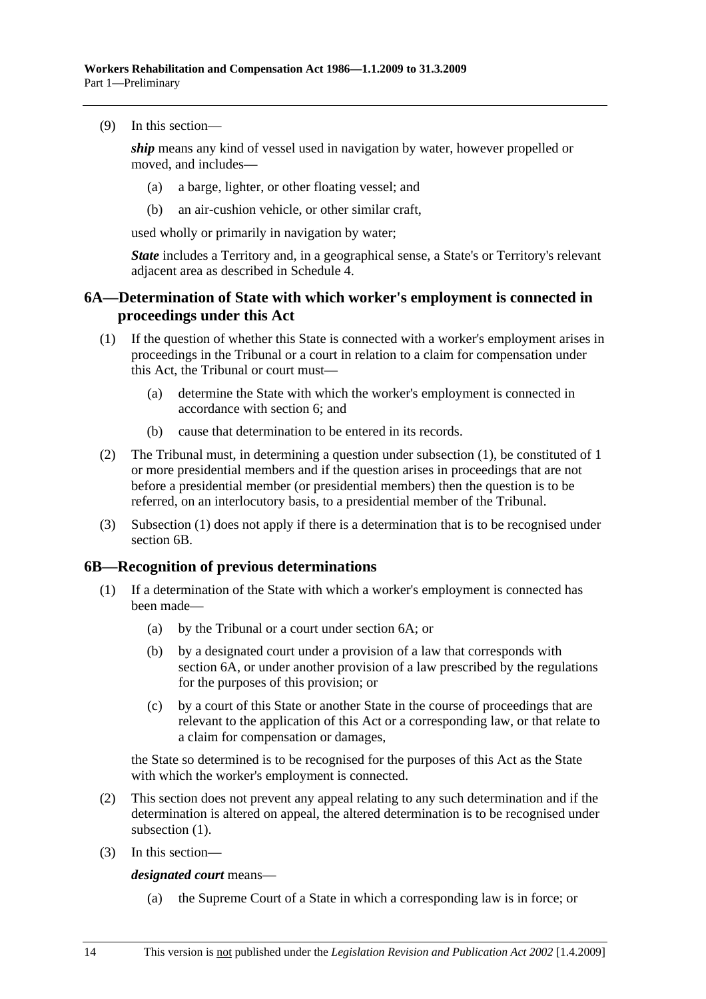(9) In this section—

*ship* means any kind of vessel used in navigation by water, however propelled or moved, and includes—

- (a) a barge, lighter, or other floating vessel; and
- (b) an air-cushion vehicle, or other similar craft,

used wholly or primarily in navigation by water;

*State* includes a Territory and, in a geographical sense, a State's or Territory's relevant adjacent area as described in Schedule 4.

## **6A—Determination of State with which worker's employment is connected in proceedings under this Act**

- (1) If the question of whether this State is connected with a worker's employment arises in proceedings in the Tribunal or a court in relation to a claim for compensation under this Act, the Tribunal or court must—
	- (a) determine the State with which the worker's employment is connected in accordance with section 6; and
	- (b) cause that determination to be entered in its records.
- (2) The Tribunal must, in determining a question under subsection (1), be constituted of 1 or more presidential members and if the question arises in proceedings that are not before a presidential member (or presidential members) then the question is to be referred, on an interlocutory basis, to a presidential member of the Tribunal.
- (3) Subsection (1) does not apply if there is a determination that is to be recognised under section 6B.

## **6B—Recognition of previous determinations**

- (1) If a determination of the State with which a worker's employment is connected has been made—
	- (a) by the Tribunal or a court under section 6A; or
	- (b) by a designated court under a provision of a law that corresponds with section 6A, or under another provision of a law prescribed by the regulations for the purposes of this provision; or
	- (c) by a court of this State or another State in the course of proceedings that are relevant to the application of this Act or a corresponding law, or that relate to a claim for compensation or damages,

the State so determined is to be recognised for the purposes of this Act as the State with which the worker's employment is connected.

- (2) This section does not prevent any appeal relating to any such determination and if the determination is altered on appeal, the altered determination is to be recognised under subsection  $(1)$ .
- (3) In this section—

*designated court* means—

(a) the Supreme Court of a State in which a corresponding law is in force; or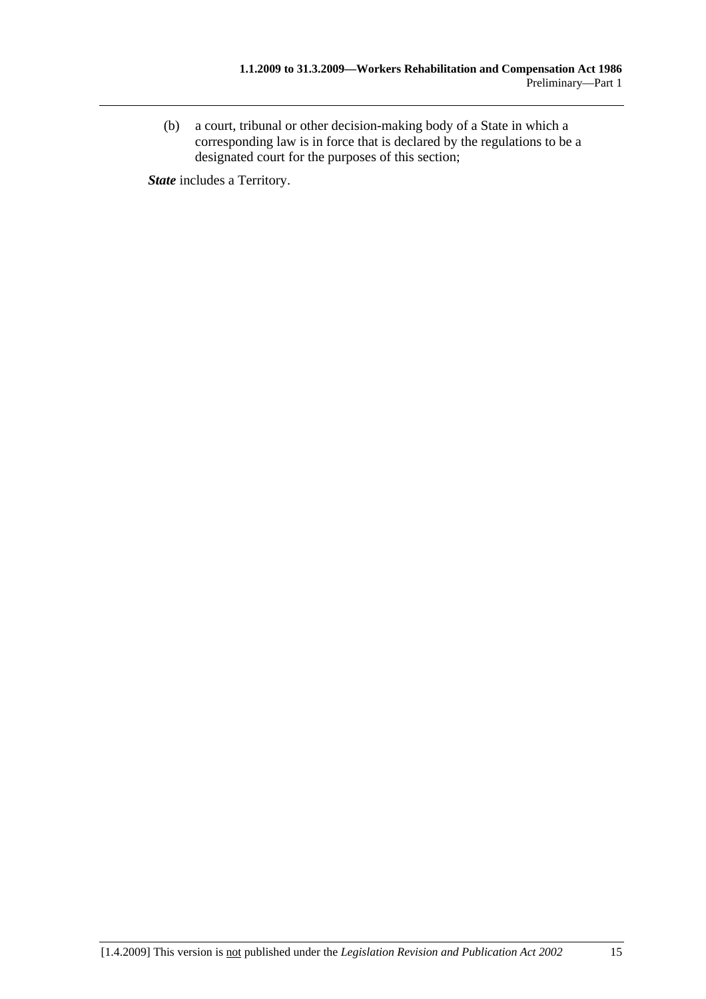(b) a court, tribunal or other decision-making body of a State in which a corresponding law is in force that is declared by the regulations to be a designated court for the purposes of this section;

*State* includes a Territory.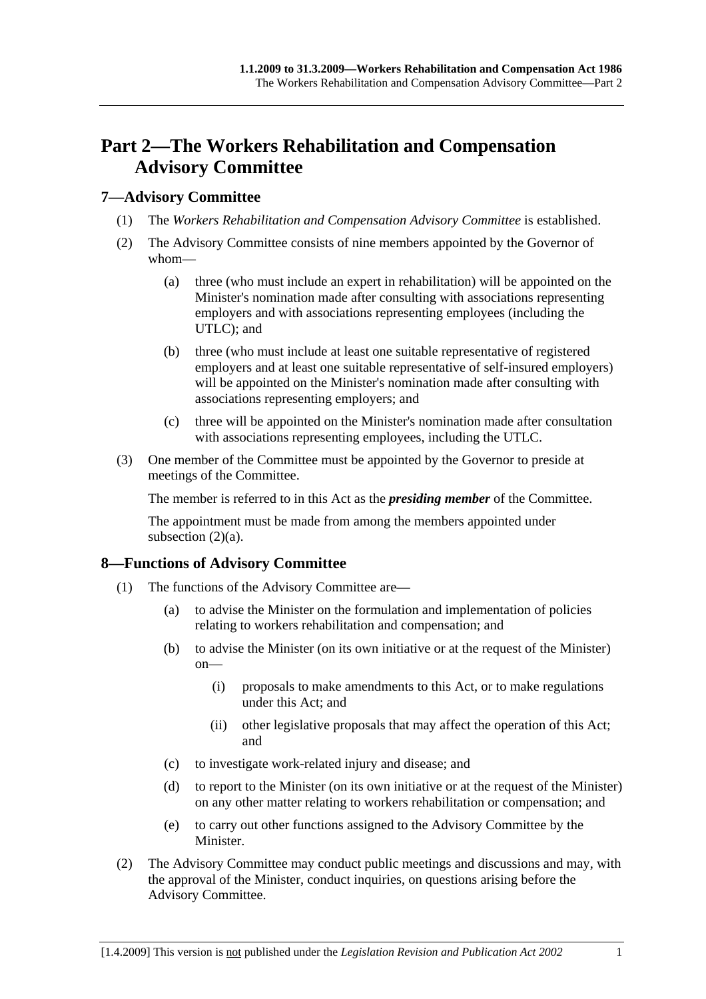# **Part 2—The Workers Rehabilitation and Compensation Advisory Committee**

## **7—Advisory Committee**

- (1) The *Workers Rehabilitation and Compensation Advisory Committee* is established.
- (2) The Advisory Committee consists of nine members appointed by the Governor of whom—
	- (a) three (who must include an expert in rehabilitation) will be appointed on the Minister's nomination made after consulting with associations representing employers and with associations representing employees (including the UTLC); and
	- (b) three (who must include at least one suitable representative of registered employers and at least one suitable representative of self-insured employers) will be appointed on the Minister's nomination made after consulting with associations representing employers; and
	- (c) three will be appointed on the Minister's nomination made after consultation with associations representing employees, including the UTLC.
- (3) One member of the Committee must be appointed by the Governor to preside at meetings of the Committee.

The member is referred to in this Act as the *presiding member* of the Committee.

The appointment must be made from among the members appointed under subsection  $(2)(a)$ .

# **8—Functions of Advisory Committee**

- (1) The functions of the Advisory Committee are—
	- (a) to advise the Minister on the formulation and implementation of policies relating to workers rehabilitation and compensation; and
	- (b) to advise the Minister (on its own initiative or at the request of the Minister) on—
		- (i) proposals to make amendments to this Act, or to make regulations under this Act; and
		- (ii) other legislative proposals that may affect the operation of this Act; and
	- (c) to investigate work-related injury and disease; and
	- (d) to report to the Minister (on its own initiative or at the request of the Minister) on any other matter relating to workers rehabilitation or compensation; and
	- (e) to carry out other functions assigned to the Advisory Committee by the Minister.
- (2) The Advisory Committee may conduct public meetings and discussions and may, with the approval of the Minister, conduct inquiries, on questions arising before the Advisory Committee.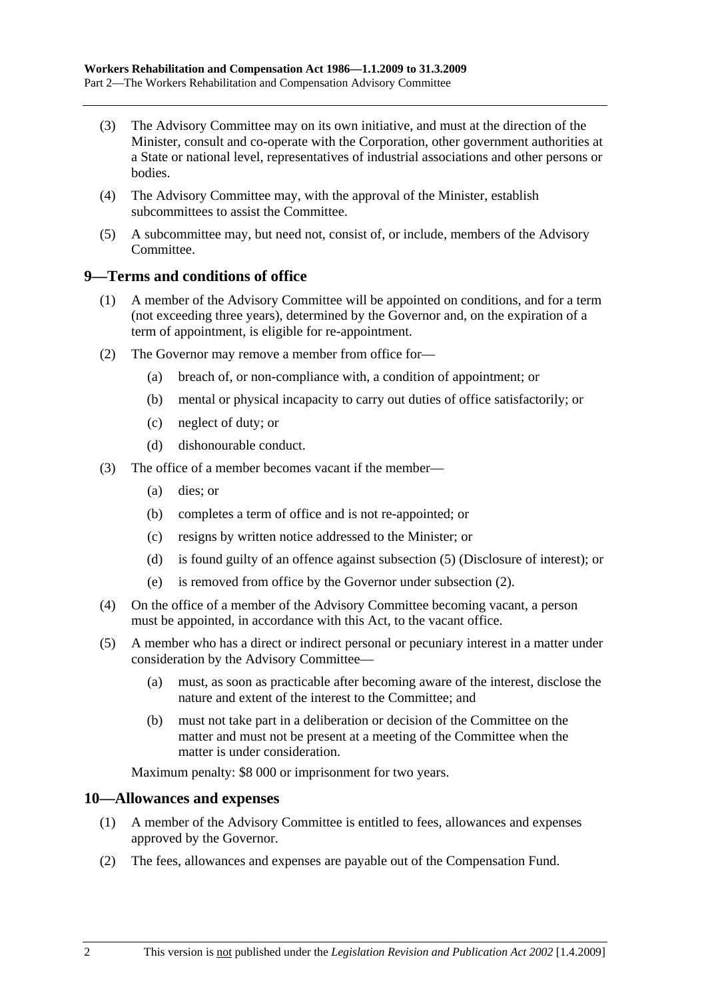- (3) The Advisory Committee may on its own initiative, and must at the direction of the Minister, consult and co-operate with the Corporation, other government authorities at a State or national level, representatives of industrial associations and other persons or bodies.
- (4) The Advisory Committee may, with the approval of the Minister, establish subcommittees to assist the Committee.
- (5) A subcommittee may, but need not, consist of, or include, members of the Advisory Committee.

## **9—Terms and conditions of office**

- (1) A member of the Advisory Committee will be appointed on conditions, and for a term (not exceeding three years), determined by the Governor and, on the expiration of a term of appointment, is eligible for re-appointment.
- (2) The Governor may remove a member from office for—
	- (a) breach of, or non-compliance with, a condition of appointment; or
	- (b) mental or physical incapacity to carry out duties of office satisfactorily; or
	- (c) neglect of duty; or
	- (d) dishonourable conduct.
- (3) The office of a member becomes vacant if the member—
	- (a) dies; or
	- (b) completes a term of office and is not re-appointed; or
	- (c) resigns by written notice addressed to the Minister; or
	- (d) is found guilty of an offence against subsection (5) (Disclosure of interest); or
	- (e) is removed from office by the Governor under subsection (2).
- (4) On the office of a member of the Advisory Committee becoming vacant, a person must be appointed, in accordance with this Act, to the vacant office.
- (5) A member who has a direct or indirect personal or pecuniary interest in a matter under consideration by the Advisory Committee—
	- (a) must, as soon as practicable after becoming aware of the interest, disclose the nature and extent of the interest to the Committee; and
	- (b) must not take part in a deliberation or decision of the Committee on the matter and must not be present at a meeting of the Committee when the matter is under consideration.

Maximum penalty: \$8 000 or imprisonment for two years.

## **10—Allowances and expenses**

- (1) A member of the Advisory Committee is entitled to fees, allowances and expenses approved by the Governor.
- (2) The fees, allowances and expenses are payable out of the Compensation Fund.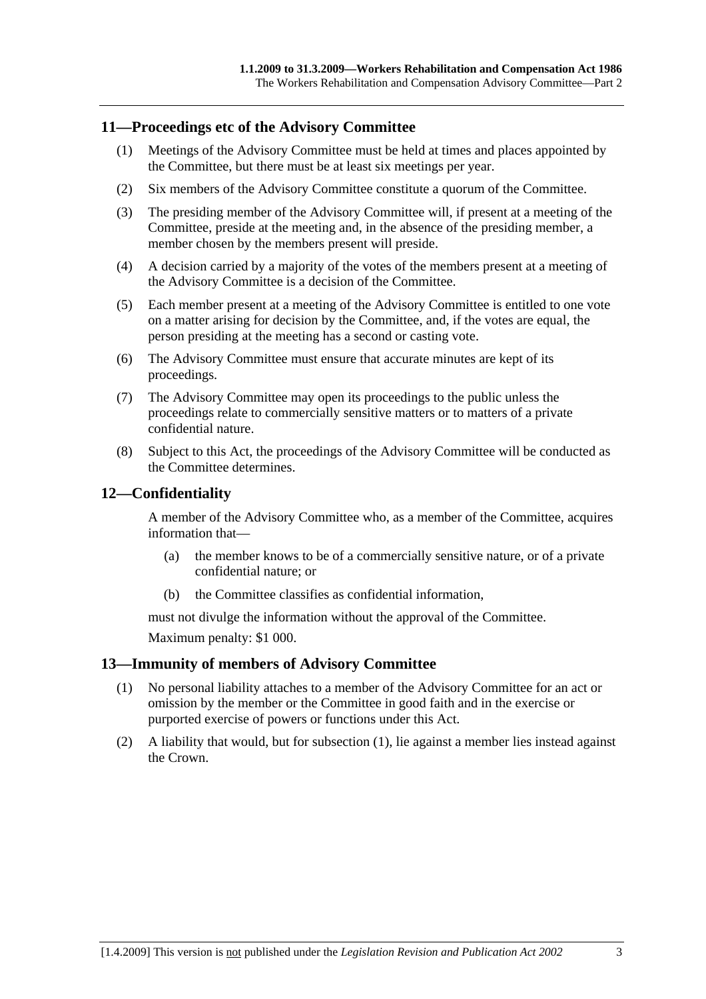## **11—Proceedings etc of the Advisory Committee**

- (1) Meetings of the Advisory Committee must be held at times and places appointed by the Committee, but there must be at least six meetings per year.
- (2) Six members of the Advisory Committee constitute a quorum of the Committee.
- (3) The presiding member of the Advisory Committee will, if present at a meeting of the Committee, preside at the meeting and, in the absence of the presiding member, a member chosen by the members present will preside.
- (4) A decision carried by a majority of the votes of the members present at a meeting of the Advisory Committee is a decision of the Committee.
- (5) Each member present at a meeting of the Advisory Committee is entitled to one vote on a matter arising for decision by the Committee, and, if the votes are equal, the person presiding at the meeting has a second or casting vote.
- (6) The Advisory Committee must ensure that accurate minutes are kept of its proceedings.
- (7) The Advisory Committee may open its proceedings to the public unless the proceedings relate to commercially sensitive matters or to matters of a private confidential nature.
- (8) Subject to this Act, the proceedings of the Advisory Committee will be conducted as the Committee determines.

## **12—Confidentiality**

A member of the Advisory Committee who, as a member of the Committee, acquires information that—

- (a) the member knows to be of a commercially sensitive nature, or of a private confidential nature; or
- (b) the Committee classifies as confidential information,

must not divulge the information without the approval of the Committee.

Maximum penalty: \$1 000.

## **13—Immunity of members of Advisory Committee**

- (1) No personal liability attaches to a member of the Advisory Committee for an act or omission by the member or the Committee in good faith and in the exercise or purported exercise of powers or functions under this Act.
- (2) A liability that would, but for subsection (1), lie against a member lies instead against the Crown.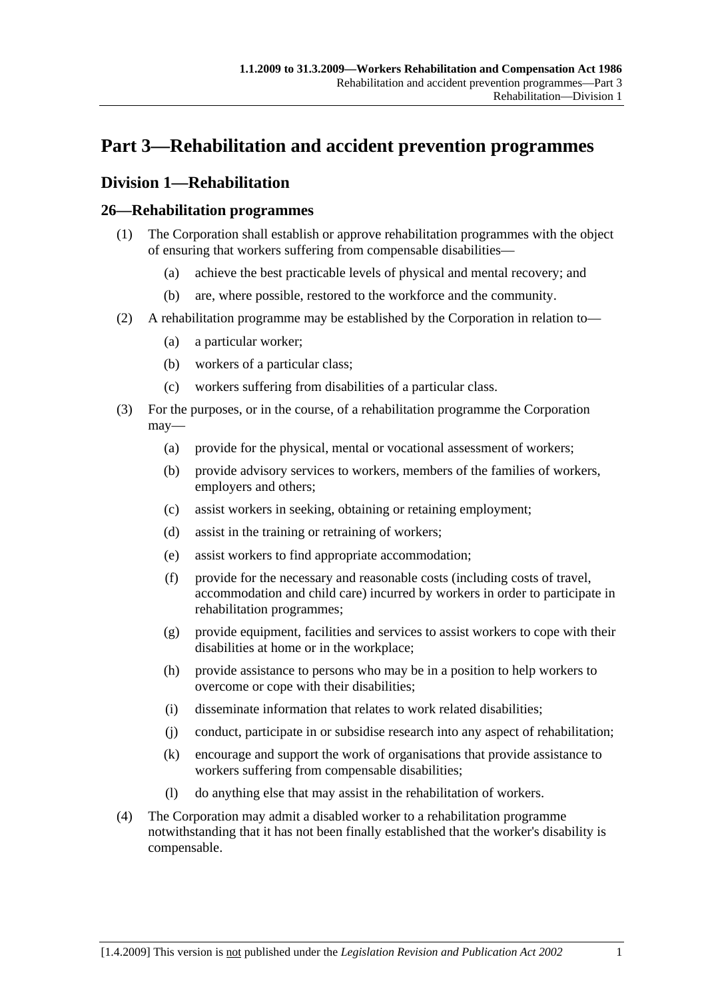# **Part 3—Rehabilitation and accident prevention programmes**

# **Division 1—Rehabilitation**

## **26—Rehabilitation programmes**

- (1) The Corporation shall establish or approve rehabilitation programmes with the object of ensuring that workers suffering from compensable disabilities—
	- (a) achieve the best practicable levels of physical and mental recovery; and
	- (b) are, where possible, restored to the workforce and the community.
- (2) A rehabilitation programme may be established by the Corporation in relation to—
	- (a) a particular worker;
	- (b) workers of a particular class;
	- (c) workers suffering from disabilities of a particular class.
- (3) For the purposes, or in the course, of a rehabilitation programme the Corporation may—
	- (a) provide for the physical, mental or vocational assessment of workers;
	- (b) provide advisory services to workers, members of the families of workers, employers and others;
	- (c) assist workers in seeking, obtaining or retaining employment;
	- (d) assist in the training or retraining of workers;
	- (e) assist workers to find appropriate accommodation;
	- (f) provide for the necessary and reasonable costs (including costs of travel, accommodation and child care) incurred by workers in order to participate in rehabilitation programmes;
	- (g) provide equipment, facilities and services to assist workers to cope with their disabilities at home or in the workplace;
	- (h) provide assistance to persons who may be in a position to help workers to overcome or cope with their disabilities;
	- (i) disseminate information that relates to work related disabilities;
	- (j) conduct, participate in or subsidise research into any aspect of rehabilitation;
	- (k) encourage and support the work of organisations that provide assistance to workers suffering from compensable disabilities;
	- (l) do anything else that may assist in the rehabilitation of workers.
- (4) The Corporation may admit a disabled worker to a rehabilitation programme notwithstanding that it has not been finally established that the worker's disability is compensable.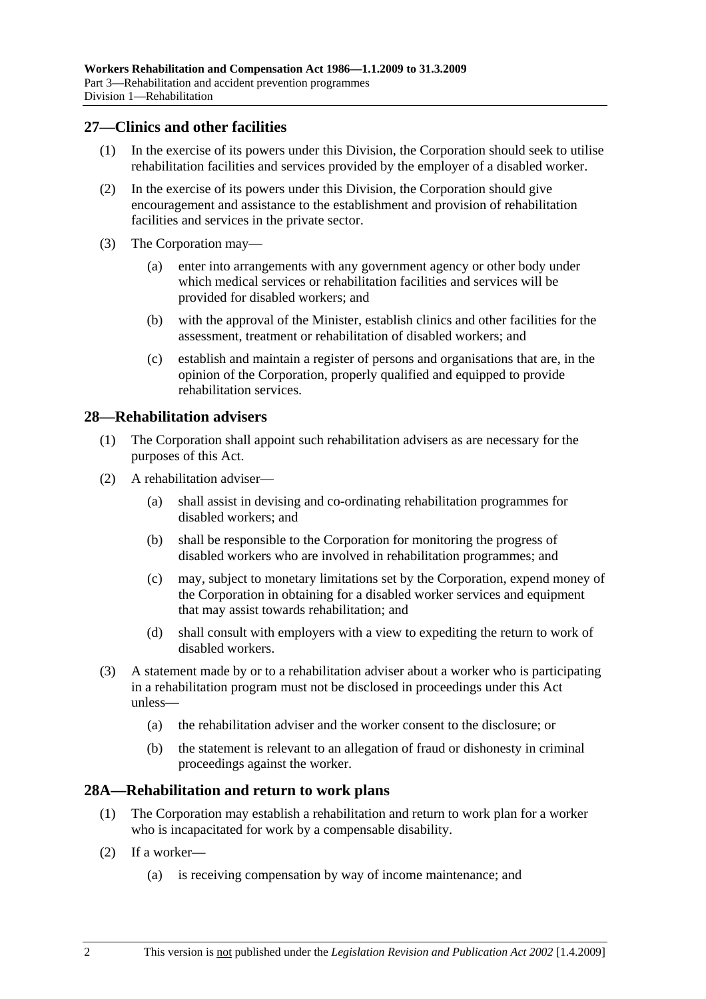## **27—Clinics and other facilities**

- (1) In the exercise of its powers under this Division, the Corporation should seek to utilise rehabilitation facilities and services provided by the employer of a disabled worker.
- (2) In the exercise of its powers under this Division, the Corporation should give encouragement and assistance to the establishment and provision of rehabilitation facilities and services in the private sector.
- (3) The Corporation may—
	- (a) enter into arrangements with any government agency or other body under which medical services or rehabilitation facilities and services will be provided for disabled workers; and
	- (b) with the approval of the Minister, establish clinics and other facilities for the assessment, treatment or rehabilitation of disabled workers; and
	- (c) establish and maintain a register of persons and organisations that are, in the opinion of the Corporation, properly qualified and equipped to provide rehabilitation services.

## **28—Rehabilitation advisers**

- (1) The Corporation shall appoint such rehabilitation advisers as are necessary for the purposes of this Act.
- (2) A rehabilitation adviser—
	- (a) shall assist in devising and co-ordinating rehabilitation programmes for disabled workers; and
	- (b) shall be responsible to the Corporation for monitoring the progress of disabled workers who are involved in rehabilitation programmes; and
	- (c) may, subject to monetary limitations set by the Corporation, expend money of the Corporation in obtaining for a disabled worker services and equipment that may assist towards rehabilitation; and
	- (d) shall consult with employers with a view to expediting the return to work of disabled workers.
- (3) A statement made by or to a rehabilitation adviser about a worker who is participating in a rehabilitation program must not be disclosed in proceedings under this Act unless—
	- (a) the rehabilitation adviser and the worker consent to the disclosure; or
	- (b) the statement is relevant to an allegation of fraud or dishonesty in criminal proceedings against the worker.

## **28A—Rehabilitation and return to work plans**

- (1) The Corporation may establish a rehabilitation and return to work plan for a worker who is incapacitated for work by a compensable disability.
- (2) If a worker—
	- (a) is receiving compensation by way of income maintenance; and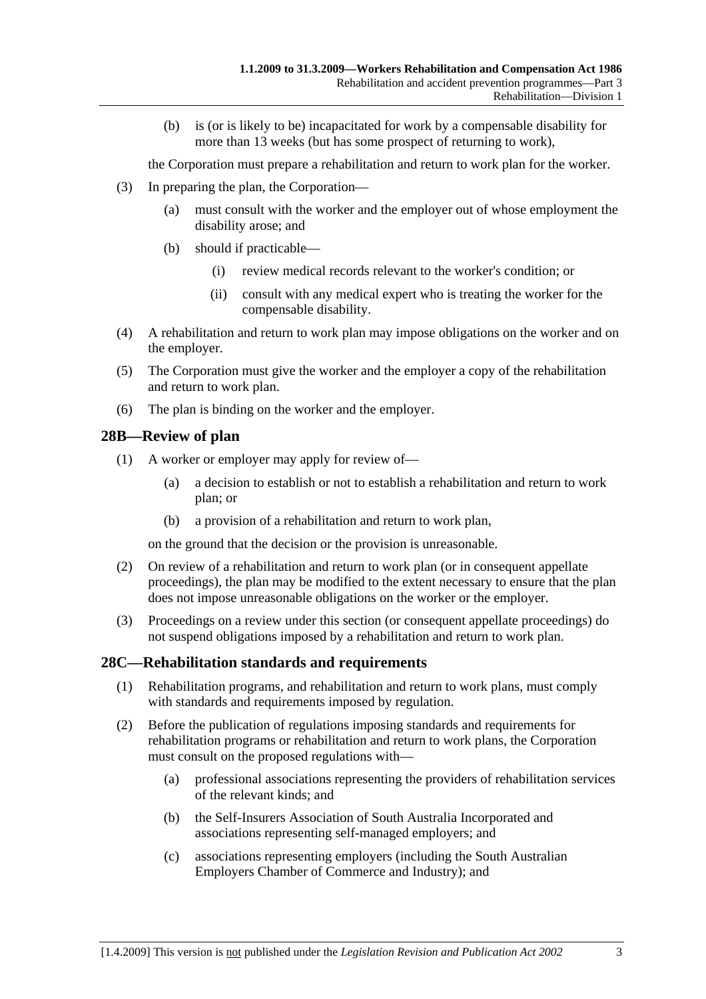(b) is (or is likely to be) incapacitated for work by a compensable disability for more than 13 weeks (but has some prospect of returning to work),

the Corporation must prepare a rehabilitation and return to work plan for the worker.

- (3) In preparing the plan, the Corporation—
	- (a) must consult with the worker and the employer out of whose employment the disability arose; and
	- (b) should if practicable—
		- (i) review medical records relevant to the worker's condition; or
		- (ii) consult with any medical expert who is treating the worker for the compensable disability.
- (4) A rehabilitation and return to work plan may impose obligations on the worker and on the employer.
- (5) The Corporation must give the worker and the employer a copy of the rehabilitation and return to work plan.
- (6) The plan is binding on the worker and the employer.

## **28B—Review of plan**

- (1) A worker or employer may apply for review of—
	- (a) a decision to establish or not to establish a rehabilitation and return to work plan; or
	- (b) a provision of a rehabilitation and return to work plan,

on the ground that the decision or the provision is unreasonable.

- (2) On review of a rehabilitation and return to work plan (or in consequent appellate proceedings), the plan may be modified to the extent necessary to ensure that the plan does not impose unreasonable obligations on the worker or the employer.
- (3) Proceedings on a review under this section (or consequent appellate proceedings) do not suspend obligations imposed by a rehabilitation and return to work plan.

## **28C—Rehabilitation standards and requirements**

- (1) Rehabilitation programs, and rehabilitation and return to work plans, must comply with standards and requirements imposed by regulation.
- (2) Before the publication of regulations imposing standards and requirements for rehabilitation programs or rehabilitation and return to work plans, the Corporation must consult on the proposed regulations with—
	- (a) professional associations representing the providers of rehabilitation services of the relevant kinds; and
	- (b) the Self-Insurers Association of South Australia Incorporated and associations representing self-managed employers; and
	- (c) associations representing employers (including the South Australian Employers Chamber of Commerce and Industry); and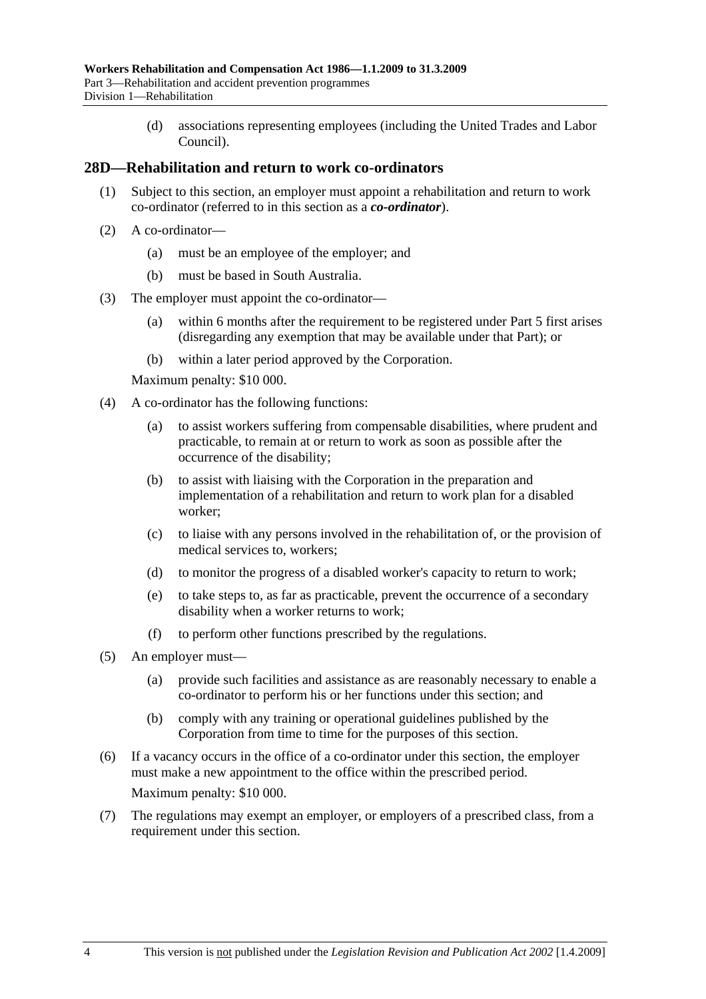(d) associations representing employees (including the United Trades and Labor Council).

## **28D—Rehabilitation and return to work co-ordinators**

- (1) Subject to this section, an employer must appoint a rehabilitation and return to work co-ordinator (referred to in this section as a *co-ordinator*).
- (2) A co-ordinator—
	- (a) must be an employee of the employer; and
	- (b) must be based in South Australia.
- (3) The employer must appoint the co-ordinator—
	- (a) within 6 months after the requirement to be registered under Part 5 first arises (disregarding any exemption that may be available under that Part); or
	- (b) within a later period approved by the Corporation.

Maximum penalty: \$10 000.

- (4) A co-ordinator has the following functions:
	- (a) to assist workers suffering from compensable disabilities, where prudent and practicable, to remain at or return to work as soon as possible after the occurrence of the disability;
	- (b) to assist with liaising with the Corporation in the preparation and implementation of a rehabilitation and return to work plan for a disabled worker;
	- (c) to liaise with any persons involved in the rehabilitation of, or the provision of medical services to, workers;
	- (d) to monitor the progress of a disabled worker's capacity to return to work;
	- (e) to take steps to, as far as practicable, prevent the occurrence of a secondary disability when a worker returns to work;
	- (f) to perform other functions prescribed by the regulations.
- (5) An employer must—
	- (a) provide such facilities and assistance as are reasonably necessary to enable a co-ordinator to perform his or her functions under this section; and
	- (b) comply with any training or operational guidelines published by the Corporation from time to time for the purposes of this section.
- (6) If a vacancy occurs in the office of a co-ordinator under this section, the employer must make a new appointment to the office within the prescribed period. Maximum penalty: \$10 000.
- (7) The regulations may exempt an employer, or employers of a prescribed class, from a requirement under this section.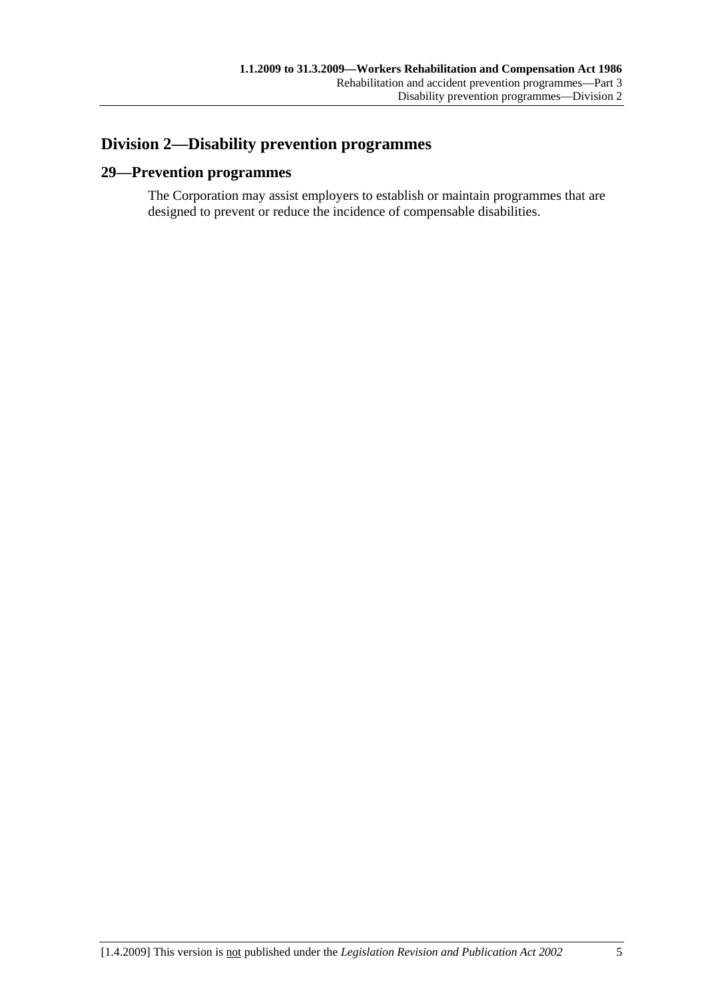# **Division 2—Disability prevention programmes**

## **29—Prevention programmes**

The Corporation may assist employers to establish or maintain programmes that are designed to prevent or reduce the incidence of compensable disabilities.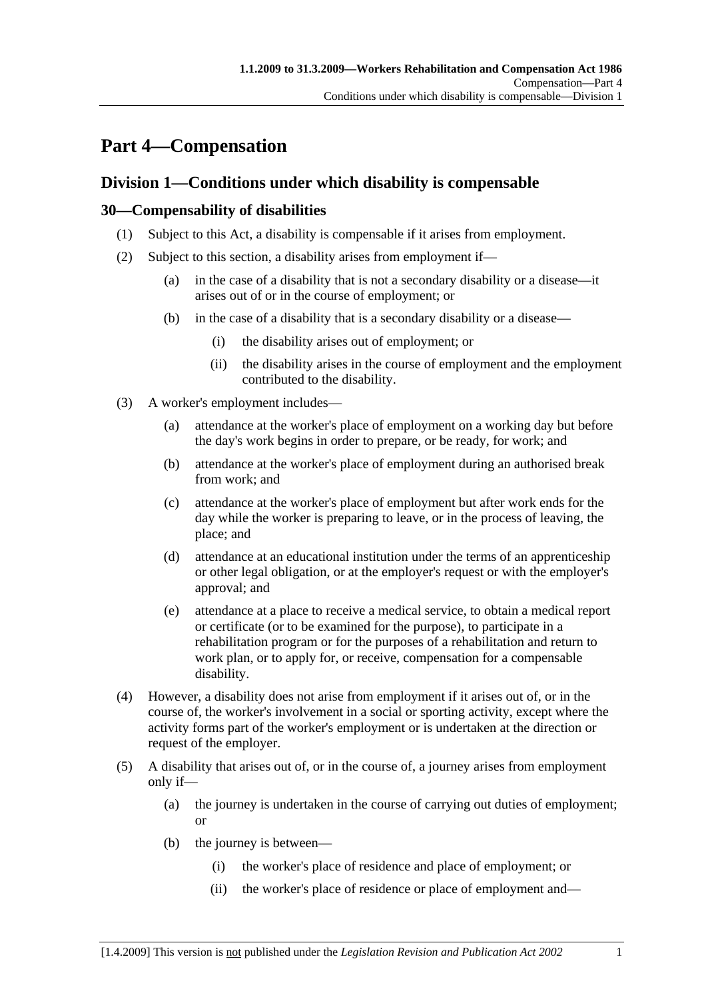# **Part 4—Compensation**

# **Division 1—Conditions under which disability is compensable**

## **30—Compensability of disabilities**

- (1) Subject to this Act, a disability is compensable if it arises from employment.
- (2) Subject to this section, a disability arises from employment if—
	- (a) in the case of a disability that is not a secondary disability or a disease—it arises out of or in the course of employment; or
	- (b) in the case of a disability that is a secondary disability or a disease—
		- (i) the disability arises out of employment; or
		- (ii) the disability arises in the course of employment and the employment contributed to the disability.
- (3) A worker's employment includes—
	- (a) attendance at the worker's place of employment on a working day but before the day's work begins in order to prepare, or be ready, for work; and
	- (b) attendance at the worker's place of employment during an authorised break from work; and
	- (c) attendance at the worker's place of employment but after work ends for the day while the worker is preparing to leave, or in the process of leaving, the place; and
	- (d) attendance at an educational institution under the terms of an apprenticeship or other legal obligation, or at the employer's request or with the employer's approval; and
	- (e) attendance at a place to receive a medical service, to obtain a medical report or certificate (or to be examined for the purpose), to participate in a rehabilitation program or for the purposes of a rehabilitation and return to work plan, or to apply for, or receive, compensation for a compensable disability.
- (4) However, a disability does not arise from employment if it arises out of, or in the course of, the worker's involvement in a social or sporting activity, except where the activity forms part of the worker's employment or is undertaken at the direction or request of the employer.
- (5) A disability that arises out of, or in the course of, a journey arises from employment only if—
	- (a) the journey is undertaken in the course of carrying out duties of employment; or
	- (b) the journey is between—
		- (i) the worker's place of residence and place of employment; or
		- (ii) the worker's place of residence or place of employment and—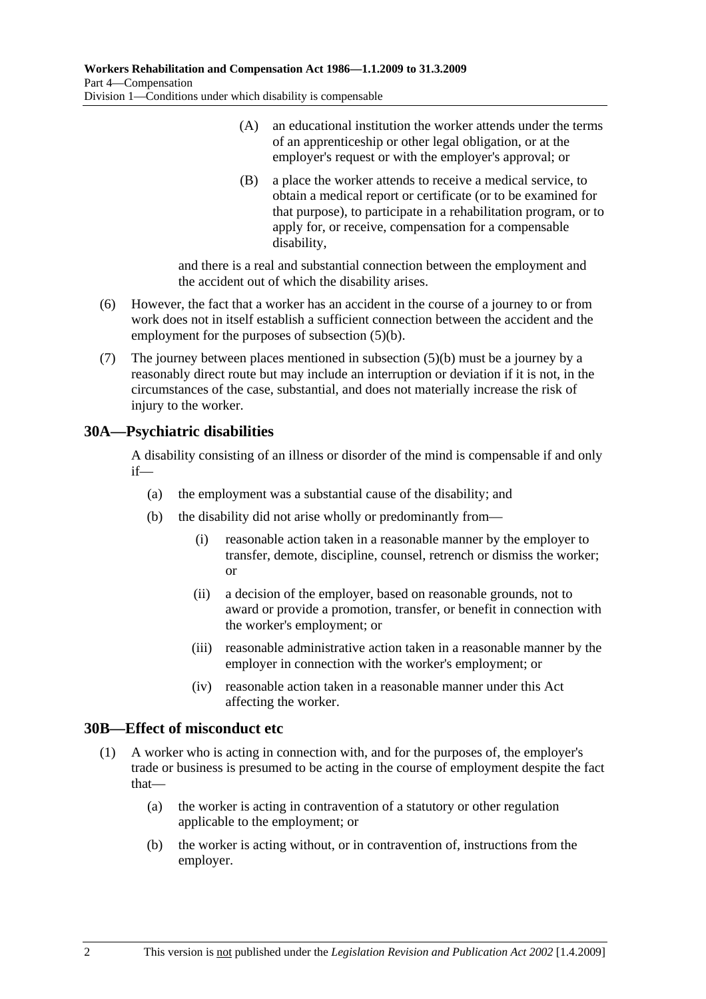- (A) an educational institution the worker attends under the terms of an apprenticeship or other legal obligation, or at the employer's request or with the employer's approval; or
- (B) a place the worker attends to receive a medical service, to obtain a medical report or certificate (or to be examined for that purpose), to participate in a rehabilitation program, or to apply for, or receive, compensation for a compensable disability,

and there is a real and substantial connection between the employment and the accident out of which the disability arises.

- (6) However, the fact that a worker has an accident in the course of a journey to or from work does not in itself establish a sufficient connection between the accident and the employment for the purposes of subsection (5)(b).
- (7) The journey between places mentioned in subsection (5)(b) must be a journey by a reasonably direct route but may include an interruption or deviation if it is not, in the circumstances of the case, substantial, and does not materially increase the risk of injury to the worker.

# **30A—Psychiatric disabilities**

A disability consisting of an illness or disorder of the mind is compensable if and only if—

- (a) the employment was a substantial cause of the disability; and
- (b) the disability did not arise wholly or predominantly from—
	- (i) reasonable action taken in a reasonable manner by the employer to transfer, demote, discipline, counsel, retrench or dismiss the worker; or
	- (ii) a decision of the employer, based on reasonable grounds, not to award or provide a promotion, transfer, or benefit in connection with the worker's employment; or
	- (iii) reasonable administrative action taken in a reasonable manner by the employer in connection with the worker's employment; or
	- (iv) reasonable action taken in a reasonable manner under this Act affecting the worker.

## **30B—Effect of misconduct etc**

- (1) A worker who is acting in connection with, and for the purposes of, the employer's trade or business is presumed to be acting in the course of employment despite the fact that—
	- (a) the worker is acting in contravention of a statutory or other regulation applicable to the employment; or
	- (b) the worker is acting without, or in contravention of, instructions from the employer.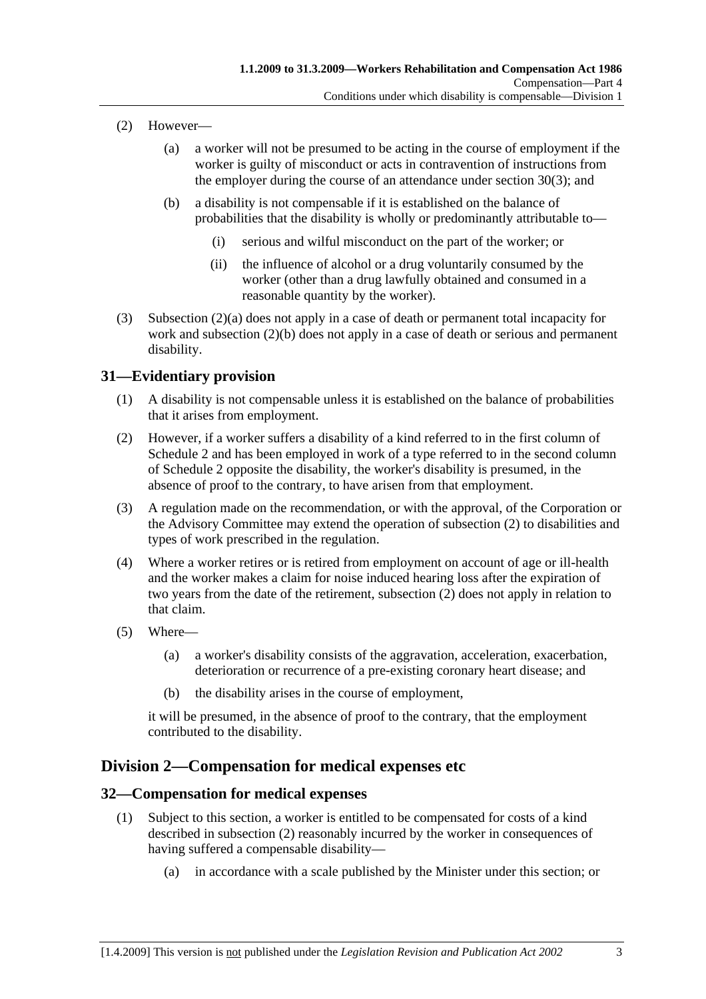- (2) However—
	- (a) a worker will not be presumed to be acting in the course of employment if the worker is guilty of misconduct or acts in contravention of instructions from the employer during the course of an attendance under section 30(3); and
	- (b) a disability is not compensable if it is established on the balance of probabilities that the disability is wholly or predominantly attributable to—
		- (i) serious and wilful misconduct on the part of the worker; or
		- (ii) the influence of alcohol or a drug voluntarily consumed by the worker (other than a drug lawfully obtained and consumed in a reasonable quantity by the worker).
- (3) Subsection (2)(a) does not apply in a case of death or permanent total incapacity for work and subsection (2)(b) does not apply in a case of death or serious and permanent disability.

#### **31—Evidentiary provision**

- (1) A disability is not compensable unless it is established on the balance of probabilities that it arises from employment.
- (2) However, if a worker suffers a disability of a kind referred to in the first column of Schedule 2 and has been employed in work of a type referred to in the second column of Schedule 2 opposite the disability, the worker's disability is presumed, in the absence of proof to the contrary, to have arisen from that employment.
- (3) A regulation made on the recommendation, or with the approval, of the Corporation or the Advisory Committee may extend the operation of subsection (2) to disabilities and types of work prescribed in the regulation.
- (4) Where a worker retires or is retired from employment on account of age or ill-health and the worker makes a claim for noise induced hearing loss after the expiration of two years from the date of the retirement, subsection (2) does not apply in relation to that claim.
- (5) Where—
	- (a) a worker's disability consists of the aggravation, acceleration, exacerbation, deterioration or recurrence of a pre-existing coronary heart disease; and
	- (b) the disability arises in the course of employment,

it will be presumed, in the absence of proof to the contrary, that the employment contributed to the disability.

### **Division 2—Compensation for medical expenses etc**

#### **32—Compensation for medical expenses**

- (1) Subject to this section, a worker is entitled to be compensated for costs of a kind described in subsection (2) reasonably incurred by the worker in consequences of having suffered a compensable disability—
	- (a) in accordance with a scale published by the Minister under this section; or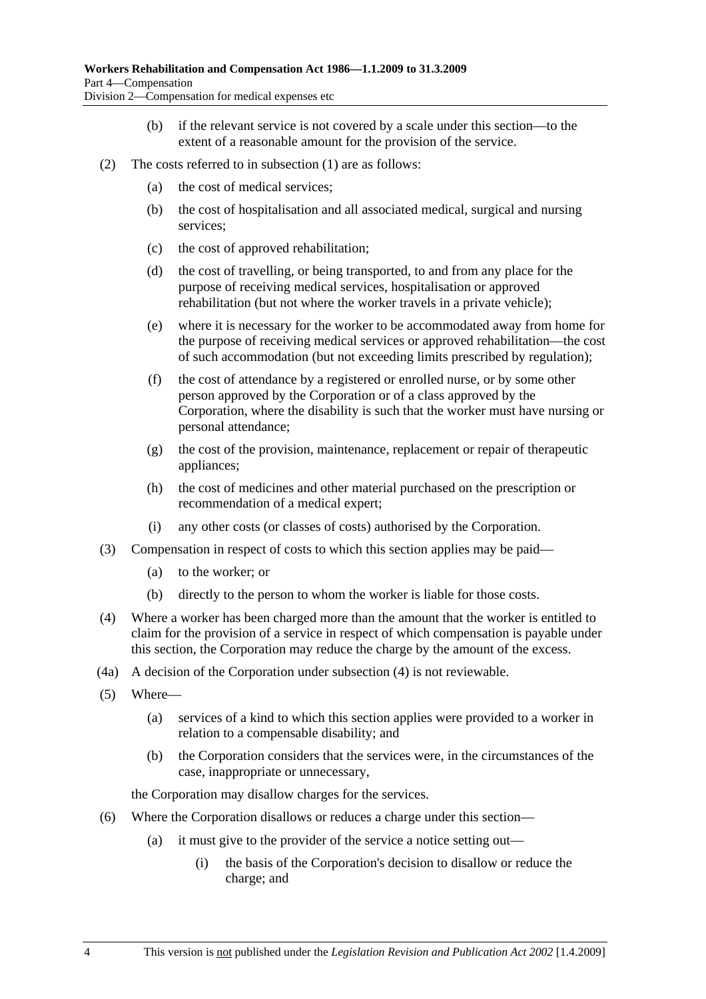- (b) if the relevant service is not covered by a scale under this section—to the extent of a reasonable amount for the provision of the service.
- (2) The costs referred to in subsection (1) are as follows:
	- (a) the cost of medical services;
	- (b) the cost of hospitalisation and all associated medical, surgical and nursing services;
	- (c) the cost of approved rehabilitation;
	- (d) the cost of travelling, or being transported, to and from any place for the purpose of receiving medical services, hospitalisation or approved rehabilitation (but not where the worker travels in a private vehicle);
	- (e) where it is necessary for the worker to be accommodated away from home for the purpose of receiving medical services or approved rehabilitation—the cost of such accommodation (but not exceeding limits prescribed by regulation);
	- (f) the cost of attendance by a registered or enrolled nurse, or by some other person approved by the Corporation or of a class approved by the Corporation, where the disability is such that the worker must have nursing or personal attendance;
	- (g) the cost of the provision, maintenance, replacement or repair of therapeutic appliances;
	- (h) the cost of medicines and other material purchased on the prescription or recommendation of a medical expert;
	- (i) any other costs (or classes of costs) authorised by the Corporation.
- (3) Compensation in respect of costs to which this section applies may be paid—
	- (a) to the worker; or
	- (b) directly to the person to whom the worker is liable for those costs.
- (4) Where a worker has been charged more than the amount that the worker is entitled to claim for the provision of a service in respect of which compensation is payable under this section, the Corporation may reduce the charge by the amount of the excess.
- (4a) A decision of the Corporation under subsection (4) is not reviewable.
- (5) Where—
	- (a) services of a kind to which this section applies were provided to a worker in relation to a compensable disability; and
	- (b) the Corporation considers that the services were, in the circumstances of the case, inappropriate or unnecessary,

the Corporation may disallow charges for the services.

- (6) Where the Corporation disallows or reduces a charge under this section—
	- (a) it must give to the provider of the service a notice setting out—
		- (i) the basis of the Corporation's decision to disallow or reduce the charge; and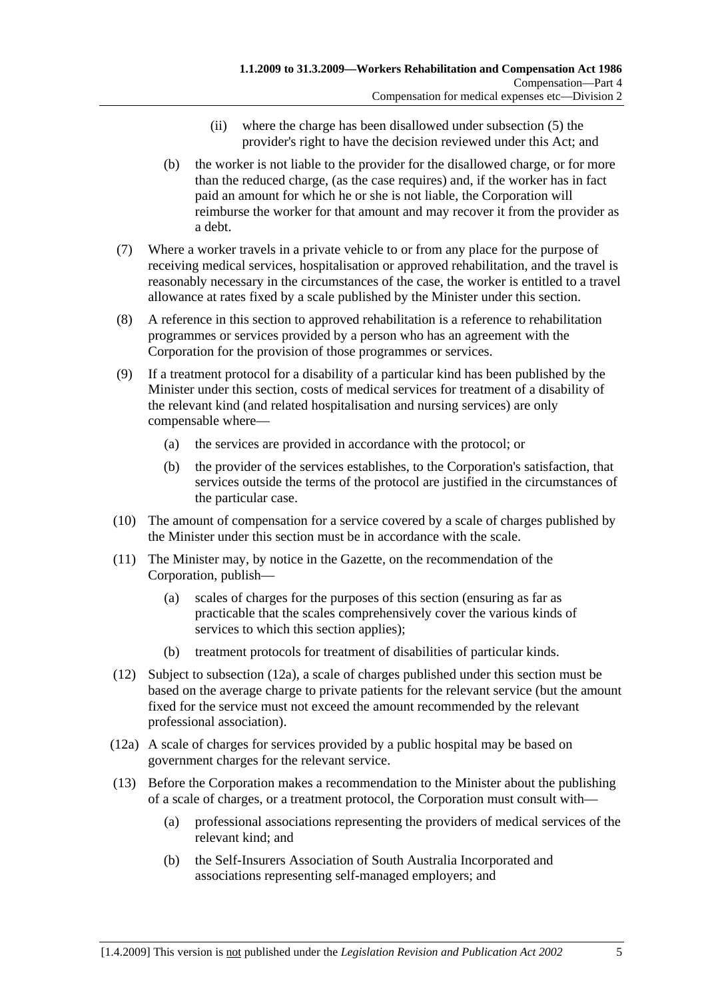- (ii) where the charge has been disallowed under subsection (5) the provider's right to have the decision reviewed under this Act; and
- (b) the worker is not liable to the provider for the disallowed charge, or for more than the reduced charge, (as the case requires) and, if the worker has in fact paid an amount for which he or she is not liable, the Corporation will reimburse the worker for that amount and may recover it from the provider as a debt.
- (7) Where a worker travels in a private vehicle to or from any place for the purpose of receiving medical services, hospitalisation or approved rehabilitation, and the travel is reasonably necessary in the circumstances of the case, the worker is entitled to a travel allowance at rates fixed by a scale published by the Minister under this section.
- (8) A reference in this section to approved rehabilitation is a reference to rehabilitation programmes or services provided by a person who has an agreement with the Corporation for the provision of those programmes or services.
- (9) If a treatment protocol for a disability of a particular kind has been published by the Minister under this section, costs of medical services for treatment of a disability of the relevant kind (and related hospitalisation and nursing services) are only compensable where—
	- (a) the services are provided in accordance with the protocol; or
	- (b) the provider of the services establishes, to the Corporation's satisfaction, that services outside the terms of the protocol are justified in the circumstances of the particular case.
- (10) The amount of compensation for a service covered by a scale of charges published by the Minister under this section must be in accordance with the scale.
- (11) The Minister may, by notice in the Gazette, on the recommendation of the Corporation, publish—
	- (a) scales of charges for the purposes of this section (ensuring as far as practicable that the scales comprehensively cover the various kinds of services to which this section applies);
	- (b) treatment protocols for treatment of disabilities of particular kinds.
- (12) Subject to subsection (12a), a scale of charges published under this section must be based on the average charge to private patients for the relevant service (but the amount fixed for the service must not exceed the amount recommended by the relevant professional association).
- (12a) A scale of charges for services provided by a public hospital may be based on government charges for the relevant service.
- (13) Before the Corporation makes a recommendation to the Minister about the publishing of a scale of charges, or a treatment protocol, the Corporation must consult with—
	- (a) professional associations representing the providers of medical services of the relevant kind; and
	- (b) the Self-Insurers Association of South Australia Incorporated and associations representing self-managed employers; and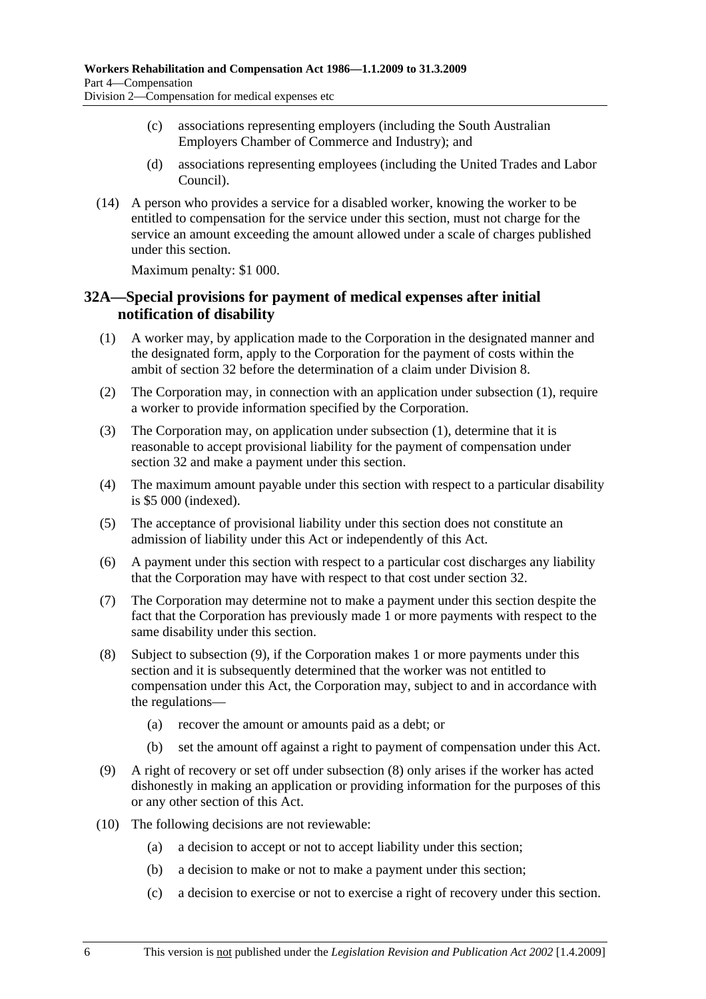- (c) associations representing employers (including the South Australian Employers Chamber of Commerce and Industry); and
- (d) associations representing employees (including the United Trades and Labor Council).
- (14) A person who provides a service for a disabled worker, knowing the worker to be entitled to compensation for the service under this section, must not charge for the service an amount exceeding the amount allowed under a scale of charges published under this section.

Maximum penalty: \$1 000.

#### **32A—Special provisions for payment of medical expenses after initial notification of disability**

- (1) A worker may, by application made to the Corporation in the designated manner and the designated form, apply to the Corporation for the payment of costs within the ambit of section 32 before the determination of a claim under Division 8.
- (2) The Corporation may, in connection with an application under subsection (1), require a worker to provide information specified by the Corporation.
- (3) The Corporation may, on application under subsection (1), determine that it is reasonable to accept provisional liability for the payment of compensation under section 32 and make a payment under this section.
- (4) The maximum amount payable under this section with respect to a particular disability is \$5 000 (indexed).
- (5) The acceptance of provisional liability under this section does not constitute an admission of liability under this Act or independently of this Act.
- (6) A payment under this section with respect to a particular cost discharges any liability that the Corporation may have with respect to that cost under section 32.
- (7) The Corporation may determine not to make a payment under this section despite the fact that the Corporation has previously made 1 or more payments with respect to the same disability under this section.
- (8) Subject to subsection (9), if the Corporation makes 1 or more payments under this section and it is subsequently determined that the worker was not entitled to compensation under this Act, the Corporation may, subject to and in accordance with the regulations—
	- (a) recover the amount or amounts paid as a debt; or
	- (b) set the amount off against a right to payment of compensation under this Act.
- (9) A right of recovery or set off under subsection (8) only arises if the worker has acted dishonestly in making an application or providing information for the purposes of this or any other section of this Act.
- (10) The following decisions are not reviewable:
	- (a) a decision to accept or not to accept liability under this section;
	- (b) a decision to make or not to make a payment under this section;
	- (c) a decision to exercise or not to exercise a right of recovery under this section.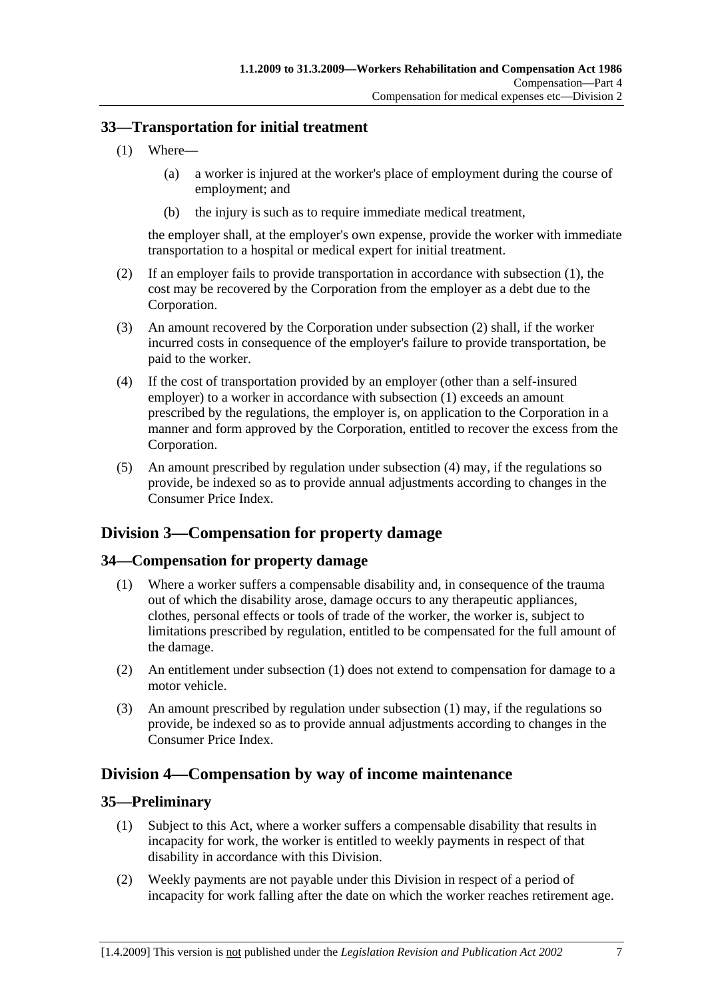#### **33—Transportation for initial treatment**

- (1) Where—
	- (a) a worker is injured at the worker's place of employment during the course of employment; and
	- (b) the injury is such as to require immediate medical treatment,

the employer shall, at the employer's own expense, provide the worker with immediate transportation to a hospital or medical expert for initial treatment.

- (2) If an employer fails to provide transportation in accordance with subsection (1), the cost may be recovered by the Corporation from the employer as a debt due to the Corporation.
- (3) An amount recovered by the Corporation under subsection (2) shall, if the worker incurred costs in consequence of the employer's failure to provide transportation, be paid to the worker.
- (4) If the cost of transportation provided by an employer (other than a self-insured employer) to a worker in accordance with subsection (1) exceeds an amount prescribed by the regulations, the employer is, on application to the Corporation in a manner and form approved by the Corporation, entitled to recover the excess from the Corporation.
- (5) An amount prescribed by regulation under subsection (4) may, if the regulations so provide, be indexed so as to provide annual adjustments according to changes in the Consumer Price Index.

# **Division 3—Compensation for property damage**

### **34—Compensation for property damage**

- (1) Where a worker suffers a compensable disability and, in consequence of the trauma out of which the disability arose, damage occurs to any therapeutic appliances, clothes, personal effects or tools of trade of the worker, the worker is, subject to limitations prescribed by regulation, entitled to be compensated for the full amount of the damage.
- (2) An entitlement under subsection (1) does not extend to compensation for damage to a motor vehicle.
- (3) An amount prescribed by regulation under subsection (1) may, if the regulations so provide, be indexed so as to provide annual adjustments according to changes in the Consumer Price Index.

# **Division 4—Compensation by way of income maintenance**

#### **35—Preliminary**

- (1) Subject to this Act, where a worker suffers a compensable disability that results in incapacity for work, the worker is entitled to weekly payments in respect of that disability in accordance with this Division.
- (2) Weekly payments are not payable under this Division in respect of a period of incapacity for work falling after the date on which the worker reaches retirement age.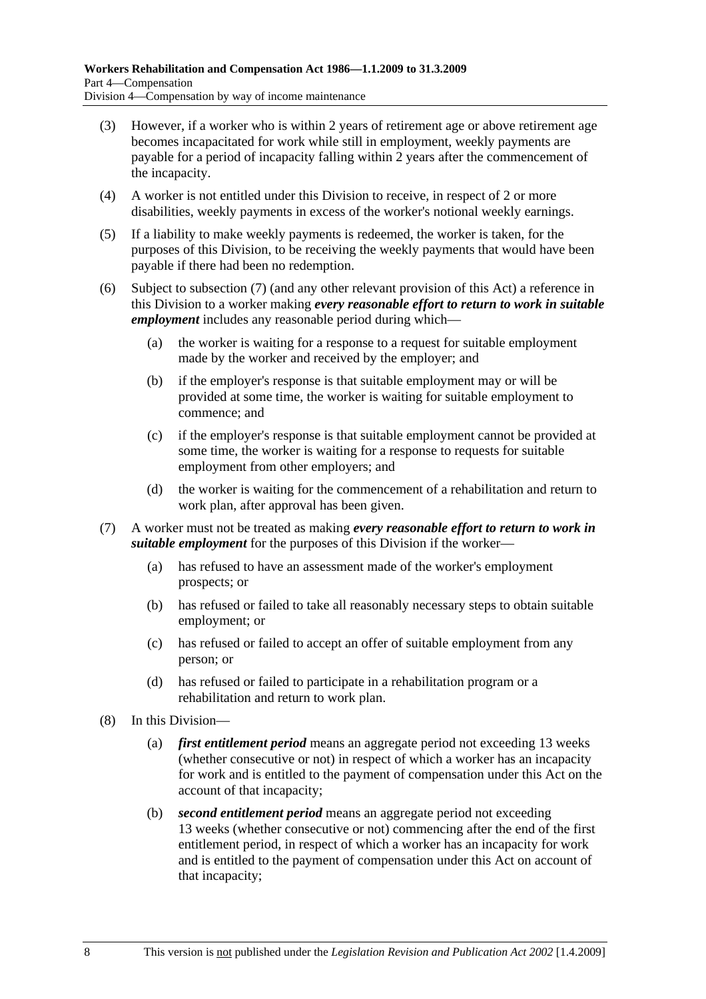- (3) However, if a worker who is within 2 years of retirement age or above retirement age becomes incapacitated for work while still in employment, weekly payments are payable for a period of incapacity falling within 2 years after the commencement of the incapacity.
- (4) A worker is not entitled under this Division to receive, in respect of 2 or more disabilities, weekly payments in excess of the worker's notional weekly earnings.
- (5) If a liability to make weekly payments is redeemed, the worker is taken, for the purposes of this Division, to be receiving the weekly payments that would have been payable if there had been no redemption.
- (6) Subject to subsection (7) (and any other relevant provision of this Act) a reference in this Division to a worker making *every reasonable effort to return to work in suitable employment* includes any reasonable period during which—
	- (a) the worker is waiting for a response to a request for suitable employment made by the worker and received by the employer; and
	- (b) if the employer's response is that suitable employment may or will be provided at some time, the worker is waiting for suitable employment to commence; and
	- (c) if the employer's response is that suitable employment cannot be provided at some time, the worker is waiting for a response to requests for suitable employment from other employers; and
	- (d) the worker is waiting for the commencement of a rehabilitation and return to work plan, after approval has been given.
- (7) A worker must not be treated as making *every reasonable effort to return to work in suitable employment* for the purposes of this Division if the worker—
	- (a) has refused to have an assessment made of the worker's employment prospects; or
	- (b) has refused or failed to take all reasonably necessary steps to obtain suitable employment; or
	- (c) has refused or failed to accept an offer of suitable employment from any person; or
	- (d) has refused or failed to participate in a rehabilitation program or a rehabilitation and return to work plan.
- (8) In this Division—
	- (a) *first entitlement period* means an aggregate period not exceeding 13 weeks (whether consecutive or not) in respect of which a worker has an incapacity for work and is entitled to the payment of compensation under this Act on the account of that incapacity;
	- (b) *second entitlement period* means an aggregate period not exceeding 13 weeks (whether consecutive or not) commencing after the end of the first entitlement period, in respect of which a worker has an incapacity for work and is entitled to the payment of compensation under this Act on account of that incapacity;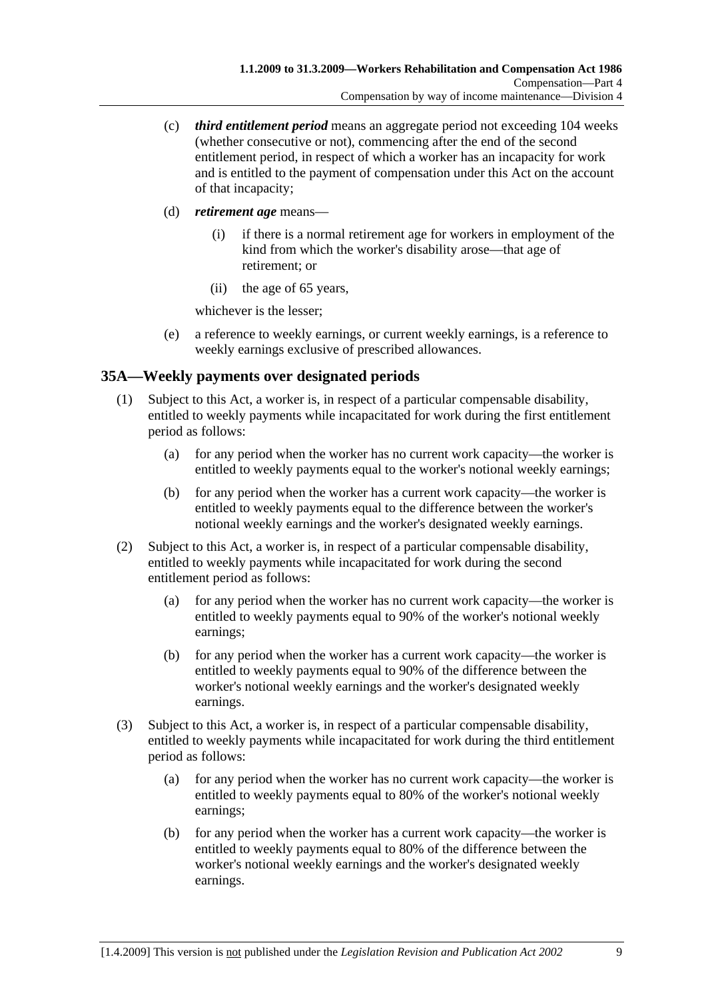- (c) *third entitlement period* means an aggregate period not exceeding 104 weeks (whether consecutive or not), commencing after the end of the second entitlement period, in respect of which a worker has an incapacity for work and is entitled to the payment of compensation under this Act on the account of that incapacity;
- (d) *retirement age* means—
	- (i) if there is a normal retirement age for workers in employment of the kind from which the worker's disability arose—that age of retirement; or
	- (ii) the age of 65 years,

whichever is the lesser;

 (e) a reference to weekly earnings, or current weekly earnings, is a reference to weekly earnings exclusive of prescribed allowances.

### **35A—Weekly payments over designated periods**

- (1) Subject to this Act, a worker is, in respect of a particular compensable disability, entitled to weekly payments while incapacitated for work during the first entitlement period as follows:
	- (a) for any period when the worker has no current work capacity—the worker is entitled to weekly payments equal to the worker's notional weekly earnings;
	- (b) for any period when the worker has a current work capacity—the worker is entitled to weekly payments equal to the difference between the worker's notional weekly earnings and the worker's designated weekly earnings.
- (2) Subject to this Act, a worker is, in respect of a particular compensable disability, entitled to weekly payments while incapacitated for work during the second entitlement period as follows:
	- (a) for any period when the worker has no current work capacity—the worker is entitled to weekly payments equal to 90% of the worker's notional weekly earnings;
	- (b) for any period when the worker has a current work capacity—the worker is entitled to weekly payments equal to 90% of the difference between the worker's notional weekly earnings and the worker's designated weekly earnings.
- (3) Subject to this Act, a worker is, in respect of a particular compensable disability, entitled to weekly payments while incapacitated for work during the third entitlement period as follows:
	- (a) for any period when the worker has no current work capacity—the worker is entitled to weekly payments equal to 80% of the worker's notional weekly earnings;
	- (b) for any period when the worker has a current work capacity—the worker is entitled to weekly payments equal to 80% of the difference between the worker's notional weekly earnings and the worker's designated weekly earnings.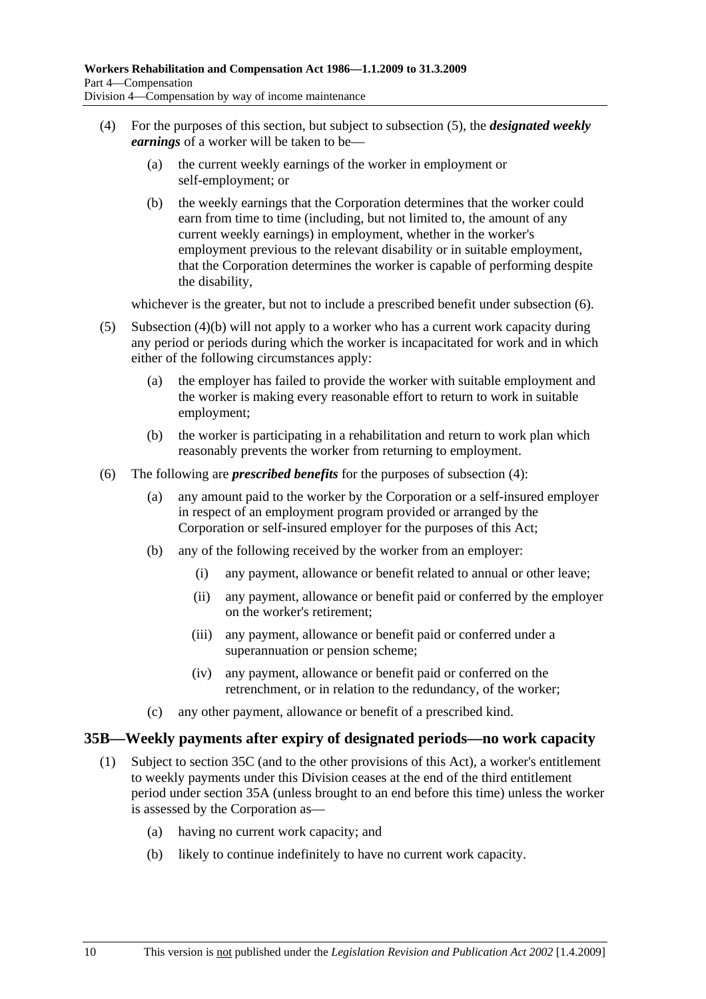- (4) For the purposes of this section, but subject to subsection (5), the *designated weekly earnings* of a worker will be taken to be—
	- (a) the current weekly earnings of the worker in employment or self-employment; or
	- (b) the weekly earnings that the Corporation determines that the worker could earn from time to time (including, but not limited to, the amount of any current weekly earnings) in employment, whether in the worker's employment previous to the relevant disability or in suitable employment, that the Corporation determines the worker is capable of performing despite the disability,

whichever is the greater, but not to include a prescribed benefit under subsection  $(6)$ .

- (5) Subsection (4)(b) will not apply to a worker who has a current work capacity during any period or periods during which the worker is incapacitated for work and in which either of the following circumstances apply:
	- (a) the employer has failed to provide the worker with suitable employment and the worker is making every reasonable effort to return to work in suitable employment;
	- (b) the worker is participating in a rehabilitation and return to work plan which reasonably prevents the worker from returning to employment.
- (6) The following are *prescribed benefits* for the purposes of subsection (4):
	- (a) any amount paid to the worker by the Corporation or a self-insured employer in respect of an employment program provided or arranged by the Corporation or self-insured employer for the purposes of this Act;
	- (b) any of the following received by the worker from an employer:
		- (i) any payment, allowance or benefit related to annual or other leave;
		- (ii) any payment, allowance or benefit paid or conferred by the employer on the worker's retirement;
		- (iii) any payment, allowance or benefit paid or conferred under a superannuation or pension scheme;
		- (iv) any payment, allowance or benefit paid or conferred on the retrenchment, or in relation to the redundancy, of the worker;
	- (c) any other payment, allowance or benefit of a prescribed kind.

#### **35B—Weekly payments after expiry of designated periods—no work capacity**

- (1) Subject to section 35C (and to the other provisions of this Act), a worker's entitlement to weekly payments under this Division ceases at the end of the third entitlement period under section 35A (unless brought to an end before this time) unless the worker is assessed by the Corporation as—
	- (a) having no current work capacity; and
	- (b) likely to continue indefinitely to have no current work capacity.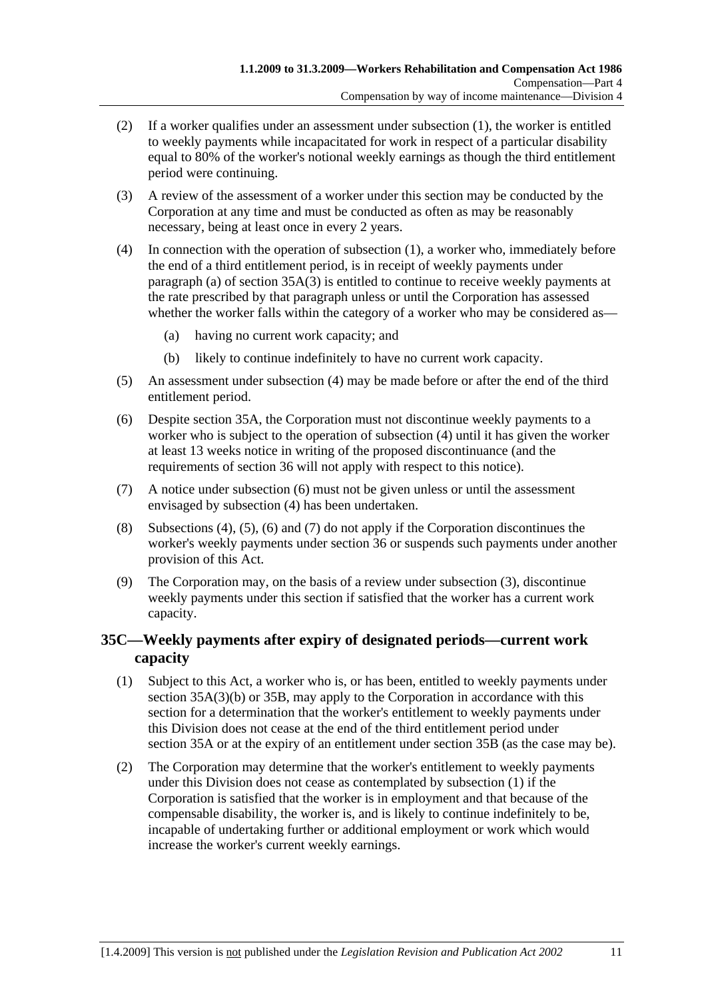- (2) If a worker qualifies under an assessment under subsection (1), the worker is entitled to weekly payments while incapacitated for work in respect of a particular disability equal to 80% of the worker's notional weekly earnings as though the third entitlement period were continuing.
- (3) A review of the assessment of a worker under this section may be conducted by the Corporation at any time and must be conducted as often as may be reasonably necessary, being at least once in every 2 years.
- (4) In connection with the operation of subsection (1), a worker who, immediately before the end of a third entitlement period, is in receipt of weekly payments under paragraph (a) of section  $35A(3)$  is entitled to continue to receive weekly payments at the rate prescribed by that paragraph unless or until the Corporation has assessed whether the worker falls within the category of a worker who may be considered as—
	- (a) having no current work capacity; and
	- (b) likely to continue indefinitely to have no current work capacity.
- (5) An assessment under subsection (4) may be made before or after the end of the third entitlement period.
- (6) Despite section 35A, the Corporation must not discontinue weekly payments to a worker who is subject to the operation of subsection (4) until it has given the worker at least 13 weeks notice in writing of the proposed discontinuance (and the requirements of section 36 will not apply with respect to this notice).
- (7) A notice under subsection (6) must not be given unless or until the assessment envisaged by subsection (4) has been undertaken.
- (8) Subsections (4), (5), (6) and (7) do not apply if the Corporation discontinues the worker's weekly payments under section 36 or suspends such payments under another provision of this Act.
- (9) The Corporation may, on the basis of a review under subsection (3), discontinue weekly payments under this section if satisfied that the worker has a current work capacity.

### **35C—Weekly payments after expiry of designated periods—current work capacity**

- (1) Subject to this Act, a worker who is, or has been, entitled to weekly payments under section 35A(3)(b) or 35B, may apply to the Corporation in accordance with this section for a determination that the worker's entitlement to weekly payments under this Division does not cease at the end of the third entitlement period under section 35A or at the expiry of an entitlement under section 35B (as the case may be).
- (2) The Corporation may determine that the worker's entitlement to weekly payments under this Division does not cease as contemplated by subsection (1) if the Corporation is satisfied that the worker is in employment and that because of the compensable disability, the worker is, and is likely to continue indefinitely to be, incapable of undertaking further or additional employment or work which would increase the worker's current weekly earnings.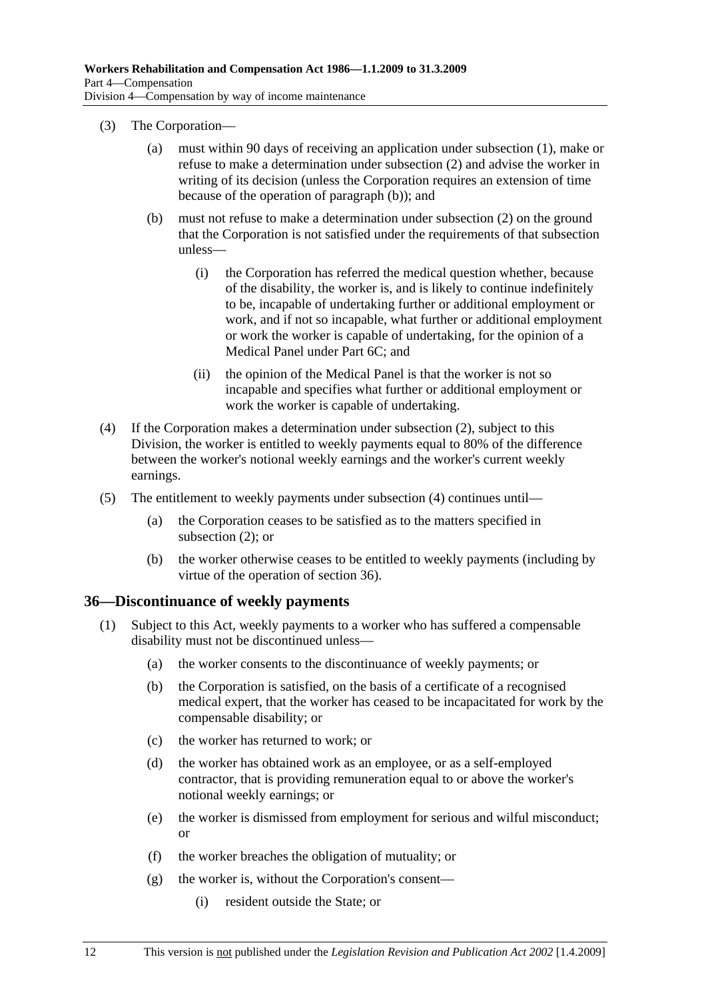- (3) The Corporation—
	- (a) must within 90 days of receiving an application under subsection (1), make or refuse to make a determination under subsection (2) and advise the worker in writing of its decision (unless the Corporation requires an extension of time because of the operation of paragraph (b)); and
	- (b) must not refuse to make a determination under subsection (2) on the ground that the Corporation is not satisfied under the requirements of that subsection unless—
		- (i) the Corporation has referred the medical question whether, because of the disability, the worker is, and is likely to continue indefinitely to be, incapable of undertaking further or additional employment or work, and if not so incapable, what further or additional employment or work the worker is capable of undertaking, for the opinion of a Medical Panel under Part 6C; and
		- (ii) the opinion of the Medical Panel is that the worker is not so incapable and specifies what further or additional employment or work the worker is capable of undertaking.
- (4) If the Corporation makes a determination under subsection (2), subject to this Division, the worker is entitled to weekly payments equal to 80% of the difference between the worker's notional weekly earnings and the worker's current weekly earnings.
- (5) The entitlement to weekly payments under subsection (4) continues until—
	- (a) the Corporation ceases to be satisfied as to the matters specified in subsection (2); or
	- (b) the worker otherwise ceases to be entitled to weekly payments (including by virtue of the operation of section 36).

#### **36—Discontinuance of weekly payments**

- (1) Subject to this Act, weekly payments to a worker who has suffered a compensable disability must not be discontinued unless—
	- (a) the worker consents to the discontinuance of weekly payments; or
	- (b) the Corporation is satisfied, on the basis of a certificate of a recognised medical expert, that the worker has ceased to be incapacitated for work by the compensable disability; or
	- (c) the worker has returned to work; or
	- (d) the worker has obtained work as an employee, or as a self-employed contractor, that is providing remuneration equal to or above the worker's notional weekly earnings; or
	- (e) the worker is dismissed from employment for serious and wilful misconduct; or
	- (f) the worker breaches the obligation of mutuality; or
	- (g) the worker is, without the Corporation's consent—
		- (i) resident outside the State; or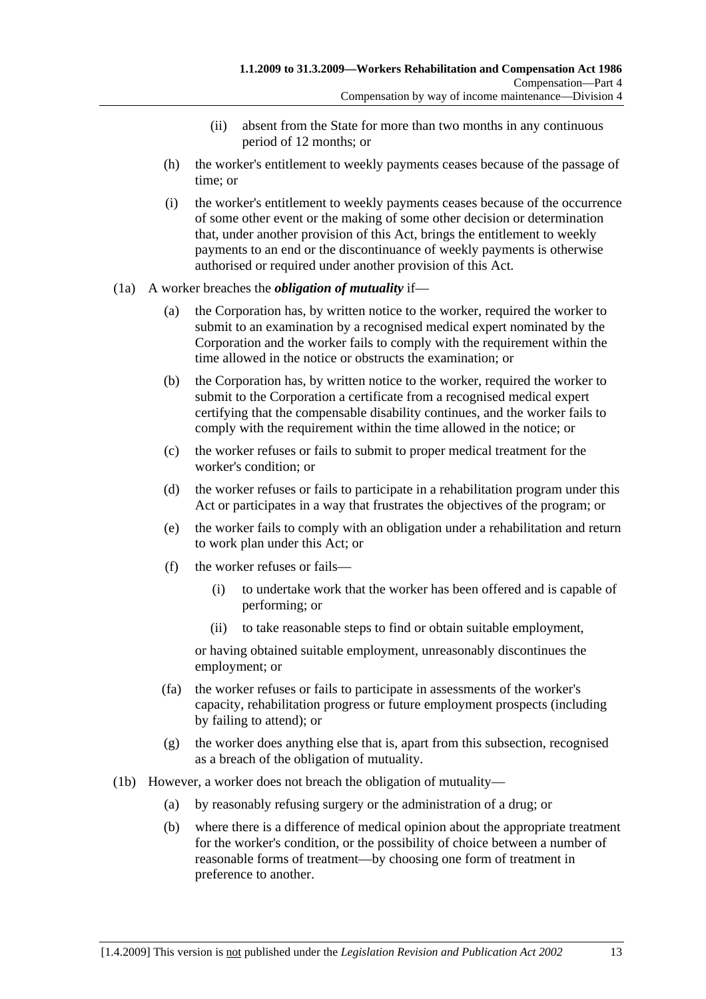- (ii) absent from the State for more than two months in any continuous period of 12 months; or
- (h) the worker's entitlement to weekly payments ceases because of the passage of time; or
- (i) the worker's entitlement to weekly payments ceases because of the occurrence of some other event or the making of some other decision or determination that, under another provision of this Act, brings the entitlement to weekly payments to an end or the discontinuance of weekly payments is otherwise authorised or required under another provision of this Act.

#### (1a) A worker breaches the *obligation of mutuality* if—

- (a) the Corporation has, by written notice to the worker, required the worker to submit to an examination by a recognised medical expert nominated by the Corporation and the worker fails to comply with the requirement within the time allowed in the notice or obstructs the examination; or
- (b) the Corporation has, by written notice to the worker, required the worker to submit to the Corporation a certificate from a recognised medical expert certifying that the compensable disability continues, and the worker fails to comply with the requirement within the time allowed in the notice; or
- (c) the worker refuses or fails to submit to proper medical treatment for the worker's condition; or
- (d) the worker refuses or fails to participate in a rehabilitation program under this Act or participates in a way that frustrates the objectives of the program; or
- (e) the worker fails to comply with an obligation under a rehabilitation and return to work plan under this Act; or
- (f) the worker refuses or fails—
	- (i) to undertake work that the worker has been offered and is capable of performing; or
	- (ii) to take reasonable steps to find or obtain suitable employment,

or having obtained suitable employment, unreasonably discontinues the employment; or

- (fa) the worker refuses or fails to participate in assessments of the worker's capacity, rehabilitation progress or future employment prospects (including by failing to attend); or
- (g) the worker does anything else that is, apart from this subsection, recognised as a breach of the obligation of mutuality.
- (1b) However, a worker does not breach the obligation of mutuality—
	- (a) by reasonably refusing surgery or the administration of a drug; or
	- (b) where there is a difference of medical opinion about the appropriate treatment for the worker's condition, or the possibility of choice between a number of reasonable forms of treatment—by choosing one form of treatment in preference to another.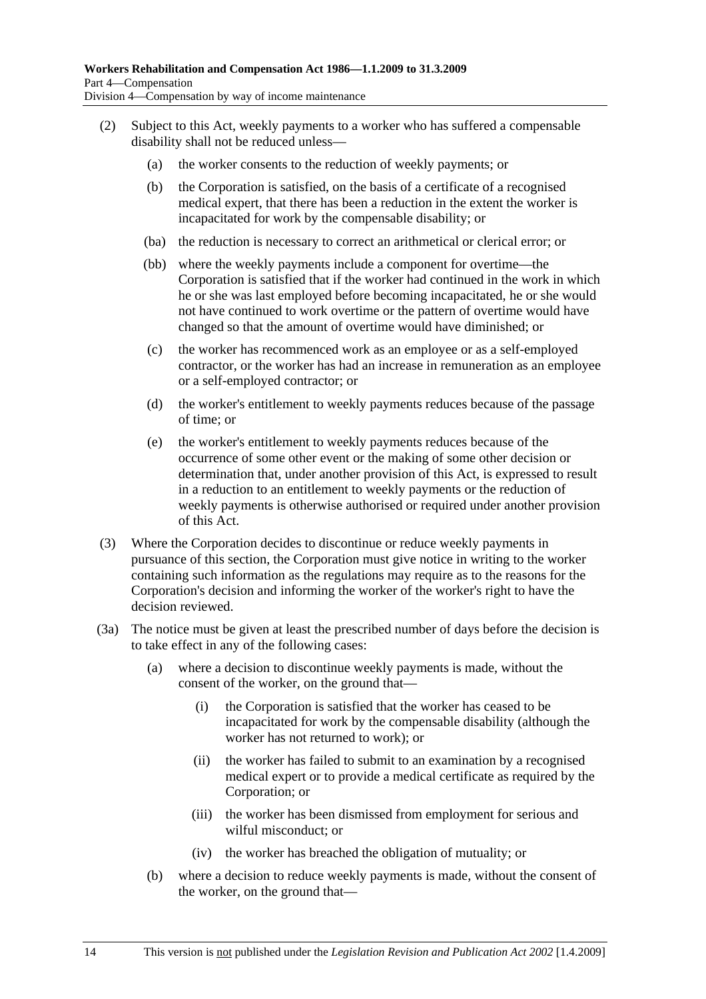- (2) Subject to this Act, weekly payments to a worker who has suffered a compensable disability shall not be reduced unless—
	- (a) the worker consents to the reduction of weekly payments; or
	- (b) the Corporation is satisfied, on the basis of a certificate of a recognised medical expert, that there has been a reduction in the extent the worker is incapacitated for work by the compensable disability; or
	- (ba) the reduction is necessary to correct an arithmetical or clerical error; or
	- (bb) where the weekly payments include a component for overtime—the Corporation is satisfied that if the worker had continued in the work in which he or she was last employed before becoming incapacitated, he or she would not have continued to work overtime or the pattern of overtime would have changed so that the amount of overtime would have diminished; or
	- (c) the worker has recommenced work as an employee or as a self-employed contractor, or the worker has had an increase in remuneration as an employee or a self-employed contractor; or
	- (d) the worker's entitlement to weekly payments reduces because of the passage of time; or
	- (e) the worker's entitlement to weekly payments reduces because of the occurrence of some other event or the making of some other decision or determination that, under another provision of this Act, is expressed to result in a reduction to an entitlement to weekly payments or the reduction of weekly payments is otherwise authorised or required under another provision of this Act.
- (3) Where the Corporation decides to discontinue or reduce weekly payments in pursuance of this section, the Corporation must give notice in writing to the worker containing such information as the regulations may require as to the reasons for the Corporation's decision and informing the worker of the worker's right to have the decision reviewed.
- (3a) The notice must be given at least the prescribed number of days before the decision is to take effect in any of the following cases:
	- (a) where a decision to discontinue weekly payments is made, without the consent of the worker, on the ground that—
		- (i) the Corporation is satisfied that the worker has ceased to be incapacitated for work by the compensable disability (although the worker has not returned to work); or
		- (ii) the worker has failed to submit to an examination by a recognised medical expert or to provide a medical certificate as required by the Corporation; or
		- (iii) the worker has been dismissed from employment for serious and wilful misconduct; or
		- (iv) the worker has breached the obligation of mutuality; or
	- (b) where a decision to reduce weekly payments is made, without the consent of the worker, on the ground that—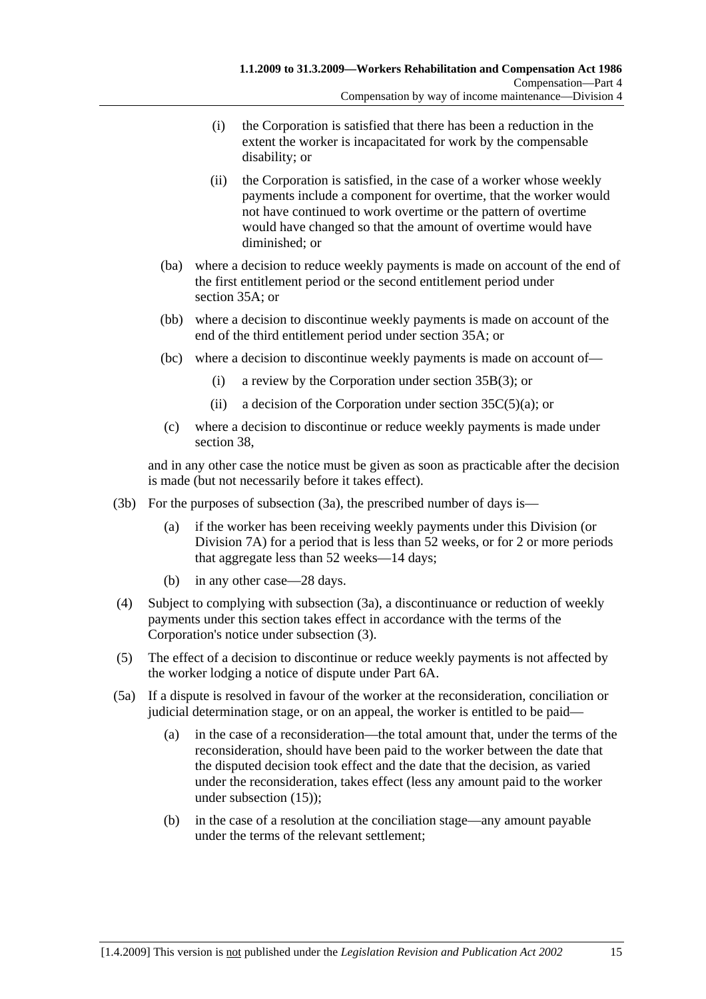- (i) the Corporation is satisfied that there has been a reduction in the extent the worker is incapacitated for work by the compensable disability; or
- (ii) the Corporation is satisfied, in the case of a worker whose weekly payments include a component for overtime, that the worker would not have continued to work overtime or the pattern of overtime would have changed so that the amount of overtime would have diminished; or
- (ba) where a decision to reduce weekly payments is made on account of the end of the first entitlement period or the second entitlement period under section 35A; or
- (bb) where a decision to discontinue weekly payments is made on account of the end of the third entitlement period under section 35A; or
- (bc) where a decision to discontinue weekly payments is made on account of—
	- (i) a review by the Corporation under section 35B(3); or
	- (ii) a decision of the Corporation under section  $35C(5)(a)$ ; or
- (c) where a decision to discontinue or reduce weekly payments is made under section 38,

and in any other case the notice must be given as soon as practicable after the decision is made (but not necessarily before it takes effect).

- (3b) For the purposes of subsection (3a), the prescribed number of days is—
	- (a) if the worker has been receiving weekly payments under this Division (or Division 7A) for a period that is less than 52 weeks, or for 2 or more periods that aggregate less than 52 weeks—14 days;
	- (b) in any other case—28 days.
- (4) Subject to complying with subsection (3a), a discontinuance or reduction of weekly payments under this section takes effect in accordance with the terms of the Corporation's notice under subsection (3).
- (5) The effect of a decision to discontinue or reduce weekly payments is not affected by the worker lodging a notice of dispute under Part 6A.
- (5a) If a dispute is resolved in favour of the worker at the reconsideration, conciliation or judicial determination stage, or on an appeal, the worker is entitled to be paid—
	- (a) in the case of a reconsideration—the total amount that, under the terms of the reconsideration, should have been paid to the worker between the date that the disputed decision took effect and the date that the decision, as varied under the reconsideration, takes effect (less any amount paid to the worker under subsection (15));
	- (b) in the case of a resolution at the conciliation stage—any amount payable under the terms of the relevant settlement;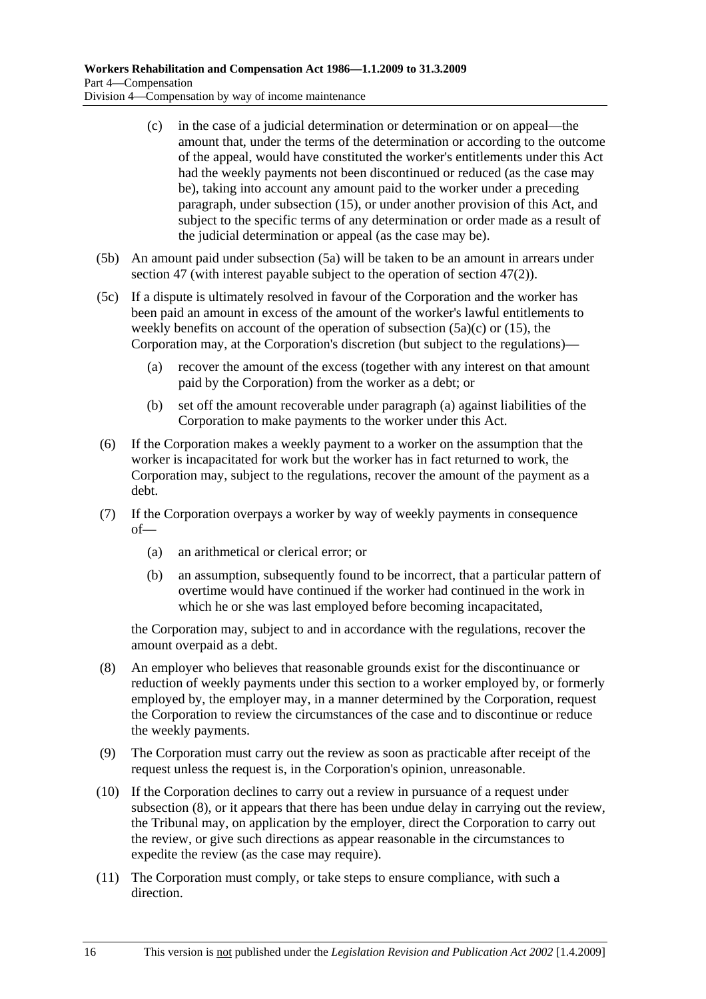- (c) in the case of a judicial determination or determination or on appeal—the amount that, under the terms of the determination or according to the outcome of the appeal, would have constituted the worker's entitlements under this Act had the weekly payments not been discontinued or reduced (as the case may be), taking into account any amount paid to the worker under a preceding paragraph, under subsection (15), or under another provision of this Act, and subject to the specific terms of any determination or order made as a result of the judicial determination or appeal (as the case may be).
- (5b) An amount paid under subsection (5a) will be taken to be an amount in arrears under section 47 (with interest payable subject to the operation of section 47(2)).
- (5c) If a dispute is ultimately resolved in favour of the Corporation and the worker has been paid an amount in excess of the amount of the worker's lawful entitlements to weekly benefits on account of the operation of subsection  $(5a)(c)$  or  $(15)$ , the Corporation may, at the Corporation's discretion (but subject to the regulations)—
	- (a) recover the amount of the excess (together with any interest on that amount paid by the Corporation) from the worker as a debt; or
	- (b) set off the amount recoverable under paragraph (a) against liabilities of the Corporation to make payments to the worker under this Act.
- (6) If the Corporation makes a weekly payment to a worker on the assumption that the worker is incapacitated for work but the worker has in fact returned to work, the Corporation may, subject to the regulations, recover the amount of the payment as a debt.
- (7) If the Corporation overpays a worker by way of weekly payments in consequence of—
	- (a) an arithmetical or clerical error; or
	- (b) an assumption, subsequently found to be incorrect, that a particular pattern of overtime would have continued if the worker had continued in the work in which he or she was last employed before becoming incapacitated,

the Corporation may, subject to and in accordance with the regulations, recover the amount overpaid as a debt.

- (8) An employer who believes that reasonable grounds exist for the discontinuance or reduction of weekly payments under this section to a worker employed by, or formerly employed by, the employer may, in a manner determined by the Corporation, request the Corporation to review the circumstances of the case and to discontinue or reduce the weekly payments.
- (9) The Corporation must carry out the review as soon as practicable after receipt of the request unless the request is, in the Corporation's opinion, unreasonable.
- (10) If the Corporation declines to carry out a review in pursuance of a request under subsection (8), or it appears that there has been undue delay in carrying out the review, the Tribunal may, on application by the employer, direct the Corporation to carry out the review, or give such directions as appear reasonable in the circumstances to expedite the review (as the case may require).
- (11) The Corporation must comply, or take steps to ensure compliance, with such a direction.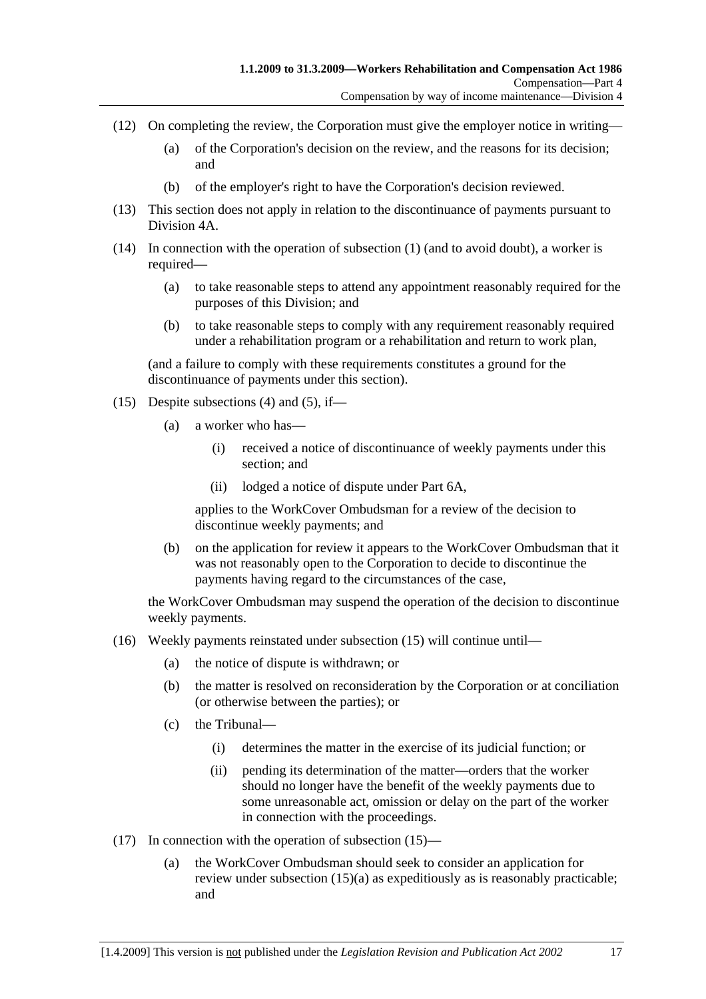- (12) On completing the review, the Corporation must give the employer notice in writing—
	- (a) of the Corporation's decision on the review, and the reasons for its decision; and
	- (b) of the employer's right to have the Corporation's decision reviewed.
- (13) This section does not apply in relation to the discontinuance of payments pursuant to Division 4A.
- (14) In connection with the operation of subsection (1) (and to avoid doubt), a worker is required—
	- (a) to take reasonable steps to attend any appointment reasonably required for the purposes of this Division; and
	- (b) to take reasonable steps to comply with any requirement reasonably required under a rehabilitation program or a rehabilitation and return to work plan,

(and a failure to comply with these requirements constitutes a ground for the discontinuance of payments under this section).

- (15) Despite subsections (4) and (5), if—
	- (a) a worker who has—
		- (i) received a notice of discontinuance of weekly payments under this section; and
		- (ii) lodged a notice of dispute under Part 6A,

applies to the WorkCover Ombudsman for a review of the decision to discontinue weekly payments; and

 (b) on the application for review it appears to the WorkCover Ombudsman that it was not reasonably open to the Corporation to decide to discontinue the payments having regard to the circumstances of the case,

the WorkCover Ombudsman may suspend the operation of the decision to discontinue weekly payments.

- (16) Weekly payments reinstated under subsection (15) will continue until—
	- (a) the notice of dispute is withdrawn; or
	- (b) the matter is resolved on reconsideration by the Corporation or at conciliation (or otherwise between the parties); or
	- (c) the Tribunal—
		- (i) determines the matter in the exercise of its judicial function; or
		- (ii) pending its determination of the matter—orders that the worker should no longer have the benefit of the weekly payments due to some unreasonable act, omission or delay on the part of the worker in connection with the proceedings.
- (17) In connection with the operation of subsection (15)—
	- (a) the WorkCover Ombudsman should seek to consider an application for review under subsection (15)(a) as expeditiously as is reasonably practicable; and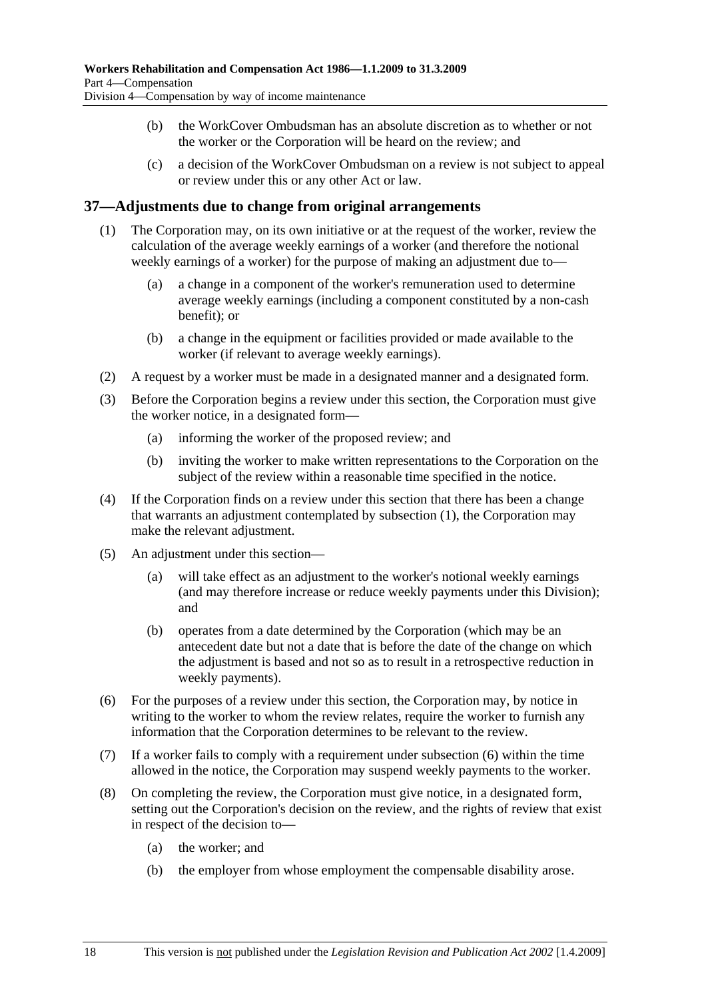- (b) the WorkCover Ombudsman has an absolute discretion as to whether or not the worker or the Corporation will be heard on the review; and
- (c) a decision of the WorkCover Ombudsman on a review is not subject to appeal or review under this or any other Act or law.

#### **37—Adjustments due to change from original arrangements**

- (1) The Corporation may, on its own initiative or at the request of the worker, review the calculation of the average weekly earnings of a worker (and therefore the notional weekly earnings of a worker) for the purpose of making an adjustment due to—
	- (a) a change in a component of the worker's remuneration used to determine average weekly earnings (including a component constituted by a non-cash benefit); or
	- (b) a change in the equipment or facilities provided or made available to the worker (if relevant to average weekly earnings).
- (2) A request by a worker must be made in a designated manner and a designated form.
- (3) Before the Corporation begins a review under this section, the Corporation must give the worker notice, in a designated form—
	- (a) informing the worker of the proposed review; and
	- (b) inviting the worker to make written representations to the Corporation on the subject of the review within a reasonable time specified in the notice.
- (4) If the Corporation finds on a review under this section that there has been a change that warrants an adjustment contemplated by subsection (1), the Corporation may make the relevant adjustment.
- (5) An adjustment under this section—
	- (a) will take effect as an adjustment to the worker's notional weekly earnings (and may therefore increase or reduce weekly payments under this Division); and
	- (b) operates from a date determined by the Corporation (which may be an antecedent date but not a date that is before the date of the change on which the adjustment is based and not so as to result in a retrospective reduction in weekly payments).
- (6) For the purposes of a review under this section, the Corporation may, by notice in writing to the worker to whom the review relates, require the worker to furnish any information that the Corporation determines to be relevant to the review.
- (7) If a worker fails to comply with a requirement under subsection (6) within the time allowed in the notice, the Corporation may suspend weekly payments to the worker.
- (8) On completing the review, the Corporation must give notice, in a designated form, setting out the Corporation's decision on the review, and the rights of review that exist in respect of the decision to—
	- (a) the worker; and
	- (b) the employer from whose employment the compensable disability arose.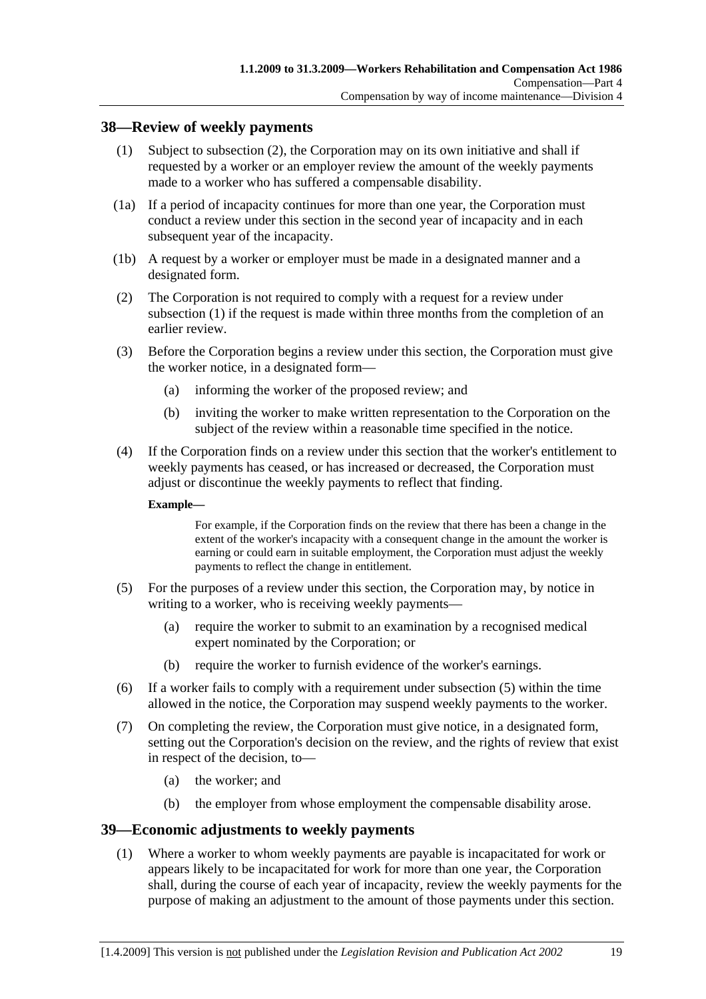#### **38—Review of weekly payments**

- (1) Subject to subsection (2), the Corporation may on its own initiative and shall if requested by a worker or an employer review the amount of the weekly payments made to a worker who has suffered a compensable disability.
- (1a) If a period of incapacity continues for more than one year, the Corporation must conduct a review under this section in the second year of incapacity and in each subsequent year of the incapacity.
- (1b) A request by a worker or employer must be made in a designated manner and a designated form.
- (2) The Corporation is not required to comply with a request for a review under subsection (1) if the request is made within three months from the completion of an earlier review.
- (3) Before the Corporation begins a review under this section, the Corporation must give the worker notice, in a designated form—
	- (a) informing the worker of the proposed review; and
	- (b) inviting the worker to make written representation to the Corporation on the subject of the review within a reasonable time specified in the notice.
- (4) If the Corporation finds on a review under this section that the worker's entitlement to weekly payments has ceased, or has increased or decreased, the Corporation must adjust or discontinue the weekly payments to reflect that finding.

#### **Example—**

For example, if the Corporation finds on the review that there has been a change in the extent of the worker's incapacity with a consequent change in the amount the worker is earning or could earn in suitable employment, the Corporation must adjust the weekly payments to reflect the change in entitlement.

- (5) For the purposes of a review under this section, the Corporation may, by notice in writing to a worker, who is receiving weekly payments—
	- (a) require the worker to submit to an examination by a recognised medical expert nominated by the Corporation; or
	- (b) require the worker to furnish evidence of the worker's earnings.
- (6) If a worker fails to comply with a requirement under subsection (5) within the time allowed in the notice, the Corporation may suspend weekly payments to the worker.
- (7) On completing the review, the Corporation must give notice, in a designated form, setting out the Corporation's decision on the review, and the rights of review that exist in respect of the decision, to—
	- (a) the worker; and
	- (b) the employer from whose employment the compensable disability arose.

#### **39—Economic adjustments to weekly payments**

 (1) Where a worker to whom weekly payments are payable is incapacitated for work or appears likely to be incapacitated for work for more than one year, the Corporation shall, during the course of each year of incapacity, review the weekly payments for the purpose of making an adjustment to the amount of those payments under this section.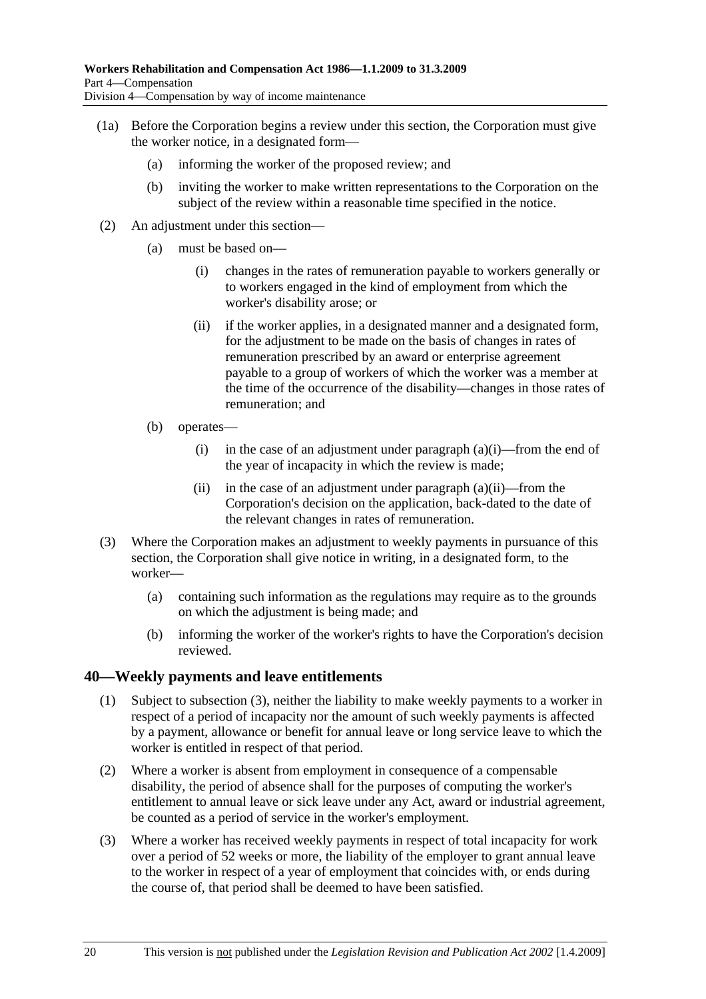- (1a) Before the Corporation begins a review under this section, the Corporation must give the worker notice, in a designated form—
	- (a) informing the worker of the proposed review; and
	- (b) inviting the worker to make written representations to the Corporation on the subject of the review within a reasonable time specified in the notice.
- (2) An adjustment under this section—
	- (a) must be based on—
		- (i) changes in the rates of remuneration payable to workers generally or to workers engaged in the kind of employment from which the worker's disability arose; or
		- (ii) if the worker applies, in a designated manner and a designated form, for the adjustment to be made on the basis of changes in rates of remuneration prescribed by an award or enterprise agreement payable to a group of workers of which the worker was a member at the time of the occurrence of the disability—changes in those rates of remuneration; and
	- (b) operates—
		- (i) in the case of an adjustment under paragraph  $(a)(i)$ —from the end of the year of incapacity in which the review is made;
		- (ii) in the case of an adjustment under paragraph  $(a)(ii)$ —from the Corporation's decision on the application, back-dated to the date of the relevant changes in rates of remuneration.
- (3) Where the Corporation makes an adjustment to weekly payments in pursuance of this section, the Corporation shall give notice in writing, in a designated form, to the worker—
	- (a) containing such information as the regulations may require as to the grounds on which the adjustment is being made; and
	- (b) informing the worker of the worker's rights to have the Corporation's decision reviewed.

#### **40—Weekly payments and leave entitlements**

- (1) Subject to subsection (3), neither the liability to make weekly payments to a worker in respect of a period of incapacity nor the amount of such weekly payments is affected by a payment, allowance or benefit for annual leave or long service leave to which the worker is entitled in respect of that period.
- (2) Where a worker is absent from employment in consequence of a compensable disability, the period of absence shall for the purposes of computing the worker's entitlement to annual leave or sick leave under any Act, award or industrial agreement, be counted as a period of service in the worker's employment.
- (3) Where a worker has received weekly payments in respect of total incapacity for work over a period of 52 weeks or more, the liability of the employer to grant annual leave to the worker in respect of a year of employment that coincides with, or ends during the course of, that period shall be deemed to have been satisfied.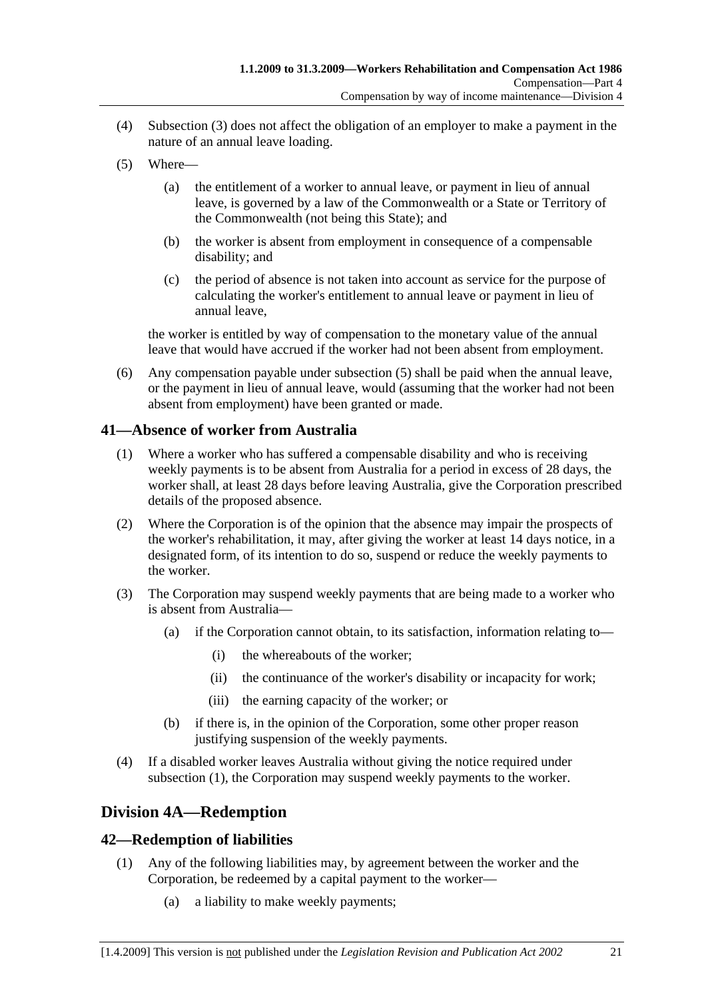- (4) Subsection (3) does not affect the obligation of an employer to make a payment in the nature of an annual leave loading.
- (5) Where—
	- (a) the entitlement of a worker to annual leave, or payment in lieu of annual leave, is governed by a law of the Commonwealth or a State or Territory of the Commonwealth (not being this State); and
	- (b) the worker is absent from employment in consequence of a compensable disability; and
	- (c) the period of absence is not taken into account as service for the purpose of calculating the worker's entitlement to annual leave or payment in lieu of annual leave,

the worker is entitled by way of compensation to the monetary value of the annual leave that would have accrued if the worker had not been absent from employment.

 (6) Any compensation payable under subsection (5) shall be paid when the annual leave, or the payment in lieu of annual leave, would (assuming that the worker had not been absent from employment) have been granted or made.

### **41—Absence of worker from Australia**

- (1) Where a worker who has suffered a compensable disability and who is receiving weekly payments is to be absent from Australia for a period in excess of 28 days, the worker shall, at least 28 days before leaving Australia, give the Corporation prescribed details of the proposed absence.
- (2) Where the Corporation is of the opinion that the absence may impair the prospects of the worker's rehabilitation, it may, after giving the worker at least 14 days notice, in a designated form, of its intention to do so, suspend or reduce the weekly payments to the worker.
- (3) The Corporation may suspend weekly payments that are being made to a worker who is absent from Australia—
	- (a) if the Corporation cannot obtain, to its satisfaction, information relating to—
		- (i) the whereabouts of the worker;
		- (ii) the continuance of the worker's disability or incapacity for work;
		- (iii) the earning capacity of the worker; or
	- (b) if there is, in the opinion of the Corporation, some other proper reason justifying suspension of the weekly payments.
- (4) If a disabled worker leaves Australia without giving the notice required under subsection (1), the Corporation may suspend weekly payments to the worker.

# **Division 4A—Redemption**

### **42—Redemption of liabilities**

- (1) Any of the following liabilities may, by agreement between the worker and the Corporation, be redeemed by a capital payment to the worker—
	- (a) a liability to make weekly payments;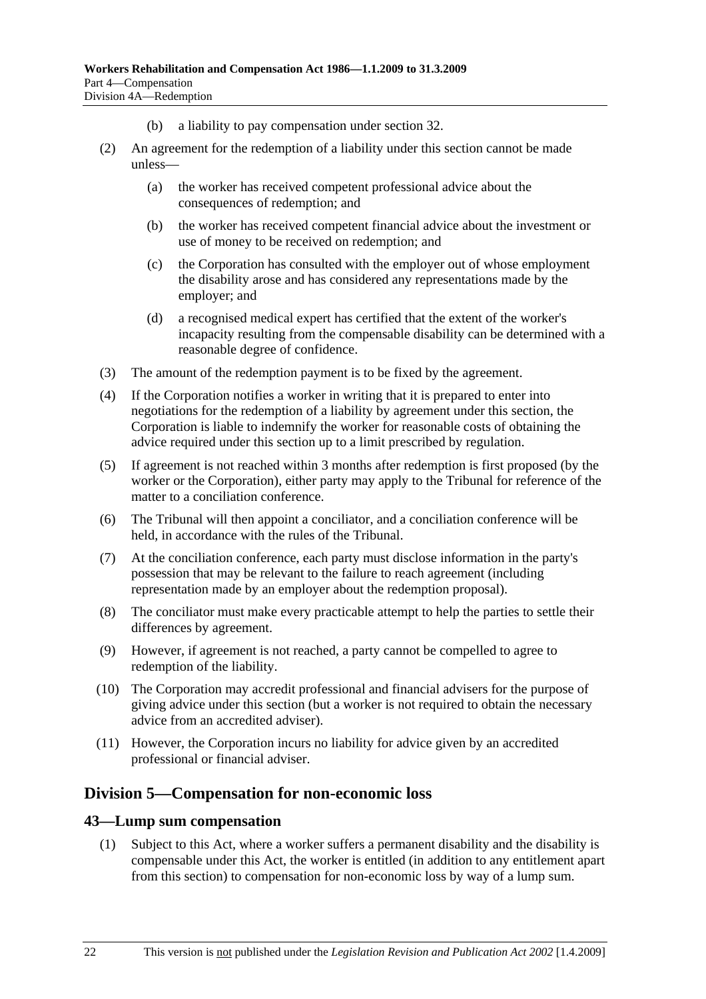- (b) a liability to pay compensation under section 32.
- (2) An agreement for the redemption of a liability under this section cannot be made unless—
	- (a) the worker has received competent professional advice about the consequences of redemption; and
	- (b) the worker has received competent financial advice about the investment or use of money to be received on redemption; and
	- (c) the Corporation has consulted with the employer out of whose employment the disability arose and has considered any representations made by the employer; and
	- (d) a recognised medical expert has certified that the extent of the worker's incapacity resulting from the compensable disability can be determined with a reasonable degree of confidence.
- (3) The amount of the redemption payment is to be fixed by the agreement.
- (4) If the Corporation notifies a worker in writing that it is prepared to enter into negotiations for the redemption of a liability by agreement under this section, the Corporation is liable to indemnify the worker for reasonable costs of obtaining the advice required under this section up to a limit prescribed by regulation.
- (5) If agreement is not reached within 3 months after redemption is first proposed (by the worker or the Corporation), either party may apply to the Tribunal for reference of the matter to a conciliation conference.
- (6) The Tribunal will then appoint a conciliator, and a conciliation conference will be held, in accordance with the rules of the Tribunal.
- (7) At the conciliation conference, each party must disclose information in the party's possession that may be relevant to the failure to reach agreement (including representation made by an employer about the redemption proposal).
- (8) The conciliator must make every practicable attempt to help the parties to settle their differences by agreement.
- (9) However, if agreement is not reached, a party cannot be compelled to agree to redemption of the liability.
- (10) The Corporation may accredit professional and financial advisers for the purpose of giving advice under this section (but a worker is not required to obtain the necessary advice from an accredited adviser).
- (11) However, the Corporation incurs no liability for advice given by an accredited professional or financial adviser.

#### **Division 5—Compensation for non-economic loss**

#### **43—Lump sum compensation**

 (1) Subject to this Act, where a worker suffers a permanent disability and the disability is compensable under this Act, the worker is entitled (in addition to any entitlement apart from this section) to compensation for non-economic loss by way of a lump sum.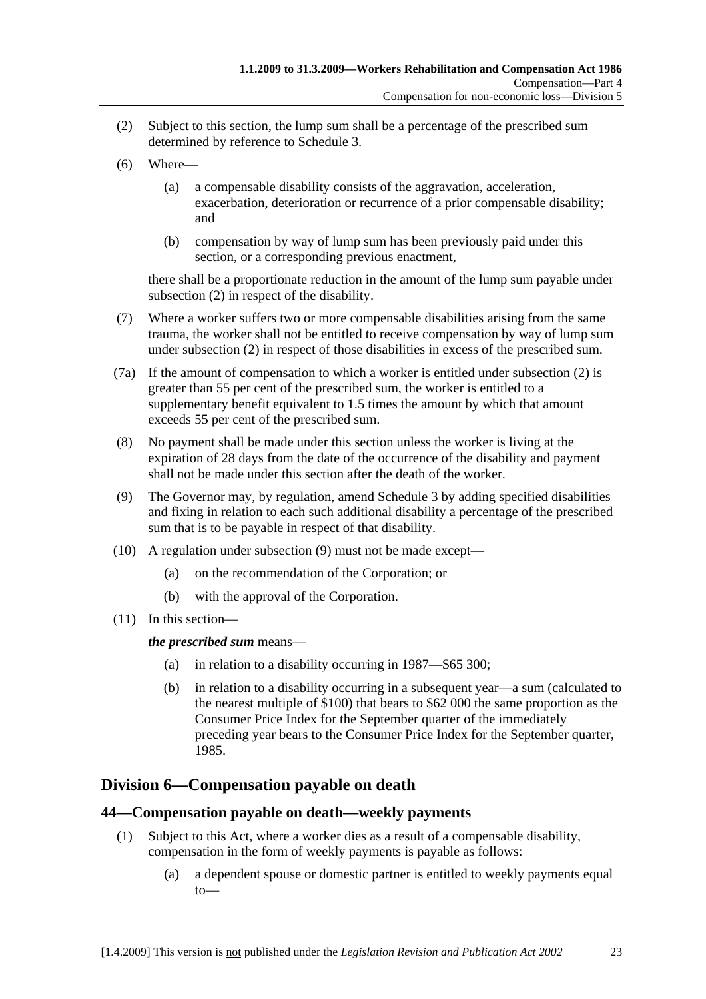- (2) Subject to this section, the lump sum shall be a percentage of the prescribed sum determined by reference to Schedule 3.
- (6) Where—
	- (a) a compensable disability consists of the aggravation, acceleration, exacerbation, deterioration or recurrence of a prior compensable disability; and
	- (b) compensation by way of lump sum has been previously paid under this section, or a corresponding previous enactment,

there shall be a proportionate reduction in the amount of the lump sum payable under subsection (2) in respect of the disability.

- (7) Where a worker suffers two or more compensable disabilities arising from the same trauma, the worker shall not be entitled to receive compensation by way of lump sum under subsection (2) in respect of those disabilities in excess of the prescribed sum.
- (7a) If the amount of compensation to which a worker is entitled under subsection (2) is greater than 55 per cent of the prescribed sum, the worker is entitled to a supplementary benefit equivalent to 1.5 times the amount by which that amount exceeds 55 per cent of the prescribed sum.
- (8) No payment shall be made under this section unless the worker is living at the expiration of 28 days from the date of the occurrence of the disability and payment shall not be made under this section after the death of the worker.
- (9) The Governor may, by regulation, amend Schedule 3 by adding specified disabilities and fixing in relation to each such additional disability a percentage of the prescribed sum that is to be payable in respect of that disability.
- (10) A regulation under subsection (9) must not be made except—
	- (a) on the recommendation of the Corporation; or
	- (b) with the approval of the Corporation.
- (11) In this section—

#### *the prescribed sum* means—

- (a) in relation to a disability occurring in 1987—\$65 300;
- (b) in relation to a disability occurring in a subsequent year—a sum (calculated to the nearest multiple of \$100) that bears to \$62 000 the same proportion as the Consumer Price Index for the September quarter of the immediately preceding year bears to the Consumer Price Index for the September quarter, 1985.

### **Division 6—Compensation payable on death**

#### **44—Compensation payable on death—weekly payments**

- (1) Subject to this Act, where a worker dies as a result of a compensable disability, compensation in the form of weekly payments is payable as follows:
	- (a) a dependent spouse or domestic partner is entitled to weekly payments equal to—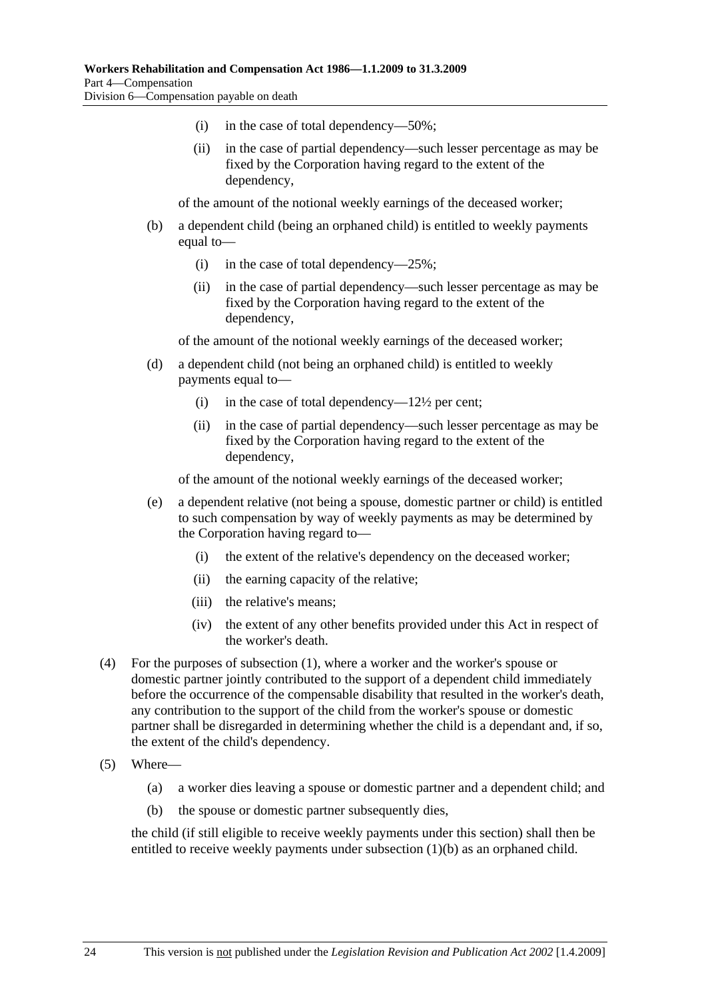- (i) in the case of total dependency—50%;
- (ii) in the case of partial dependency—such lesser percentage as may be fixed by the Corporation having regard to the extent of the dependency,

of the amount of the notional weekly earnings of the deceased worker;

- (b) a dependent child (being an orphaned child) is entitled to weekly payments equal to—
	- (i) in the case of total dependency— $25\%$ ;
	- (ii) in the case of partial dependency—such lesser percentage as may be fixed by the Corporation having regard to the extent of the dependency,

of the amount of the notional weekly earnings of the deceased worker;

- (d) a dependent child (not being an orphaned child) is entitled to weekly payments equal to—
	- (i) in the case of total dependency— $12\frac{1}{2}$  per cent;
	- (ii) in the case of partial dependency—such lesser percentage as may be fixed by the Corporation having regard to the extent of the dependency,

of the amount of the notional weekly earnings of the deceased worker;

- (e) a dependent relative (not being a spouse, domestic partner or child) is entitled to such compensation by way of weekly payments as may be determined by the Corporation having regard to—
	- (i) the extent of the relative's dependency on the deceased worker;
	- (ii) the earning capacity of the relative;
	- (iii) the relative's means;
	- (iv) the extent of any other benefits provided under this Act in respect of the worker's death.
- (4) For the purposes of subsection (1), where a worker and the worker's spouse or domestic partner jointly contributed to the support of a dependent child immediately before the occurrence of the compensable disability that resulted in the worker's death, any contribution to the support of the child from the worker's spouse or domestic partner shall be disregarded in determining whether the child is a dependant and, if so, the extent of the child's dependency.
- (5) Where—
	- (a) a worker dies leaving a spouse or domestic partner and a dependent child; and
	- (b) the spouse or domestic partner subsequently dies,

the child (if still eligible to receive weekly payments under this section) shall then be entitled to receive weekly payments under subsection (1)(b) as an orphaned child.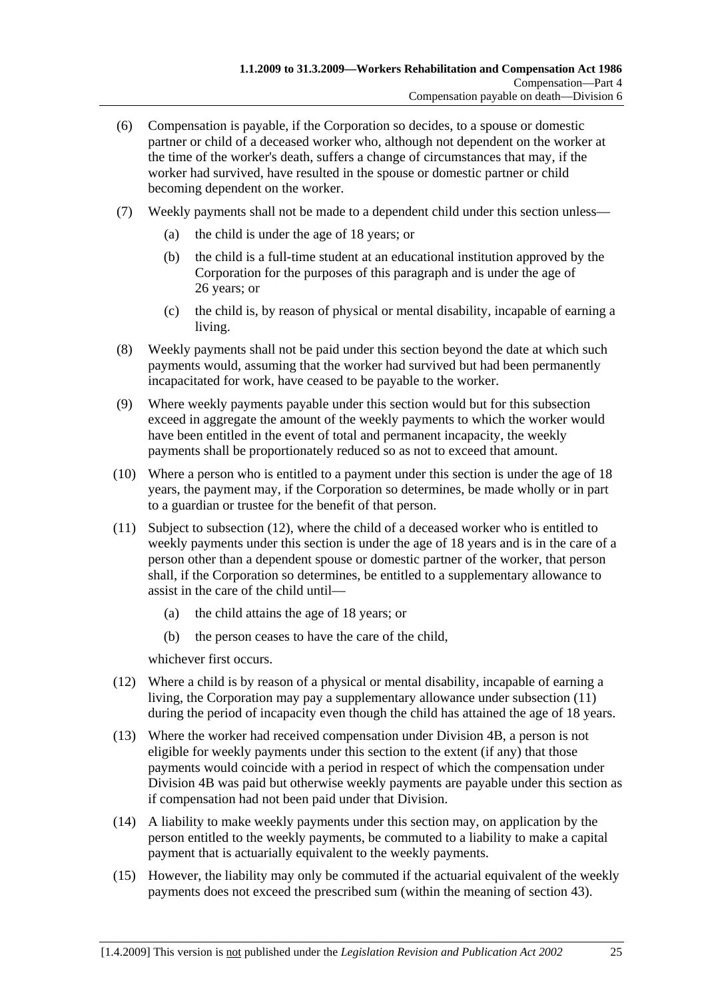- (6) Compensation is payable, if the Corporation so decides, to a spouse or domestic partner or child of a deceased worker who, although not dependent on the worker at the time of the worker's death, suffers a change of circumstances that may, if the worker had survived, have resulted in the spouse or domestic partner or child becoming dependent on the worker.
- (7) Weekly payments shall not be made to a dependent child under this section unless—
	- (a) the child is under the age of 18 years; or
	- (b) the child is a full-time student at an educational institution approved by the Corporation for the purposes of this paragraph and is under the age of 26 years; or
	- (c) the child is, by reason of physical or mental disability, incapable of earning a living.
- (8) Weekly payments shall not be paid under this section beyond the date at which such payments would, assuming that the worker had survived but had been permanently incapacitated for work, have ceased to be payable to the worker.
- (9) Where weekly payments payable under this section would but for this subsection exceed in aggregate the amount of the weekly payments to which the worker would have been entitled in the event of total and permanent incapacity, the weekly payments shall be proportionately reduced so as not to exceed that amount.
- (10) Where a person who is entitled to a payment under this section is under the age of 18 years, the payment may, if the Corporation so determines, be made wholly or in part to a guardian or trustee for the benefit of that person.
- (11) Subject to subsection (12), where the child of a deceased worker who is entitled to weekly payments under this section is under the age of 18 years and is in the care of a person other than a dependent spouse or domestic partner of the worker, that person shall, if the Corporation so determines, be entitled to a supplementary allowance to assist in the care of the child until—
	- (a) the child attains the age of 18 years; or
	- (b) the person ceases to have the care of the child,

whichever first occurs.

- (12) Where a child is by reason of a physical or mental disability, incapable of earning a living, the Corporation may pay a supplementary allowance under subsection (11) during the period of incapacity even though the child has attained the age of 18 years.
- (13) Where the worker had received compensation under Division 4B, a person is not eligible for weekly payments under this section to the extent (if any) that those payments would coincide with a period in respect of which the compensation under Division 4B was paid but otherwise weekly payments are payable under this section as if compensation had not been paid under that Division.
- (14) A liability to make weekly payments under this section may, on application by the person entitled to the weekly payments, be commuted to a liability to make a capital payment that is actuarially equivalent to the weekly payments.
- (15) However, the liability may only be commuted if the actuarial equivalent of the weekly payments does not exceed the prescribed sum (within the meaning of section 43).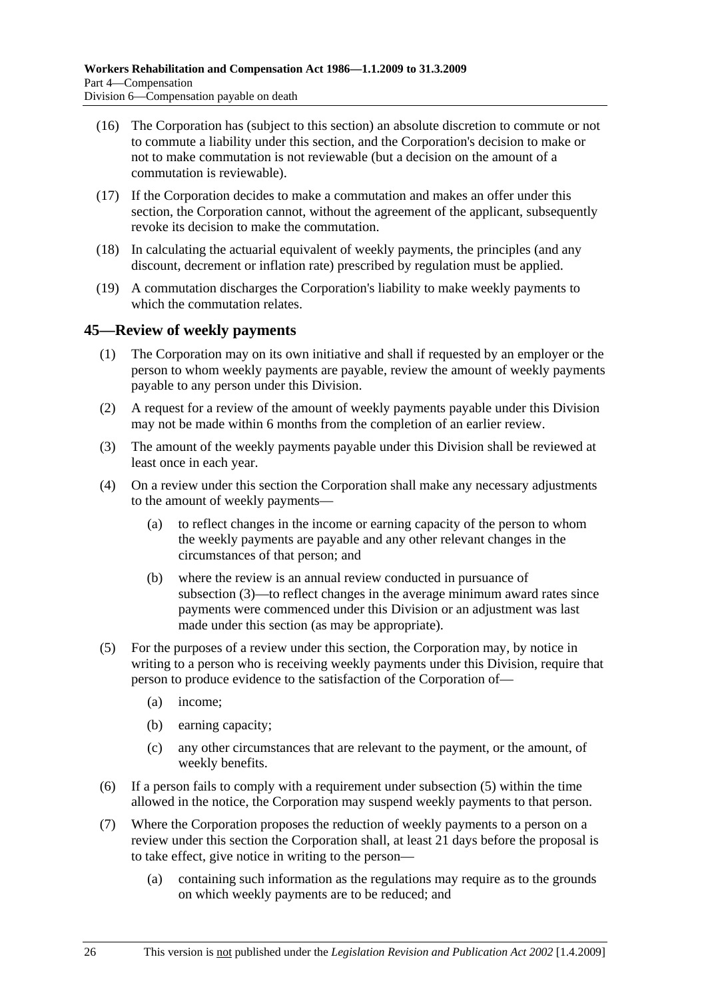- (16) The Corporation has (subject to this section) an absolute discretion to commute or not to commute a liability under this section, and the Corporation's decision to make or not to make commutation is not reviewable (but a decision on the amount of a commutation is reviewable).
- (17) If the Corporation decides to make a commutation and makes an offer under this section, the Corporation cannot, without the agreement of the applicant, subsequently revoke its decision to make the commutation.
- (18) In calculating the actuarial equivalent of weekly payments, the principles (and any discount, decrement or inflation rate) prescribed by regulation must be applied.
- (19) A commutation discharges the Corporation's liability to make weekly payments to which the commutation relates.

#### **45—Review of weekly payments**

- (1) The Corporation may on its own initiative and shall if requested by an employer or the person to whom weekly payments are payable, review the amount of weekly payments payable to any person under this Division.
- (2) A request for a review of the amount of weekly payments payable under this Division may not be made within 6 months from the completion of an earlier review.
- (3) The amount of the weekly payments payable under this Division shall be reviewed at least once in each year.
- (4) On a review under this section the Corporation shall make any necessary adjustments to the amount of weekly payments—
	- (a) to reflect changes in the income or earning capacity of the person to whom the weekly payments are payable and any other relevant changes in the circumstances of that person; and
	- (b) where the review is an annual review conducted in pursuance of subsection (3)—to reflect changes in the average minimum award rates since payments were commenced under this Division or an adjustment was last made under this section (as may be appropriate).
- (5) For the purposes of a review under this section, the Corporation may, by notice in writing to a person who is receiving weekly payments under this Division, require that person to produce evidence to the satisfaction of the Corporation of—
	- (a) income;
	- (b) earning capacity;
	- (c) any other circumstances that are relevant to the payment, or the amount, of weekly benefits.
- (6) If a person fails to comply with a requirement under subsection (5) within the time allowed in the notice, the Corporation may suspend weekly payments to that person.
- (7) Where the Corporation proposes the reduction of weekly payments to a person on a review under this section the Corporation shall, at least 21 days before the proposal is to take effect, give notice in writing to the person—
	- (a) containing such information as the regulations may require as to the grounds on which weekly payments are to be reduced; and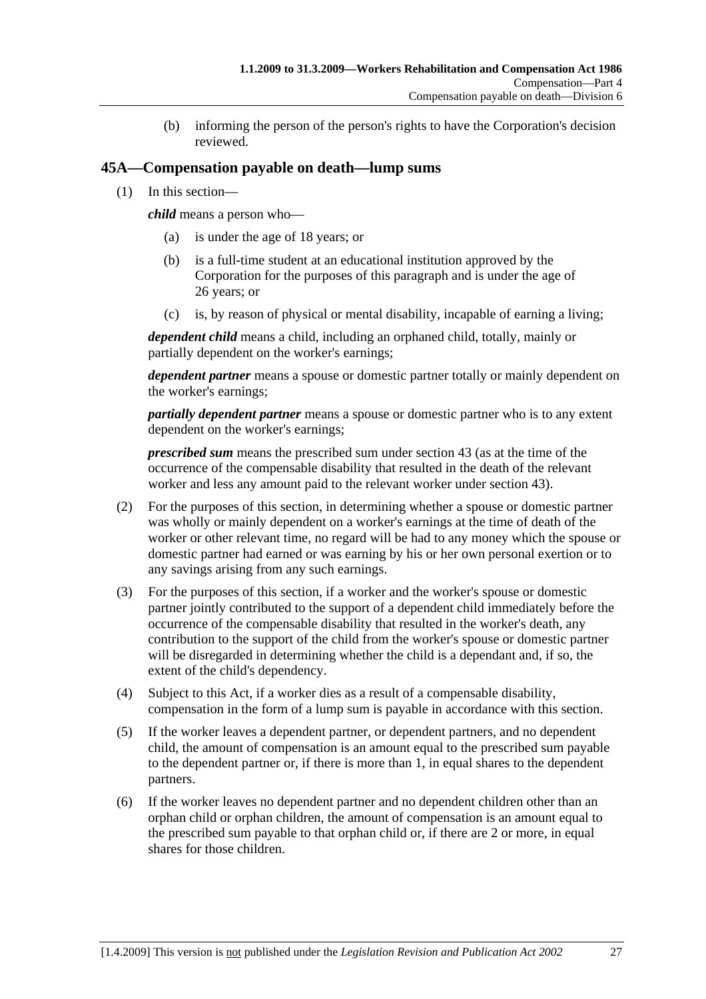(b) informing the person of the person's rights to have the Corporation's decision reviewed.

#### **45A—Compensation payable on death—lump sums**

(1) In this section—

*child* means a person who—

- (a) is under the age of 18 years; or
- (b) is a full-time student at an educational institution approved by the Corporation for the purposes of this paragraph and is under the age of 26 years; or
- (c) is, by reason of physical or mental disability, incapable of earning a living;

*dependent child* means a child, including an orphaned child, totally, mainly or partially dependent on the worker's earnings;

*dependent partner* means a spouse or domestic partner totally or mainly dependent on the worker's earnings;

*partially dependent partner* means a spouse or domestic partner who is to any extent dependent on the worker's earnings;

*prescribed sum* means the prescribed sum under section 43 (as at the time of the occurrence of the compensable disability that resulted in the death of the relevant worker and less any amount paid to the relevant worker under section 43).

- (2) For the purposes of this section, in determining whether a spouse or domestic partner was wholly or mainly dependent on a worker's earnings at the time of death of the worker or other relevant time, no regard will be had to any money which the spouse or domestic partner had earned or was earning by his or her own personal exertion or to any savings arising from any such earnings.
- (3) For the purposes of this section, if a worker and the worker's spouse or domestic partner jointly contributed to the support of a dependent child immediately before the occurrence of the compensable disability that resulted in the worker's death, any contribution to the support of the child from the worker's spouse or domestic partner will be disregarded in determining whether the child is a dependant and, if so, the extent of the child's dependency.
- (4) Subject to this Act, if a worker dies as a result of a compensable disability, compensation in the form of a lump sum is payable in accordance with this section.
- (5) If the worker leaves a dependent partner, or dependent partners, and no dependent child, the amount of compensation is an amount equal to the prescribed sum payable to the dependent partner or, if there is more than 1, in equal shares to the dependent partners.
- (6) If the worker leaves no dependent partner and no dependent children other than an orphan child or orphan children, the amount of compensation is an amount equal to the prescribed sum payable to that orphan child or, if there are 2 or more, in equal shares for those children.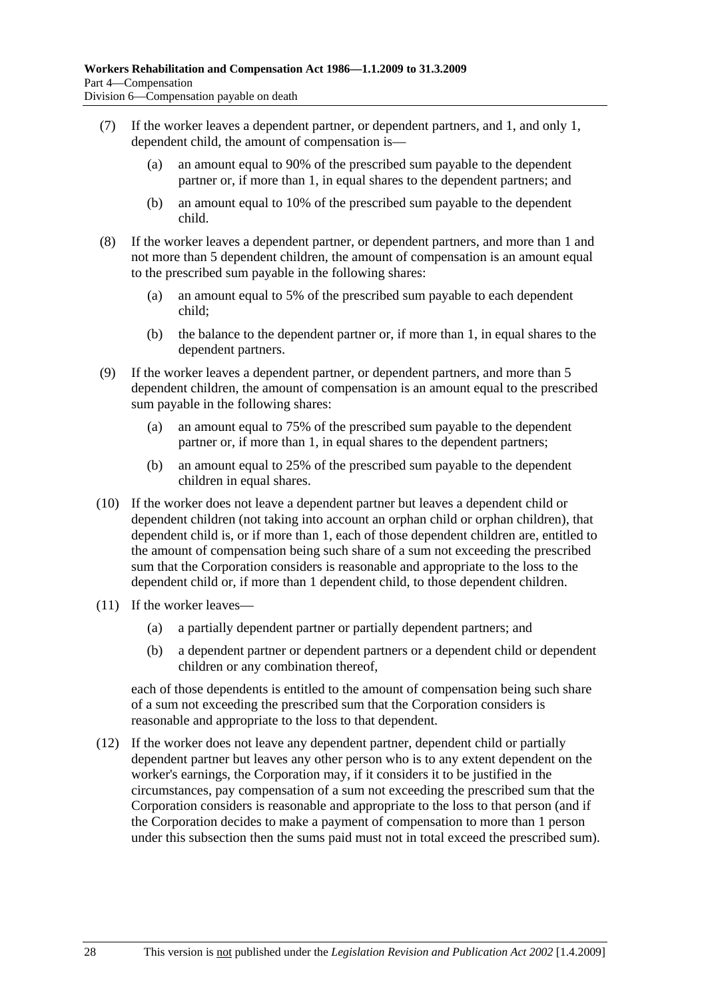- (7) If the worker leaves a dependent partner, or dependent partners, and 1, and only 1, dependent child, the amount of compensation is—
	- (a) an amount equal to 90% of the prescribed sum payable to the dependent partner or, if more than 1, in equal shares to the dependent partners; and
	- (b) an amount equal to 10% of the prescribed sum payable to the dependent child.
- (8) If the worker leaves a dependent partner, or dependent partners, and more than 1 and not more than 5 dependent children, the amount of compensation is an amount equal to the prescribed sum payable in the following shares:
	- (a) an amount equal to 5% of the prescribed sum payable to each dependent child;
	- (b) the balance to the dependent partner or, if more than 1, in equal shares to the dependent partners.
- (9) If the worker leaves a dependent partner, or dependent partners, and more than 5 dependent children, the amount of compensation is an amount equal to the prescribed sum payable in the following shares:
	- (a) an amount equal to 75% of the prescribed sum payable to the dependent partner or, if more than 1, in equal shares to the dependent partners;
	- (b) an amount equal to 25% of the prescribed sum payable to the dependent children in equal shares.
- (10) If the worker does not leave a dependent partner but leaves a dependent child or dependent children (not taking into account an orphan child or orphan children), that dependent child is, or if more than 1, each of those dependent children are, entitled to the amount of compensation being such share of a sum not exceeding the prescribed sum that the Corporation considers is reasonable and appropriate to the loss to the dependent child or, if more than 1 dependent child, to those dependent children.
- (11) If the worker leaves—
	- (a) a partially dependent partner or partially dependent partners; and
	- (b) a dependent partner or dependent partners or a dependent child or dependent children or any combination thereof,

each of those dependents is entitled to the amount of compensation being such share of a sum not exceeding the prescribed sum that the Corporation considers is reasonable and appropriate to the loss to that dependent.

 (12) If the worker does not leave any dependent partner, dependent child or partially dependent partner but leaves any other person who is to any extent dependent on the worker's earnings, the Corporation may, if it considers it to be justified in the circumstances, pay compensation of a sum not exceeding the prescribed sum that the Corporation considers is reasonable and appropriate to the loss to that person (and if the Corporation decides to make a payment of compensation to more than 1 person under this subsection then the sums paid must not in total exceed the prescribed sum).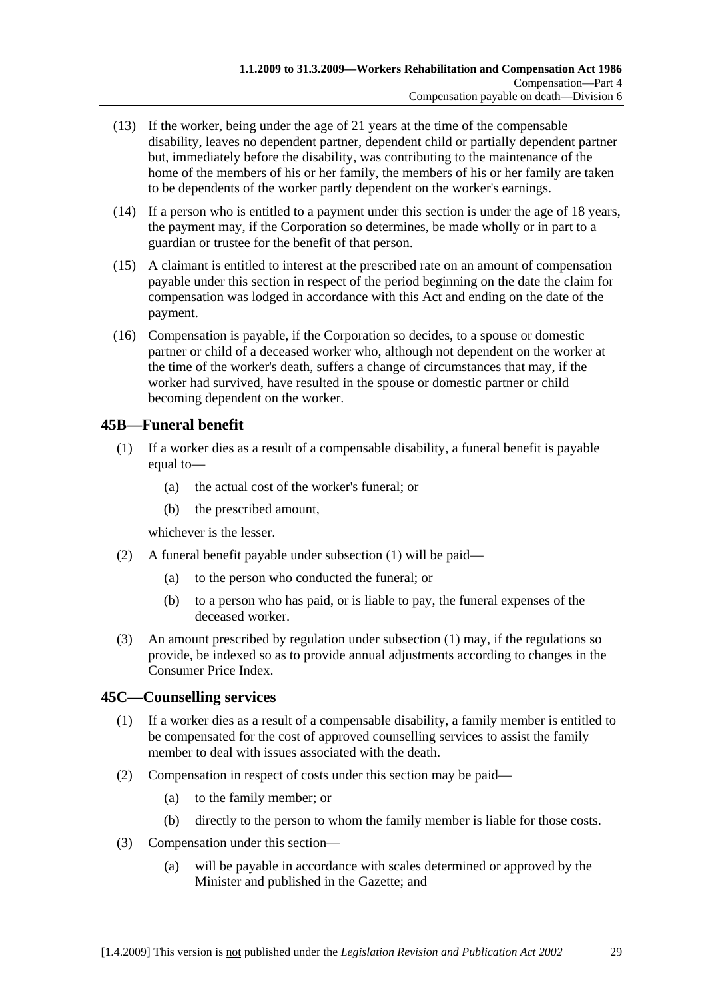- (13) If the worker, being under the age of 21 years at the time of the compensable disability, leaves no dependent partner, dependent child or partially dependent partner but, immediately before the disability, was contributing to the maintenance of the home of the members of his or her family, the members of his or her family are taken to be dependents of the worker partly dependent on the worker's earnings.
- (14) If a person who is entitled to a payment under this section is under the age of 18 years, the payment may, if the Corporation so determines, be made wholly or in part to a guardian or trustee for the benefit of that person.
- (15) A claimant is entitled to interest at the prescribed rate on an amount of compensation payable under this section in respect of the period beginning on the date the claim for compensation was lodged in accordance with this Act and ending on the date of the payment.
- (16) Compensation is payable, if the Corporation so decides, to a spouse or domestic partner or child of a deceased worker who, although not dependent on the worker at the time of the worker's death, suffers a change of circumstances that may, if the worker had survived, have resulted in the spouse or domestic partner or child becoming dependent on the worker.

### **45B—Funeral benefit**

- (1) If a worker dies as a result of a compensable disability, a funeral benefit is payable equal to—
	- (a) the actual cost of the worker's funeral; or
	- (b) the prescribed amount,

whichever is the lesser.

- (2) A funeral benefit payable under subsection (1) will be paid—
	- (a) to the person who conducted the funeral; or
	- (b) to a person who has paid, or is liable to pay, the funeral expenses of the deceased worker.
- (3) An amount prescribed by regulation under subsection (1) may, if the regulations so provide, be indexed so as to provide annual adjustments according to changes in the Consumer Price Index.

### **45C—Counselling services**

- (1) If a worker dies as a result of a compensable disability, a family member is entitled to be compensated for the cost of approved counselling services to assist the family member to deal with issues associated with the death.
- (2) Compensation in respect of costs under this section may be paid—
	- (a) to the family member; or
	- (b) directly to the person to whom the family member is liable for those costs.
- (3) Compensation under this section—
	- (a) will be payable in accordance with scales determined or approved by the Minister and published in the Gazette; and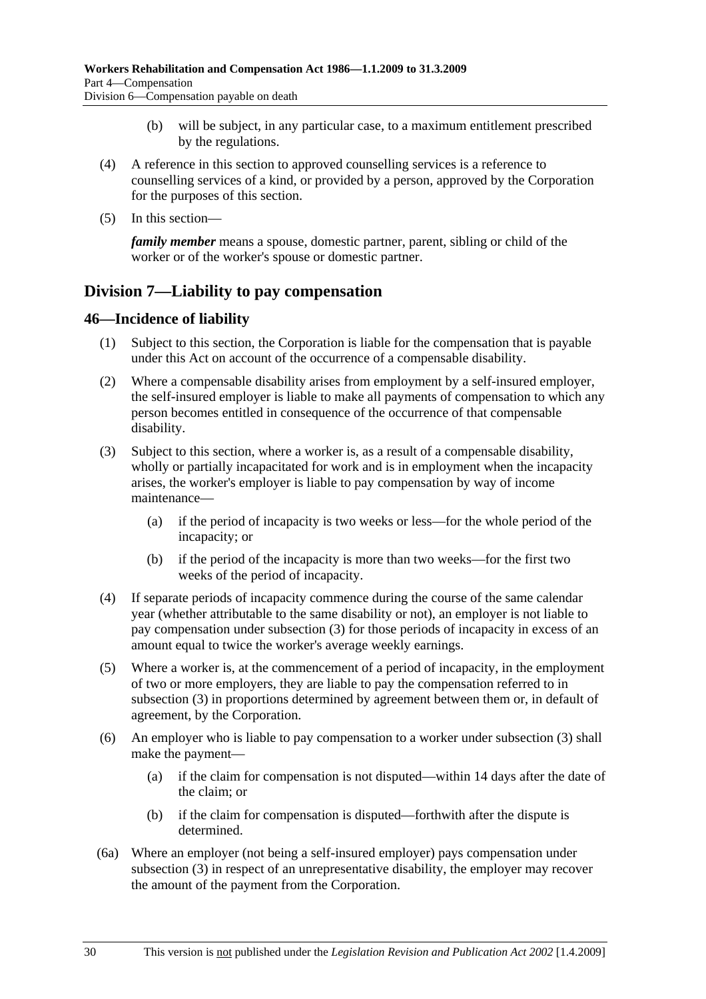- (b) will be subject, in any particular case, to a maximum entitlement prescribed by the regulations.
- (4) A reference in this section to approved counselling services is a reference to counselling services of a kind, or provided by a person, approved by the Corporation for the purposes of this section.
- (5) In this section—

*family member* means a spouse, domestic partner, parent, sibling or child of the worker or of the worker's spouse or domestic partner.

# **Division 7—Liability to pay compensation**

#### **46—Incidence of liability**

- (1) Subject to this section, the Corporation is liable for the compensation that is payable under this Act on account of the occurrence of a compensable disability.
- (2) Where a compensable disability arises from employment by a self-insured employer, the self-insured employer is liable to make all payments of compensation to which any person becomes entitled in consequence of the occurrence of that compensable disability.
- (3) Subject to this section, where a worker is, as a result of a compensable disability, wholly or partially incapacitated for work and is in employment when the incapacity arises, the worker's employer is liable to pay compensation by way of income maintenance—
	- (a) if the period of incapacity is two weeks or less—for the whole period of the incapacity; or
	- (b) if the period of the incapacity is more than two weeks—for the first two weeks of the period of incapacity.
- (4) If separate periods of incapacity commence during the course of the same calendar year (whether attributable to the same disability or not), an employer is not liable to pay compensation under subsection (3) for those periods of incapacity in excess of an amount equal to twice the worker's average weekly earnings.
- (5) Where a worker is, at the commencement of a period of incapacity, in the employment of two or more employers, they are liable to pay the compensation referred to in subsection (3) in proportions determined by agreement between them or, in default of agreement, by the Corporation.
- (6) An employer who is liable to pay compensation to a worker under subsection (3) shall make the payment—
	- (a) if the claim for compensation is not disputed—within 14 days after the date of the claim; or
	- (b) if the claim for compensation is disputed—forthwith after the dispute is determined.
- (6a) Where an employer (not being a self-insured employer) pays compensation under subsection (3) in respect of an unrepresentative disability, the employer may recover the amount of the payment from the Corporation.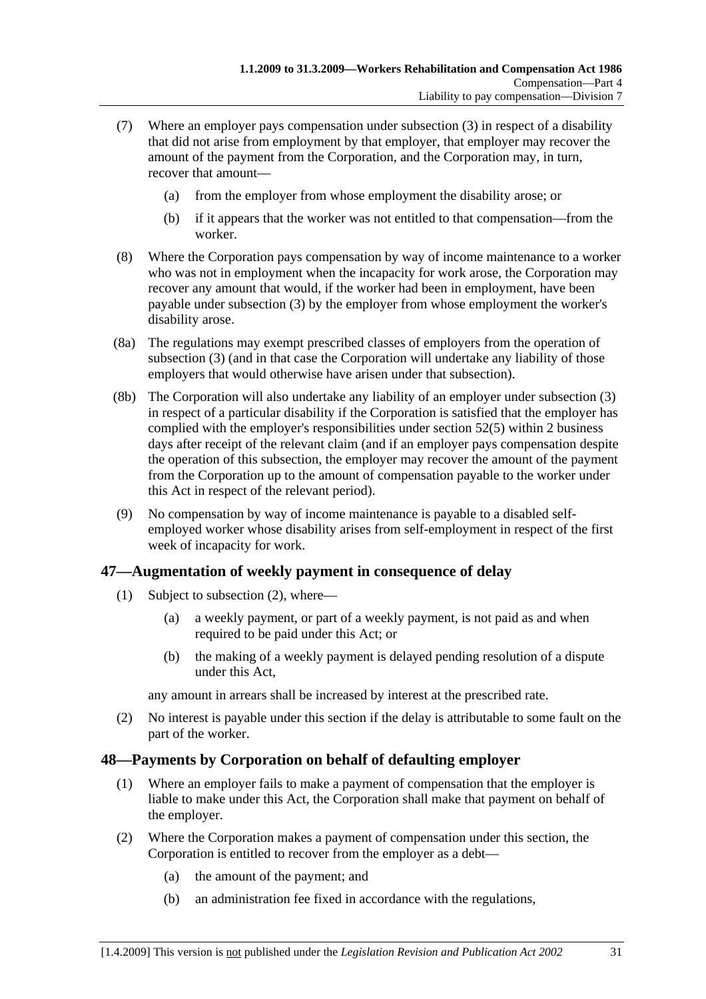- (7) Where an employer pays compensation under subsection (3) in respect of a disability that did not arise from employment by that employer, that employer may recover the amount of the payment from the Corporation, and the Corporation may, in turn, recover that amount—
	- (a) from the employer from whose employment the disability arose; or
	- (b) if it appears that the worker was not entitled to that compensation—from the worker.
- (8) Where the Corporation pays compensation by way of income maintenance to a worker who was not in employment when the incapacity for work arose, the Corporation may recover any amount that would, if the worker had been in employment, have been payable under subsection (3) by the employer from whose employment the worker's disability arose.
- (8a) The regulations may exempt prescribed classes of employers from the operation of subsection (3) (and in that case the Corporation will undertake any liability of those employers that would otherwise have arisen under that subsection).
- (8b) The Corporation will also undertake any liability of an employer under subsection (3) in respect of a particular disability if the Corporation is satisfied that the employer has complied with the employer's responsibilities under section 52(5) within 2 business days after receipt of the relevant claim (and if an employer pays compensation despite the operation of this subsection, the employer may recover the amount of the payment from the Corporation up to the amount of compensation payable to the worker under this Act in respect of the relevant period).
- (9) No compensation by way of income maintenance is payable to a disabled selfemployed worker whose disability arises from self-employment in respect of the first week of incapacity for work.

#### **47—Augmentation of weekly payment in consequence of delay**

- (1) Subject to subsection (2), where—
	- (a) a weekly payment, or part of a weekly payment, is not paid as and when required to be paid under this Act; or
	- (b) the making of a weekly payment is delayed pending resolution of a dispute under this Act,

any amount in arrears shall be increased by interest at the prescribed rate.

 (2) No interest is payable under this section if the delay is attributable to some fault on the part of the worker.

### **48—Payments by Corporation on behalf of defaulting employer**

- (1) Where an employer fails to make a payment of compensation that the employer is liable to make under this Act, the Corporation shall make that payment on behalf of the employer.
- (2) Where the Corporation makes a payment of compensation under this section, the Corporation is entitled to recover from the employer as a debt—
	- (a) the amount of the payment; and
	- (b) an administration fee fixed in accordance with the regulations,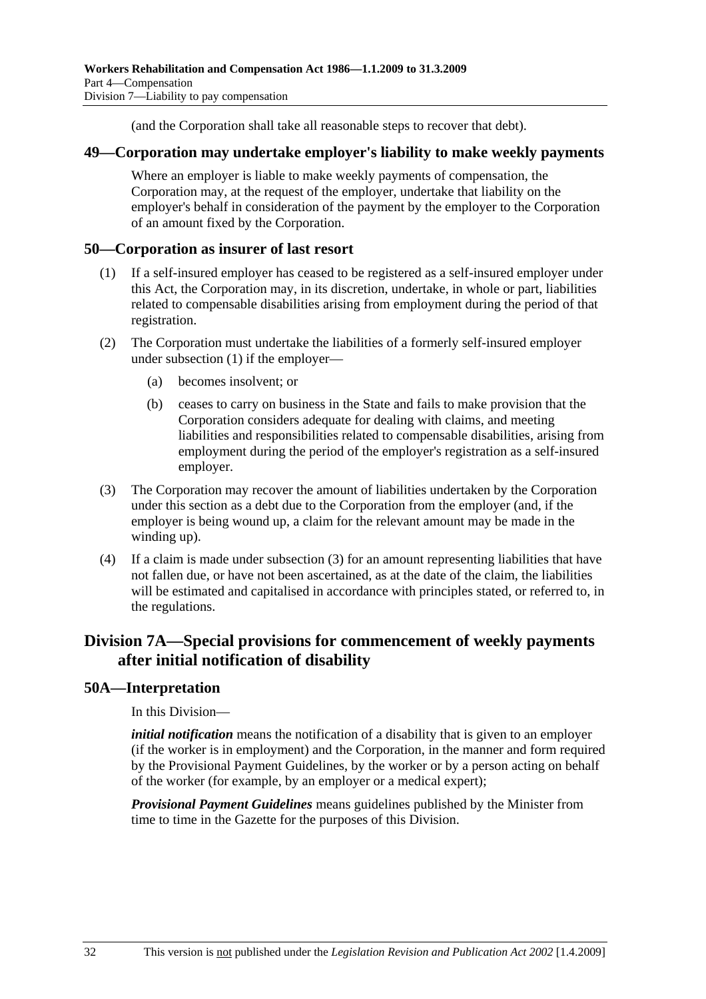(and the Corporation shall take all reasonable steps to recover that debt).

#### **49—Corporation may undertake employer's liability to make weekly payments**

Where an employer is liable to make weekly payments of compensation, the Corporation may, at the request of the employer, undertake that liability on the employer's behalf in consideration of the payment by the employer to the Corporation of an amount fixed by the Corporation.

#### **50—Corporation as insurer of last resort**

- (1) If a self-insured employer has ceased to be registered as a self-insured employer under this Act, the Corporation may, in its discretion, undertake, in whole or part, liabilities related to compensable disabilities arising from employment during the period of that registration.
- (2) The Corporation must undertake the liabilities of a formerly self-insured employer under subsection (1) if the employer—
	- (a) becomes insolvent; or
	- (b) ceases to carry on business in the State and fails to make provision that the Corporation considers adequate for dealing with claims, and meeting liabilities and responsibilities related to compensable disabilities, arising from employment during the period of the employer's registration as a self-insured employer.
- (3) The Corporation may recover the amount of liabilities undertaken by the Corporation under this section as a debt due to the Corporation from the employer (and, if the employer is being wound up, a claim for the relevant amount may be made in the winding up).
- (4) If a claim is made under subsection (3) for an amount representing liabilities that have not fallen due, or have not been ascertained, as at the date of the claim, the liabilities will be estimated and capitalised in accordance with principles stated, or referred to, in the regulations.

# **Division 7A—Special provisions for commencement of weekly payments after initial notification of disability**

#### **50A—Interpretation**

In this Division—

*initial notification* means the notification of a disability that is given to an employer (if the worker is in employment) and the Corporation, in the manner and form required by the Provisional Payment Guidelines, by the worker or by a person acting on behalf of the worker (for example, by an employer or a medical expert);

*Provisional Payment Guidelines* means guidelines published by the Minister from time to time in the Gazette for the purposes of this Division.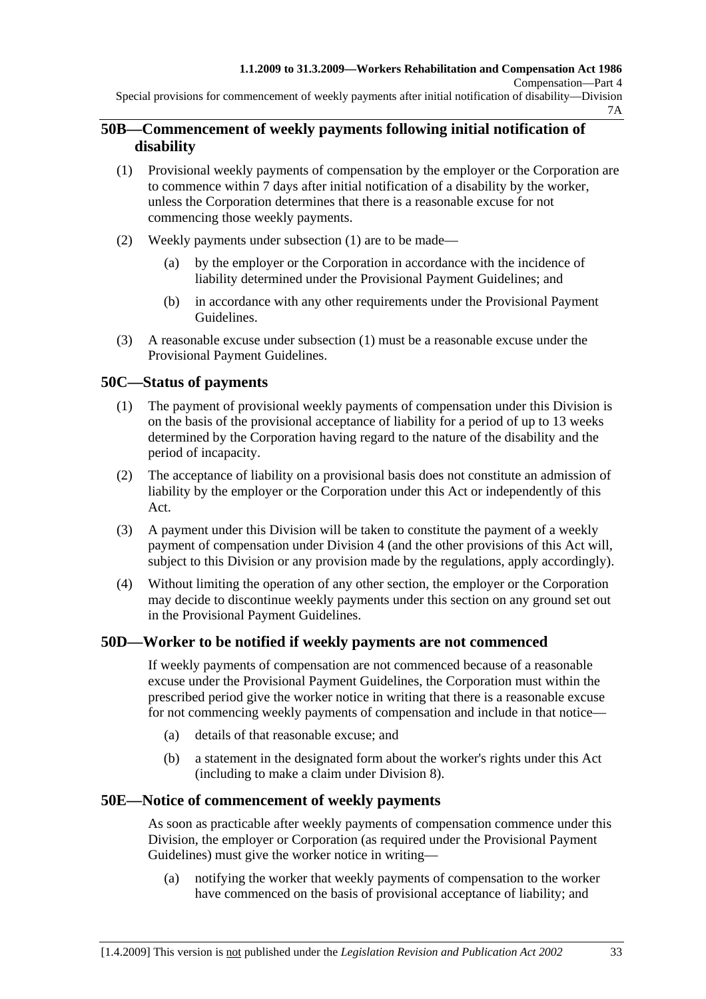Special provisions for commencement of weekly payments after initial notification of disability—Division 7A

#### **50B—Commencement of weekly payments following initial notification of disability**

- (1) Provisional weekly payments of compensation by the employer or the Corporation are to commence within 7 days after initial notification of a disability by the worker, unless the Corporation determines that there is a reasonable excuse for not commencing those weekly payments.
- (2) Weekly payments under subsection (1) are to be made—
	- (a) by the employer or the Corporation in accordance with the incidence of liability determined under the Provisional Payment Guidelines; and
	- (b) in accordance with any other requirements under the Provisional Payment Guidelines.
- (3) A reasonable excuse under subsection (1) must be a reasonable excuse under the Provisional Payment Guidelines.

#### **50C—Status of payments**

- (1) The payment of provisional weekly payments of compensation under this Division is on the basis of the provisional acceptance of liability for a period of up to 13 weeks determined by the Corporation having regard to the nature of the disability and the period of incapacity.
- (2) The acceptance of liability on a provisional basis does not constitute an admission of liability by the employer or the Corporation under this Act or independently of this Act.
- (3) A payment under this Division will be taken to constitute the payment of a weekly payment of compensation under Division 4 (and the other provisions of this Act will, subject to this Division or any provision made by the regulations, apply accordingly).
- (4) Without limiting the operation of any other section, the employer or the Corporation may decide to discontinue weekly payments under this section on any ground set out in the Provisional Payment Guidelines.

#### **50D—Worker to be notified if weekly payments are not commenced**

If weekly payments of compensation are not commenced because of a reasonable excuse under the Provisional Payment Guidelines, the Corporation must within the prescribed period give the worker notice in writing that there is a reasonable excuse for not commencing weekly payments of compensation and include in that notice—

- (a) details of that reasonable excuse; and
- (b) a statement in the designated form about the worker's rights under this Act (including to make a claim under Division 8).

#### **50E—Notice of commencement of weekly payments**

As soon as practicable after weekly payments of compensation commence under this Division, the employer or Corporation (as required under the Provisional Payment Guidelines) must give the worker notice in writing—

 (a) notifying the worker that weekly payments of compensation to the worker have commenced on the basis of provisional acceptance of liability; and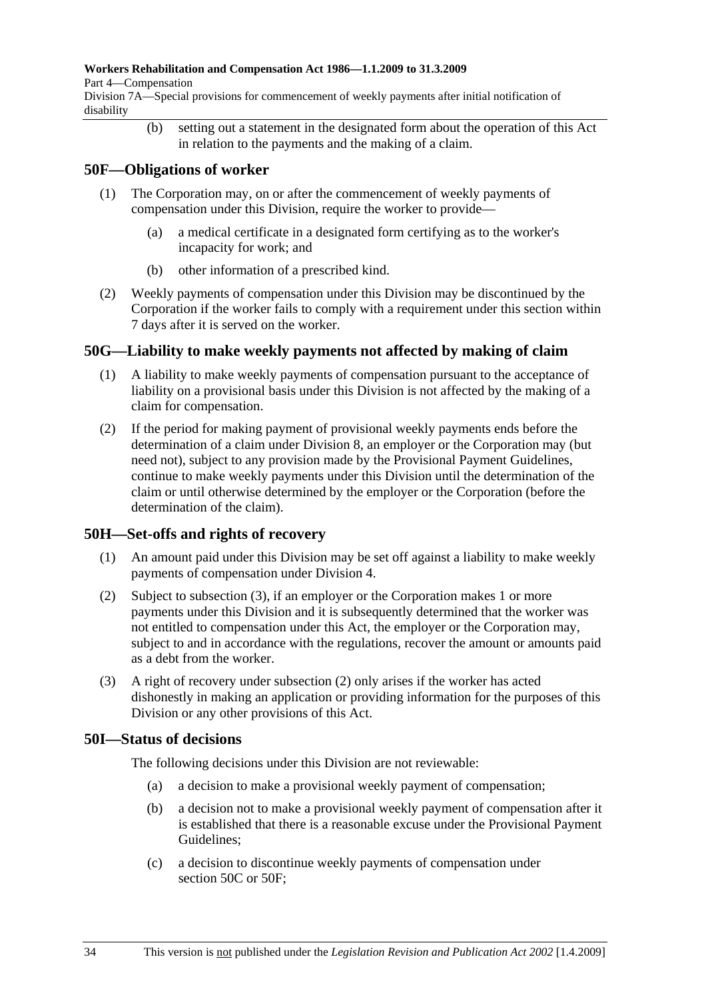#### **Workers Rehabilitation and Compensation Act 1986—1.1.2009 to 31.3.2009**

Part 4—Compensation

Division 7A—Special provisions for commencement of weekly payments after initial notification of disability

> (b) setting out a statement in the designated form about the operation of this Act in relation to the payments and the making of a claim.

#### **50F—Obligations of worker**

- (1) The Corporation may, on or after the commencement of weekly payments of compensation under this Division, require the worker to provide—
	- (a) a medical certificate in a designated form certifying as to the worker's incapacity for work; and
	- (b) other information of a prescribed kind.
- (2) Weekly payments of compensation under this Division may be discontinued by the Corporation if the worker fails to comply with a requirement under this section within 7 days after it is served on the worker.

#### **50G—Liability to make weekly payments not affected by making of claim**

- (1) A liability to make weekly payments of compensation pursuant to the acceptance of liability on a provisional basis under this Division is not affected by the making of a claim for compensation.
- (2) If the period for making payment of provisional weekly payments ends before the determination of a claim under Division 8, an employer or the Corporation may (but need not), subject to any provision made by the Provisional Payment Guidelines, continue to make weekly payments under this Division until the determination of the claim or until otherwise determined by the employer or the Corporation (before the determination of the claim).

### **50H—Set-offs and rights of recovery**

- (1) An amount paid under this Division may be set off against a liability to make weekly payments of compensation under Division 4.
- (2) Subject to subsection (3), if an employer or the Corporation makes 1 or more payments under this Division and it is subsequently determined that the worker was not entitled to compensation under this Act, the employer or the Corporation may, subject to and in accordance with the regulations, recover the amount or amounts paid as a debt from the worker.
- (3) A right of recovery under subsection (2) only arises if the worker has acted dishonestly in making an application or providing information for the purposes of this Division or any other provisions of this Act.

#### **50I—Status of decisions**

The following decisions under this Division are not reviewable:

- (a) a decision to make a provisional weekly payment of compensation;
- (b) a decision not to make a provisional weekly payment of compensation after it is established that there is a reasonable excuse under the Provisional Payment Guidelines;
- (c) a decision to discontinue weekly payments of compensation under section 50C or 50F;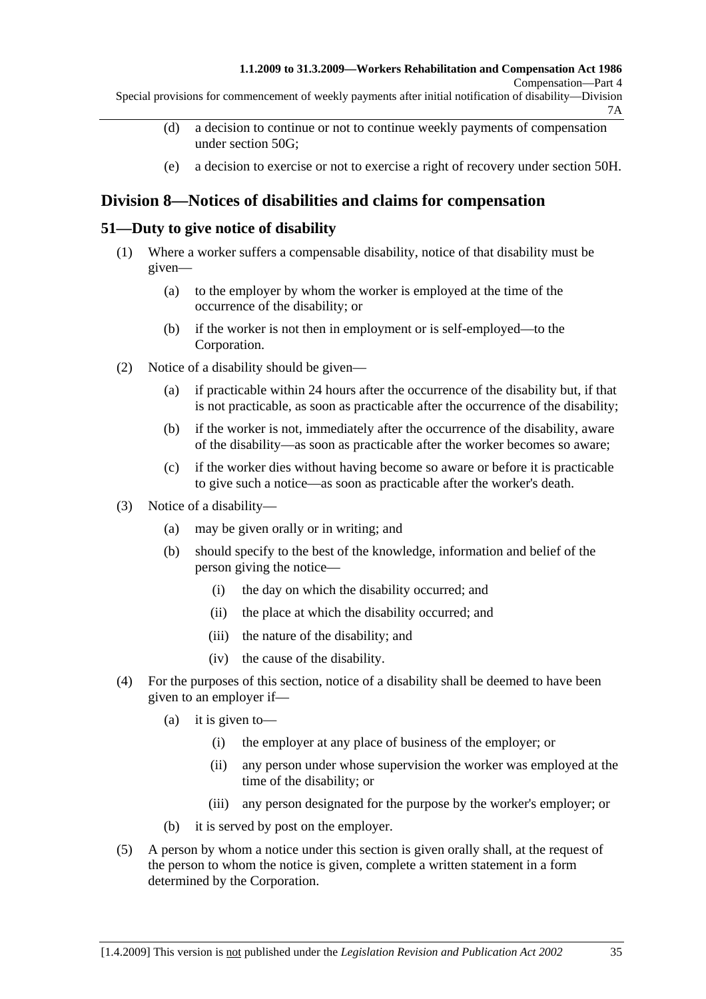Compensation—Part 4

Special provisions for commencement of weekly payments after initial notification of disability—Division 7A

- (d) a decision to continue or not to continue weekly payments of compensation under section 50G;
- (e) a decision to exercise or not to exercise a right of recovery under section 50H.

# **Division 8—Notices of disabilities and claims for compensation**

#### **51—Duty to give notice of disability**

- (1) Where a worker suffers a compensable disability, notice of that disability must be given—
	- (a) to the employer by whom the worker is employed at the time of the occurrence of the disability; or
	- (b) if the worker is not then in employment or is self-employed—to the Corporation.
- (2) Notice of a disability should be given—
	- (a) if practicable within 24 hours after the occurrence of the disability but, if that is not practicable, as soon as practicable after the occurrence of the disability;
	- (b) if the worker is not, immediately after the occurrence of the disability, aware of the disability—as soon as practicable after the worker becomes so aware;
	- (c) if the worker dies without having become so aware or before it is practicable to give such a notice—as soon as practicable after the worker's death.
- (3) Notice of a disability—
	- (a) may be given orally or in writing; and
	- (b) should specify to the best of the knowledge, information and belief of the person giving the notice—
		- (i) the day on which the disability occurred; and
		- (ii) the place at which the disability occurred; and
		- (iii) the nature of the disability; and
		- (iv) the cause of the disability.
- (4) For the purposes of this section, notice of a disability shall be deemed to have been given to an employer if—
	- (a) it is given to—
		- (i) the employer at any place of business of the employer; or
		- (ii) any person under whose supervision the worker was employed at the time of the disability; or
		- (iii) any person designated for the purpose by the worker's employer; or
	- (b) it is served by post on the employer.
- (5) A person by whom a notice under this section is given orally shall, at the request of the person to whom the notice is given, complete a written statement in a form determined by the Corporation.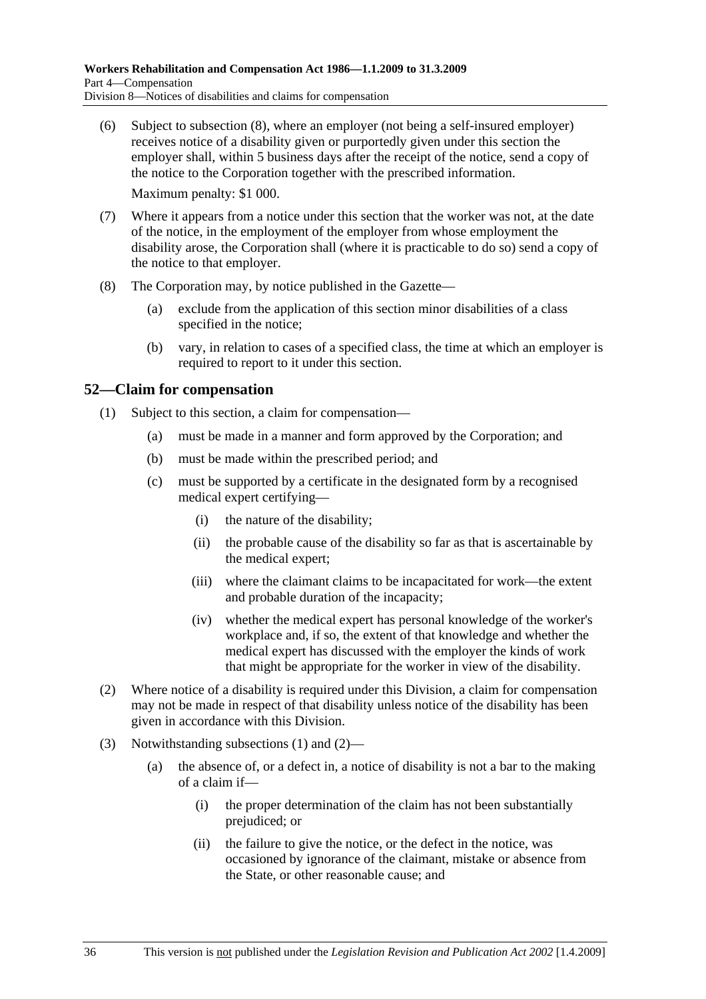(6) Subject to subsection (8), where an employer (not being a self-insured employer) receives notice of a disability given or purportedly given under this section the employer shall, within 5 business days after the receipt of the notice, send a copy of the notice to the Corporation together with the prescribed information.

Maximum penalty: \$1 000.

- (7) Where it appears from a notice under this section that the worker was not, at the date of the notice, in the employment of the employer from whose employment the disability arose, the Corporation shall (where it is practicable to do so) send a copy of the notice to that employer.
- (8) The Corporation may, by notice published in the Gazette—
	- (a) exclude from the application of this section minor disabilities of a class specified in the notice;
	- (b) vary, in relation to cases of a specified class, the time at which an employer is required to report to it under this section.

#### **52—Claim for compensation**

- (1) Subject to this section, a claim for compensation—
	- (a) must be made in a manner and form approved by the Corporation; and
	- (b) must be made within the prescribed period; and
	- (c) must be supported by a certificate in the designated form by a recognised medical expert certifying—
		- (i) the nature of the disability;
		- (ii) the probable cause of the disability so far as that is ascertainable by the medical expert;
		- (iii) where the claimant claims to be incapacitated for work—the extent and probable duration of the incapacity;
		- (iv) whether the medical expert has personal knowledge of the worker's workplace and, if so, the extent of that knowledge and whether the medical expert has discussed with the employer the kinds of work that might be appropriate for the worker in view of the disability.
- (2) Where notice of a disability is required under this Division, a claim for compensation may not be made in respect of that disability unless notice of the disability has been given in accordance with this Division.
- (3) Notwithstanding subsections (1) and (2)—
	- (a) the absence of, or a defect in, a notice of disability is not a bar to the making of a claim if—
		- (i) the proper determination of the claim has not been substantially prejudiced; or
		- (ii) the failure to give the notice, or the defect in the notice, was occasioned by ignorance of the claimant, mistake or absence from the State, or other reasonable cause; and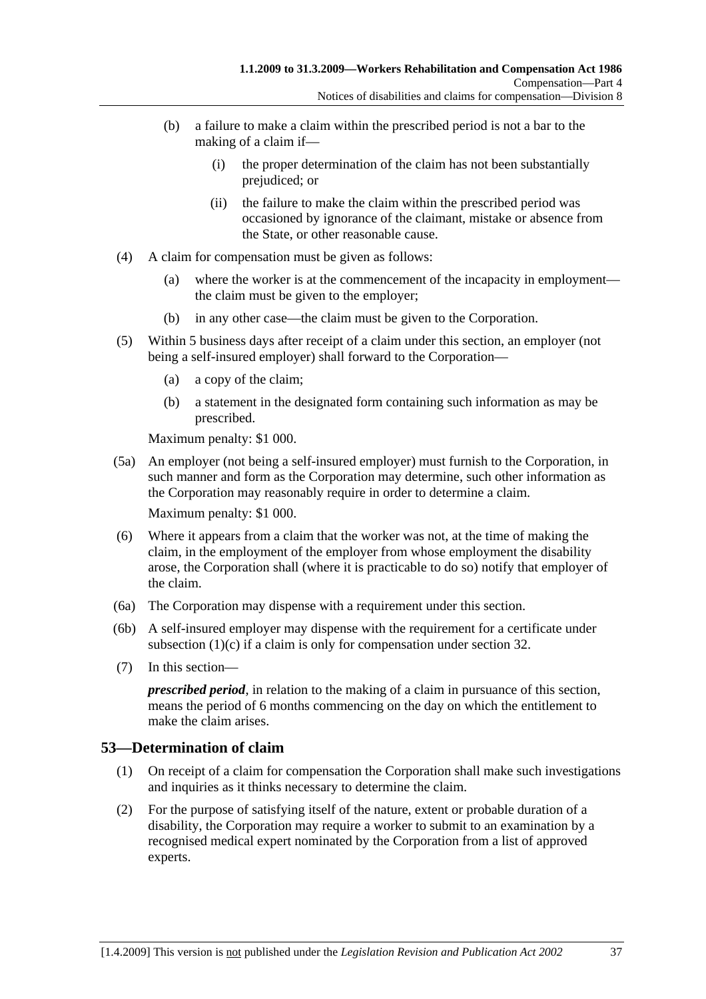- (b) a failure to make a claim within the prescribed period is not a bar to the making of a claim if—
	- (i) the proper determination of the claim has not been substantially prejudiced; or
	- (ii) the failure to make the claim within the prescribed period was occasioned by ignorance of the claimant, mistake or absence from the State, or other reasonable cause.
- (4) A claim for compensation must be given as follows:
	- (a) where the worker is at the commencement of the incapacity in employment the claim must be given to the employer;
	- (b) in any other case—the claim must be given to the Corporation.
- (5) Within 5 business days after receipt of a claim under this section, an employer (not being a self-insured employer) shall forward to the Corporation—
	- (a) a copy of the claim;
	- (b) a statement in the designated form containing such information as may be prescribed.

Maximum penalty: \$1 000.

 (5a) An employer (not being a self-insured employer) must furnish to the Corporation, in such manner and form as the Corporation may determine, such other information as the Corporation may reasonably require in order to determine a claim.

Maximum penalty: \$1 000.

- (6) Where it appears from a claim that the worker was not, at the time of making the claim, in the employment of the employer from whose employment the disability arose, the Corporation shall (where it is practicable to do so) notify that employer of the claim.
- (6a) The Corporation may dispense with a requirement under this section.
- (6b) A self-insured employer may dispense with the requirement for a certificate under subsection (1)(c) if a claim is only for compensation under section 32.
- (7) In this section—

*prescribed period*, in relation to the making of a claim in pursuance of this section, means the period of 6 months commencing on the day on which the entitlement to make the claim arises.

#### **53—Determination of claim**

- (1) On receipt of a claim for compensation the Corporation shall make such investigations and inquiries as it thinks necessary to determine the claim.
- (2) For the purpose of satisfying itself of the nature, extent or probable duration of a disability, the Corporation may require a worker to submit to an examination by a recognised medical expert nominated by the Corporation from a list of approved experts.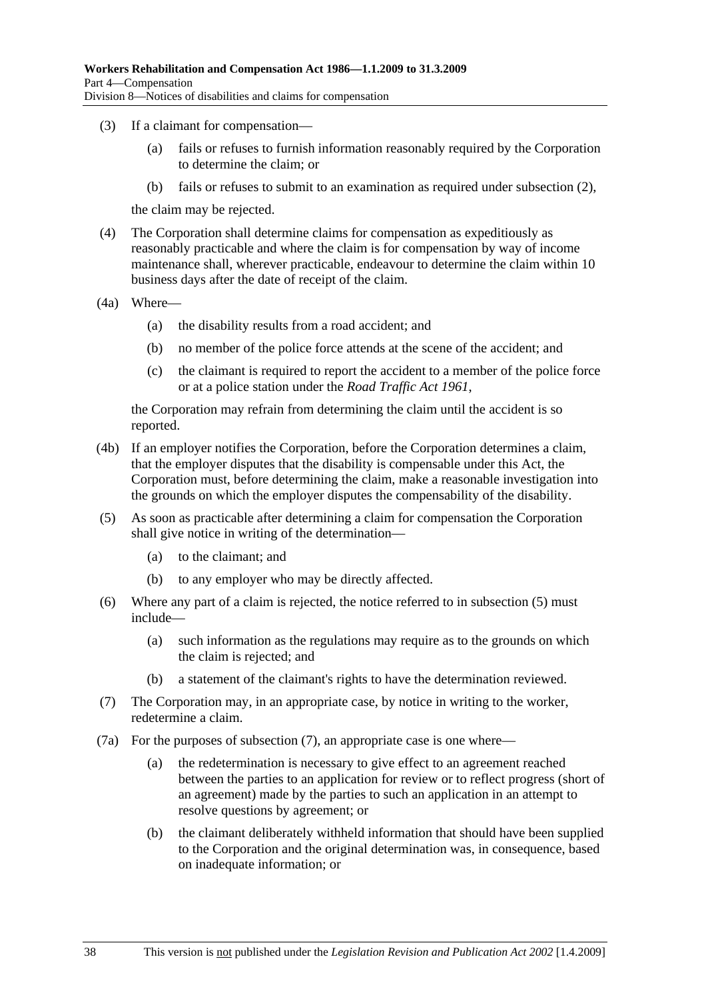- (3) If a claimant for compensation—
	- (a) fails or refuses to furnish information reasonably required by the Corporation to determine the claim; or
	- (b) fails or refuses to submit to an examination as required under subsection (2),

the claim may be rejected.

- (4) The Corporation shall determine claims for compensation as expeditiously as reasonably practicable and where the claim is for compensation by way of income maintenance shall, wherever practicable, endeavour to determine the claim within 10 business days after the date of receipt of the claim.
- (4a) Where—
	- (a) the disability results from a road accident; and
	- (b) no member of the police force attends at the scene of the accident; and
	- (c) the claimant is required to report the accident to a member of the police force or at a police station under the *Road Traffic Act 1961*,

the Corporation may refrain from determining the claim until the accident is so reported.

- (4b) If an employer notifies the Corporation, before the Corporation determines a claim, that the employer disputes that the disability is compensable under this Act, the Corporation must, before determining the claim, make a reasonable investigation into the grounds on which the employer disputes the compensability of the disability.
- (5) As soon as practicable after determining a claim for compensation the Corporation shall give notice in writing of the determination—
	- (a) to the claimant; and
	- (b) to any employer who may be directly affected.
- (6) Where any part of a claim is rejected, the notice referred to in subsection (5) must include—
	- (a) such information as the regulations may require as to the grounds on which the claim is rejected; and
	- (b) a statement of the claimant's rights to have the determination reviewed.
- (7) The Corporation may, in an appropriate case, by notice in writing to the worker, redetermine a claim.
- (7a) For the purposes of subsection (7), an appropriate case is one where—
	- (a) the redetermination is necessary to give effect to an agreement reached between the parties to an application for review or to reflect progress (short of an agreement) made by the parties to such an application in an attempt to resolve questions by agreement; or
	- (b) the claimant deliberately withheld information that should have been supplied to the Corporation and the original determination was, in consequence, based on inadequate information; or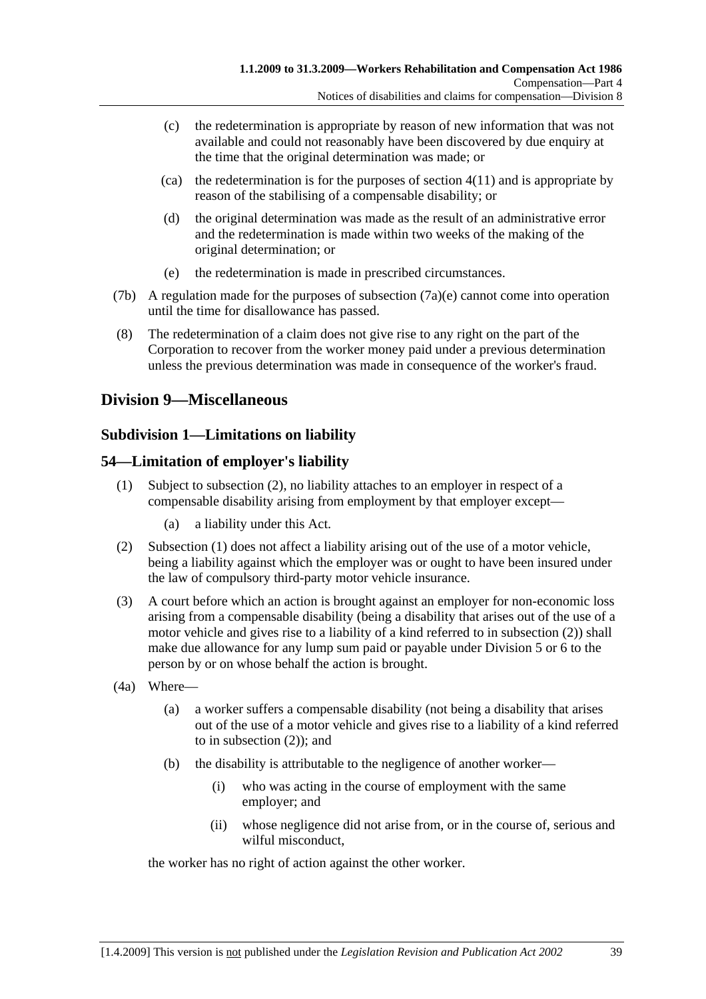- (c) the redetermination is appropriate by reason of new information that was not available and could not reasonably have been discovered by due enquiry at the time that the original determination was made; or
- $\alpha$  the redetermination is for the purposes of section 4(11) and is appropriate by reason of the stabilising of a compensable disability; or
- (d) the original determination was made as the result of an administrative error and the redetermination is made within two weeks of the making of the original determination; or
- (e) the redetermination is made in prescribed circumstances.
- (7b) A regulation made for the purposes of subsection (7a)(e) cannot come into operation until the time for disallowance has passed.
- (8) The redetermination of a claim does not give rise to any right on the part of the Corporation to recover from the worker money paid under a previous determination unless the previous determination was made in consequence of the worker's fraud.

### **Division 9—Miscellaneous**

### **Subdivision 1—Limitations on liability**

#### **54—Limitation of employer's liability**

- (1) Subject to subsection (2), no liability attaches to an employer in respect of a compensable disability arising from employment by that employer except—
	- (a) a liability under this Act.
- (2) Subsection (1) does not affect a liability arising out of the use of a motor vehicle, being a liability against which the employer was or ought to have been insured under the law of compulsory third-party motor vehicle insurance.
- (3) A court before which an action is brought against an employer for non-economic loss arising from a compensable disability (being a disability that arises out of the use of a motor vehicle and gives rise to a liability of a kind referred to in subsection (2)) shall make due allowance for any lump sum paid or payable under Division 5 or 6 to the person by or on whose behalf the action is brought.
- (4a) Where—
	- (a) a worker suffers a compensable disability (not being a disability that arises out of the use of a motor vehicle and gives rise to a liability of a kind referred to in subsection (2)); and
	- (b) the disability is attributable to the negligence of another worker—
		- (i) who was acting in the course of employment with the same employer; and
		- (ii) whose negligence did not arise from, or in the course of, serious and wilful misconduct,

the worker has no right of action against the other worker.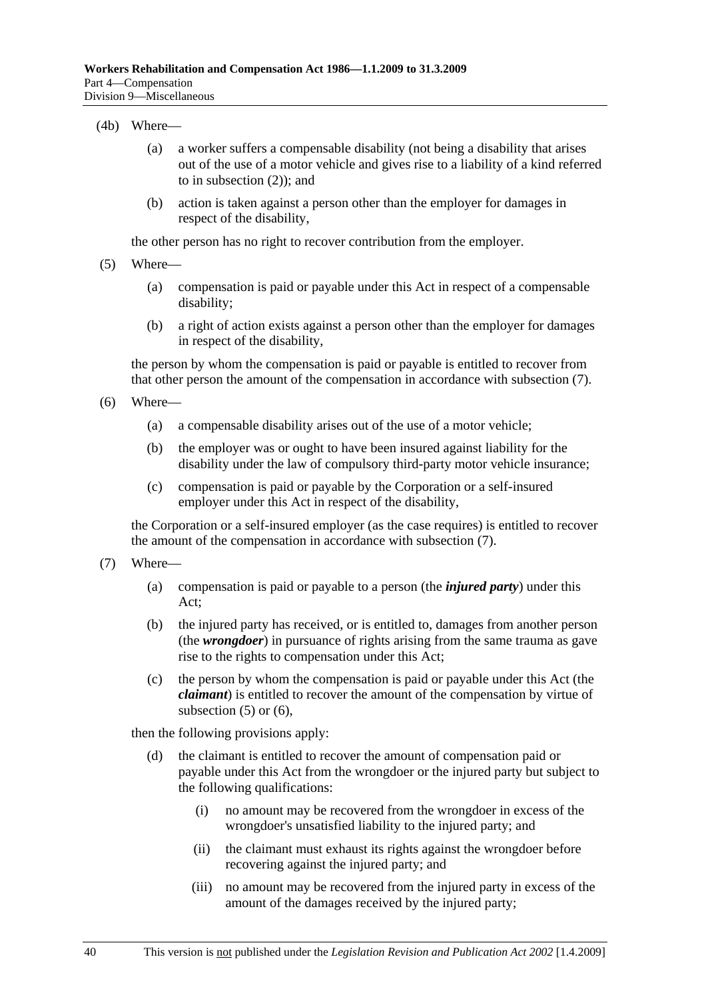#### (4b) Where—

- (a) a worker suffers a compensable disability (not being a disability that arises out of the use of a motor vehicle and gives rise to a liability of a kind referred to in subsection (2)); and
- (b) action is taken against a person other than the employer for damages in respect of the disability,

the other person has no right to recover contribution from the employer.

- (5) Where—
	- (a) compensation is paid or payable under this Act in respect of a compensable disability;
	- (b) a right of action exists against a person other than the employer for damages in respect of the disability,

the person by whom the compensation is paid or payable is entitled to recover from that other person the amount of the compensation in accordance with subsection (7).

- (6) Where—
	- (a) a compensable disability arises out of the use of a motor vehicle;
	- (b) the employer was or ought to have been insured against liability for the disability under the law of compulsory third-party motor vehicle insurance;
	- (c) compensation is paid or payable by the Corporation or a self-insured employer under this Act in respect of the disability,

the Corporation or a self-insured employer (as the case requires) is entitled to recover the amount of the compensation in accordance with subsection (7).

- (7) Where—
	- (a) compensation is paid or payable to a person (the *injured party*) under this Act;
	- (b) the injured party has received, or is entitled to, damages from another person (the *wrongdoer*) in pursuance of rights arising from the same trauma as gave rise to the rights to compensation under this Act;
	- (c) the person by whom the compensation is paid or payable under this Act (the *claimant*) is entitled to recover the amount of the compensation by virtue of subsection  $(5)$  or  $(6)$ ,

then the following provisions apply:

- (d) the claimant is entitled to recover the amount of compensation paid or payable under this Act from the wrongdoer or the injured party but subject to the following qualifications:
	- (i) no amount may be recovered from the wrongdoer in excess of the wrongdoer's unsatisfied liability to the injured party; and
	- (ii) the claimant must exhaust its rights against the wrongdoer before recovering against the injured party; and
	- (iii) no amount may be recovered from the injured party in excess of the amount of the damages received by the injured party;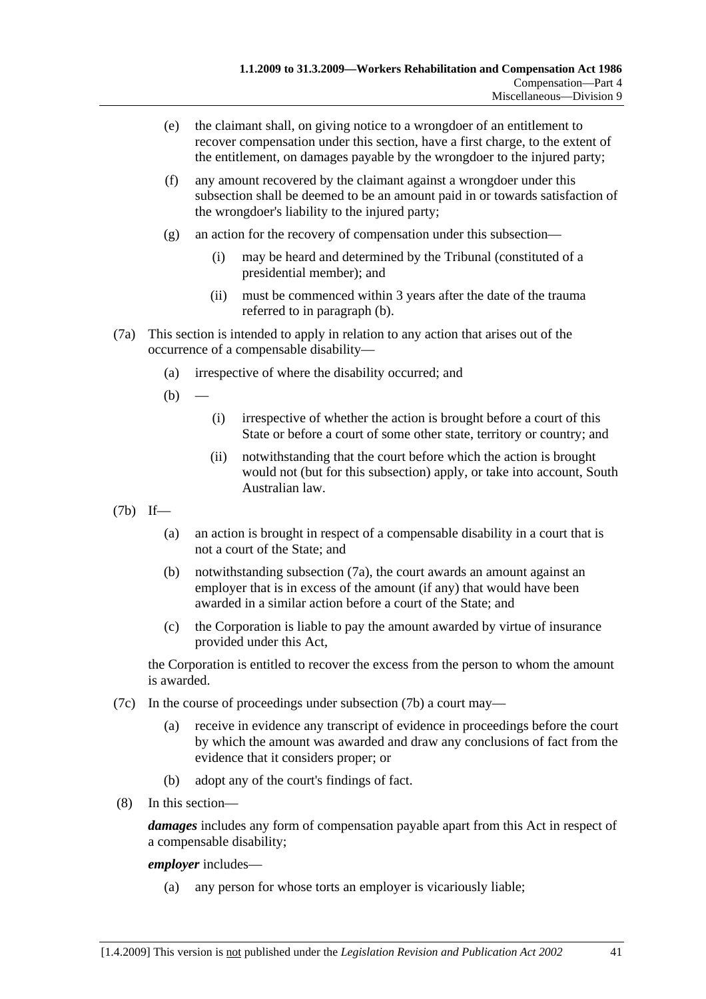- (e) the claimant shall, on giving notice to a wrongdoer of an entitlement to recover compensation under this section, have a first charge, to the extent of the entitlement, on damages payable by the wrongdoer to the injured party;
- (f) any amount recovered by the claimant against a wrongdoer under this subsection shall be deemed to be an amount paid in or towards satisfaction of the wrongdoer's liability to the injured party;
- (g) an action for the recovery of compensation under this subsection—
	- (i) may be heard and determined by the Tribunal (constituted of a presidential member); and
	- (ii) must be commenced within 3 years after the date of the trauma referred to in paragraph (b).
- (7a) This section is intended to apply in relation to any action that arises out of the occurrence of a compensable disability—
	- (a) irrespective of where the disability occurred; and
	- $(b)$
- (i) irrespective of whether the action is brought before a court of this State or before a court of some other state, territory or country; and
- (ii) notwithstanding that the court before which the action is brought would not (but for this subsection) apply, or take into account, South Australian law.
- (7b) If—
	- (a) an action is brought in respect of a compensable disability in a court that is not a court of the State; and
	- (b) notwithstanding subsection (7a), the court awards an amount against an employer that is in excess of the amount (if any) that would have been awarded in a similar action before a court of the State; and
	- (c) the Corporation is liable to pay the amount awarded by virtue of insurance provided under this Act,

the Corporation is entitled to recover the excess from the person to whom the amount is awarded.

- (7c) In the course of proceedings under subsection (7b) a court may—
	- (a) receive in evidence any transcript of evidence in proceedings before the court by which the amount was awarded and draw any conclusions of fact from the evidence that it considers proper; or
	- (b) adopt any of the court's findings of fact.
- (8) In this section—

*damages* includes any form of compensation payable apart from this Act in respect of a compensable disability;

#### *employer* includes—

(a) any person for whose torts an employer is vicariously liable;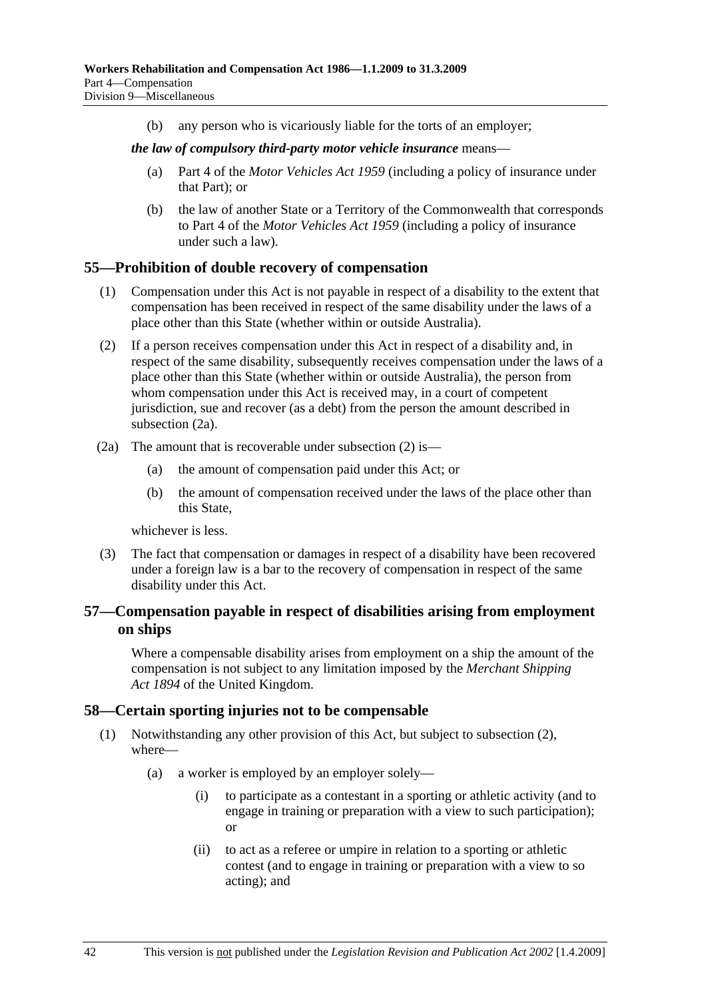(b) any person who is vicariously liable for the torts of an employer;

#### *the law of compulsory third-party motor vehicle insurance* means—

- (a) Part 4 of the *Motor Vehicles Act 1959* (including a policy of insurance under that Part); or
- (b) the law of another State or a Territory of the Commonwealth that corresponds to Part 4 of the *Motor Vehicles Act 1959* (including a policy of insurance under such a law).

### **55—Prohibition of double recovery of compensation**

- (1) Compensation under this Act is not payable in respect of a disability to the extent that compensation has been received in respect of the same disability under the laws of a place other than this State (whether within or outside Australia).
- (2) If a person receives compensation under this Act in respect of a disability and, in respect of the same disability, subsequently receives compensation under the laws of a place other than this State (whether within or outside Australia), the person from whom compensation under this Act is received may, in a court of competent jurisdiction, sue and recover (as a debt) from the person the amount described in subsection (2a).
- (2a) The amount that is recoverable under subsection (2) is—
	- (a) the amount of compensation paid under this Act; or
	- (b) the amount of compensation received under the laws of the place other than this State,

whichever is less.

 (3) The fact that compensation or damages in respect of a disability have been recovered under a foreign law is a bar to the recovery of compensation in respect of the same disability under this Act.

### **57—Compensation payable in respect of disabilities arising from employment on ships**

Where a compensable disability arises from employment on a ship the amount of the compensation is not subject to any limitation imposed by the *Merchant Shipping Act 1894* of the United Kingdom.

### **58—Certain sporting injuries not to be compensable**

- (1) Notwithstanding any other provision of this Act, but subject to subsection (2), where—
	- (a) a worker is employed by an employer solely—
		- (i) to participate as a contestant in a sporting or athletic activity (and to engage in training or preparation with a view to such participation); or
		- (ii) to act as a referee or umpire in relation to a sporting or athletic contest (and to engage in training or preparation with a view to so acting); and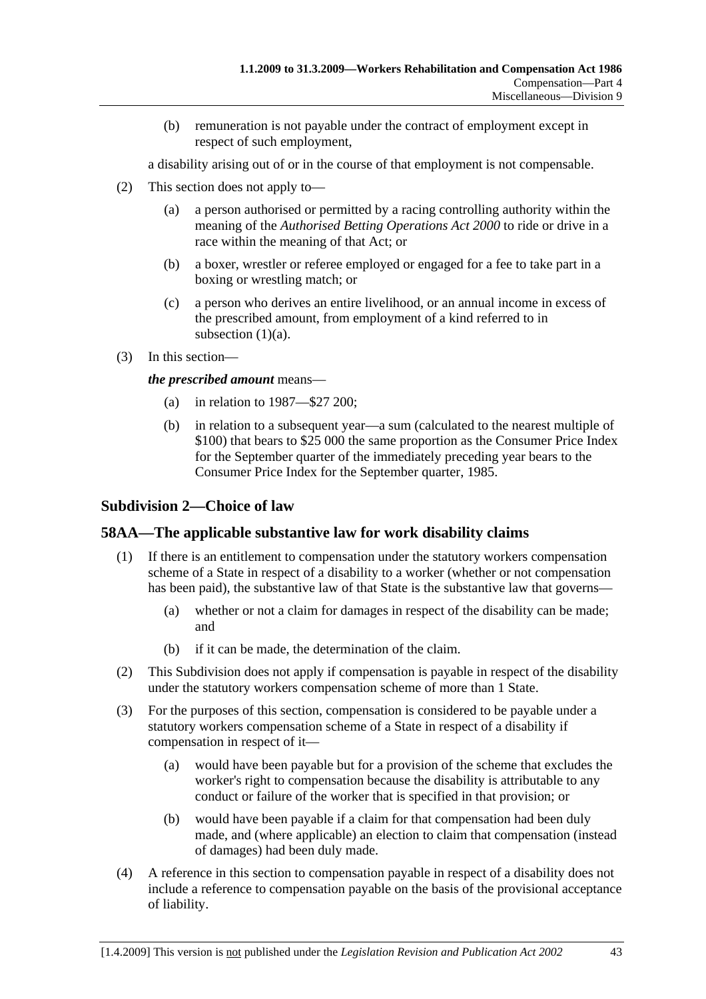(b) remuneration is not payable under the contract of employment except in respect of such employment,

a disability arising out of or in the course of that employment is not compensable.

- (2) This section does not apply to—
	- (a) a person authorised or permitted by a racing controlling authority within the meaning of the *Authorised Betting Operations Act 2000* to ride or drive in a race within the meaning of that Act; or
	- (b) a boxer, wrestler or referee employed or engaged for a fee to take part in a boxing or wrestling match; or
	- (c) a person who derives an entire livelihood, or an annual income in excess of the prescribed amount, from employment of a kind referred to in subsection (1)(a).
- (3) In this section—

*the prescribed amount* means—

- (a) in relation to 1987—\$27 200;
- (b) in relation to a subsequent year—a sum (calculated to the nearest multiple of \$100) that bears to \$25 000 the same proportion as the Consumer Price Index for the September quarter of the immediately preceding year bears to the Consumer Price Index for the September quarter, 1985.

### **Subdivision 2—Choice of law**

### **58AA—The applicable substantive law for work disability claims**

- (1) If there is an entitlement to compensation under the statutory workers compensation scheme of a State in respect of a disability to a worker (whether or not compensation has been paid), the substantive law of that State is the substantive law that governs—
	- (a) whether or not a claim for damages in respect of the disability can be made; and
	- (b) if it can be made, the determination of the claim.
- (2) This Subdivision does not apply if compensation is payable in respect of the disability under the statutory workers compensation scheme of more than 1 State.
- (3) For the purposes of this section, compensation is considered to be payable under a statutory workers compensation scheme of a State in respect of a disability if compensation in respect of it—
	- (a) would have been payable but for a provision of the scheme that excludes the worker's right to compensation because the disability is attributable to any conduct or failure of the worker that is specified in that provision; or
	- (b) would have been payable if a claim for that compensation had been duly made, and (where applicable) an election to claim that compensation (instead of damages) had been duly made.
- (4) A reference in this section to compensation payable in respect of a disability does not include a reference to compensation payable on the basis of the provisional acceptance of liability.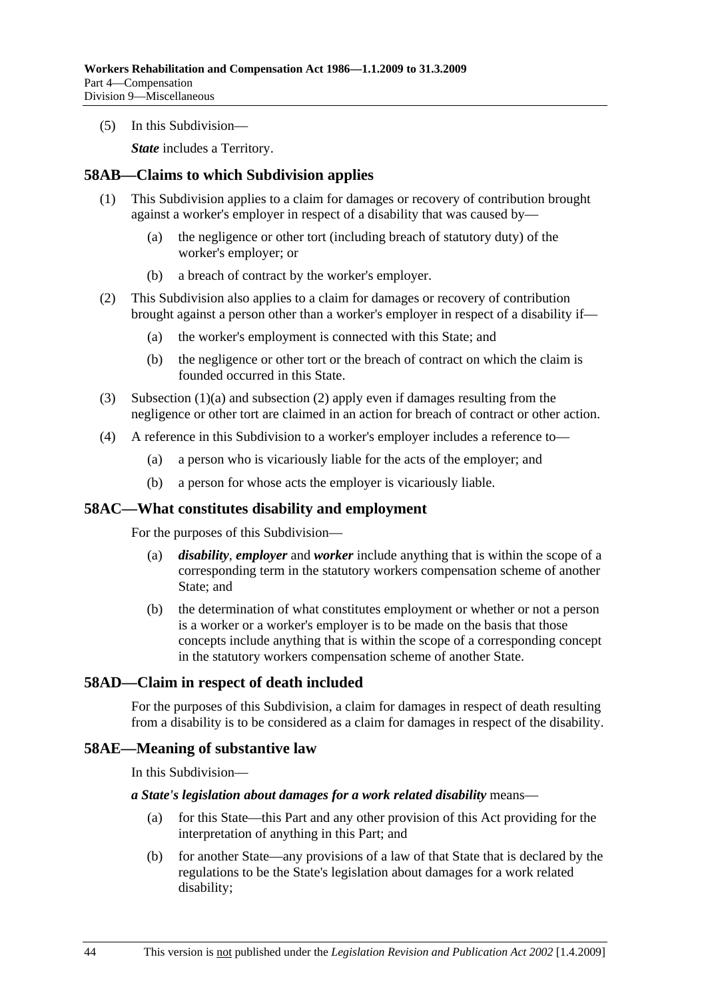(5) In this Subdivision—

*State* includes a Territory.

#### **58AB—Claims to which Subdivision applies**

- (1) This Subdivision applies to a claim for damages or recovery of contribution brought against a worker's employer in respect of a disability that was caused by—
	- (a) the negligence or other tort (including breach of statutory duty) of the worker's employer; or
	- (b) a breach of contract by the worker's employer.
- (2) This Subdivision also applies to a claim for damages or recovery of contribution brought against a person other than a worker's employer in respect of a disability if—
	- (a) the worker's employment is connected with this State; and
	- (b) the negligence or other tort or the breach of contract on which the claim is founded occurred in this State.
- (3) Subsection (1)(a) and subsection (2) apply even if damages resulting from the negligence or other tort are claimed in an action for breach of contract or other action.
- (4) A reference in this Subdivision to a worker's employer includes a reference to—
	- (a) a person who is vicariously liable for the acts of the employer; and
	- (b) a person for whose acts the employer is vicariously liable.

#### **58AC—What constitutes disability and employment**

For the purposes of this Subdivision—

- (a) *disability*, *employer* and *worker* include anything that is within the scope of a corresponding term in the statutory workers compensation scheme of another State; and
- (b) the determination of what constitutes employment or whether or not a person is a worker or a worker's employer is to be made on the basis that those concepts include anything that is within the scope of a corresponding concept in the statutory workers compensation scheme of another State.

### **58AD—Claim in respect of death included**

For the purposes of this Subdivision, a claim for damages in respect of death resulting from a disability is to be considered as a claim for damages in respect of the disability.

#### **58AE—Meaning of substantive law**

In this Subdivision—

#### *a State's legislation about damages for a work related disability* means—

- (a) for this State—this Part and any other provision of this Act providing for the interpretation of anything in this Part; and
- (b) for another State—any provisions of a law of that State that is declared by the regulations to be the State's legislation about damages for a work related disability;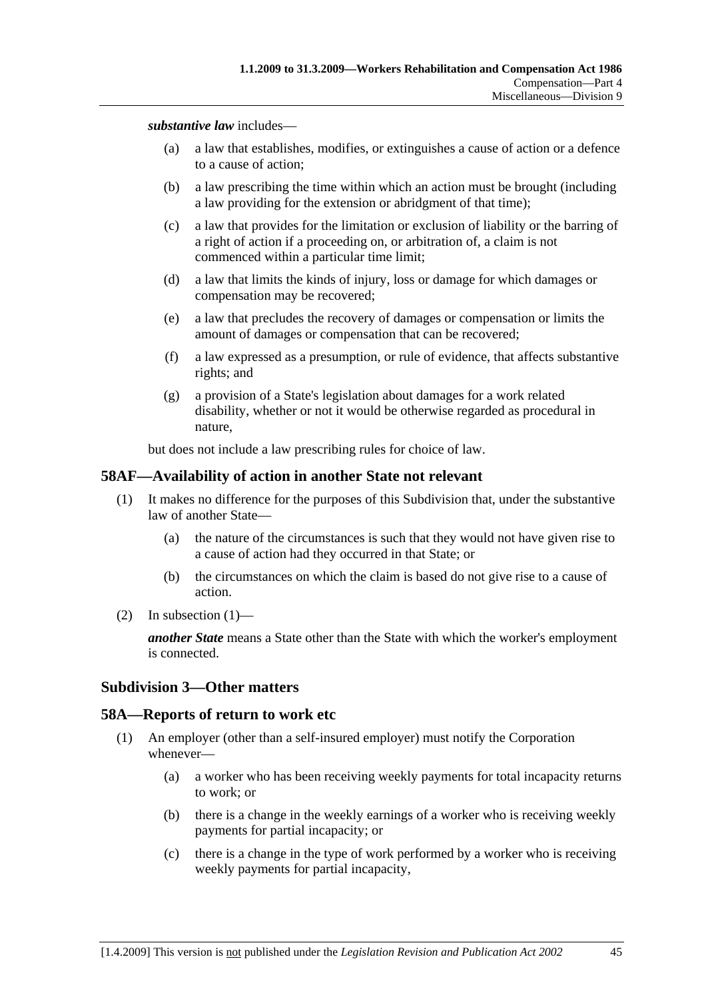*substantive law* includes—

- (a) a law that establishes, modifies, or extinguishes a cause of action or a defence to a cause of action;
- (b) a law prescribing the time within which an action must be brought (including a law providing for the extension or abridgment of that time);
- (c) a law that provides for the limitation or exclusion of liability or the barring of a right of action if a proceeding on, or arbitration of, a claim is not commenced within a particular time limit;
- (d) a law that limits the kinds of injury, loss or damage for which damages or compensation may be recovered;
- (e) a law that precludes the recovery of damages or compensation or limits the amount of damages or compensation that can be recovered;
- (f) a law expressed as a presumption, or rule of evidence, that affects substantive rights; and
- (g) a provision of a State's legislation about damages for a work related disability, whether or not it would be otherwise regarded as procedural in nature,

but does not include a law prescribing rules for choice of law.

#### **58AF—Availability of action in another State not relevant**

- (1) It makes no difference for the purposes of this Subdivision that, under the substantive law of another State—
	- (a) the nature of the circumstances is such that they would not have given rise to a cause of action had they occurred in that State; or
	- (b) the circumstances on which the claim is based do not give rise to a cause of action.
- (2) In subsection  $(1)$ —

*another State* means a State other than the State with which the worker's employment is connected.

#### **Subdivision 3—Other matters**

#### **58A—Reports of return to work etc**

- (1) An employer (other than a self-insured employer) must notify the Corporation whenever—
	- (a) a worker who has been receiving weekly payments for total incapacity returns to work; or
	- (b) there is a change in the weekly earnings of a worker who is receiving weekly payments for partial incapacity; or
	- (c) there is a change in the type of work performed by a worker who is receiving weekly payments for partial incapacity,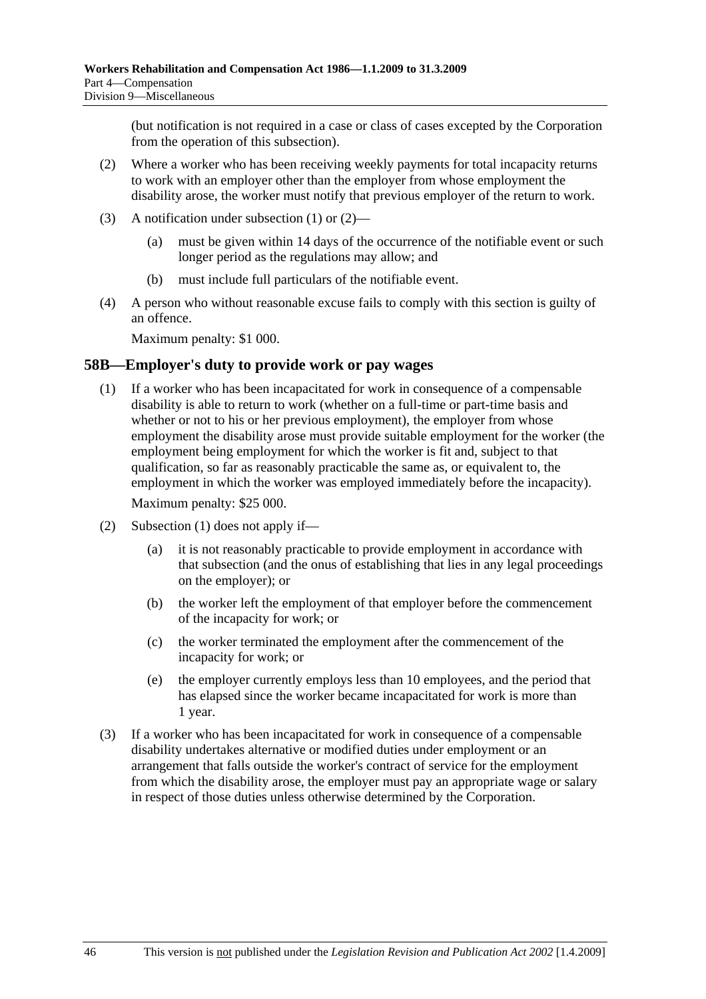(but notification is not required in a case or class of cases excepted by the Corporation from the operation of this subsection).

- (2) Where a worker who has been receiving weekly payments for total incapacity returns to work with an employer other than the employer from whose employment the disability arose, the worker must notify that previous employer of the return to work.
- (3) A notification under subsection (1) or (2)—
	- (a) must be given within 14 days of the occurrence of the notifiable event or such longer period as the regulations may allow; and
	- (b) must include full particulars of the notifiable event.
- (4) A person who without reasonable excuse fails to comply with this section is guilty of an offence.

Maximum penalty: \$1 000.

#### **58B—Employer's duty to provide work or pay wages**

 (1) If a worker who has been incapacitated for work in consequence of a compensable disability is able to return to work (whether on a full-time or part-time basis and whether or not to his or her previous employment), the employer from whose employment the disability arose must provide suitable employment for the worker (the employment being employment for which the worker is fit and, subject to that qualification, so far as reasonably practicable the same as, or equivalent to, the employment in which the worker was employed immediately before the incapacity).

Maximum penalty: \$25 000.

- (2) Subsection (1) does not apply if—
	- (a) it is not reasonably practicable to provide employment in accordance with that subsection (and the onus of establishing that lies in any legal proceedings on the employer); or
	- (b) the worker left the employment of that employer before the commencement of the incapacity for work; or
	- (c) the worker terminated the employment after the commencement of the incapacity for work; or
	- (e) the employer currently employs less than 10 employees, and the period that has elapsed since the worker became incapacitated for work is more than 1 year.
- (3) If a worker who has been incapacitated for work in consequence of a compensable disability undertakes alternative or modified duties under employment or an arrangement that falls outside the worker's contract of service for the employment from which the disability arose, the employer must pay an appropriate wage or salary in respect of those duties unless otherwise determined by the Corporation.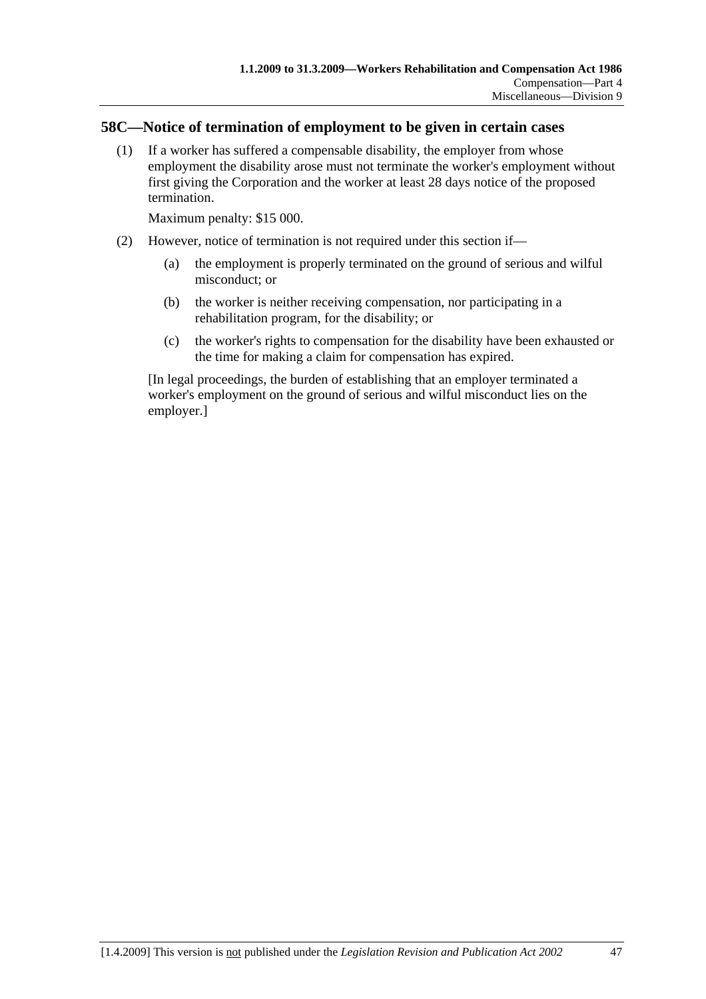### **58C—Notice of termination of employment to be given in certain cases**

 (1) If a worker has suffered a compensable disability, the employer from whose employment the disability arose must not terminate the worker's employment without first giving the Corporation and the worker at least 28 days notice of the proposed termination.

Maximum penalty: \$15 000.

- (2) However, notice of termination is not required under this section if—
	- (a) the employment is properly terminated on the ground of serious and wilful misconduct; or
	- (b) the worker is neither receiving compensation, nor participating in a rehabilitation program, for the disability; or
	- (c) the worker's rights to compensation for the disability have been exhausted or the time for making a claim for compensation has expired.

[In legal proceedings, the burden of establishing that an employer terminated a worker's employment on the ground of serious and wilful misconduct lies on the employer.]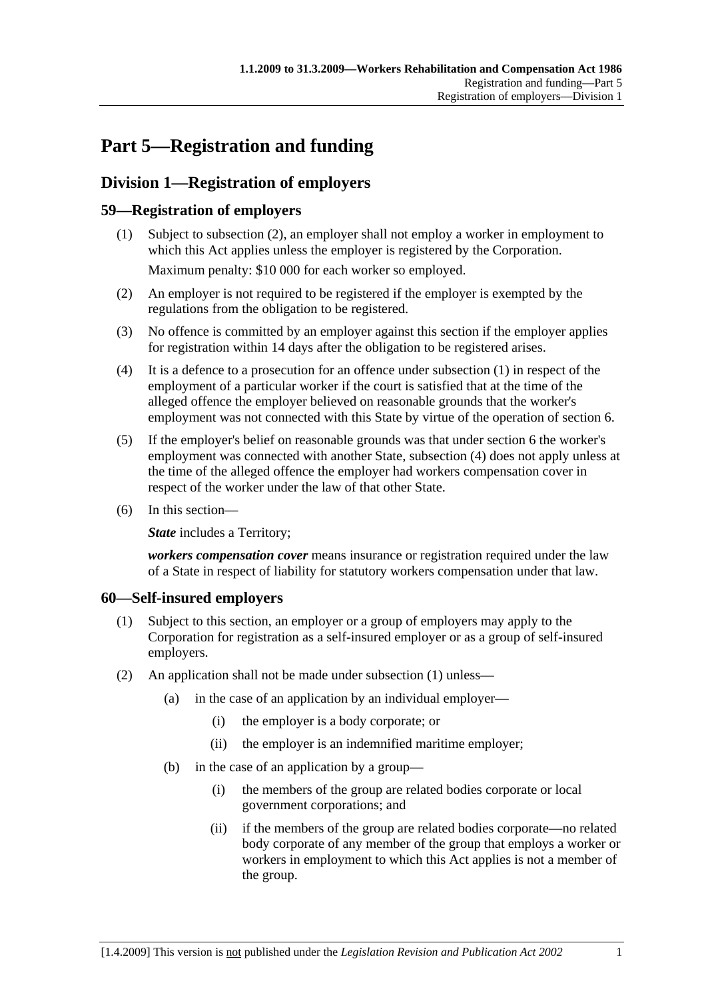# **Part 5—Registration and funding**

# **Division 1—Registration of employers**

### **59—Registration of employers**

- (1) Subject to subsection (2), an employer shall not employ a worker in employment to which this Act applies unless the employer is registered by the Corporation. Maximum penalty: \$10 000 for each worker so employed.
- (2) An employer is not required to be registered if the employer is exempted by the regulations from the obligation to be registered.
- (3) No offence is committed by an employer against this section if the employer applies for registration within 14 days after the obligation to be registered arises.
- (4) It is a defence to a prosecution for an offence under subsection (1) in respect of the employment of a particular worker if the court is satisfied that at the time of the alleged offence the employer believed on reasonable grounds that the worker's employment was not connected with this State by virtue of the operation of section 6.
- (5) If the employer's belief on reasonable grounds was that under section 6 the worker's employment was connected with another State, subsection (4) does not apply unless at the time of the alleged offence the employer had workers compensation cover in respect of the worker under the law of that other State.
- (6) In this section—

**State** includes a Territory;

*workers compensation cover* means insurance or registration required under the law of a State in respect of liability for statutory workers compensation under that law.

### **60—Self-insured employers**

- (1) Subject to this section, an employer or a group of employers may apply to the Corporation for registration as a self-insured employer or as a group of self-insured employers.
- (2) An application shall not be made under subsection (1) unless—
	- (a) in the case of an application by an individual employer—
		- (i) the employer is a body corporate; or
		- (ii) the employer is an indemnified maritime employer;
	- (b) in the case of an application by a group—
		- (i) the members of the group are related bodies corporate or local government corporations; and
		- (ii) if the members of the group are related bodies corporate—no related body corporate of any member of the group that employs a worker or workers in employment to which this Act applies is not a member of the group.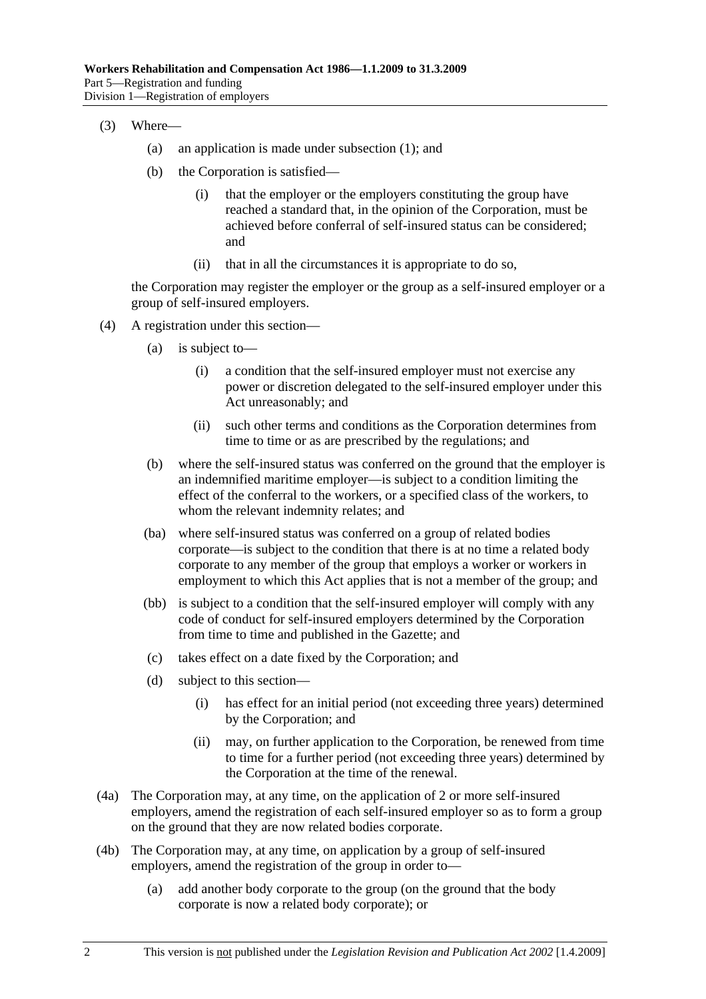- (3) Where—
	- (a) an application is made under subsection (1); and
	- (b) the Corporation is satisfied—
		- (i) that the employer or the employers constituting the group have reached a standard that, in the opinion of the Corporation, must be achieved before conferral of self-insured status can be considered; and
		- (ii) that in all the circumstances it is appropriate to do so,

the Corporation may register the employer or the group as a self-insured employer or a group of self-insured employers.

- (4) A registration under this section—
	- (a) is subject to—
		- (i) a condition that the self-insured employer must not exercise any power or discretion delegated to the self-insured employer under this Act unreasonably; and
		- (ii) such other terms and conditions as the Corporation determines from time to time or as are prescribed by the regulations; and
	- (b) where the self-insured status was conferred on the ground that the employer is an indemnified maritime employer—is subject to a condition limiting the effect of the conferral to the workers, or a specified class of the workers, to whom the relevant indemnity relates; and
	- (ba) where self-insured status was conferred on a group of related bodies corporate—is subject to the condition that there is at no time a related body corporate to any member of the group that employs a worker or workers in employment to which this Act applies that is not a member of the group; and
	- (bb) is subject to a condition that the self-insured employer will comply with any code of conduct for self-insured employers determined by the Corporation from time to time and published in the Gazette; and
	- (c) takes effect on a date fixed by the Corporation; and
	- (d) subject to this section—
		- (i) has effect for an initial period (not exceeding three years) determined by the Corporation; and
		- (ii) may, on further application to the Corporation, be renewed from time to time for a further period (not exceeding three years) determined by the Corporation at the time of the renewal.
- (4a) The Corporation may, at any time, on the application of 2 or more self-insured employers, amend the registration of each self-insured employer so as to form a group on the ground that they are now related bodies corporate.
- (4b) The Corporation may, at any time, on application by a group of self-insured employers, amend the registration of the group in order to—
	- (a) add another body corporate to the group (on the ground that the body corporate is now a related body corporate); or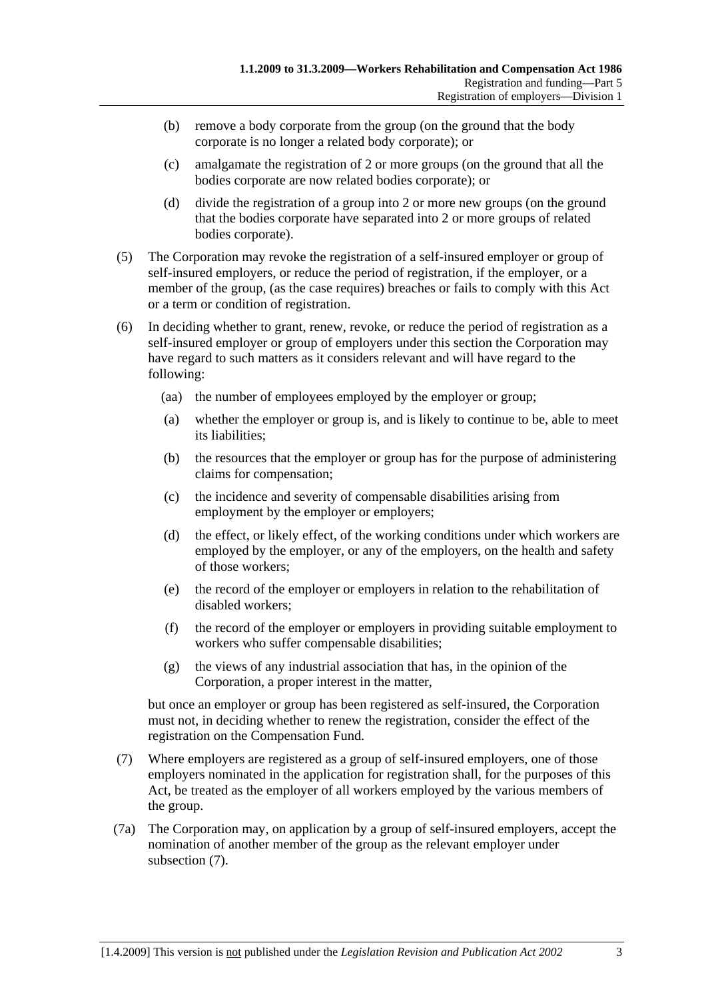- (b) remove a body corporate from the group (on the ground that the body corporate is no longer a related body corporate); or
- (c) amalgamate the registration of 2 or more groups (on the ground that all the bodies corporate are now related bodies corporate); or
- (d) divide the registration of a group into 2 or more new groups (on the ground that the bodies corporate have separated into 2 or more groups of related bodies corporate).
- (5) The Corporation may revoke the registration of a self-insured employer or group of self-insured employers, or reduce the period of registration, if the employer, or a member of the group, (as the case requires) breaches or fails to comply with this Act or a term or condition of registration.
- (6) In deciding whether to grant, renew, revoke, or reduce the period of registration as a self-insured employer or group of employers under this section the Corporation may have regard to such matters as it considers relevant and will have regard to the following:
	- (aa) the number of employees employed by the employer or group;
	- (a) whether the employer or group is, and is likely to continue to be, able to meet its liabilities;
	- (b) the resources that the employer or group has for the purpose of administering claims for compensation;
	- (c) the incidence and severity of compensable disabilities arising from employment by the employer or employers;
	- (d) the effect, or likely effect, of the working conditions under which workers are employed by the employer, or any of the employers, on the health and safety of those workers;
	- (e) the record of the employer or employers in relation to the rehabilitation of disabled workers;
	- (f) the record of the employer or employers in providing suitable employment to workers who suffer compensable disabilities;
	- (g) the views of any industrial association that has, in the opinion of the Corporation, a proper interest in the matter,

but once an employer or group has been registered as self-insured, the Corporation must not, in deciding whether to renew the registration, consider the effect of the registration on the Compensation Fund.

- (7) Where employers are registered as a group of self-insured employers, one of those employers nominated in the application for registration shall, for the purposes of this Act, be treated as the employer of all workers employed by the various members of the group.
- (7a) The Corporation may, on application by a group of self-insured employers, accept the nomination of another member of the group as the relevant employer under subsection (7).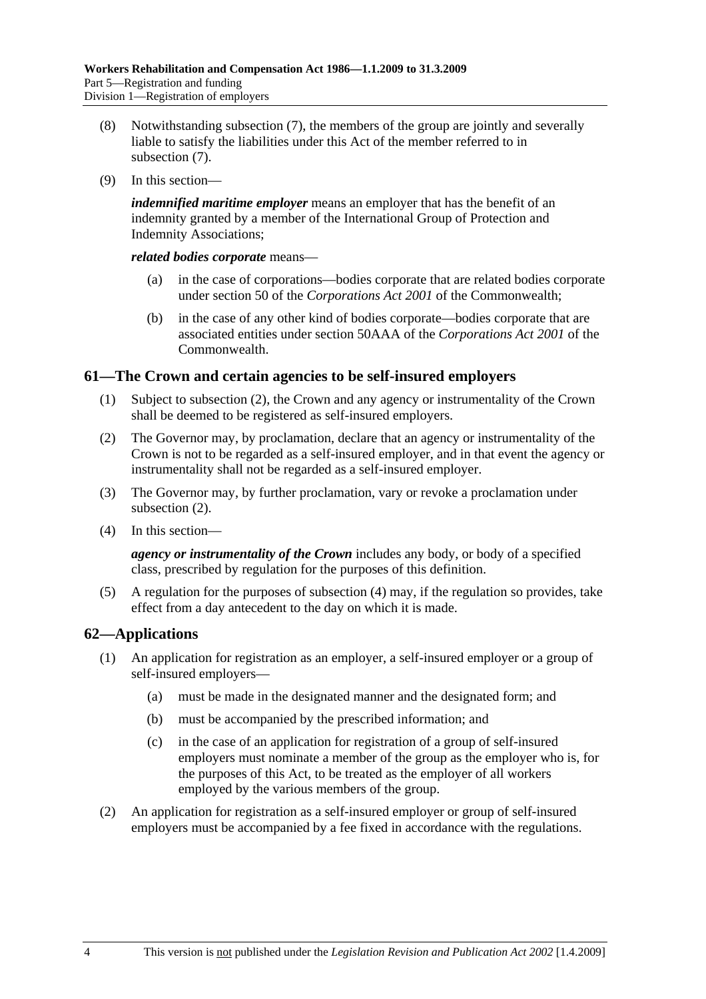- (8) Notwithstanding subsection (7), the members of the group are jointly and severally liable to satisfy the liabilities under this Act of the member referred to in subsection (7).
- (9) In this section—

*indemnified maritime employer* means an employer that has the benefit of an indemnity granted by a member of the International Group of Protection and Indemnity Associations;

*related bodies corporate* means—

- (a) in the case of corporations—bodies corporate that are related bodies corporate under section 50 of the *Corporations Act 2001* of the Commonwealth;
- (b) in the case of any other kind of bodies corporate—bodies corporate that are associated entities under section 50AAA of the *Corporations Act 2001* of the **Commonwealth**

### **61—The Crown and certain agencies to be self-insured employers**

- (1) Subject to subsection (2), the Crown and any agency or instrumentality of the Crown shall be deemed to be registered as self-insured employers.
- (2) The Governor may, by proclamation, declare that an agency or instrumentality of the Crown is not to be regarded as a self-insured employer, and in that event the agency or instrumentality shall not be regarded as a self-insured employer.
- (3) The Governor may, by further proclamation, vary or revoke a proclamation under subsection (2).
- (4) In this section—

*agency or instrumentality of the Crown* includes any body, or body of a specified class, prescribed by regulation for the purposes of this definition.

 (5) A regulation for the purposes of subsection (4) may, if the regulation so provides, take effect from a day antecedent to the day on which it is made.

### **62—Applications**

- (1) An application for registration as an employer, a self-insured employer or a group of self-insured employers—
	- (a) must be made in the designated manner and the designated form; and
	- (b) must be accompanied by the prescribed information; and
	- (c) in the case of an application for registration of a group of self-insured employers must nominate a member of the group as the employer who is, for the purposes of this Act, to be treated as the employer of all workers employed by the various members of the group.
- (2) An application for registration as a self-insured employer or group of self-insured employers must be accompanied by a fee fixed in accordance with the regulations.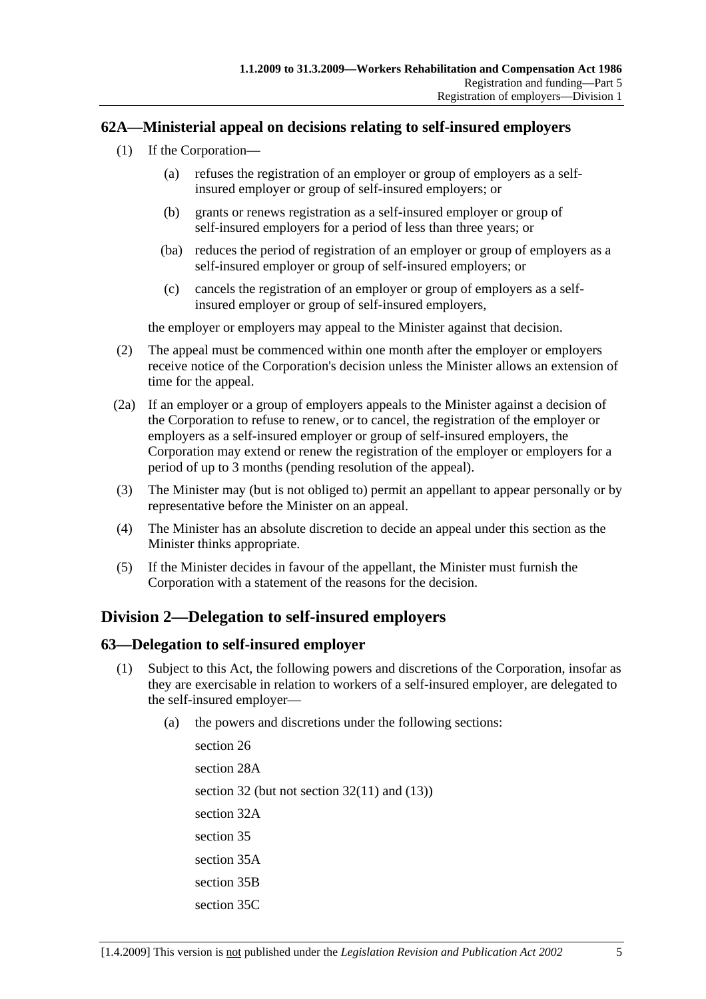### **62A—Ministerial appeal on decisions relating to self-insured employers**

- (1) If the Corporation—
	- (a) refuses the registration of an employer or group of employers as a selfinsured employer or group of self-insured employers; or
	- (b) grants or renews registration as a self-insured employer or group of self-insured employers for a period of less than three years; or
	- (ba) reduces the period of registration of an employer or group of employers as a self-insured employer or group of self-insured employers; or
	- (c) cancels the registration of an employer or group of employers as a selfinsured employer or group of self-insured employers,

the employer or employers may appeal to the Minister against that decision.

- (2) The appeal must be commenced within one month after the employer or employers receive notice of the Corporation's decision unless the Minister allows an extension of time for the appeal.
- (2a) If an employer or a group of employers appeals to the Minister against a decision of the Corporation to refuse to renew, or to cancel, the registration of the employer or employers as a self-insured employer or group of self-insured employers, the Corporation may extend or renew the registration of the employer or employers for a period of up to 3 months (pending resolution of the appeal).
- (3) The Minister may (but is not obliged to) permit an appellant to appear personally or by representative before the Minister on an appeal.
- (4) The Minister has an absolute discretion to decide an appeal under this section as the Minister thinks appropriate.
- (5) If the Minister decides in favour of the appellant, the Minister must furnish the Corporation with a statement of the reasons for the decision.

### **Division 2—Delegation to self-insured employers**

### **63—Delegation to self-insured employer**

- (1) Subject to this Act, the following powers and discretions of the Corporation, insofar as they are exercisable in relation to workers of a self-insured employer, are delegated to the self-insured employer—
	- (a) the powers and discretions under the following sections:

section 26 section 28A section 32 (but not section 32(11) and (13)) section 32A section 35 section 35A section 35B section 35C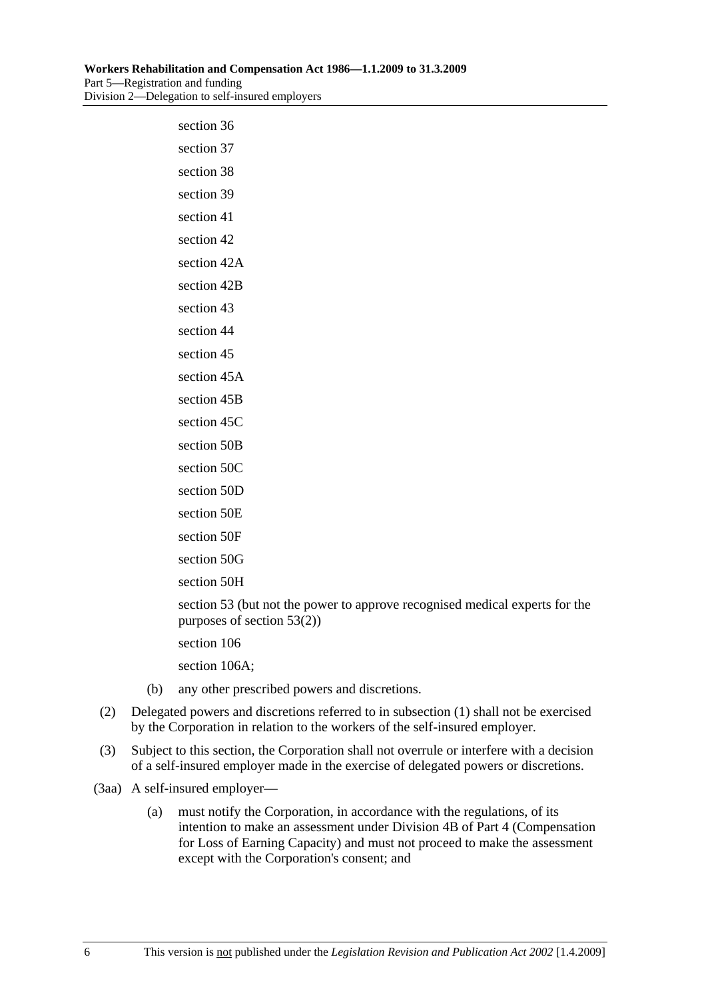| section 36     |
|----------------|
| section 37     |
| section 38     |
| section 39     |
| section 41     |
| section 42     |
| section 42A    |
| section 42B    |
| section 43     |
| section 44     |
| section 45     |
| section 45A    |
| section 45B    |
| section 45C    |
| section 50B    |
| section 50C    |
| section 50D    |
| section 50E    |
| section 50F    |
| section 50G    |
| section 50H    |
| section 53 (bu |

It not the power to approve recognised medical experts for the purposes of section 53(2))

section 106

section 106A;

- (b) any other prescribed powers and discretions.
- (2) Delegated powers and discretions referred to in subsection (1) shall not be exercised by the Corporation in relation to the workers of the self-insured employer.
- (3) Subject to this section, the Corporation shall not overrule or interfere with a decision of a self-insured employer made in the exercise of delegated powers or discretions.
- (3aa) A self-insured employer—
	- (a) must notify the Corporation, in accordance with the regulations, of its intention to make an assessment under Division 4B of Part 4 (Compensation for Loss of Earning Capacity) and must not proceed to make the assessment except with the Corporation's consent; and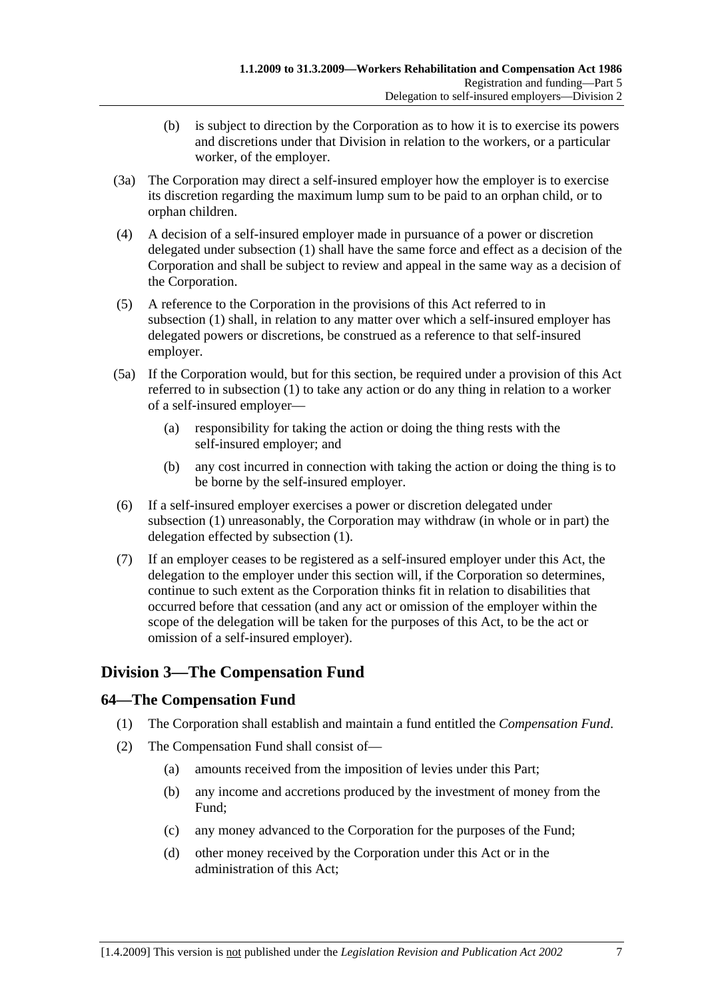- (b) is subject to direction by the Corporation as to how it is to exercise its powers and discretions under that Division in relation to the workers, or a particular worker, of the employer.
- (3a) The Corporation may direct a self-insured employer how the employer is to exercise its discretion regarding the maximum lump sum to be paid to an orphan child, or to orphan children.
- (4) A decision of a self-insured employer made in pursuance of a power or discretion delegated under subsection (1) shall have the same force and effect as a decision of the Corporation and shall be subject to review and appeal in the same way as a decision of the Corporation.
- (5) A reference to the Corporation in the provisions of this Act referred to in subsection (1) shall, in relation to any matter over which a self-insured employer has delegated powers or discretions, be construed as a reference to that self-insured employer.
- (5a) If the Corporation would, but for this section, be required under a provision of this Act referred to in subsection (1) to take any action or do any thing in relation to a worker of a self-insured employer—
	- (a) responsibility for taking the action or doing the thing rests with the self-insured employer; and
	- (b) any cost incurred in connection with taking the action or doing the thing is to be borne by the self-insured employer.
- (6) If a self-insured employer exercises a power or discretion delegated under subsection (1) unreasonably, the Corporation may withdraw (in whole or in part) the delegation effected by subsection (1).
- (7) If an employer ceases to be registered as a self-insured employer under this Act, the delegation to the employer under this section will, if the Corporation so determines, continue to such extent as the Corporation thinks fit in relation to disabilities that occurred before that cessation (and any act or omission of the employer within the scope of the delegation will be taken for the purposes of this Act, to be the act or omission of a self-insured employer).

# **Division 3—The Compensation Fund**

### **64—The Compensation Fund**

- (1) The Corporation shall establish and maintain a fund entitled the *Compensation Fund*.
- (2) The Compensation Fund shall consist of—
	- (a) amounts received from the imposition of levies under this Part;
	- (b) any income and accretions produced by the investment of money from the Fund;
	- (c) any money advanced to the Corporation for the purposes of the Fund;
	- (d) other money received by the Corporation under this Act or in the administration of this Act;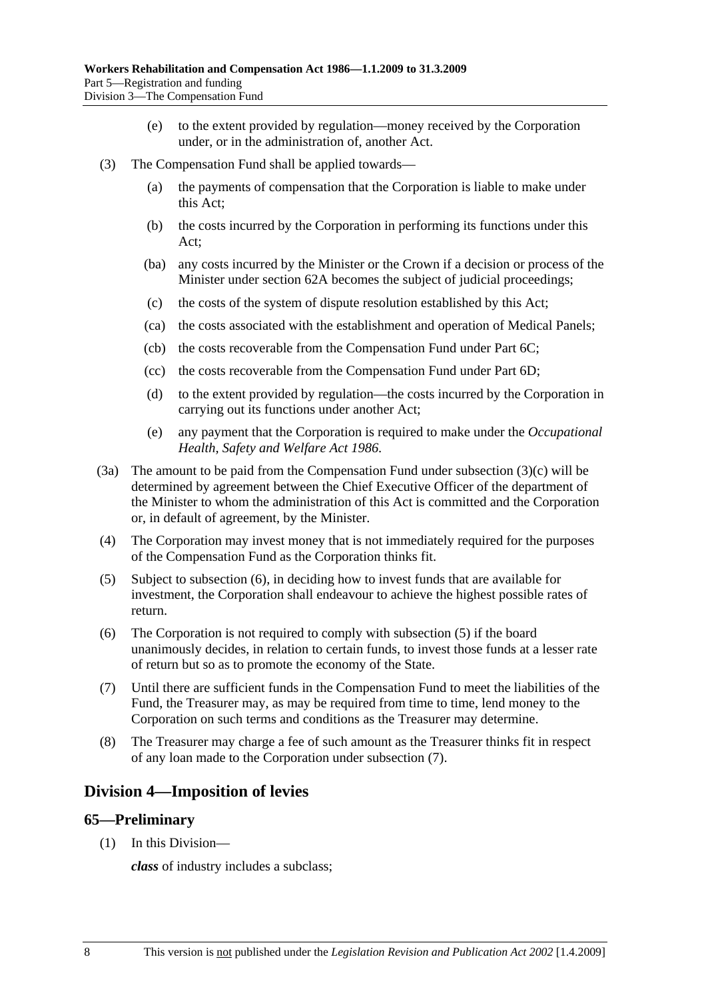- (e) to the extent provided by regulation—money received by the Corporation under, or in the administration of, another Act.
- (3) The Compensation Fund shall be applied towards—
	- (a) the payments of compensation that the Corporation is liable to make under this Act;
	- (b) the costs incurred by the Corporation in performing its functions under this Act;
	- (ba) any costs incurred by the Minister or the Crown if a decision or process of the Minister under section 62A becomes the subject of judicial proceedings;
	- (c) the costs of the system of dispute resolution established by this Act;
	- (ca) the costs associated with the establishment and operation of Medical Panels;
	- (cb) the costs recoverable from the Compensation Fund under Part 6C;
	- (cc) the costs recoverable from the Compensation Fund under Part 6D;
	- (d) to the extent provided by regulation—the costs incurred by the Corporation in carrying out its functions under another Act;
	- (e) any payment that the Corporation is required to make under the *Occupational Health, Safety and Welfare Act 1986*.
- (3a) The amount to be paid from the Compensation Fund under subsection (3)(c) will be determined by agreement between the Chief Executive Officer of the department of the Minister to whom the administration of this Act is committed and the Corporation or, in default of agreement, by the Minister.
- (4) The Corporation may invest money that is not immediately required for the purposes of the Compensation Fund as the Corporation thinks fit.
- (5) Subject to subsection (6), in deciding how to invest funds that are available for investment, the Corporation shall endeavour to achieve the highest possible rates of return.
- (6) The Corporation is not required to comply with subsection (5) if the board unanimously decides, in relation to certain funds, to invest those funds at a lesser rate of return but so as to promote the economy of the State.
- (7) Until there are sufficient funds in the Compensation Fund to meet the liabilities of the Fund, the Treasurer may, as may be required from time to time, lend money to the Corporation on such terms and conditions as the Treasurer may determine.
- (8) The Treasurer may charge a fee of such amount as the Treasurer thinks fit in respect of any loan made to the Corporation under subsection (7).

### **Division 4—Imposition of levies**

### **65—Preliminary**

(1) In this Division—

*class* of industry includes a subclass;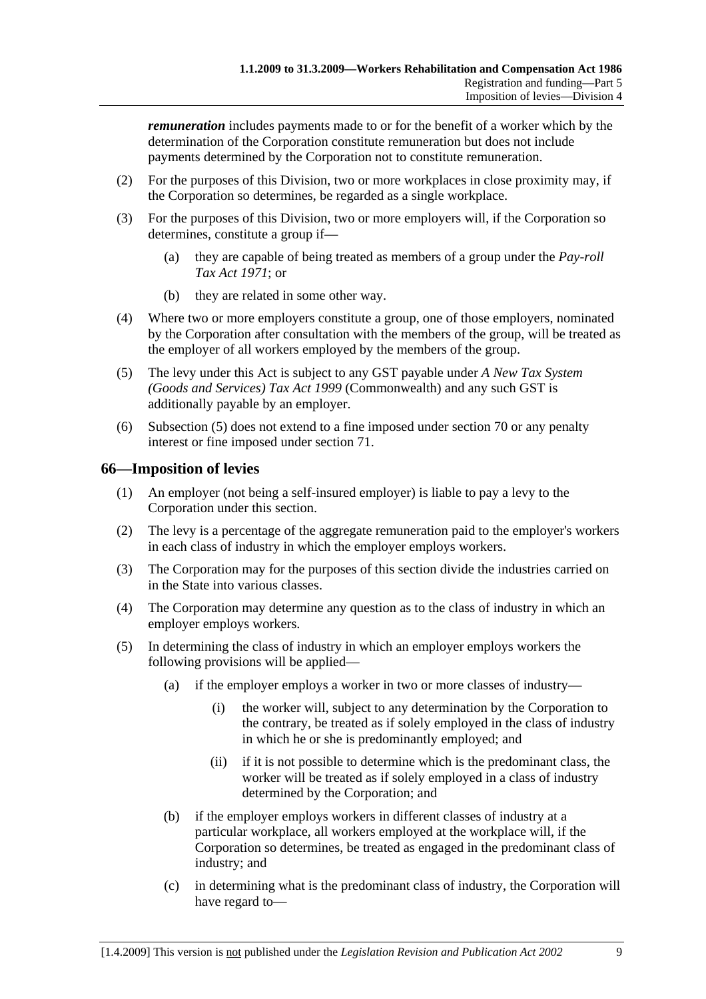*remuneration* includes payments made to or for the benefit of a worker which by the determination of the Corporation constitute remuneration but does not include payments determined by the Corporation not to constitute remuneration.

- (2) For the purposes of this Division, two or more workplaces in close proximity may, if the Corporation so determines, be regarded as a single workplace.
- (3) For the purposes of this Division, two or more employers will, if the Corporation so determines, constitute a group if—
	- (a) they are capable of being treated as members of a group under the *Pay-roll Tax Act 1971*; or
	- (b) they are related in some other way.
- (4) Where two or more employers constitute a group, one of those employers, nominated by the Corporation after consultation with the members of the group, will be treated as the employer of all workers employed by the members of the group.
- (5) The levy under this Act is subject to any GST payable under *A New Tax System (Goods and Services) Tax Act 1999* (Commonwealth) and any such GST is additionally payable by an employer.
- (6) Subsection (5) does not extend to a fine imposed under section 70 or any penalty interest or fine imposed under section 71.

### **66—Imposition of levies**

- (1) An employer (not being a self-insured employer) is liable to pay a levy to the Corporation under this section.
- (2) The levy is a percentage of the aggregate remuneration paid to the employer's workers in each class of industry in which the employer employs workers.
- (3) The Corporation may for the purposes of this section divide the industries carried on in the State into various classes.
- (4) The Corporation may determine any question as to the class of industry in which an employer employs workers.
- (5) In determining the class of industry in which an employer employs workers the following provisions will be applied—
	- (a) if the employer employs a worker in two or more classes of industry—
		- (i) the worker will, subject to any determination by the Corporation to the contrary, be treated as if solely employed in the class of industry in which he or she is predominantly employed; and
		- (ii) if it is not possible to determine which is the predominant class, the worker will be treated as if solely employed in a class of industry determined by the Corporation; and
	- (b) if the employer employs workers in different classes of industry at a particular workplace, all workers employed at the workplace will, if the Corporation so determines, be treated as engaged in the predominant class of industry; and
	- (c) in determining what is the predominant class of industry, the Corporation will have regard to—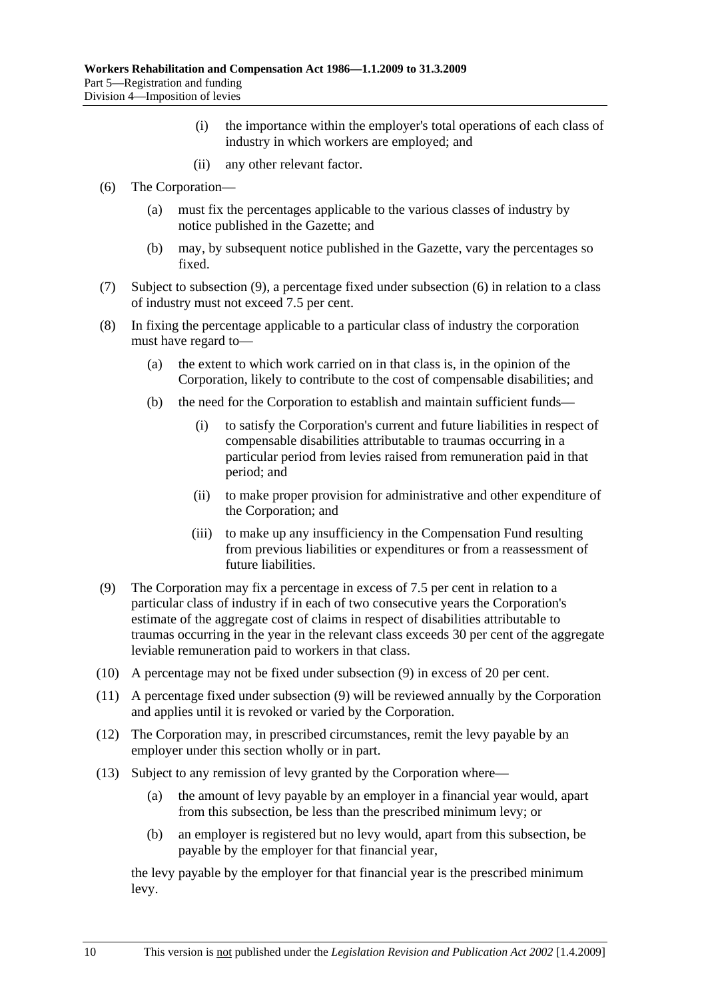- (i) the importance within the employer's total operations of each class of industry in which workers are employed; and
- (ii) any other relevant factor.
- (6) The Corporation—
	- (a) must fix the percentages applicable to the various classes of industry by notice published in the Gazette; and
	- (b) may, by subsequent notice published in the Gazette, vary the percentages so fixed.
- (7) Subject to subsection (9), a percentage fixed under subsection (6) in relation to a class of industry must not exceed 7.5 per cent.
- (8) In fixing the percentage applicable to a particular class of industry the corporation must have regard to—
	- (a) the extent to which work carried on in that class is, in the opinion of the Corporation, likely to contribute to the cost of compensable disabilities; and
	- (b) the need for the Corporation to establish and maintain sufficient funds—
		- (i) to satisfy the Corporation's current and future liabilities in respect of compensable disabilities attributable to traumas occurring in a particular period from levies raised from remuneration paid in that period; and
		- (ii) to make proper provision for administrative and other expenditure of the Corporation; and
		- (iii) to make up any insufficiency in the Compensation Fund resulting from previous liabilities or expenditures or from a reassessment of future liabilities.
- (9) The Corporation may fix a percentage in excess of 7.5 per cent in relation to a particular class of industry if in each of two consecutive years the Corporation's estimate of the aggregate cost of claims in respect of disabilities attributable to traumas occurring in the year in the relevant class exceeds 30 per cent of the aggregate leviable remuneration paid to workers in that class.
- (10) A percentage may not be fixed under subsection (9) in excess of 20 per cent.
- (11) A percentage fixed under subsection (9) will be reviewed annually by the Corporation and applies until it is revoked or varied by the Corporation.
- (12) The Corporation may, in prescribed circumstances, remit the levy payable by an employer under this section wholly or in part.
- (13) Subject to any remission of levy granted by the Corporation where—
	- (a) the amount of levy payable by an employer in a financial year would, apart from this subsection, be less than the prescribed minimum levy; or
	- (b) an employer is registered but no levy would, apart from this subsection, be payable by the employer for that financial year,

the levy payable by the employer for that financial year is the prescribed minimum levy.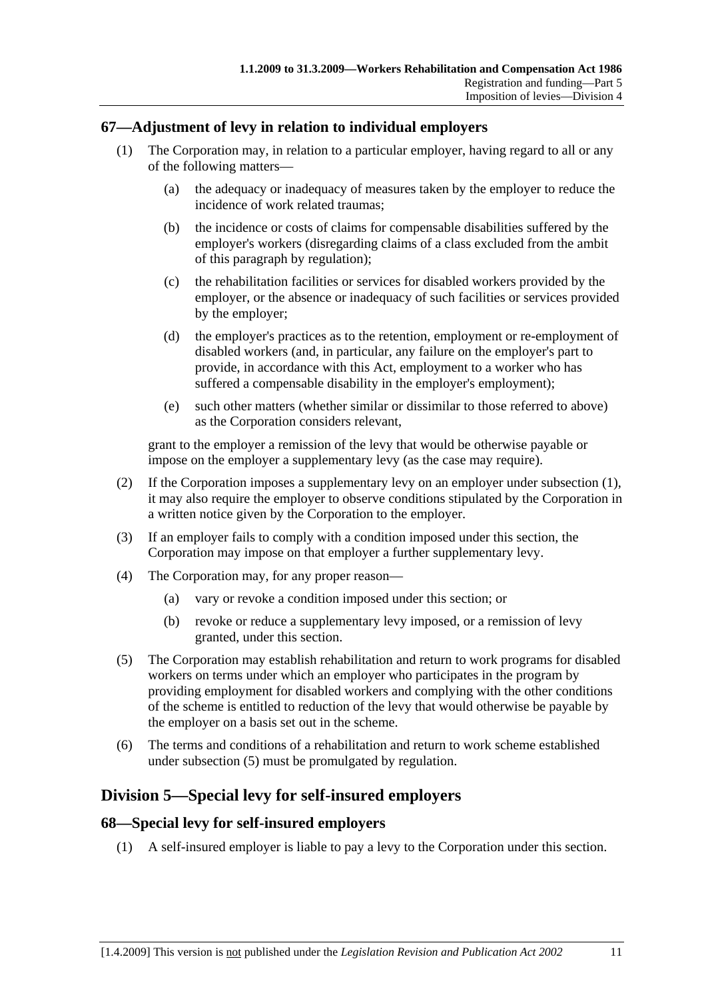### **67—Adjustment of levy in relation to individual employers**

- (1) The Corporation may, in relation to a particular employer, having regard to all or any of the following matters—
	- (a) the adequacy or inadequacy of measures taken by the employer to reduce the incidence of work related traumas;
	- (b) the incidence or costs of claims for compensable disabilities suffered by the employer's workers (disregarding claims of a class excluded from the ambit of this paragraph by regulation);
	- (c) the rehabilitation facilities or services for disabled workers provided by the employer, or the absence or inadequacy of such facilities or services provided by the employer;
	- (d) the employer's practices as to the retention, employment or re-employment of disabled workers (and, in particular, any failure on the employer's part to provide, in accordance with this Act, employment to a worker who has suffered a compensable disability in the employer's employment);
	- (e) such other matters (whether similar or dissimilar to those referred to above) as the Corporation considers relevant,

grant to the employer a remission of the levy that would be otherwise payable or impose on the employer a supplementary levy (as the case may require).

- (2) If the Corporation imposes a supplementary levy on an employer under subsection (1), it may also require the employer to observe conditions stipulated by the Corporation in a written notice given by the Corporation to the employer.
- (3) If an employer fails to comply with a condition imposed under this section, the Corporation may impose on that employer a further supplementary levy.
- (4) The Corporation may, for any proper reason—
	- (a) vary or revoke a condition imposed under this section; or
	- (b) revoke or reduce a supplementary levy imposed, or a remission of levy granted, under this section.
- (5) The Corporation may establish rehabilitation and return to work programs for disabled workers on terms under which an employer who participates in the program by providing employment for disabled workers and complying with the other conditions of the scheme is entitled to reduction of the levy that would otherwise be payable by the employer on a basis set out in the scheme.
- (6) The terms and conditions of a rehabilitation and return to work scheme established under subsection (5) must be promulgated by regulation.

### **Division 5—Special levy for self-insured employers**

### **68—Special levy for self-insured employers**

(1) A self-insured employer is liable to pay a levy to the Corporation under this section.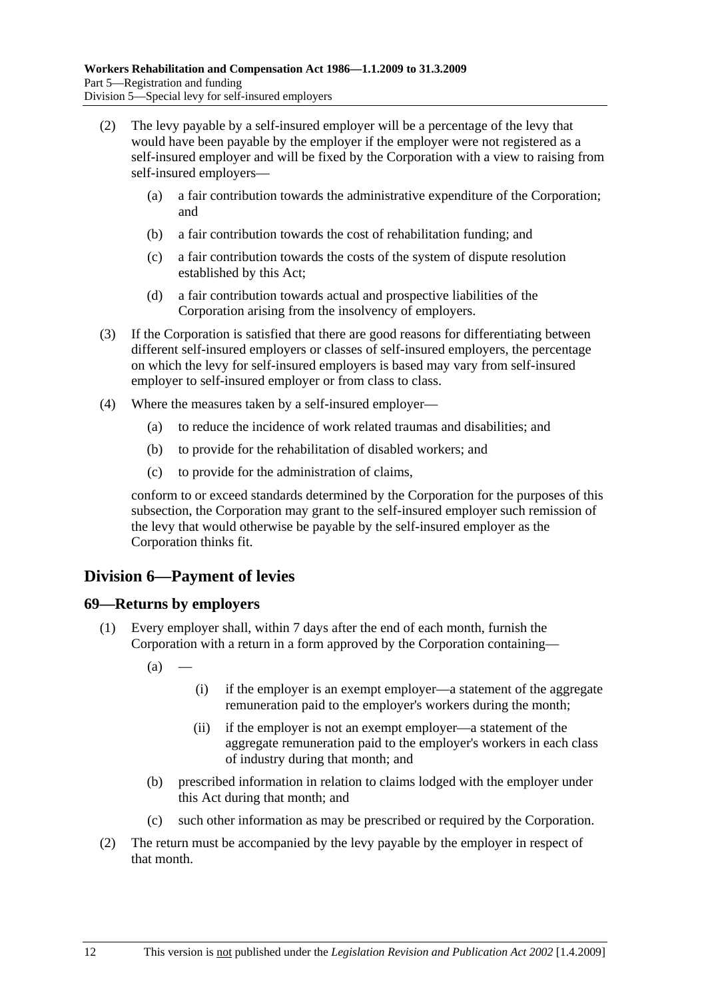- (2) The levy payable by a self-insured employer will be a percentage of the levy that would have been payable by the employer if the employer were not registered as a self-insured employer and will be fixed by the Corporation with a view to raising from self-insured employers—
	- (a) a fair contribution towards the administrative expenditure of the Corporation; and
	- (b) a fair contribution towards the cost of rehabilitation funding; and
	- (c) a fair contribution towards the costs of the system of dispute resolution established by this Act;
	- (d) a fair contribution towards actual and prospective liabilities of the Corporation arising from the insolvency of employers.
- (3) If the Corporation is satisfied that there are good reasons for differentiating between different self-insured employers or classes of self-insured employers, the percentage on which the levy for self-insured employers is based may vary from self-insured employer to self-insured employer or from class to class.
- (4) Where the measures taken by a self-insured employer—
	- (a) to reduce the incidence of work related traumas and disabilities; and
	- (b) to provide for the rehabilitation of disabled workers; and
	- (c) to provide for the administration of claims,

conform to or exceed standards determined by the Corporation for the purposes of this subsection, the Corporation may grant to the self-insured employer such remission of the levy that would otherwise be payable by the self-insured employer as the Corporation thinks fit.

# **Division 6—Payment of levies**

### **69—Returns by employers**

- (1) Every employer shall, within 7 days after the end of each month, furnish the Corporation with a return in a form approved by the Corporation containing—
	- $(a)$
- (i) if the employer is an exempt employer—a statement of the aggregate remuneration paid to the employer's workers during the month;
- (ii) if the employer is not an exempt employer—a statement of the aggregate remuneration paid to the employer's workers in each class of industry during that month; and
- (b) prescribed information in relation to claims lodged with the employer under this Act during that month; and
- (c) such other information as may be prescribed or required by the Corporation.
- (2) The return must be accompanied by the levy payable by the employer in respect of that month.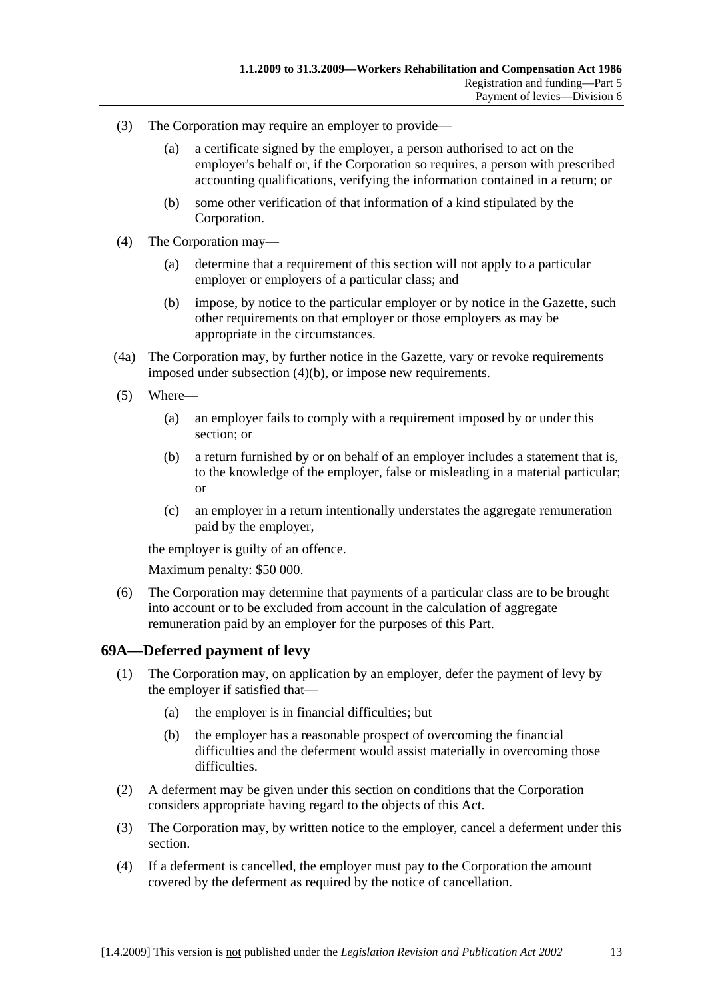- (3) The Corporation may require an employer to provide—
	- (a) a certificate signed by the employer, a person authorised to act on the employer's behalf or, if the Corporation so requires, a person with prescribed accounting qualifications, verifying the information contained in a return; or
	- (b) some other verification of that information of a kind stipulated by the Corporation.
- (4) The Corporation may—
	- (a) determine that a requirement of this section will not apply to a particular employer or employers of a particular class; and
	- (b) impose, by notice to the particular employer or by notice in the Gazette, such other requirements on that employer or those employers as may be appropriate in the circumstances.
- (4a) The Corporation may, by further notice in the Gazette, vary or revoke requirements imposed under subsection (4)(b), or impose new requirements.
- (5) Where—
	- (a) an employer fails to comply with a requirement imposed by or under this section; or
	- (b) a return furnished by or on behalf of an employer includes a statement that is, to the knowledge of the employer, false or misleading in a material particular; or
	- (c) an employer in a return intentionally understates the aggregate remuneration paid by the employer,

the employer is guilty of an offence.

Maximum penalty: \$50 000.

 (6) The Corporation may determine that payments of a particular class are to be brought into account or to be excluded from account in the calculation of aggregate remuneration paid by an employer for the purposes of this Part.

#### **69A—Deferred payment of levy**

- (1) The Corporation may, on application by an employer, defer the payment of levy by the employer if satisfied that—
	- (a) the employer is in financial difficulties; but
	- (b) the employer has a reasonable prospect of overcoming the financial difficulties and the deferment would assist materially in overcoming those difficulties.
- (2) A deferment may be given under this section on conditions that the Corporation considers appropriate having regard to the objects of this Act.
- (3) The Corporation may, by written notice to the employer, cancel a deferment under this section.
- (4) If a deferment is cancelled, the employer must pay to the Corporation the amount covered by the deferment as required by the notice of cancellation.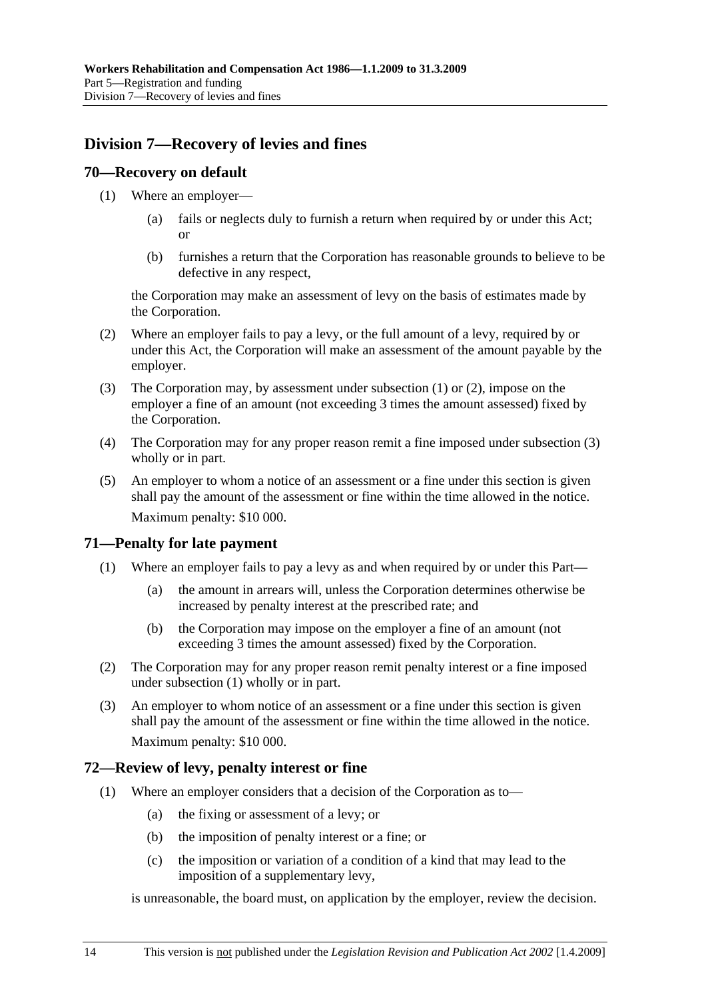# **Division 7—Recovery of levies and fines**

#### **70—Recovery on default**

- (1) Where an employer—
	- (a) fails or neglects duly to furnish a return when required by or under this Act; or
	- (b) furnishes a return that the Corporation has reasonable grounds to believe to be defective in any respect,

the Corporation may make an assessment of levy on the basis of estimates made by the Corporation.

- (2) Where an employer fails to pay a levy, or the full amount of a levy, required by or under this Act, the Corporation will make an assessment of the amount payable by the employer.
- (3) The Corporation may, by assessment under subsection (1) or (2), impose on the employer a fine of an amount (not exceeding 3 times the amount assessed) fixed by the Corporation.
- (4) The Corporation may for any proper reason remit a fine imposed under subsection (3) wholly or in part.
- (5) An employer to whom a notice of an assessment or a fine under this section is given shall pay the amount of the assessment or fine within the time allowed in the notice. Maximum penalty: \$10 000.

### **71—Penalty for late payment**

- (1) Where an employer fails to pay a levy as and when required by or under this Part—
	- (a) the amount in arrears will, unless the Corporation determines otherwise be increased by penalty interest at the prescribed rate; and
	- (b) the Corporation may impose on the employer a fine of an amount (not exceeding 3 times the amount assessed) fixed by the Corporation.
- (2) The Corporation may for any proper reason remit penalty interest or a fine imposed under subsection (1) wholly or in part.
- (3) An employer to whom notice of an assessment or a fine under this section is given shall pay the amount of the assessment or fine within the time allowed in the notice. Maximum penalty: \$10 000.

### **72—Review of levy, penalty interest or fine**

- (1) Where an employer considers that a decision of the Corporation as to—
	- (a) the fixing or assessment of a levy; or
	- (b) the imposition of penalty interest or a fine; or
	- (c) the imposition or variation of a condition of a kind that may lead to the imposition of a supplementary levy,

is unreasonable, the board must, on application by the employer, review the decision.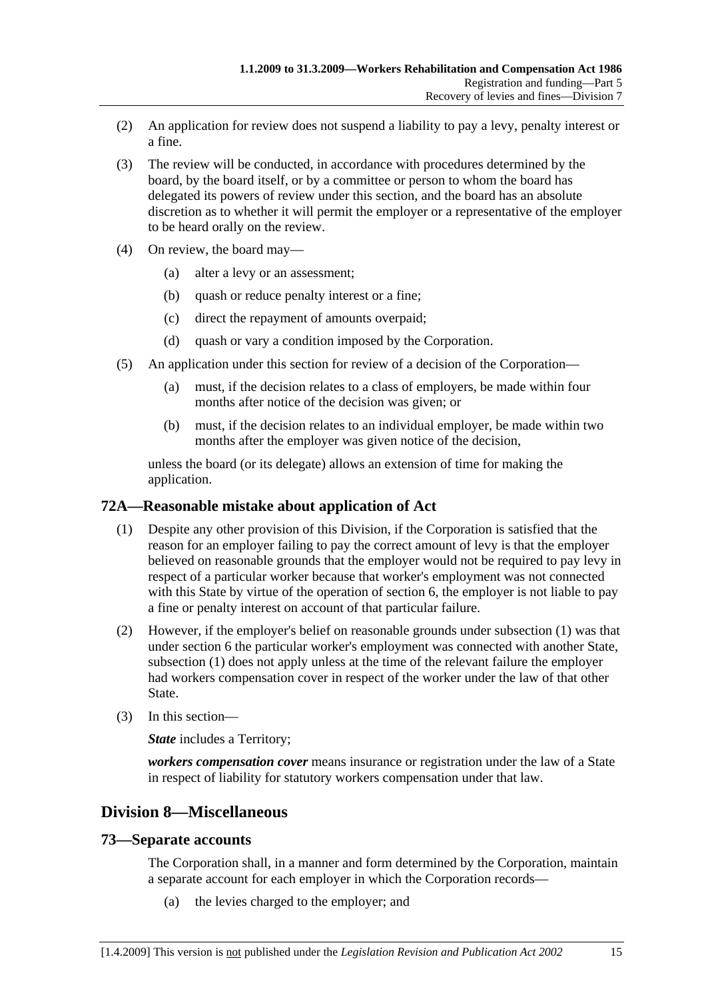- (2) An application for review does not suspend a liability to pay a levy, penalty interest or a fine.
- (3) The review will be conducted, in accordance with procedures determined by the board, by the board itself, or by a committee or person to whom the board has delegated its powers of review under this section, and the board has an absolute discretion as to whether it will permit the employer or a representative of the employer to be heard orally on the review.
- (4) On review, the board may—
	- (a) alter a levy or an assessment;
	- (b) quash or reduce penalty interest or a fine;
	- (c) direct the repayment of amounts overpaid;
	- (d) quash or vary a condition imposed by the Corporation.
- (5) An application under this section for review of a decision of the Corporation—
	- (a) must, if the decision relates to a class of employers, be made within four months after notice of the decision was given; or
	- (b) must, if the decision relates to an individual employer, be made within two months after the employer was given notice of the decision,

unless the board (or its delegate) allows an extension of time for making the application.

### **72A—Reasonable mistake about application of Act**

- (1) Despite any other provision of this Division, if the Corporation is satisfied that the reason for an employer failing to pay the correct amount of levy is that the employer believed on reasonable grounds that the employer would not be required to pay levy in respect of a particular worker because that worker's employment was not connected with this State by virtue of the operation of section 6, the employer is not liable to pay a fine or penalty interest on account of that particular failure.
- (2) However, if the employer's belief on reasonable grounds under subsection (1) was that under section 6 the particular worker's employment was connected with another State, subsection (1) does not apply unless at the time of the relevant failure the employer had workers compensation cover in respect of the worker under the law of that other State.
- (3) In this section—

*State* includes a Territory;

*workers compensation cover* means insurance or registration under the law of a State in respect of liability for statutory workers compensation under that law.

# **Division 8—Miscellaneous**

### **73—Separate accounts**

The Corporation shall, in a manner and form determined by the Corporation, maintain a separate account for each employer in which the Corporation records—

(a) the levies charged to the employer; and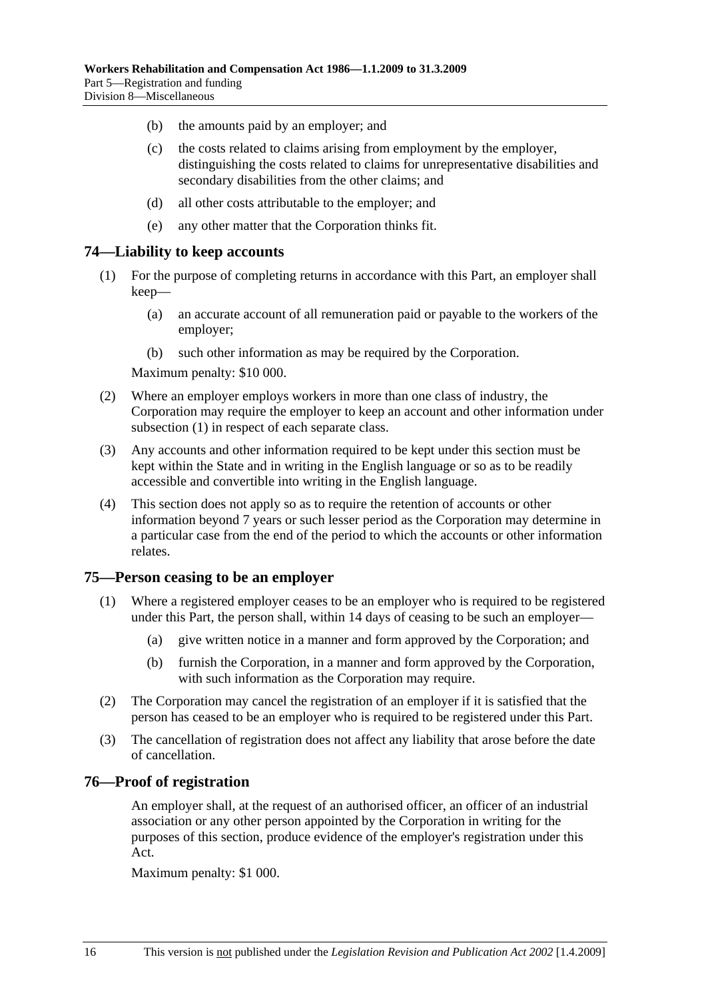- (b) the amounts paid by an employer; and
- (c) the costs related to claims arising from employment by the employer, distinguishing the costs related to claims for unrepresentative disabilities and secondary disabilities from the other claims; and
- (d) all other costs attributable to the employer; and
- (e) any other matter that the Corporation thinks fit.

#### **74—Liability to keep accounts**

- (1) For the purpose of completing returns in accordance with this Part, an employer shall keep—
	- (a) an accurate account of all remuneration paid or payable to the workers of the employer;
	- (b) such other information as may be required by the Corporation.

Maximum penalty: \$10 000.

- (2) Where an employer employs workers in more than one class of industry, the Corporation may require the employer to keep an account and other information under subsection (1) in respect of each separate class.
- (3) Any accounts and other information required to be kept under this section must be kept within the State and in writing in the English language or so as to be readily accessible and convertible into writing in the English language.
- (4) This section does not apply so as to require the retention of accounts or other information beyond 7 years or such lesser period as the Corporation may determine in a particular case from the end of the period to which the accounts or other information relates.

#### **75—Person ceasing to be an employer**

- (1) Where a registered employer ceases to be an employer who is required to be registered under this Part, the person shall, within 14 days of ceasing to be such an employer—
	- (a) give written notice in a manner and form approved by the Corporation; and
	- (b) furnish the Corporation, in a manner and form approved by the Corporation, with such information as the Corporation may require.
- (2) The Corporation may cancel the registration of an employer if it is satisfied that the person has ceased to be an employer who is required to be registered under this Part.
- (3) The cancellation of registration does not affect any liability that arose before the date of cancellation.

#### **76—Proof of registration**

An employer shall, at the request of an authorised officer, an officer of an industrial association or any other person appointed by the Corporation in writing for the purposes of this section, produce evidence of the employer's registration under this Act.

Maximum penalty: \$1 000.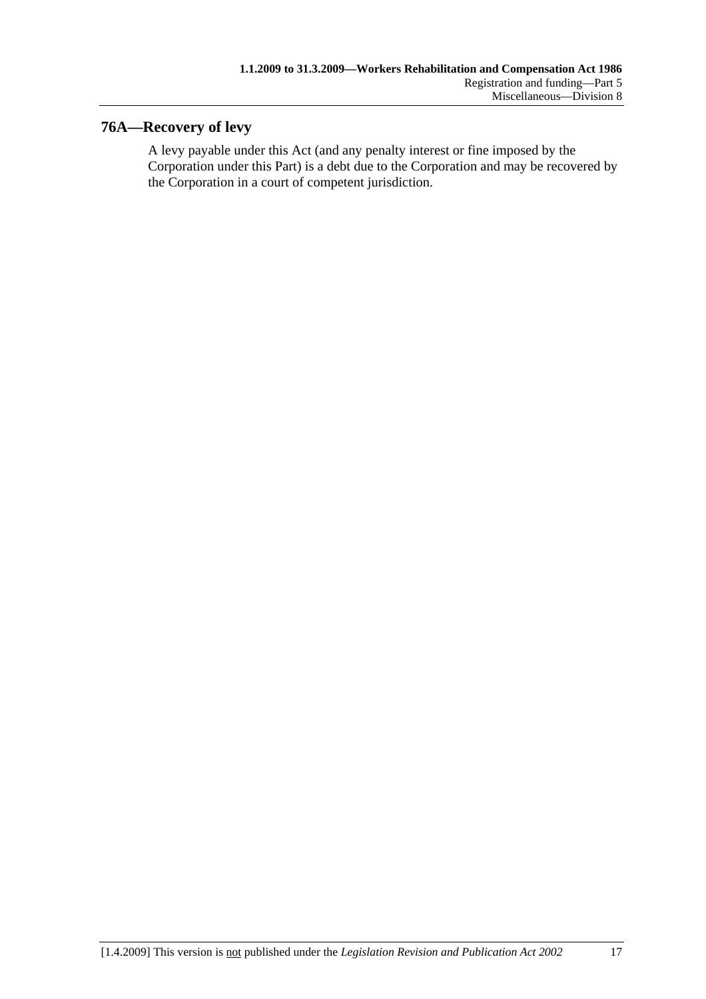# **76A—Recovery of levy**

A levy payable under this Act (and any penalty interest or fine imposed by the Corporation under this Part) is a debt due to the Corporation and may be recovered by the Corporation in a court of competent jurisdiction.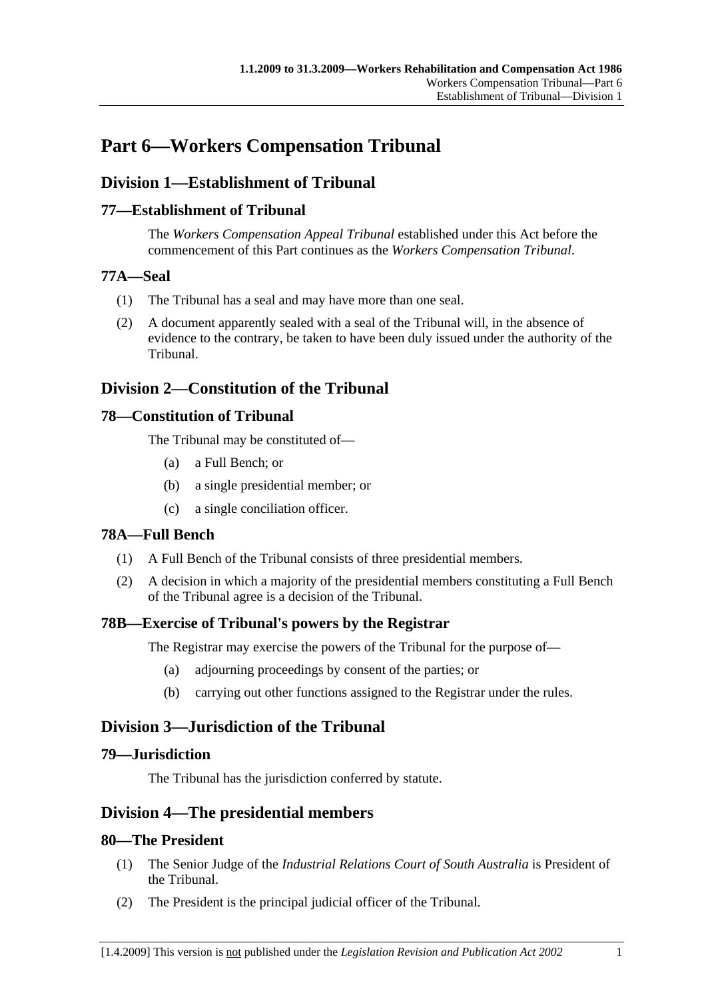# **Part 6—Workers Compensation Tribunal**

# **Division 1—Establishment of Tribunal**

### **77—Establishment of Tribunal**

The *Workers Compensation Appeal Tribunal* established under this Act before the commencement of this Part continues as the *Workers Compensation Tribunal*.

### **77A—Seal**

- (1) The Tribunal has a seal and may have more than one seal.
- (2) A document apparently sealed with a seal of the Tribunal will, in the absence of evidence to the contrary, be taken to have been duly issued under the authority of the Tribunal.

# **Division 2—Constitution of the Tribunal**

### **78—Constitution of Tribunal**

The Tribunal may be constituted of—

- (a) a Full Bench; or
- (b) a single presidential member; or
- (c) a single conciliation officer.

### **78A—Full Bench**

- (1) A Full Bench of the Tribunal consists of three presidential members.
- (2) A decision in which a majority of the presidential members constituting a Full Bench of the Tribunal agree is a decision of the Tribunal.

### **78B—Exercise of Tribunal's powers by the Registrar**

The Registrar may exercise the powers of the Tribunal for the purpose of—

- (a) adjourning proceedings by consent of the parties; or
- (b) carrying out other functions assigned to the Registrar under the rules.

# **Division 3—Jurisdiction of the Tribunal**

### **79—Jurisdiction**

The Tribunal has the jurisdiction conferred by statute.

### **Division 4—The presidential members**

### **80—The President**

- (1) The Senior Judge of the *Industrial Relations Court of South Australia* is President of the Tribunal.
- (2) The President is the principal judicial officer of the Tribunal.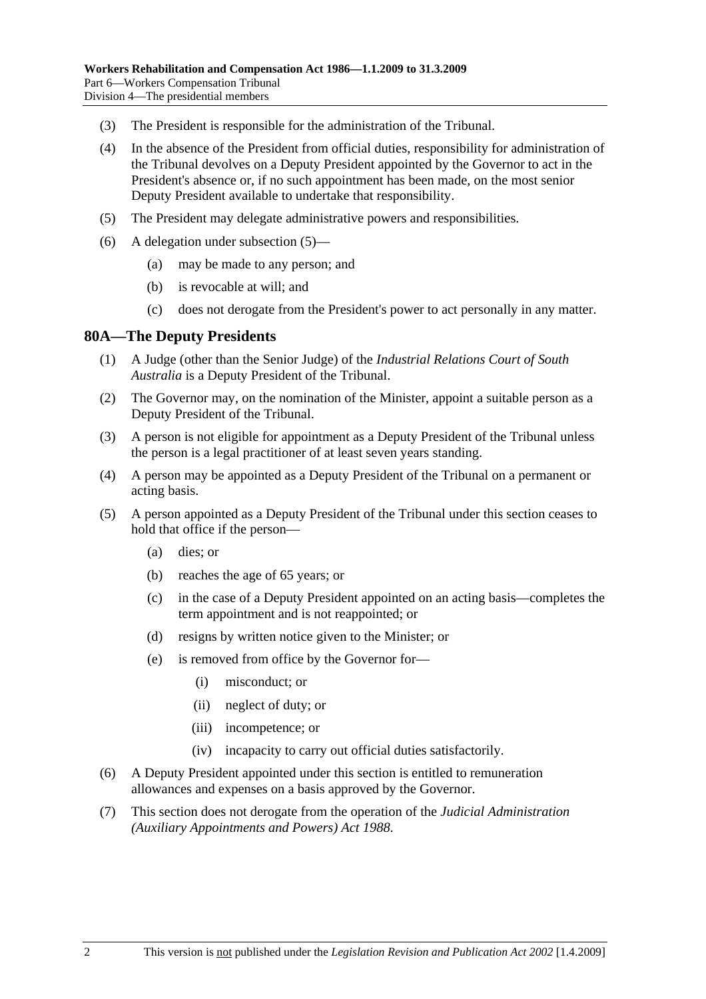- (3) The President is responsible for the administration of the Tribunal.
- (4) In the absence of the President from official duties, responsibility for administration of the Tribunal devolves on a Deputy President appointed by the Governor to act in the President's absence or, if no such appointment has been made, on the most senior Deputy President available to undertake that responsibility.
- (5) The President may delegate administrative powers and responsibilities.
- (6) A delegation under subsection (5)—
	- (a) may be made to any person; and
	- (b) is revocable at will; and
	- (c) does not derogate from the President's power to act personally in any matter.

#### **80A—The Deputy Presidents**

- (1) A Judge (other than the Senior Judge) of the *Industrial Relations Court of South Australia* is a Deputy President of the Tribunal.
- (2) The Governor may, on the nomination of the Minister, appoint a suitable person as a Deputy President of the Tribunal.
- (3) A person is not eligible for appointment as a Deputy President of the Tribunal unless the person is a legal practitioner of at least seven years standing.
- (4) A person may be appointed as a Deputy President of the Tribunal on a permanent or acting basis.
- (5) A person appointed as a Deputy President of the Tribunal under this section ceases to hold that office if the person—
	- (a) dies; or
	- (b) reaches the age of 65 years; or
	- (c) in the case of a Deputy President appointed on an acting basis—completes the term appointment and is not reappointed; or
	- (d) resigns by written notice given to the Minister; or
	- (e) is removed from office by the Governor for—
		- (i) misconduct; or
		- (ii) neglect of duty; or
		- (iii) incompetence; or
		- (iv) incapacity to carry out official duties satisfactorily.
- (6) A Deputy President appointed under this section is entitled to remuneration allowances and expenses on a basis approved by the Governor.
- (7) This section does not derogate from the operation of the *Judicial Administration (Auxiliary Appointments and Powers) Act 1988*.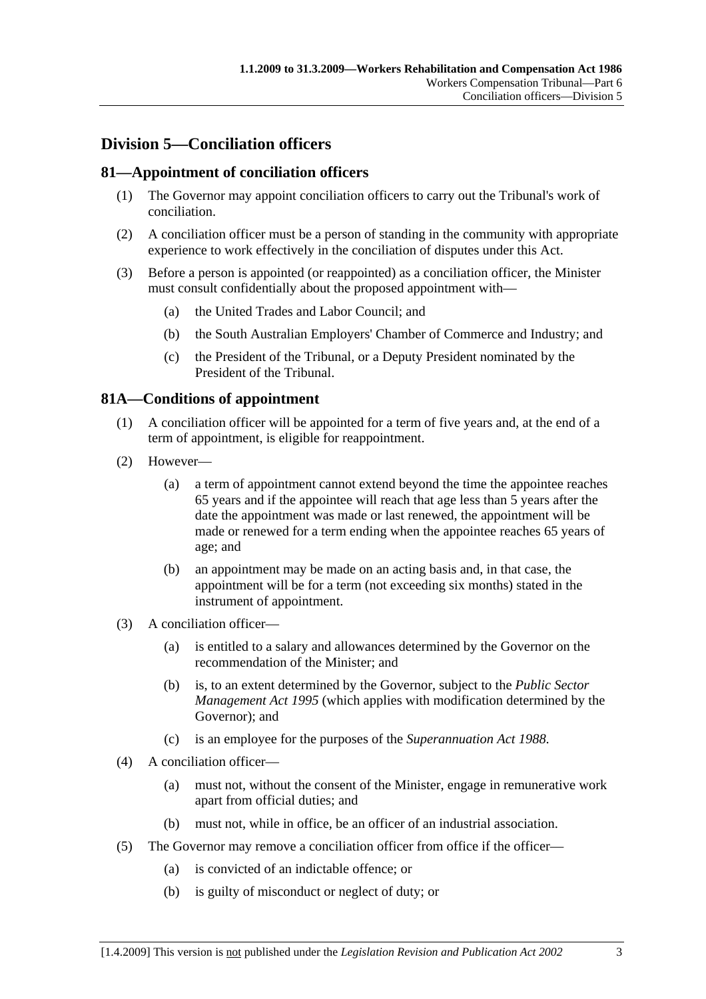# **Division 5—Conciliation officers**

### **81—Appointment of conciliation officers**

- (1) The Governor may appoint conciliation officers to carry out the Tribunal's work of conciliation.
- (2) A conciliation officer must be a person of standing in the community with appropriate experience to work effectively in the conciliation of disputes under this Act.
- (3) Before a person is appointed (or reappointed) as a conciliation officer, the Minister must consult confidentially about the proposed appointment with—
	- (a) the United Trades and Labor Council; and
	- (b) the South Australian Employers' Chamber of Commerce and Industry; and
	- (c) the President of the Tribunal, or a Deputy President nominated by the President of the Tribunal.

### **81A—Conditions of appointment**

- (1) A conciliation officer will be appointed for a term of five years and, at the end of a term of appointment, is eligible for reappointment.
- (2) However—
	- (a) a term of appointment cannot extend beyond the time the appointee reaches 65 years and if the appointee will reach that age less than 5 years after the date the appointment was made or last renewed, the appointment will be made or renewed for a term ending when the appointee reaches 65 years of age; and
	- (b) an appointment may be made on an acting basis and, in that case, the appointment will be for a term (not exceeding six months) stated in the instrument of appointment.
- (3) A conciliation officer—
	- (a) is entitled to a salary and allowances determined by the Governor on the recommendation of the Minister; and
	- (b) is, to an extent determined by the Governor, subject to the *Public Sector Management Act 1995* (which applies with modification determined by the Governor); and
	- (c) is an employee for the purposes of the *Superannuation Act 1988*.
- (4) A conciliation officer—
	- (a) must not, without the consent of the Minister, engage in remunerative work apart from official duties; and
	- (b) must not, while in office, be an officer of an industrial association.
- (5) The Governor may remove a conciliation officer from office if the officer—
	- (a) is convicted of an indictable offence; or
	- (b) is guilty of misconduct or neglect of duty; or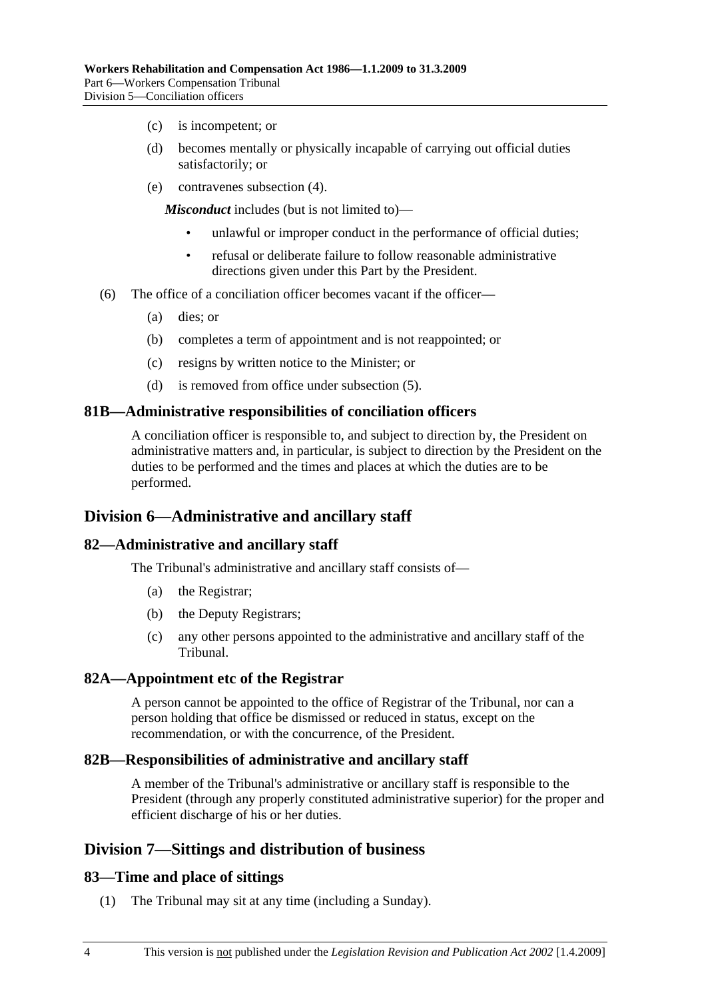- (c) is incompetent; or
- (d) becomes mentally or physically incapable of carrying out official duties satisfactorily; or
- (e) contravenes subsection (4).

*Misconduct* includes (but is not limited to)—

- unlawful or improper conduct in the performance of official duties;
- refusal or deliberate failure to follow reasonable administrative directions given under this Part by the President.
- (6) The office of a conciliation officer becomes vacant if the officer—
	- (a) dies; or
	- (b) completes a term of appointment and is not reappointed; or
	- (c) resigns by written notice to the Minister; or
	- (d) is removed from office under subsection (5).

#### **81B—Administrative responsibilities of conciliation officers**

A conciliation officer is responsible to, and subject to direction by, the President on administrative matters and, in particular, is subject to direction by the President on the duties to be performed and the times and places at which the duties are to be performed.

### **Division 6—Administrative and ancillary staff**

#### **82—Administrative and ancillary staff**

The Tribunal's administrative and ancillary staff consists of—

- (a) the Registrar;
- (b) the Deputy Registrars;
- (c) any other persons appointed to the administrative and ancillary staff of the Tribunal.

#### **82A—Appointment etc of the Registrar**

A person cannot be appointed to the office of Registrar of the Tribunal, nor can a person holding that office be dismissed or reduced in status, except on the recommendation, or with the concurrence, of the President.

#### **82B—Responsibilities of administrative and ancillary staff**

A member of the Tribunal's administrative or ancillary staff is responsible to the President (through any properly constituted administrative superior) for the proper and efficient discharge of his or her duties.

### **Division 7—Sittings and distribution of business**

#### **83—Time and place of sittings**

(1) The Tribunal may sit at any time (including a Sunday).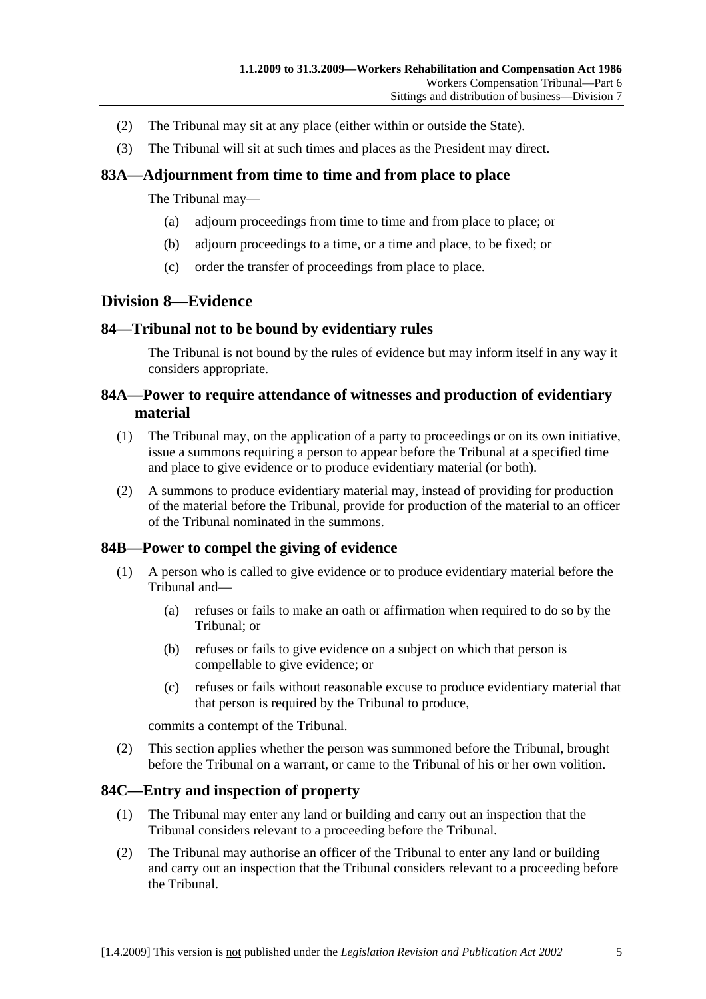- (2) The Tribunal may sit at any place (either within or outside the State).
- (3) The Tribunal will sit at such times and places as the President may direct.

### **83A—Adjournment from time to time and from place to place**

The Tribunal may—

- (a) adjourn proceedings from time to time and from place to place; or
- (b) adjourn proceedings to a time, or a time and place, to be fixed; or
- (c) order the transfer of proceedings from place to place.

### **Division 8—Evidence**

### **84—Tribunal not to be bound by evidentiary rules**

The Tribunal is not bound by the rules of evidence but may inform itself in any way it considers appropriate.

### **84A—Power to require attendance of witnesses and production of evidentiary material**

- (1) The Tribunal may, on the application of a party to proceedings or on its own initiative, issue a summons requiring a person to appear before the Tribunal at a specified time and place to give evidence or to produce evidentiary material (or both).
- (2) A summons to produce evidentiary material may, instead of providing for production of the material before the Tribunal, provide for production of the material to an officer of the Tribunal nominated in the summons.

### **84B—Power to compel the giving of evidence**

- (1) A person who is called to give evidence or to produce evidentiary material before the Tribunal and—
	- (a) refuses or fails to make an oath or affirmation when required to do so by the Tribunal; or
	- (b) refuses or fails to give evidence on a subject on which that person is compellable to give evidence; or
	- (c) refuses or fails without reasonable excuse to produce evidentiary material that that person is required by the Tribunal to produce,

commits a contempt of the Tribunal.

 (2) This section applies whether the person was summoned before the Tribunal, brought before the Tribunal on a warrant, or came to the Tribunal of his or her own volition.

### **84C—Entry and inspection of property**

- (1) The Tribunal may enter any land or building and carry out an inspection that the Tribunal considers relevant to a proceeding before the Tribunal.
- (2) The Tribunal may authorise an officer of the Tribunal to enter any land or building and carry out an inspection that the Tribunal considers relevant to a proceeding before the Tribunal.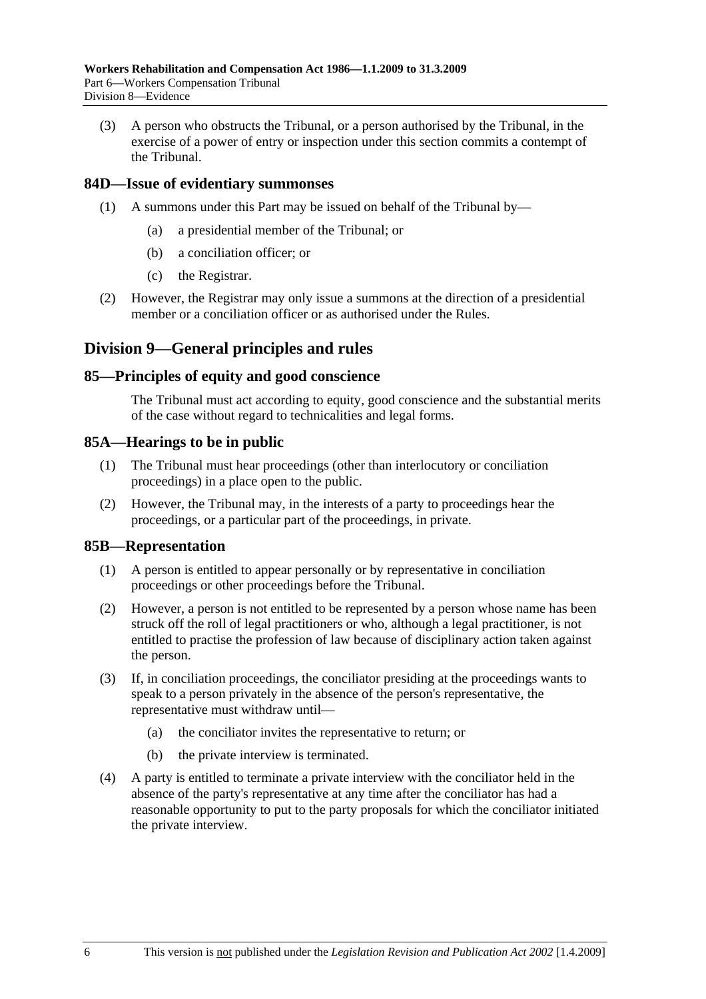(3) A person who obstructs the Tribunal, or a person authorised by the Tribunal, in the exercise of a power of entry or inspection under this section commits a contempt of the Tribunal.

#### **84D—Issue of evidentiary summonses**

- (1) A summons under this Part may be issued on behalf of the Tribunal by—
	- (a) a presidential member of the Tribunal; or
	- (b) a conciliation officer; or
	- (c) the Registrar.
- (2) However, the Registrar may only issue a summons at the direction of a presidential member or a conciliation officer or as authorised under the Rules.

### **Division 9—General principles and rules**

#### **85—Principles of equity and good conscience**

The Tribunal must act according to equity, good conscience and the substantial merits of the case without regard to technicalities and legal forms.

#### **85A—Hearings to be in public**

- (1) The Tribunal must hear proceedings (other than interlocutory or conciliation proceedings) in a place open to the public.
- (2) However, the Tribunal may, in the interests of a party to proceedings hear the proceedings, or a particular part of the proceedings, in private.

#### **85B—Representation**

- (1) A person is entitled to appear personally or by representative in conciliation proceedings or other proceedings before the Tribunal.
- (2) However, a person is not entitled to be represented by a person whose name has been struck off the roll of legal practitioners or who, although a legal practitioner, is not entitled to practise the profession of law because of disciplinary action taken against the person.
- (3) If, in conciliation proceedings, the conciliator presiding at the proceedings wants to speak to a person privately in the absence of the person's representative, the representative must withdraw until—
	- (a) the conciliator invites the representative to return; or
	- (b) the private interview is terminated.
- (4) A party is entitled to terminate a private interview with the conciliator held in the absence of the party's representative at any time after the conciliator has had a reasonable opportunity to put to the party proposals for which the conciliator initiated the private interview.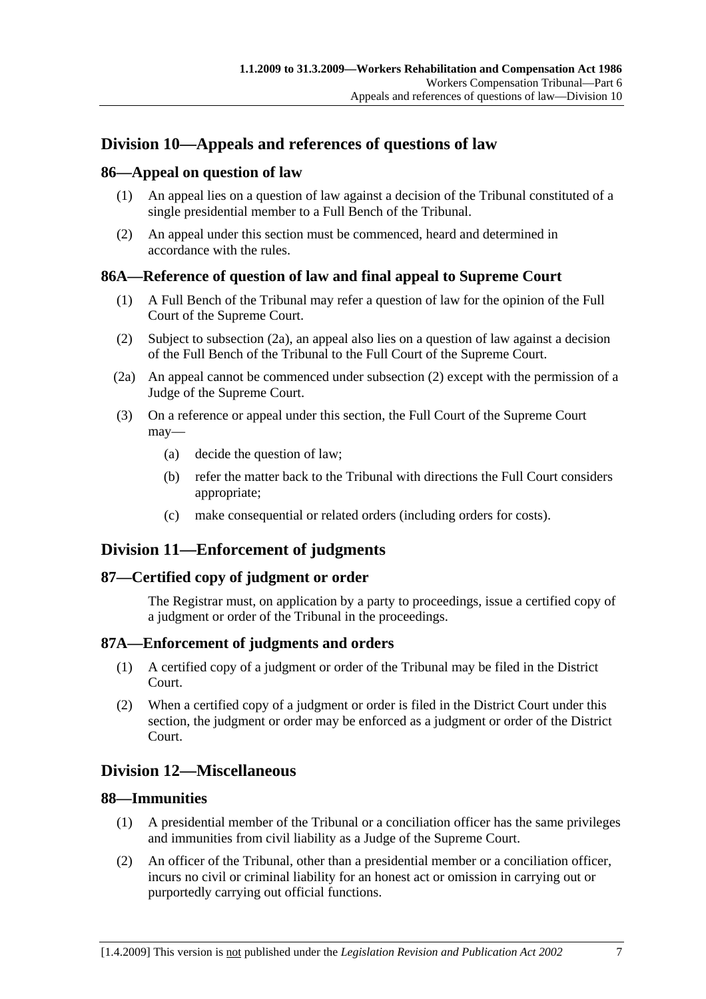# **Division 10—Appeals and references of questions of law**

### **86—Appeal on question of law**

- (1) An appeal lies on a question of law against a decision of the Tribunal constituted of a single presidential member to a Full Bench of the Tribunal.
- (2) An appeal under this section must be commenced, heard and determined in accordance with the rules.

### **86A—Reference of question of law and final appeal to Supreme Court**

- (1) A Full Bench of the Tribunal may refer a question of law for the opinion of the Full Court of the Supreme Court.
- (2) Subject to subsection (2a), an appeal also lies on a question of law against a decision of the Full Bench of the Tribunal to the Full Court of the Supreme Court.
- (2a) An appeal cannot be commenced under subsection (2) except with the permission of a Judge of the Supreme Court.
- (3) On a reference or appeal under this section, the Full Court of the Supreme Court may—
	- (a) decide the question of law;
	- (b) refer the matter back to the Tribunal with directions the Full Court considers appropriate;
	- (c) make consequential or related orders (including orders for costs).

# **Division 11—Enforcement of judgments**

### **87—Certified copy of judgment or order**

The Registrar must, on application by a party to proceedings, issue a certified copy of a judgment or order of the Tribunal in the proceedings.

### **87A—Enforcement of judgments and orders**

- (1) A certified copy of a judgment or order of the Tribunal may be filed in the District Court.
- (2) When a certified copy of a judgment or order is filed in the District Court under this section, the judgment or order may be enforced as a judgment or order of the District Court.

### **Division 12—Miscellaneous**

### **88—Immunities**

- (1) A presidential member of the Tribunal or a conciliation officer has the same privileges and immunities from civil liability as a Judge of the Supreme Court.
- (2) An officer of the Tribunal, other than a presidential member or a conciliation officer, incurs no civil or criminal liability for an honest act or omission in carrying out or purportedly carrying out official functions.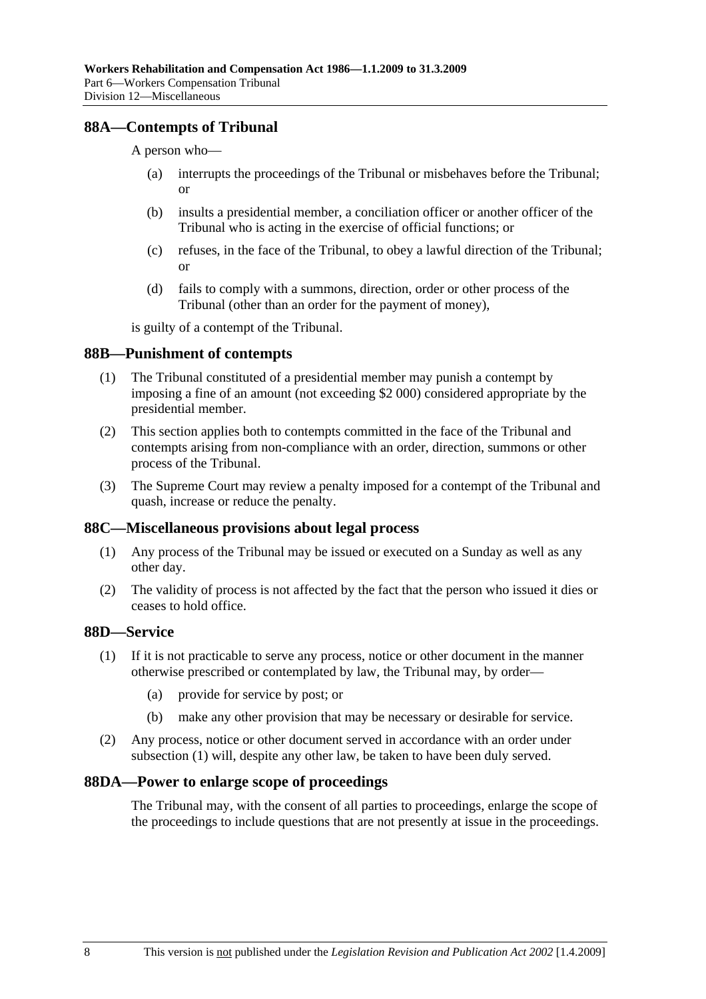### **88A—Contempts of Tribunal**

A person who—

- (a) interrupts the proceedings of the Tribunal or misbehaves before the Tribunal; or
- (b) insults a presidential member, a conciliation officer or another officer of the Tribunal who is acting in the exercise of official functions; or
- (c) refuses, in the face of the Tribunal, to obey a lawful direction of the Tribunal; or
- (d) fails to comply with a summons, direction, order or other process of the Tribunal (other than an order for the payment of money),

is guilty of a contempt of the Tribunal.

#### **88B—Punishment of contempts**

- (1) The Tribunal constituted of a presidential member may punish a contempt by imposing a fine of an amount (not exceeding \$2 000) considered appropriate by the presidential member.
- (2) This section applies both to contempts committed in the face of the Tribunal and contempts arising from non-compliance with an order, direction, summons or other process of the Tribunal.
- (3) The Supreme Court may review a penalty imposed for a contempt of the Tribunal and quash, increase or reduce the penalty.

#### **88C—Miscellaneous provisions about legal process**

- (1) Any process of the Tribunal may be issued or executed on a Sunday as well as any other day.
- (2) The validity of process is not affected by the fact that the person who issued it dies or ceases to hold office.

### **88D—Service**

- (1) If it is not practicable to serve any process, notice or other document in the manner otherwise prescribed or contemplated by law, the Tribunal may, by order—
	- (a) provide for service by post; or
	- (b) make any other provision that may be necessary or desirable for service.
- (2) Any process, notice or other document served in accordance with an order under subsection (1) will, despite any other law, be taken to have been duly served.

#### **88DA—Power to enlarge scope of proceedings**

The Tribunal may, with the consent of all parties to proceedings, enlarge the scope of the proceedings to include questions that are not presently at issue in the proceedings.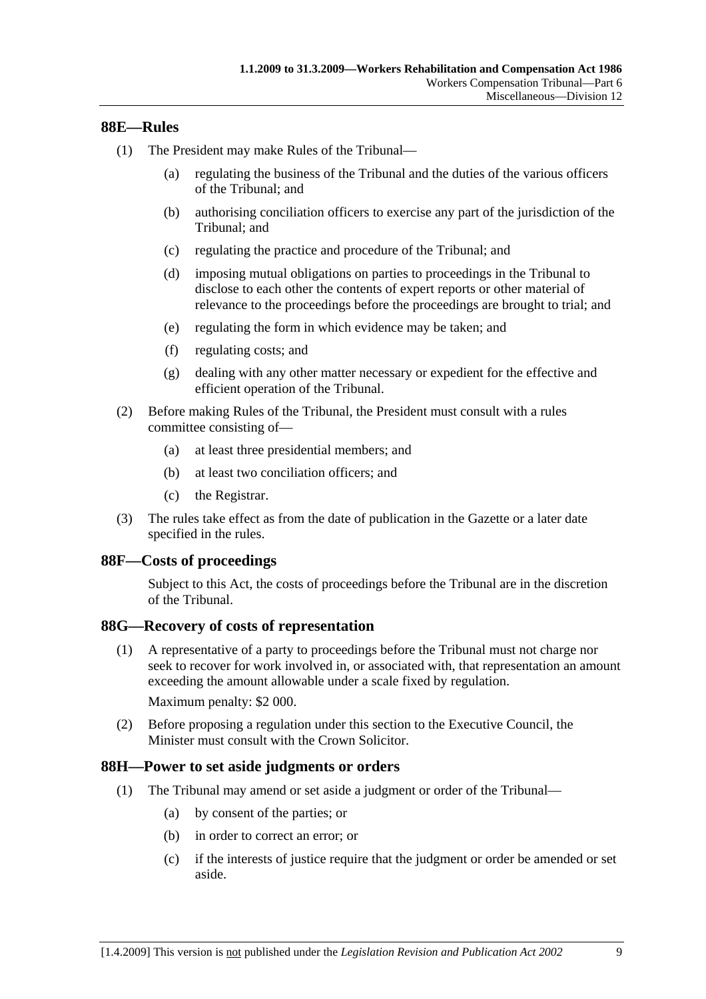## **88E—Rules**

- (1) The President may make Rules of the Tribunal—
	- (a) regulating the business of the Tribunal and the duties of the various officers of the Tribunal; and
	- (b) authorising conciliation officers to exercise any part of the jurisdiction of the Tribunal; and
	- (c) regulating the practice and procedure of the Tribunal; and
	- (d) imposing mutual obligations on parties to proceedings in the Tribunal to disclose to each other the contents of expert reports or other material of relevance to the proceedings before the proceedings are brought to trial; and
	- (e) regulating the form in which evidence may be taken; and
	- (f) regulating costs; and
	- (g) dealing with any other matter necessary or expedient for the effective and efficient operation of the Tribunal.
- (2) Before making Rules of the Tribunal, the President must consult with a rules committee consisting of—
	- (a) at least three presidential members; and
	- (b) at least two conciliation officers; and
	- (c) the Registrar.
- (3) The rules take effect as from the date of publication in the Gazette or a later date specified in the rules.

### **88F—Costs of proceedings**

Subject to this Act, the costs of proceedings before the Tribunal are in the discretion of the Tribunal.

### **88G—Recovery of costs of representation**

 (1) A representative of a party to proceedings before the Tribunal must not charge nor seek to recover for work involved in, or associated with, that representation an amount exceeding the amount allowable under a scale fixed by regulation.

Maximum penalty: \$2 000.

 (2) Before proposing a regulation under this section to the Executive Council, the Minister must consult with the Crown Solicitor.

### **88H—Power to set aside judgments or orders**

- (1) The Tribunal may amend or set aside a judgment or order of the Tribunal—
	- (a) by consent of the parties; or
	- (b) in order to correct an error; or
	- (c) if the interests of justice require that the judgment or order be amended or set aside.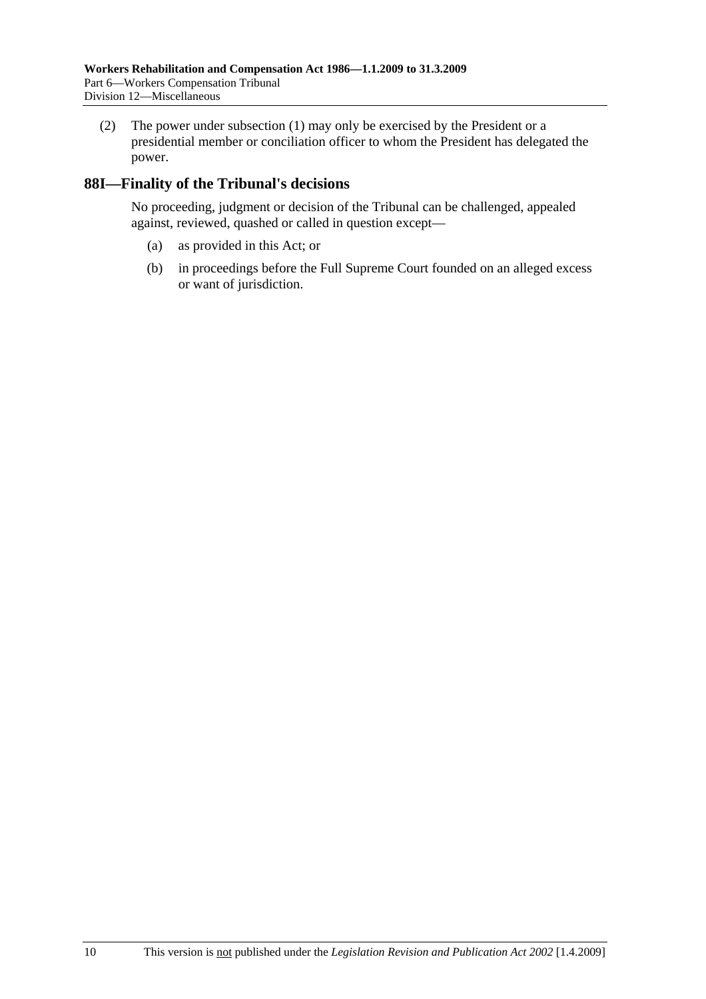(2) The power under subsection (1) may only be exercised by the President or a presidential member or conciliation officer to whom the President has delegated the power.

## **88I—Finality of the Tribunal's decisions**

No proceeding, judgment or decision of the Tribunal can be challenged, appealed against, reviewed, quashed or called in question except—

- (a) as provided in this Act; or
- (b) in proceedings before the Full Supreme Court founded on an alleged excess or want of jurisdiction.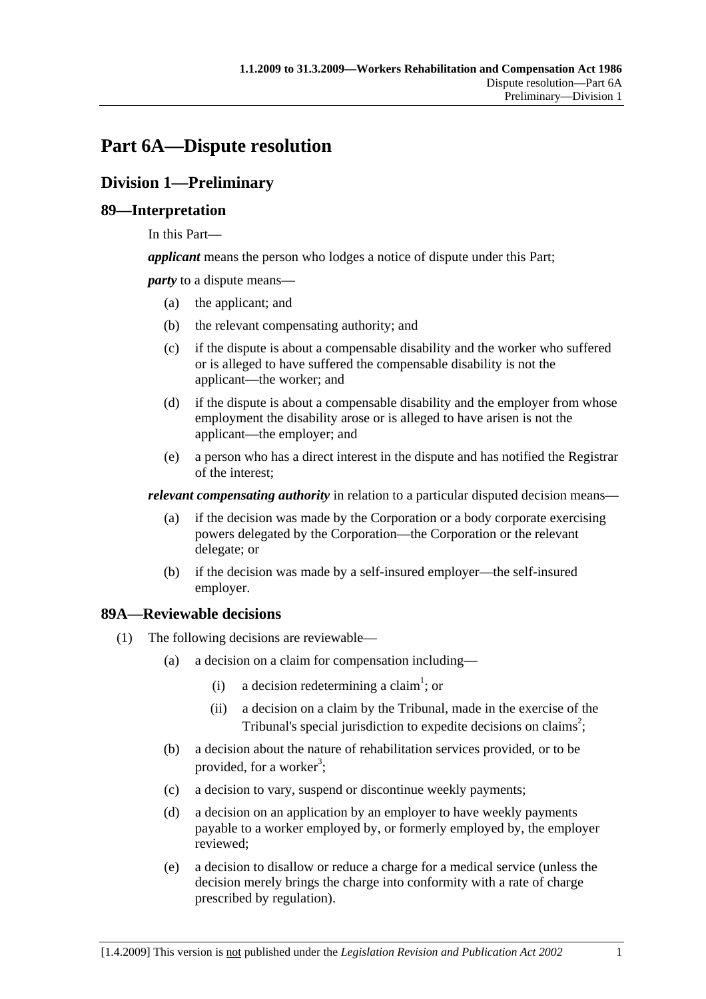# **Part 6A—Dispute resolution**

# **Division 1—Preliminary**

## **89—Interpretation**

In this Part—

*applicant* means the person who lodges a notice of dispute under this Part;

*party* to a dispute means—

- (a) the applicant; and
- (b) the relevant compensating authority; and
- (c) if the dispute is about a compensable disability and the worker who suffered or is alleged to have suffered the compensable disability is not the applicant—the worker; and
- (d) if the dispute is about a compensable disability and the employer from whose employment the disability arose or is alleged to have arisen is not the applicant—the employer; and
- (e) a person who has a direct interest in the dispute and has notified the Registrar of the interest;

*relevant compensating authority* in relation to a particular disputed decision means—

- (a) if the decision was made by the Corporation or a body corporate exercising powers delegated by the Corporation—the Corporation or the relevant delegate; or
- (b) if the decision was made by a self-insured employer—the self-insured employer.

## **89A—Reviewable decisions**

- (1) The following decisions are reviewable—
	- (a) a decision on a claim for compensation including—
		- (i) a decision redetermining a claim<sup>1</sup>; or
			- (ii) a decision on a claim by the Tribunal, made in the exercise of the Tribunal's special jurisdiction to expedite decisions on claims<sup>2</sup>;
	- (b) a decision about the nature of rehabilitation services provided, or to be provided, for a worker<sup>3</sup>;
	- (c) a decision to vary, suspend or discontinue weekly payments;
	- (d) a decision on an application by an employer to have weekly payments payable to a worker employed by, or formerly employed by, the employer reviewed;
	- (e) a decision to disallow or reduce a charge for a medical service (unless the decision merely brings the charge into conformity with a rate of charge prescribed by regulation).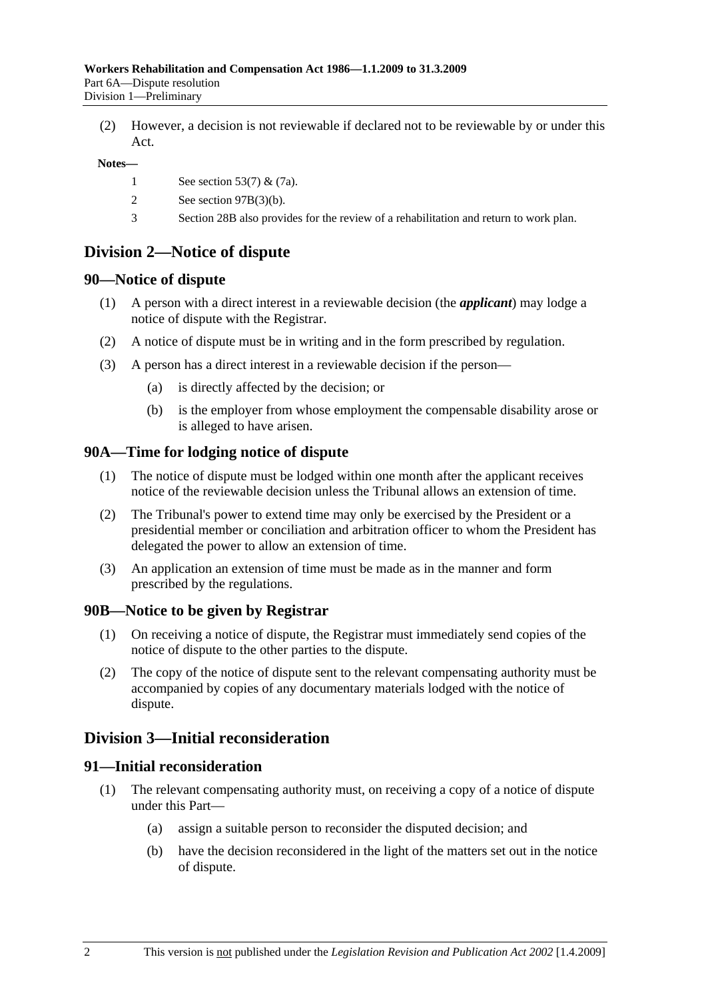(2) However, a decision is not reviewable if declared not to be reviewable by or under this Act.

#### **Notes—**

- 1 See section 53(7) & (7a).
- 2 See section 97B(3)(b).
- 3 Section 28B also provides for the review of a rehabilitation and return to work plan.

## **Division 2—Notice of dispute**

### **90—Notice of dispute**

- (1) A person with a direct interest in a reviewable decision (the *applicant*) may lodge a notice of dispute with the Registrar.
- (2) A notice of dispute must be in writing and in the form prescribed by regulation.
- (3) A person has a direct interest in a reviewable decision if the person—
	- (a) is directly affected by the decision; or
	- (b) is the employer from whose employment the compensable disability arose or is alleged to have arisen.

### **90A—Time for lodging notice of dispute**

- (1) The notice of dispute must be lodged within one month after the applicant receives notice of the reviewable decision unless the Tribunal allows an extension of time.
- (2) The Tribunal's power to extend time may only be exercised by the President or a presidential member or conciliation and arbitration officer to whom the President has delegated the power to allow an extension of time.
- (3) An application an extension of time must be made as in the manner and form prescribed by the regulations.

### **90B—Notice to be given by Registrar**

- (1) On receiving a notice of dispute, the Registrar must immediately send copies of the notice of dispute to the other parties to the dispute.
- (2) The copy of the notice of dispute sent to the relevant compensating authority must be accompanied by copies of any documentary materials lodged with the notice of dispute.

## **Division 3—Initial reconsideration**

## **91—Initial reconsideration**

- (1) The relevant compensating authority must, on receiving a copy of a notice of dispute under this Part—
	- (a) assign a suitable person to reconsider the disputed decision; and
	- (b) have the decision reconsidered in the light of the matters set out in the notice of dispute.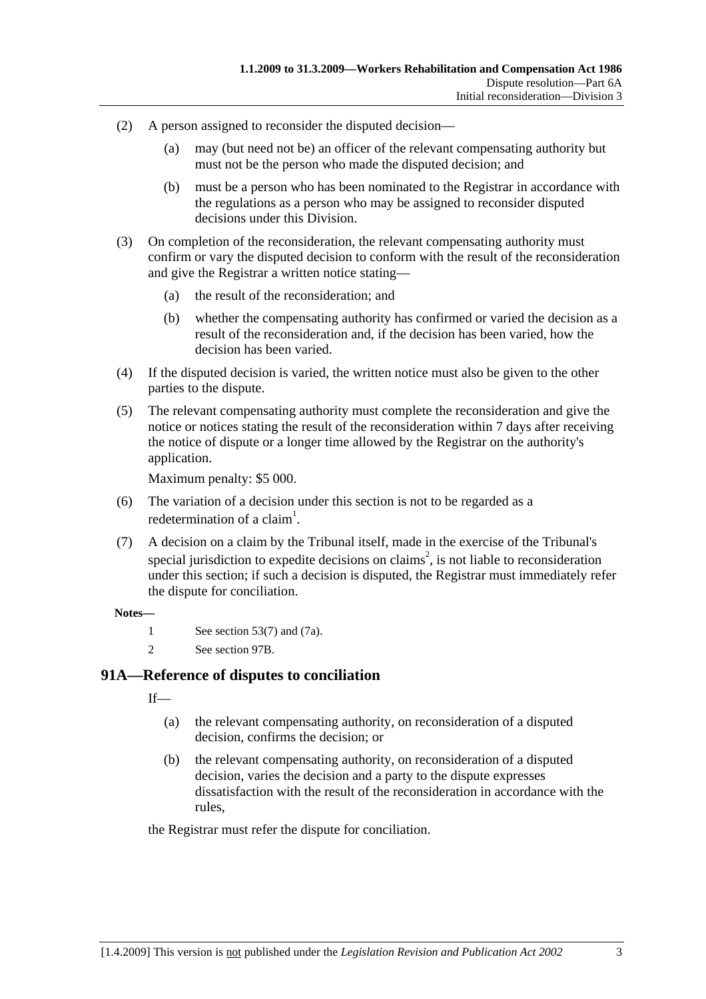- (2) A person assigned to reconsider the disputed decision—
	- (a) may (but need not be) an officer of the relevant compensating authority but must not be the person who made the disputed decision; and
	- (b) must be a person who has been nominated to the Registrar in accordance with the regulations as a person who may be assigned to reconsider disputed decisions under this Division.
- (3) On completion of the reconsideration, the relevant compensating authority must confirm or vary the disputed decision to conform with the result of the reconsideration and give the Registrar a written notice stating—
	- (a) the result of the reconsideration; and
	- (b) whether the compensating authority has confirmed or varied the decision as a result of the reconsideration and, if the decision has been varied, how the decision has been varied.
- (4) If the disputed decision is varied, the written notice must also be given to the other parties to the dispute.
- (5) The relevant compensating authority must complete the reconsideration and give the notice or notices stating the result of the reconsideration within 7 days after receiving the notice of dispute or a longer time allowed by the Registrar on the authority's application.

Maximum penalty: \$5 000.

- (6) The variation of a decision under this section is not to be regarded as a redetermination of a claim<sup>1</sup>.
- (7) A decision on a claim by the Tribunal itself, made in the exercise of the Tribunal's special jurisdiction to expedite decisions on claims<sup>2</sup>, is not liable to reconsideration under this section; if such a decision is disputed, the Registrar must immediately refer the dispute for conciliation.

#### **Notes—**

- 1 See section 53(7) and (7a).
- 2 See section 97B.

## **91A—Reference of disputes to conciliation**

 $If$ <sub>—</sub>

- (a) the relevant compensating authority, on reconsideration of a disputed decision, confirms the decision; or
- (b) the relevant compensating authority, on reconsideration of a disputed decision, varies the decision and a party to the dispute expresses dissatisfaction with the result of the reconsideration in accordance with the rules,

the Registrar must refer the dispute for conciliation.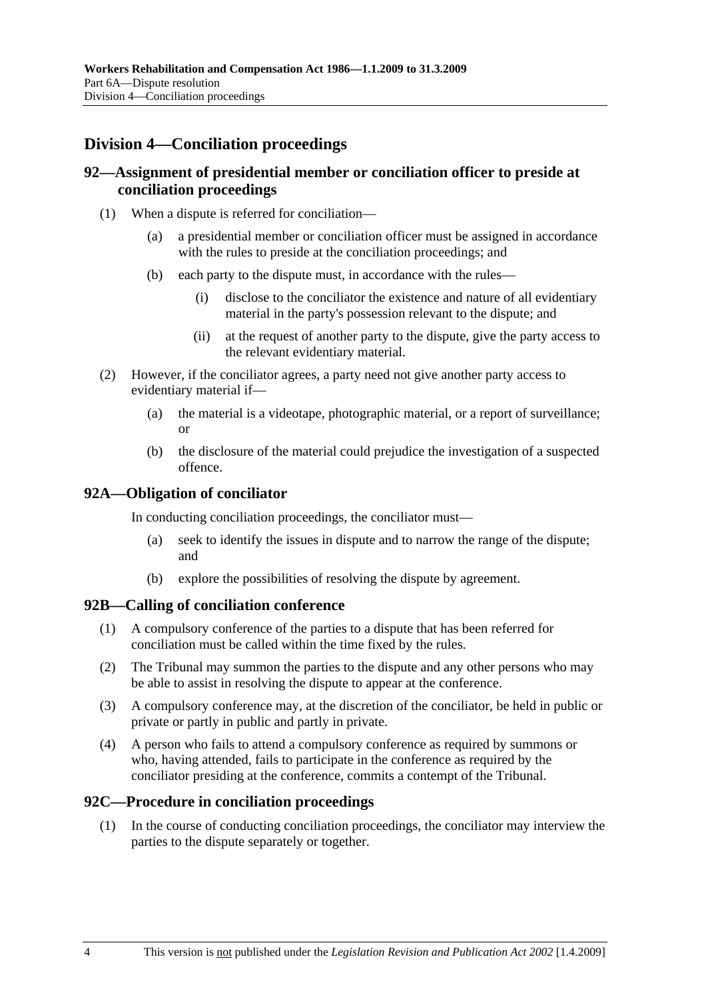# **Division 4—Conciliation proceedings**

## **92—Assignment of presidential member or conciliation officer to preside at conciliation proceedings**

- (1) When a dispute is referred for conciliation—
	- (a) a presidential member or conciliation officer must be assigned in accordance with the rules to preside at the conciliation proceedings; and
	- (b) each party to the dispute must, in accordance with the rules—
		- (i) disclose to the conciliator the existence and nature of all evidentiary material in the party's possession relevant to the dispute; and
		- (ii) at the request of another party to the dispute, give the party access to the relevant evidentiary material.
- (2) However, if the conciliator agrees, a party need not give another party access to evidentiary material if—
	- (a) the material is a videotape, photographic material, or a report of surveillance; or
	- (b) the disclosure of the material could prejudice the investigation of a suspected offence.

## **92A—Obligation of conciliator**

In conducting conciliation proceedings, the conciliator must—

- (a) seek to identify the issues in dispute and to narrow the range of the dispute; and
- (b) explore the possibilities of resolving the dispute by agreement.

### **92B—Calling of conciliation conference**

- (1) A compulsory conference of the parties to a dispute that has been referred for conciliation must be called within the time fixed by the rules.
- (2) The Tribunal may summon the parties to the dispute and any other persons who may be able to assist in resolving the dispute to appear at the conference.
- (3) A compulsory conference may, at the discretion of the conciliator, be held in public or private or partly in public and partly in private.
- (4) A person who fails to attend a compulsory conference as required by summons or who, having attended, fails to participate in the conference as required by the conciliator presiding at the conference, commits a contempt of the Tribunal.

### **92C—Procedure in conciliation proceedings**

 (1) In the course of conducting conciliation proceedings, the conciliator may interview the parties to the dispute separately or together.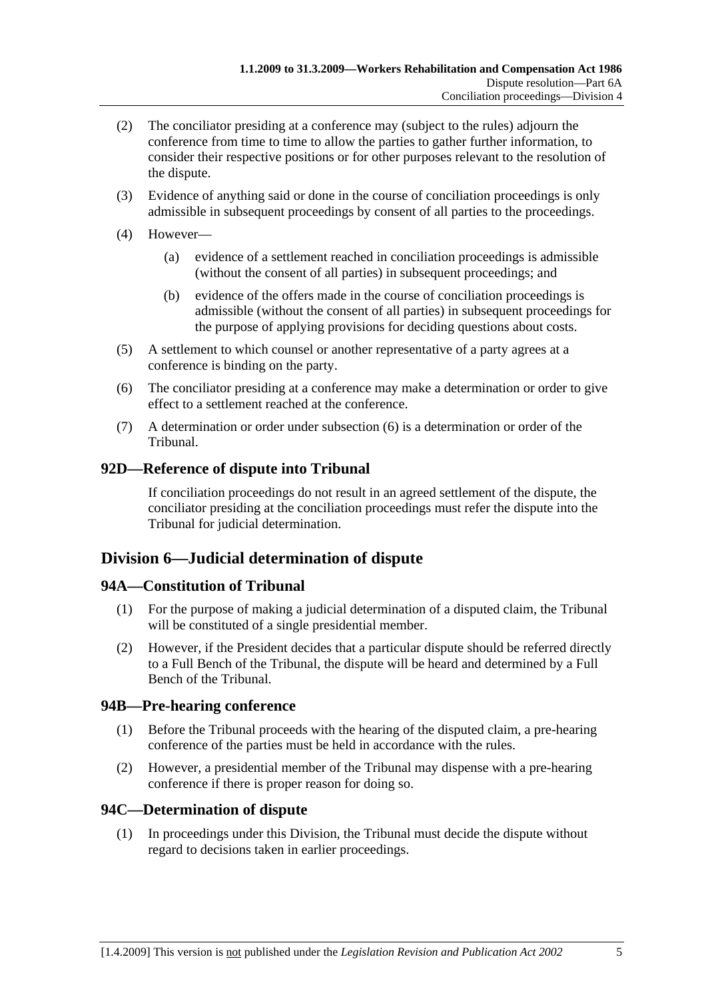- (2) The conciliator presiding at a conference may (subject to the rules) adjourn the conference from time to time to allow the parties to gather further information, to consider their respective positions or for other purposes relevant to the resolution of the dispute.
- (3) Evidence of anything said or done in the course of conciliation proceedings is only admissible in subsequent proceedings by consent of all parties to the proceedings.
- (4) However—
	- (a) evidence of a settlement reached in conciliation proceedings is admissible (without the consent of all parties) in subsequent proceedings; and
	- (b) evidence of the offers made in the course of conciliation proceedings is admissible (without the consent of all parties) in subsequent proceedings for the purpose of applying provisions for deciding questions about costs.
- (5) A settlement to which counsel or another representative of a party agrees at a conference is binding on the party.
- (6) The conciliator presiding at a conference may make a determination or order to give effect to a settlement reached at the conference.
- (7) A determination or order under subsection (6) is a determination or order of the Tribunal.

## **92D—Reference of dispute into Tribunal**

If conciliation proceedings do not result in an agreed settlement of the dispute, the conciliator presiding at the conciliation proceedings must refer the dispute into the Tribunal for judicial determination.

## **Division 6—Judicial determination of dispute**

## **94A—Constitution of Tribunal**

- (1) For the purpose of making a judicial determination of a disputed claim, the Tribunal will be constituted of a single presidential member.
- (2) However, if the President decides that a particular dispute should be referred directly to a Full Bench of the Tribunal, the dispute will be heard and determined by a Full Bench of the Tribunal.

## **94B—Pre-hearing conference**

- (1) Before the Tribunal proceeds with the hearing of the disputed claim, a pre-hearing conference of the parties must be held in accordance with the rules.
- (2) However, a presidential member of the Tribunal may dispense with a pre-hearing conference if there is proper reason for doing so.

## **94C—Determination of dispute**

 (1) In proceedings under this Division, the Tribunal must decide the dispute without regard to decisions taken in earlier proceedings.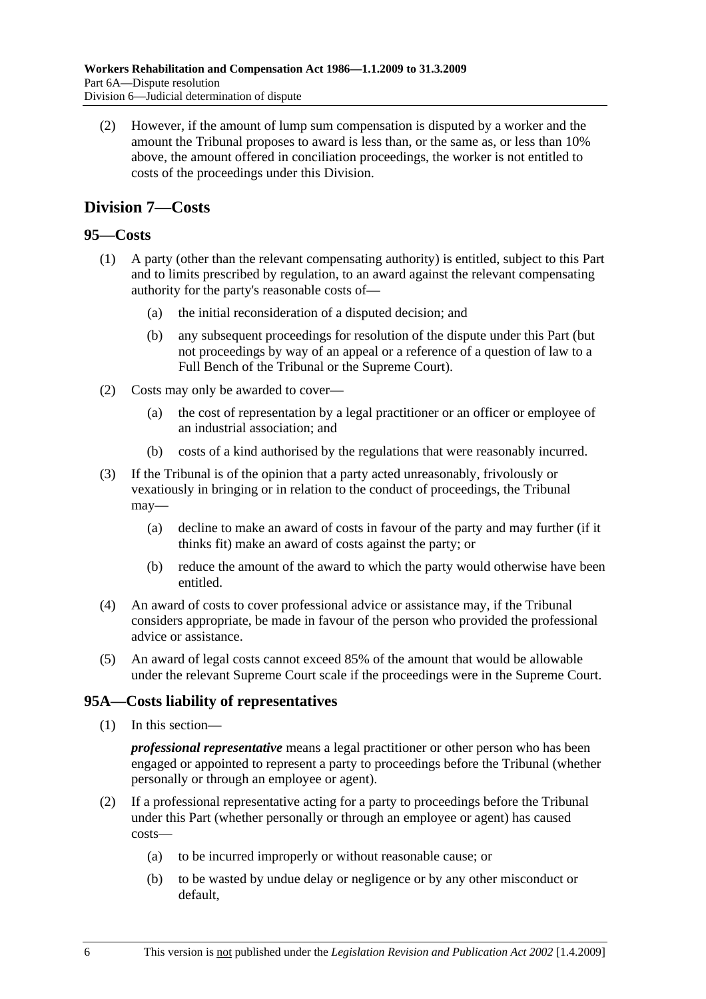(2) However, if the amount of lump sum compensation is disputed by a worker and the amount the Tribunal proposes to award is less than, or the same as, or less than 10% above, the amount offered in conciliation proceedings, the worker is not entitled to costs of the proceedings under this Division.

## **Division 7—Costs**

## **95—Costs**

- (1) A party (other than the relevant compensating authority) is entitled, subject to this Part and to limits prescribed by regulation, to an award against the relevant compensating authority for the party's reasonable costs of—
	- (a) the initial reconsideration of a disputed decision; and
	- (b) any subsequent proceedings for resolution of the dispute under this Part (but not proceedings by way of an appeal or a reference of a question of law to a Full Bench of the Tribunal or the Supreme Court).
- (2) Costs may only be awarded to cover—
	- (a) the cost of representation by a legal practitioner or an officer or employee of an industrial association; and
	- (b) costs of a kind authorised by the regulations that were reasonably incurred.
- (3) If the Tribunal is of the opinion that a party acted unreasonably, frivolously or vexatiously in bringing or in relation to the conduct of proceedings, the Tribunal may—
	- (a) decline to make an award of costs in favour of the party and may further (if it thinks fit) make an award of costs against the party; or
	- (b) reduce the amount of the award to which the party would otherwise have been entitled.
- (4) An award of costs to cover professional advice or assistance may, if the Tribunal considers appropriate, be made in favour of the person who provided the professional advice or assistance.
- (5) An award of legal costs cannot exceed 85% of the amount that would be allowable under the relevant Supreme Court scale if the proceedings were in the Supreme Court.

## **95A—Costs liability of representatives**

(1) In this section—

*professional representative* means a legal practitioner or other person who has been engaged or appointed to represent a party to proceedings before the Tribunal (whether personally or through an employee or agent).

- (2) If a professional representative acting for a party to proceedings before the Tribunal under this Part (whether personally or through an employee or agent) has caused costs—
	- (a) to be incurred improperly or without reasonable cause; or
	- (b) to be wasted by undue delay or negligence or by any other misconduct or default,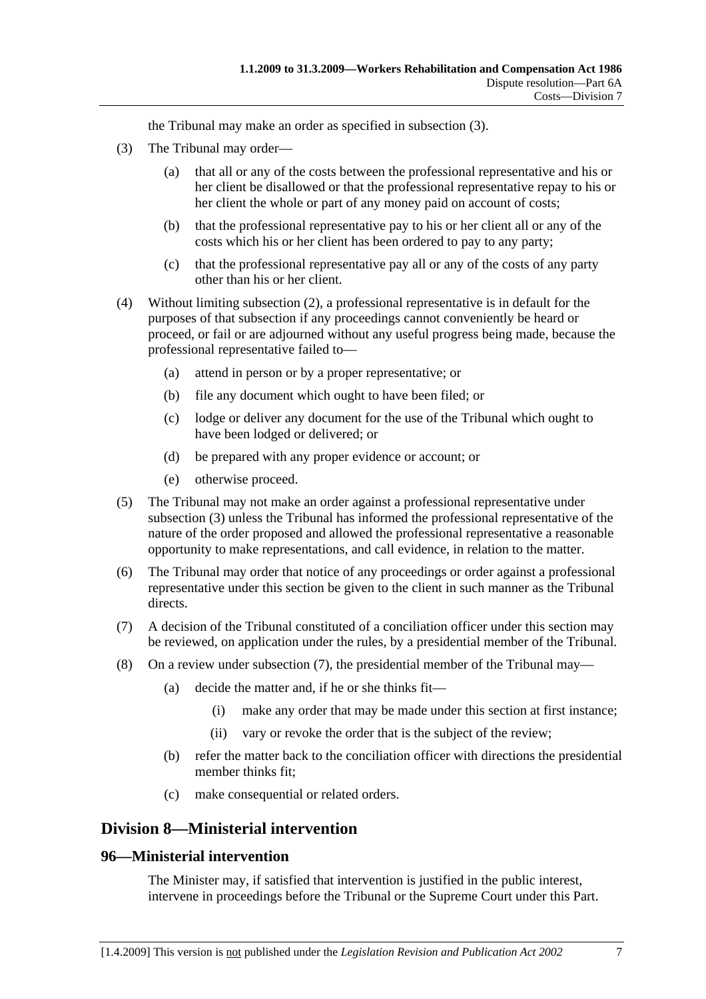the Tribunal may make an order as specified in subsection (3).

- (3) The Tribunal may order—
	- (a) that all or any of the costs between the professional representative and his or her client be disallowed or that the professional representative repay to his or her client the whole or part of any money paid on account of costs;
	- (b) that the professional representative pay to his or her client all or any of the costs which his or her client has been ordered to pay to any party;
	- (c) that the professional representative pay all or any of the costs of any party other than his or her client.
- (4) Without limiting subsection (2), a professional representative is in default for the purposes of that subsection if any proceedings cannot conveniently be heard or proceed, or fail or are adjourned without any useful progress being made, because the professional representative failed to—
	- (a) attend in person or by a proper representative; or
	- (b) file any document which ought to have been filed; or
	- (c) lodge or deliver any document for the use of the Tribunal which ought to have been lodged or delivered; or
	- (d) be prepared with any proper evidence or account; or
	- (e) otherwise proceed.
- (5) The Tribunal may not make an order against a professional representative under subsection (3) unless the Tribunal has informed the professional representative of the nature of the order proposed and allowed the professional representative a reasonable opportunity to make representations, and call evidence, in relation to the matter.
- (6) The Tribunal may order that notice of any proceedings or order against a professional representative under this section be given to the client in such manner as the Tribunal directs.
- (7) A decision of the Tribunal constituted of a conciliation officer under this section may be reviewed, on application under the rules, by a presidential member of the Tribunal.
- (8) On a review under subsection (7), the presidential member of the Tribunal may—
	- (a) decide the matter and, if he or she thinks fit—
		- (i) make any order that may be made under this section at first instance;
		- (ii) vary or revoke the order that is the subject of the review;
	- (b) refer the matter back to the conciliation officer with directions the presidential member thinks fit;
	- (c) make consequential or related orders.

## **Division 8—Ministerial intervention**

## **96—Ministerial intervention**

The Minister may, if satisfied that intervention is justified in the public interest, intervene in proceedings before the Tribunal or the Supreme Court under this Part.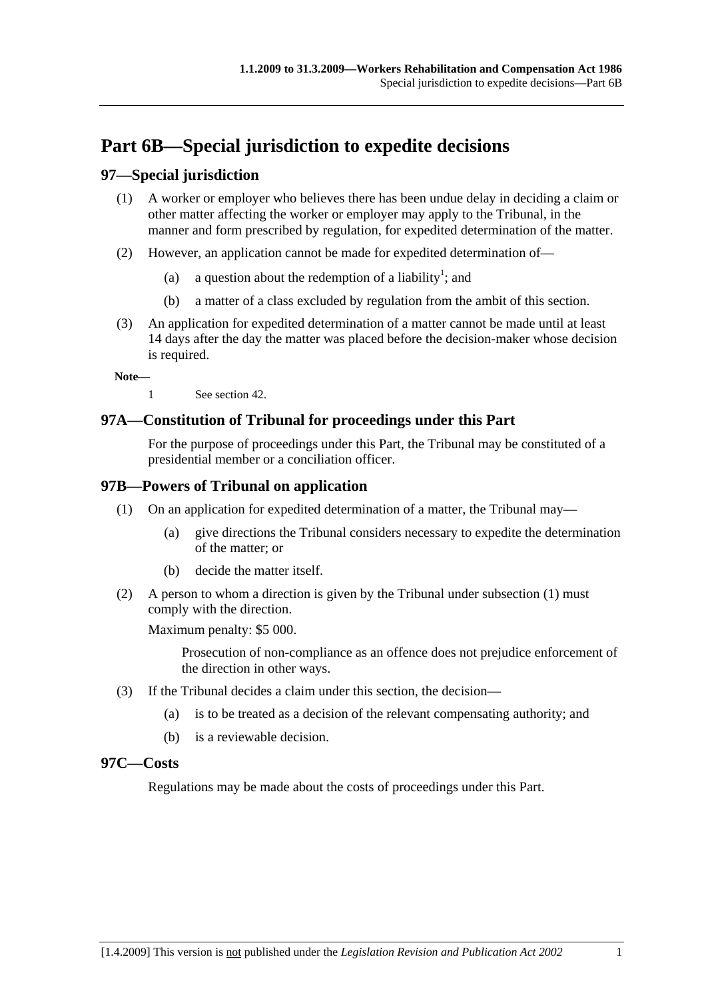# **Part 6B—Special jurisdiction to expedite decisions**

## **97—Special jurisdiction**

- (1) A worker or employer who believes there has been undue delay in deciding a claim or other matter affecting the worker or employer may apply to the Tribunal, in the manner and form prescribed by regulation, for expedited determination of the matter.
- (2) However, an application cannot be made for expedited determination of—
	- (a) a question about the redemption of a liability<sup>1</sup>; and
		- (b) a matter of a class excluded by regulation from the ambit of this section.
- (3) An application for expedited determination of a matter cannot be made until at least 14 days after the day the matter was placed before the decision-maker whose decision is required.

**Note—** 

1 See section 42.

## **97A—Constitution of Tribunal for proceedings under this Part**

For the purpose of proceedings under this Part, the Tribunal may be constituted of a presidential member or a conciliation officer.

## **97B—Powers of Tribunal on application**

- (1) On an application for expedited determination of a matter, the Tribunal may—
	- (a) give directions the Tribunal considers necessary to expedite the determination of the matter; or
	- (b) decide the matter itself.
- (2) A person to whom a direction is given by the Tribunal under subsection (1) must comply with the direction.

Maximum penalty: \$5 000.

Prosecution of non-compliance as an offence does not prejudice enforcement of the direction in other ways.

- (3) If the Tribunal decides a claim under this section, the decision—
	- (a) is to be treated as a decision of the relevant compensating authority; and
	- (b) is a reviewable decision.

### **97C—Costs**

Regulations may be made about the costs of proceedings under this Part.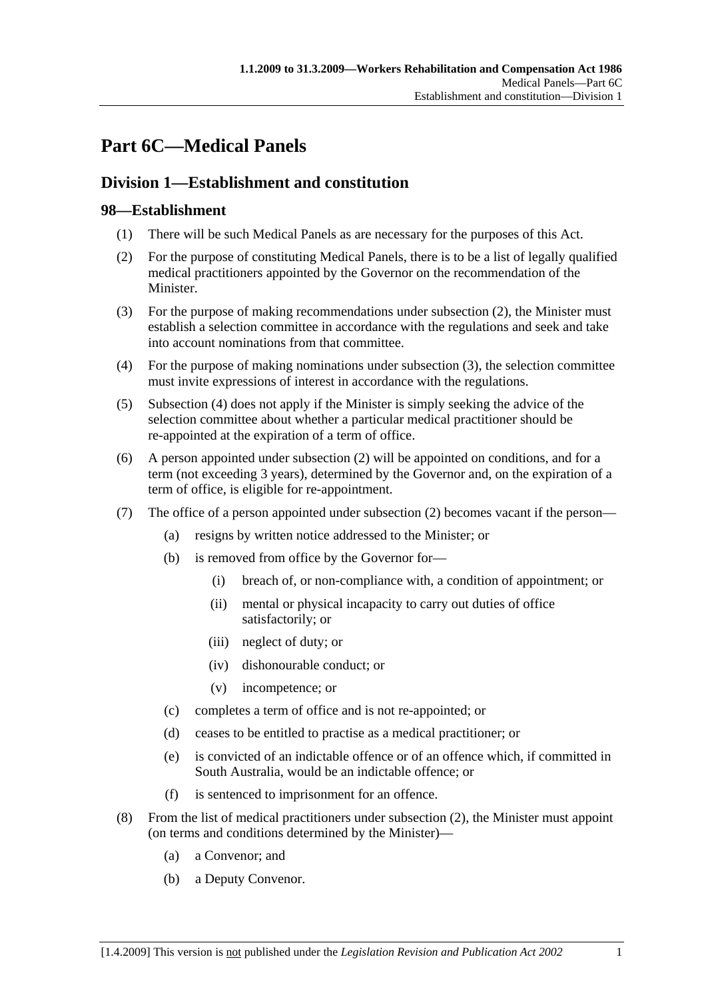# **Part 6C—Medical Panels**

# **Division 1—Establishment and constitution**

## **98—Establishment**

- (1) There will be such Medical Panels as are necessary for the purposes of this Act.
- (2) For the purpose of constituting Medical Panels, there is to be a list of legally qualified medical practitioners appointed by the Governor on the recommendation of the Minister.
- (3) For the purpose of making recommendations under subsection (2), the Minister must establish a selection committee in accordance with the regulations and seek and take into account nominations from that committee.
- (4) For the purpose of making nominations under subsection (3), the selection committee must invite expressions of interest in accordance with the regulations.
- (5) Subsection (4) does not apply if the Minister is simply seeking the advice of the selection committee about whether a particular medical practitioner should be re-appointed at the expiration of a term of office.
- (6) A person appointed under subsection (2) will be appointed on conditions, and for a term (not exceeding 3 years), determined by the Governor and, on the expiration of a term of office, is eligible for re-appointment.
- (7) The office of a person appointed under subsection (2) becomes vacant if the person—
	- (a) resigns by written notice addressed to the Minister; or
	- (b) is removed from office by the Governor for—
		- (i) breach of, or non-compliance with, a condition of appointment; or
		- (ii) mental or physical incapacity to carry out duties of office satisfactorily; or
		- (iii) neglect of duty; or
		- (iv) dishonourable conduct; or
		- (v) incompetence; or
	- (c) completes a term of office and is not re-appointed; or
	- (d) ceases to be entitled to practise as a medical practitioner; or
	- (e) is convicted of an indictable offence or of an offence which, if committed in South Australia, would be an indictable offence; or
	- (f) is sentenced to imprisonment for an offence.
- (8) From the list of medical practitioners under subsection (2), the Minister must appoint (on terms and conditions determined by the Minister)—
	- (a) a Convenor; and
	- (b) a Deputy Convenor.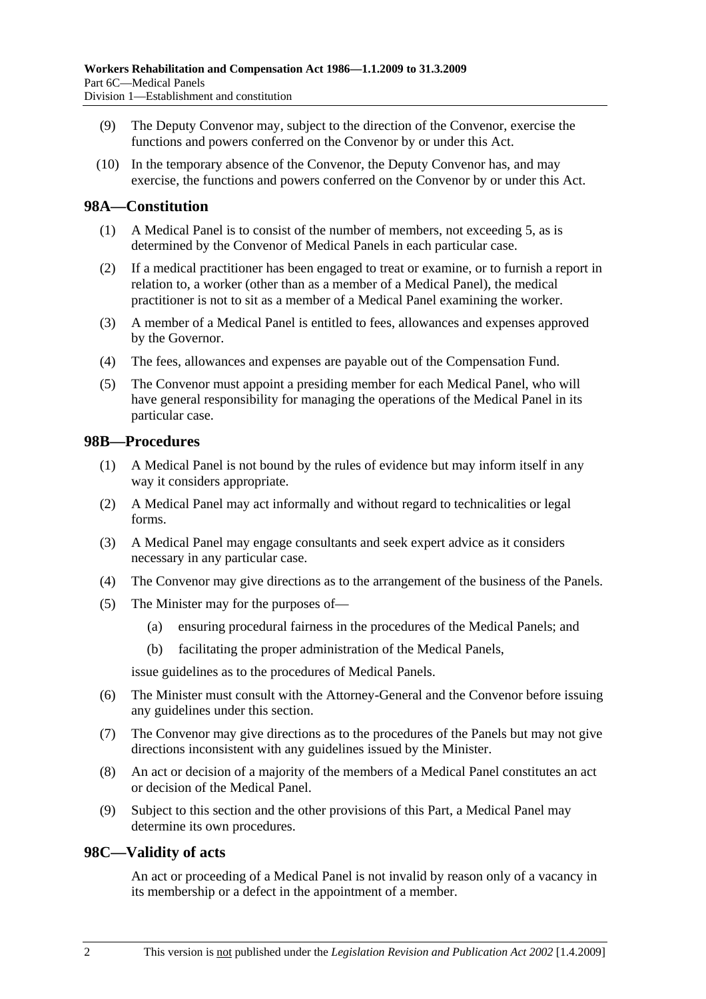- (9) The Deputy Convenor may, subject to the direction of the Convenor, exercise the functions and powers conferred on the Convenor by or under this Act.
- (10) In the temporary absence of the Convenor, the Deputy Convenor has, and may exercise, the functions and powers conferred on the Convenor by or under this Act.

## **98A—Constitution**

- (1) A Medical Panel is to consist of the number of members, not exceeding 5, as is determined by the Convenor of Medical Panels in each particular case.
- (2) If a medical practitioner has been engaged to treat or examine, or to furnish a report in relation to, a worker (other than as a member of a Medical Panel), the medical practitioner is not to sit as a member of a Medical Panel examining the worker.
- (3) A member of a Medical Panel is entitled to fees, allowances and expenses approved by the Governor.
- (4) The fees, allowances and expenses are payable out of the Compensation Fund.
- (5) The Convenor must appoint a presiding member for each Medical Panel, who will have general responsibility for managing the operations of the Medical Panel in its particular case.

## **98B—Procedures**

- (1) A Medical Panel is not bound by the rules of evidence but may inform itself in any way it considers appropriate.
- (2) A Medical Panel may act informally and without regard to technicalities or legal forms.
- (3) A Medical Panel may engage consultants and seek expert advice as it considers necessary in any particular case.
- (4) The Convenor may give directions as to the arrangement of the business of the Panels.
- (5) The Minister may for the purposes of—
	- (a) ensuring procedural fairness in the procedures of the Medical Panels; and
	- (b) facilitating the proper administration of the Medical Panels,

issue guidelines as to the procedures of Medical Panels.

- (6) The Minister must consult with the Attorney-General and the Convenor before issuing any guidelines under this section.
- (7) The Convenor may give directions as to the procedures of the Panels but may not give directions inconsistent with any guidelines issued by the Minister.
- (8) An act or decision of a majority of the members of a Medical Panel constitutes an act or decision of the Medical Panel.
- (9) Subject to this section and the other provisions of this Part, a Medical Panel may determine its own procedures.

### **98C—Validity of acts**

An act or proceeding of a Medical Panel is not invalid by reason only of a vacancy in its membership or a defect in the appointment of a member.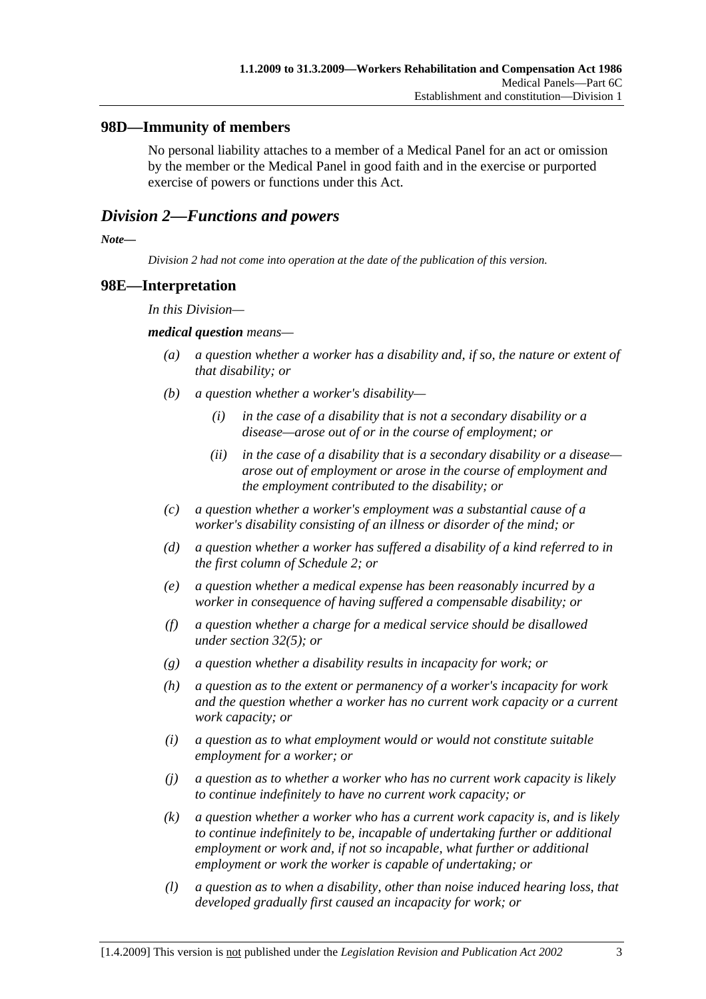## **98D—Immunity of members**

No personal liability attaches to a member of a Medical Panel for an act or omission by the member or the Medical Panel in good faith and in the exercise or purported exercise of powers or functions under this Act.

## *Division 2—Functions and powers*

*Note—* 

*Division 2 had not come into operation at the date of the publication of this version.* 

### **98E—Interpretation**

*In this Division—* 

#### *medical question means—*

- *(a) a question whether a worker has a disability and, if so, the nature or extent of that disability; or*
- *(b) a question whether a worker's disability—* 
	- *(i) in the case of a disability that is not a secondary disability or a disease—arose out of or in the course of employment; or*
	- *(ii) in the case of a disability that is a secondary disability or a disease arose out of employment or arose in the course of employment and the employment contributed to the disability; or*
- *(c) a question whether a worker's employment was a substantial cause of a worker's disability consisting of an illness or disorder of the mind; or*
- *(d) a question whether a worker has suffered a disability of a kind referred to in the first column of Schedule 2; or*
- *(e) a question whether a medical expense has been reasonably incurred by a worker in consequence of having suffered a compensable disability; or*
- *(f) a question whether a charge for a medical service should be disallowed under section 32(5); or*
- *(g) a question whether a disability results in incapacity for work; or*
- *(h) a question as to the extent or permanency of a worker's incapacity for work and the question whether a worker has no current work capacity or a current work capacity; or*
- *(i) a question as to what employment would or would not constitute suitable employment for a worker; or*
- *(j) a question as to whether a worker who has no current work capacity is likely to continue indefinitely to have no current work capacity; or*
- *(k) a question whether a worker who has a current work capacity is, and is likely to continue indefinitely to be, incapable of undertaking further or additional employment or work and, if not so incapable, what further or additional employment or work the worker is capable of undertaking; or*
- *(l) a question as to when a disability, other than noise induced hearing loss, that developed gradually first caused an incapacity for work; or*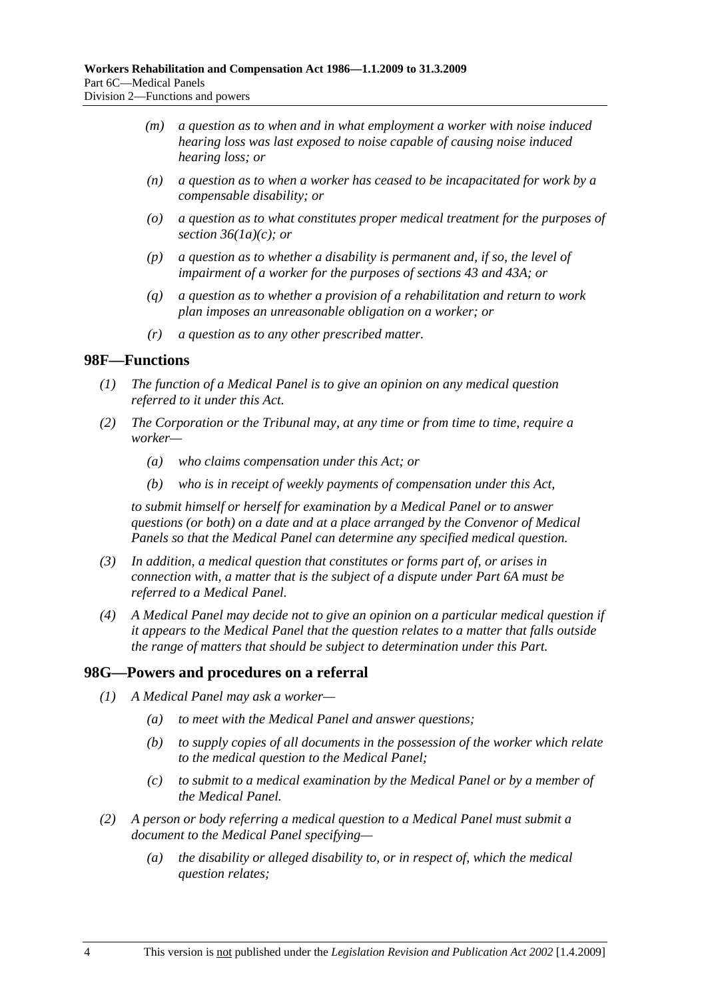- *(m) a question as to when and in what employment a worker with noise induced hearing loss was last exposed to noise capable of causing noise induced hearing loss; or*
- *(n) a question as to when a worker has ceased to be incapacitated for work by a compensable disability; or*
- *(o) a question as to what constitutes proper medical treatment for the purposes of section 36(1a)(c); or*
- *(p) a question as to whether a disability is permanent and, if so, the level of impairment of a worker for the purposes of sections 43 and 43A; or*
- *(q) a question as to whether a provision of a rehabilitation and return to work plan imposes an unreasonable obligation on a worker; or*
- *(r) a question as to any other prescribed matter.*

### **98F—Functions**

- *(1) The function of a Medical Panel is to give an opinion on any medical question referred to it under this Act.*
- *(2) The Corporation or the Tribunal may, at any time or from time to time, require a worker—* 
	- *(a) who claims compensation under this Act; or*
	- *(b) who is in receipt of weekly payments of compensation under this Act,*

*to submit himself or herself for examination by a Medical Panel or to answer questions (or both) on a date and at a place arranged by the Convenor of Medical Panels so that the Medical Panel can determine any specified medical question.* 

- *(3) In addition, a medical question that constitutes or forms part of, or arises in connection with, a matter that is the subject of a dispute under Part 6A must be referred to a Medical Panel.*
- *(4) A Medical Panel may decide not to give an opinion on a particular medical question if it appears to the Medical Panel that the question relates to a matter that falls outside the range of matters that should be subject to determination under this Part.*

### **98G—Powers and procedures on a referral**

- *(1) A Medical Panel may ask a worker—* 
	- *(a) to meet with the Medical Panel and answer questions;*
	- *(b) to supply copies of all documents in the possession of the worker which relate to the medical question to the Medical Panel;*
	- *(c) to submit to a medical examination by the Medical Panel or by a member of the Medical Panel.*
- *(2) A person or body referring a medical question to a Medical Panel must submit a document to the Medical Panel specifying—* 
	- *(a) the disability or alleged disability to, or in respect of, which the medical question relates;*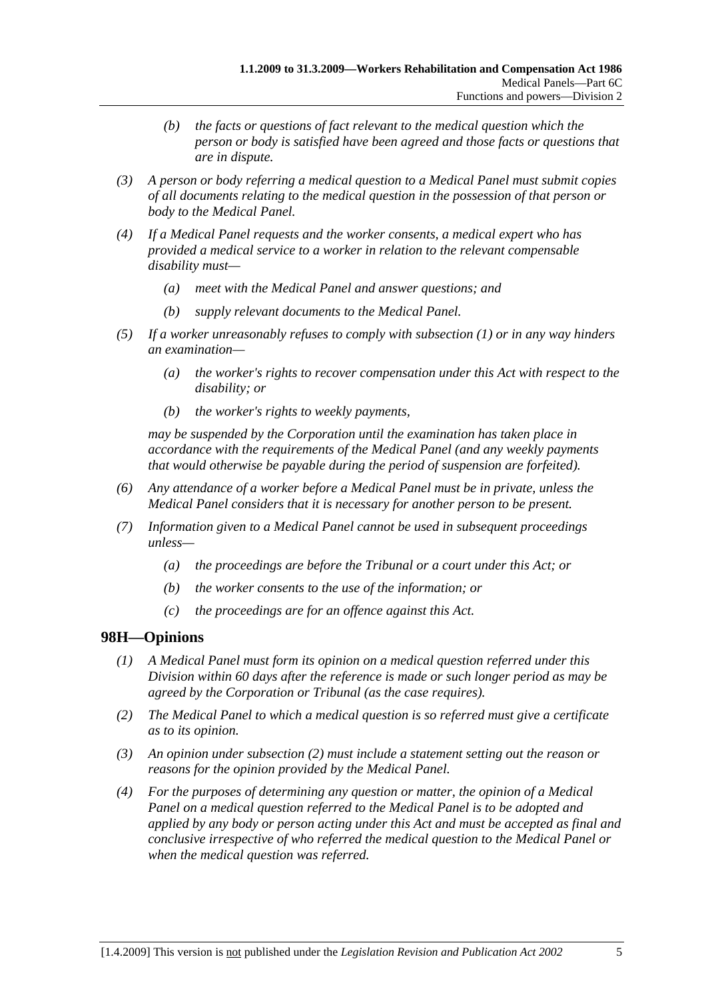- *(b) the facts or questions of fact relevant to the medical question which the person or body is satisfied have been agreed and those facts or questions that are in dispute.*
- *(3) A person or body referring a medical question to a Medical Panel must submit copies of all documents relating to the medical question in the possession of that person or body to the Medical Panel.*
- *(4) If a Medical Panel requests and the worker consents, a medical expert who has provided a medical service to a worker in relation to the relevant compensable disability must—* 
	- *(a) meet with the Medical Panel and answer questions; and*
	- *(b) supply relevant documents to the Medical Panel.*
- *(5) If a worker unreasonably refuses to comply with subsection (1) or in any way hinders an examination—* 
	- *(a) the worker's rights to recover compensation under this Act with respect to the disability; or*
	- *(b) the worker's rights to weekly payments,*

*may be suspended by the Corporation until the examination has taken place in accordance with the requirements of the Medical Panel (and any weekly payments that would otherwise be payable during the period of suspension are forfeited).* 

- *(6) Any attendance of a worker before a Medical Panel must be in private, unless the Medical Panel considers that it is necessary for another person to be present.*
- *(7) Information given to a Medical Panel cannot be used in subsequent proceedings unless—* 
	- *(a) the proceedings are before the Tribunal or a court under this Act; or*
	- *(b) the worker consents to the use of the information; or*
	- *(c) the proceedings are for an offence against this Act.*

## **98H—Opinions**

- *(1) A Medical Panel must form its opinion on a medical question referred under this Division within 60 days after the reference is made or such longer period as may be agreed by the Corporation or Tribunal (as the case requires).*
- *(2) The Medical Panel to which a medical question is so referred must give a certificate as to its opinion.*
- *(3) An opinion under subsection (2) must include a statement setting out the reason or reasons for the opinion provided by the Medical Panel.*
- *(4) For the purposes of determining any question or matter, the opinion of a Medical Panel on a medical question referred to the Medical Panel is to be adopted and applied by any body or person acting under this Act and must be accepted as final and conclusive irrespective of who referred the medical question to the Medical Panel or when the medical question was referred.*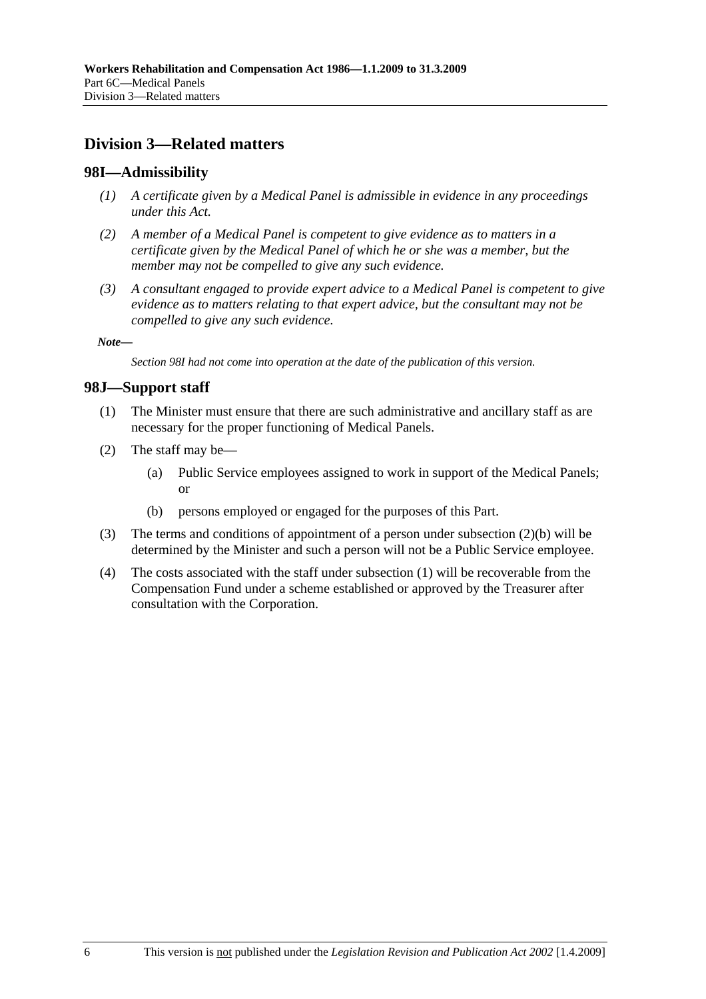# **Division 3—Related matters**

## **98I—Admissibility**

- *(1) A certificate given by a Medical Panel is admissible in evidence in any proceedings under this Act.*
- *(2) A member of a Medical Panel is competent to give evidence as to matters in a certificate given by the Medical Panel of which he or she was a member, but the member may not be compelled to give any such evidence.*
- *(3) A consultant engaged to provide expert advice to a Medical Panel is competent to give evidence as to matters relating to that expert advice, but the consultant may not be compelled to give any such evidence.*

*Note—* 

*Section 98I had not come into operation at the date of the publication of this version.* 

### **98J—Support staff**

- (1) The Minister must ensure that there are such administrative and ancillary staff as are necessary for the proper functioning of Medical Panels.
- (2) The staff may be—
	- (a) Public Service employees assigned to work in support of the Medical Panels; or
	- (b) persons employed or engaged for the purposes of this Part.
- (3) The terms and conditions of appointment of a person under subsection (2)(b) will be determined by the Minister and such a person will not be a Public Service employee.
- (4) The costs associated with the staff under subsection (1) will be recoverable from the Compensation Fund under a scheme established or approved by the Treasurer after consultation with the Corporation.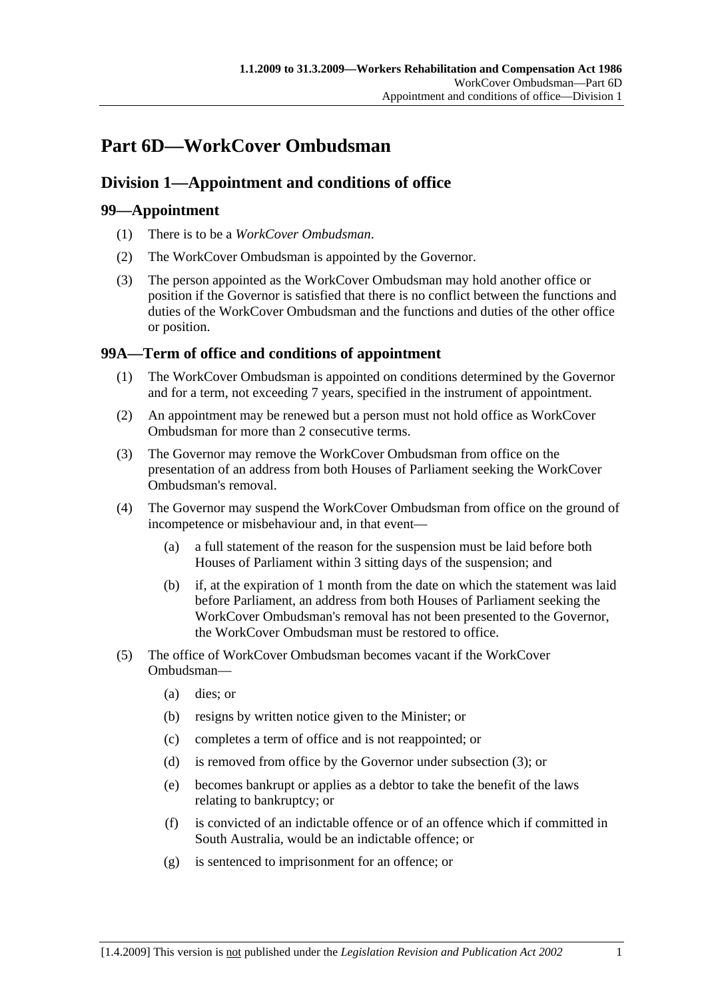# **Part 6D—WorkCover Ombudsman**

## **Division 1—Appointment and conditions of office**

## **99—Appointment**

- (1) There is to be a *WorkCover Ombudsman*.
- (2) The WorkCover Ombudsman is appointed by the Governor.
- (3) The person appointed as the WorkCover Ombudsman may hold another office or position if the Governor is satisfied that there is no conflict between the functions and duties of the WorkCover Ombudsman and the functions and duties of the other office or position.

## **99A—Term of office and conditions of appointment**

- (1) The WorkCover Ombudsman is appointed on conditions determined by the Governor and for a term, not exceeding 7 years, specified in the instrument of appointment.
- (2) An appointment may be renewed but a person must not hold office as WorkCover Ombudsman for more than 2 consecutive terms.
- (3) The Governor may remove the WorkCover Ombudsman from office on the presentation of an address from both Houses of Parliament seeking the WorkCover Ombudsman's removal.
- (4) The Governor may suspend the WorkCover Ombudsman from office on the ground of incompetence or misbehaviour and, in that event—
	- (a) a full statement of the reason for the suspension must be laid before both Houses of Parliament within 3 sitting days of the suspension; and
	- (b) if, at the expiration of 1 month from the date on which the statement was laid before Parliament, an address from both Houses of Parliament seeking the WorkCover Ombudsman's removal has not been presented to the Governor, the WorkCover Ombudsman must be restored to office.
- (5) The office of WorkCover Ombudsman becomes vacant if the WorkCover Ombudsman—
	- (a) dies; or
	- (b) resigns by written notice given to the Minister; or
	- (c) completes a term of office and is not reappointed; or
	- (d) is removed from office by the Governor under subsection (3); or
	- (e) becomes bankrupt or applies as a debtor to take the benefit of the laws relating to bankruptcy; or
	- (f) is convicted of an indictable offence or of an offence which if committed in South Australia, would be an indictable offence; or
	- (g) is sentenced to imprisonment for an offence; or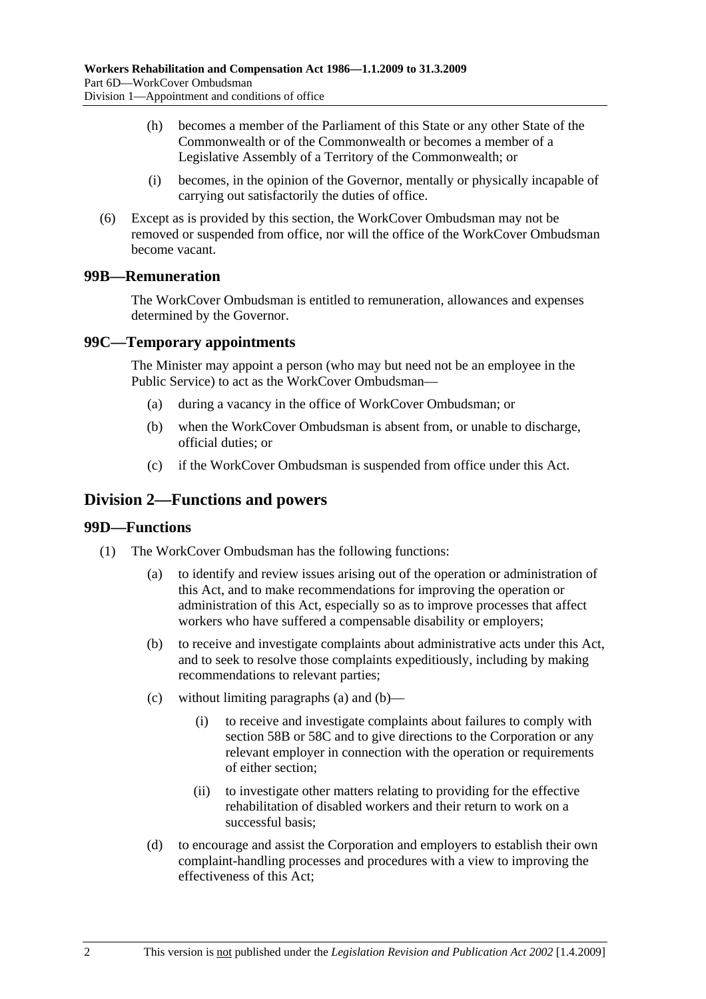- (h) becomes a member of the Parliament of this State or any other State of the Commonwealth or of the Commonwealth or becomes a member of a Legislative Assembly of a Territory of the Commonwealth; or
- (i) becomes, in the opinion of the Governor, mentally or physically incapable of carrying out satisfactorily the duties of office.
- (6) Except as is provided by this section, the WorkCover Ombudsman may not be removed or suspended from office, nor will the office of the WorkCover Ombudsman become vacant.

## **99B—Remuneration**

The WorkCover Ombudsman is entitled to remuneration, allowances and expenses determined by the Governor.

## **99C—Temporary appointments**

The Minister may appoint a person (who may but need not be an employee in the Public Service) to act as the WorkCover Ombudsman—

- (a) during a vacancy in the office of WorkCover Ombudsman; or
- (b) when the WorkCover Ombudsman is absent from, or unable to discharge, official duties; or
- (c) if the WorkCover Ombudsman is suspended from office under this Act.

## **Division 2—Functions and powers**

### **99D—Functions**

- (1) The WorkCover Ombudsman has the following functions:
	- (a) to identify and review issues arising out of the operation or administration of this Act, and to make recommendations for improving the operation or administration of this Act, especially so as to improve processes that affect workers who have suffered a compensable disability or employers;
	- (b) to receive and investigate complaints about administrative acts under this Act, and to seek to resolve those complaints expeditiously, including by making recommendations to relevant parties;
	- (c) without limiting paragraphs (a) and (b)—
		- (i) to receive and investigate complaints about failures to comply with section 58B or 58C and to give directions to the Corporation or any relevant employer in connection with the operation or requirements of either section;
		- (ii) to investigate other matters relating to providing for the effective rehabilitation of disabled workers and their return to work on a successful basis;
	- (d) to encourage and assist the Corporation and employers to establish their own complaint-handling processes and procedures with a view to improving the effectiveness of this Act;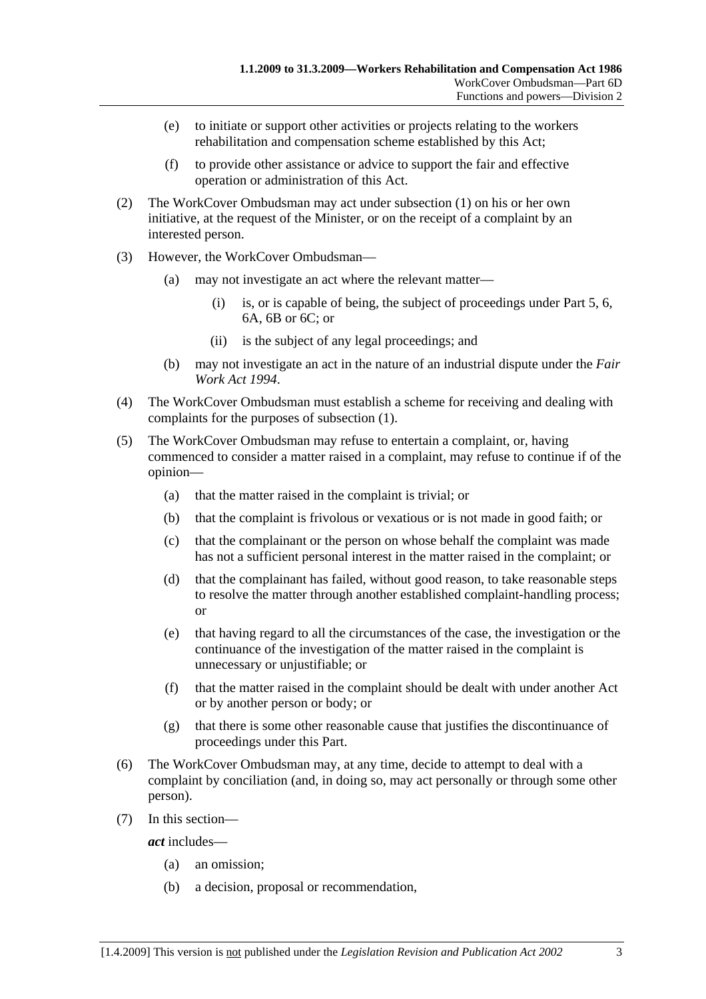- (e) to initiate or support other activities or projects relating to the workers rehabilitation and compensation scheme established by this Act;
- (f) to provide other assistance or advice to support the fair and effective operation or administration of this Act.
- (2) The WorkCover Ombudsman may act under subsection (1) on his or her own initiative, at the request of the Minister, or on the receipt of a complaint by an interested person.
- (3) However, the WorkCover Ombudsman—
	- (a) may not investigate an act where the relevant matter—
		- (i) is, or is capable of being, the subject of proceedings under Part 5, 6, 6A, 6B or 6C; or
		- (ii) is the subject of any legal proceedings; and
	- (b) may not investigate an act in the nature of an industrial dispute under the *Fair Work Act 1994*.
- (4) The WorkCover Ombudsman must establish a scheme for receiving and dealing with complaints for the purposes of subsection (1).
- (5) The WorkCover Ombudsman may refuse to entertain a complaint, or, having commenced to consider a matter raised in a complaint, may refuse to continue if of the opinion—
	- (a) that the matter raised in the complaint is trivial; or
	- (b) that the complaint is frivolous or vexatious or is not made in good faith; or
	- (c) that the complainant or the person on whose behalf the complaint was made has not a sufficient personal interest in the matter raised in the complaint; or
	- (d) that the complainant has failed, without good reason, to take reasonable steps to resolve the matter through another established complaint-handling process; or
	- (e) that having regard to all the circumstances of the case, the investigation or the continuance of the investigation of the matter raised in the complaint is unnecessary or unjustifiable; or
	- (f) that the matter raised in the complaint should be dealt with under another Act or by another person or body; or
	- (g) that there is some other reasonable cause that justifies the discontinuance of proceedings under this Part.
- (6) The WorkCover Ombudsman may, at any time, decide to attempt to deal with a complaint by conciliation (and, in doing so, may act personally or through some other person).
- (7) In this section—

*act* includes—

- (a) an omission;
- (b) a decision, proposal or recommendation,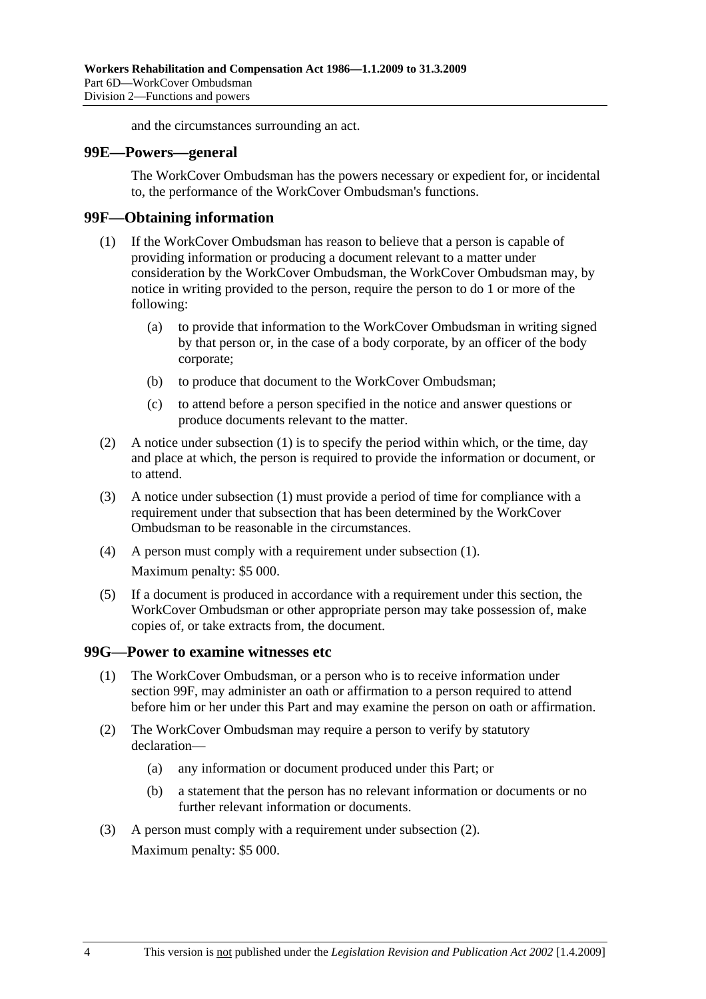and the circumstances surrounding an act.

#### **99E—Powers—general**

The WorkCover Ombudsman has the powers necessary or expedient for, or incidental to, the performance of the WorkCover Ombudsman's functions.

### **99F—Obtaining information**

- (1) If the WorkCover Ombudsman has reason to believe that a person is capable of providing information or producing a document relevant to a matter under consideration by the WorkCover Ombudsman, the WorkCover Ombudsman may, by notice in writing provided to the person, require the person to do 1 or more of the following:
	- (a) to provide that information to the WorkCover Ombudsman in writing signed by that person or, in the case of a body corporate, by an officer of the body corporate;
	- (b) to produce that document to the WorkCover Ombudsman;
	- (c) to attend before a person specified in the notice and answer questions or produce documents relevant to the matter.
- (2) A notice under subsection (1) is to specify the period within which, or the time, day and place at which, the person is required to provide the information or document, or to attend.
- (3) A notice under subsection (1) must provide a period of time for compliance with a requirement under that subsection that has been determined by the WorkCover Ombudsman to be reasonable in the circumstances.
- (4) A person must comply with a requirement under subsection (1). Maximum penalty: \$5 000.
- (5) If a document is produced in accordance with a requirement under this section, the WorkCover Ombudsman or other appropriate person may take possession of, make copies of, or take extracts from, the document.

### **99G—Power to examine witnesses etc**

- (1) The WorkCover Ombudsman, or a person who is to receive information under section 99F, may administer an oath or affirmation to a person required to attend before him or her under this Part and may examine the person on oath or affirmation.
- (2) The WorkCover Ombudsman may require a person to verify by statutory declaration—
	- (a) any information or document produced under this Part; or
	- (b) a statement that the person has no relevant information or documents or no further relevant information or documents.
- (3) A person must comply with a requirement under subsection (2). Maximum penalty: \$5 000.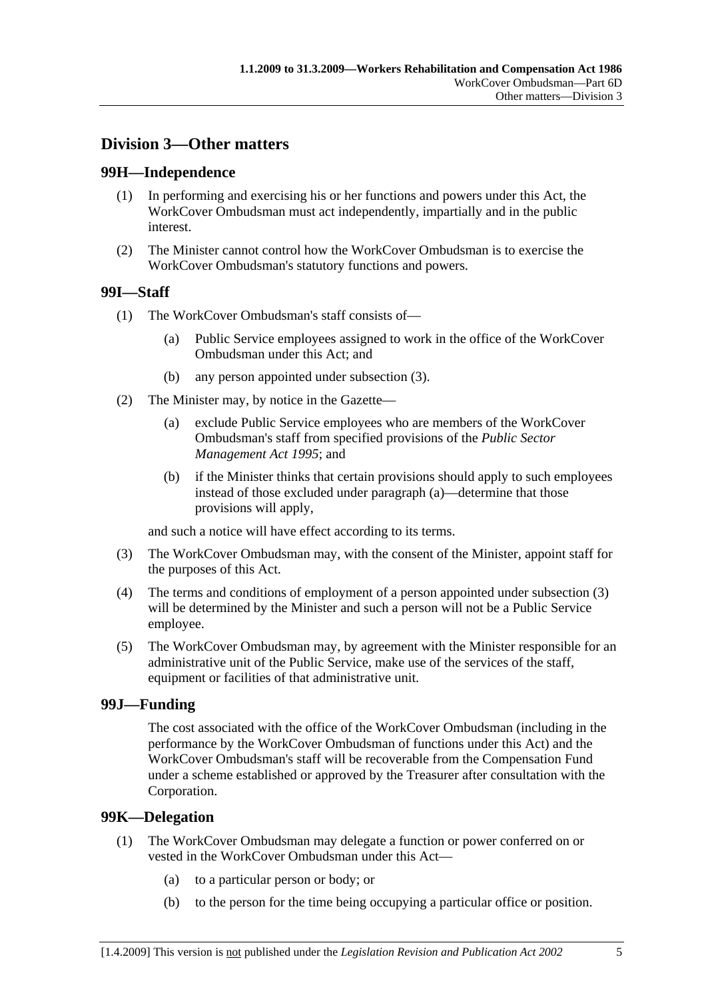## **Division 3—Other matters**

## **99H—Independence**

- (1) In performing and exercising his or her functions and powers under this Act, the WorkCover Ombudsman must act independently, impartially and in the public interest.
- (2) The Minister cannot control how the WorkCover Ombudsman is to exercise the WorkCover Ombudsman's statutory functions and powers.

## **99I—Staff**

- (1) The WorkCover Ombudsman's staff consists of—
	- (a) Public Service employees assigned to work in the office of the WorkCover Ombudsman under this Act; and
	- (b) any person appointed under subsection (3).
- (2) The Minister may, by notice in the Gazette—
	- (a) exclude Public Service employees who are members of the WorkCover Ombudsman's staff from specified provisions of the *Public Sector Management Act 1995*; and
	- (b) if the Minister thinks that certain provisions should apply to such employees instead of those excluded under paragraph (a)—determine that those provisions will apply,

and such a notice will have effect according to its terms.

- (3) The WorkCover Ombudsman may, with the consent of the Minister, appoint staff for the purposes of this Act.
- (4) The terms and conditions of employment of a person appointed under subsection (3) will be determined by the Minister and such a person will not be a Public Service employee.
- (5) The WorkCover Ombudsman may, by agreement with the Minister responsible for an administrative unit of the Public Service, make use of the services of the staff, equipment or facilities of that administrative unit.

### **99J—Funding**

The cost associated with the office of the WorkCover Ombudsman (including in the performance by the WorkCover Ombudsman of functions under this Act) and the WorkCover Ombudsman's staff will be recoverable from the Compensation Fund under a scheme established or approved by the Treasurer after consultation with the Corporation.

### **99K—Delegation**

- (1) The WorkCover Ombudsman may delegate a function or power conferred on or vested in the WorkCover Ombudsman under this Act—
	- (a) to a particular person or body; or
	- (b) to the person for the time being occupying a particular office or position.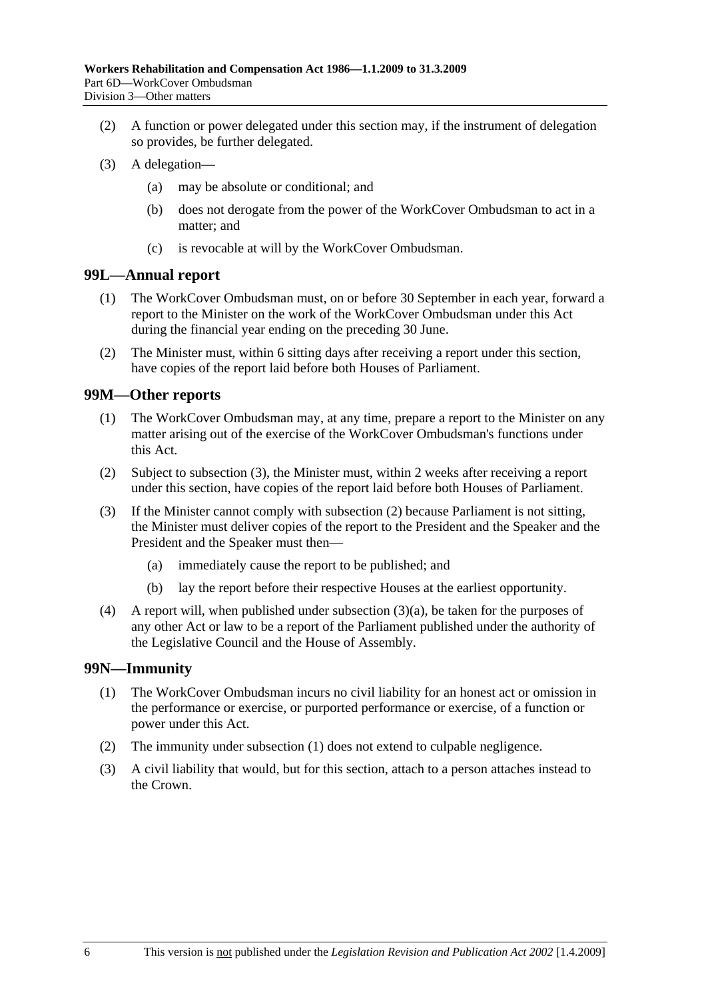- (2) A function or power delegated under this section may, if the instrument of delegation so provides, be further delegated.
- (3) A delegation—
	- (a) may be absolute or conditional; and
	- (b) does not derogate from the power of the WorkCover Ombudsman to act in a matter; and
	- (c) is revocable at will by the WorkCover Ombudsman.

### **99L—Annual report**

- (1) The WorkCover Ombudsman must, on or before 30 September in each year, forward a report to the Minister on the work of the WorkCover Ombudsman under this Act during the financial year ending on the preceding 30 June.
- (2) The Minister must, within 6 sitting days after receiving a report under this section, have copies of the report laid before both Houses of Parliament.

### **99M—Other reports**

- (1) The WorkCover Ombudsman may, at any time, prepare a report to the Minister on any matter arising out of the exercise of the WorkCover Ombudsman's functions under this Act.
- (2) Subject to subsection (3), the Minister must, within 2 weeks after receiving a report under this section, have copies of the report laid before both Houses of Parliament.
- (3) If the Minister cannot comply with subsection (2) because Parliament is not sitting, the Minister must deliver copies of the report to the President and the Speaker and the President and the Speaker must then—
	- (a) immediately cause the report to be published; and
	- (b) lay the report before their respective Houses at the earliest opportunity.
- (4) A report will, when published under subsection (3)(a), be taken for the purposes of any other Act or law to be a report of the Parliament published under the authority of the Legislative Council and the House of Assembly.

## **99N—Immunity**

- (1) The WorkCover Ombudsman incurs no civil liability for an honest act or omission in the performance or exercise, or purported performance or exercise, of a function or power under this Act.
- (2) The immunity under subsection (1) does not extend to culpable negligence.
- (3) A civil liability that would, but for this section, attach to a person attaches instead to the Crown.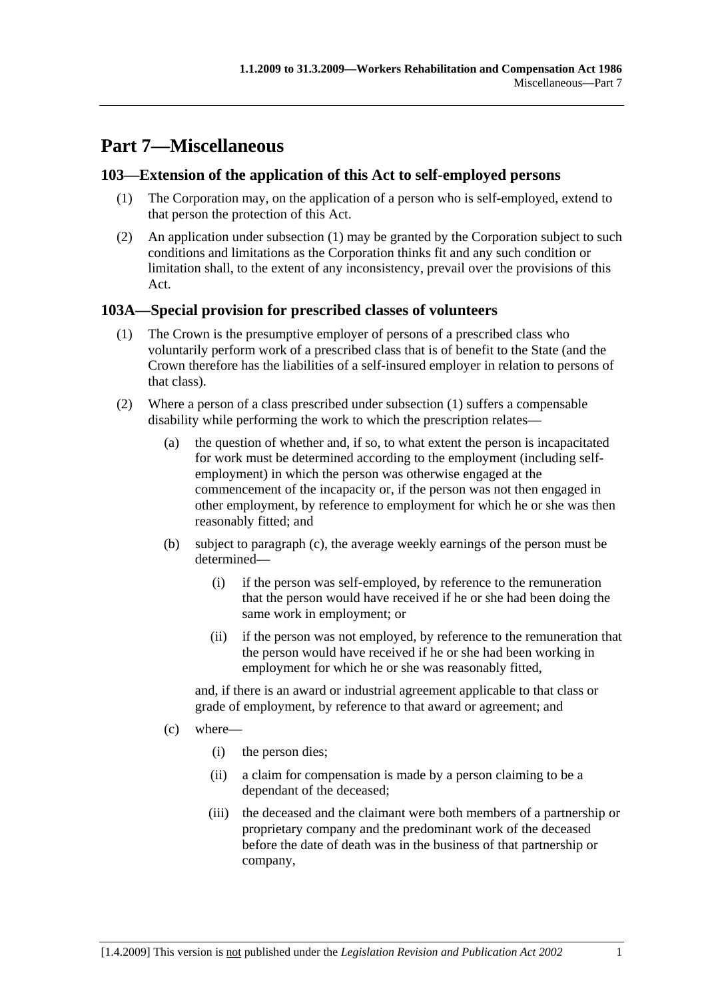# **Part 7—Miscellaneous**

## **103—Extension of the application of this Act to self-employed persons**

- (1) The Corporation may, on the application of a person who is self-employed, extend to that person the protection of this Act.
- (2) An application under subsection (1) may be granted by the Corporation subject to such conditions and limitations as the Corporation thinks fit and any such condition or limitation shall, to the extent of any inconsistency, prevail over the provisions of this Act.

## **103A—Special provision for prescribed classes of volunteers**

- (1) The Crown is the presumptive employer of persons of a prescribed class who voluntarily perform work of a prescribed class that is of benefit to the State (and the Crown therefore has the liabilities of a self-insured employer in relation to persons of that class).
- (2) Where a person of a class prescribed under subsection (1) suffers a compensable disability while performing the work to which the prescription relates—
	- (a) the question of whether and, if so, to what extent the person is incapacitated for work must be determined according to the employment (including selfemployment) in which the person was otherwise engaged at the commencement of the incapacity or, if the person was not then engaged in other employment, by reference to employment for which he or she was then reasonably fitted; and
	- (b) subject to paragraph (c), the average weekly earnings of the person must be determined—
		- (i) if the person was self-employed, by reference to the remuneration that the person would have received if he or she had been doing the same work in employment; or
		- (ii) if the person was not employed, by reference to the remuneration that the person would have received if he or she had been working in employment for which he or she was reasonably fitted,

and, if there is an award or industrial agreement applicable to that class or grade of employment, by reference to that award or agreement; and

- (c) where—
	- (i) the person dies;
	- (ii) a claim for compensation is made by a person claiming to be a dependant of the deceased;
	- (iii) the deceased and the claimant were both members of a partnership or proprietary company and the predominant work of the deceased before the date of death was in the business of that partnership or company,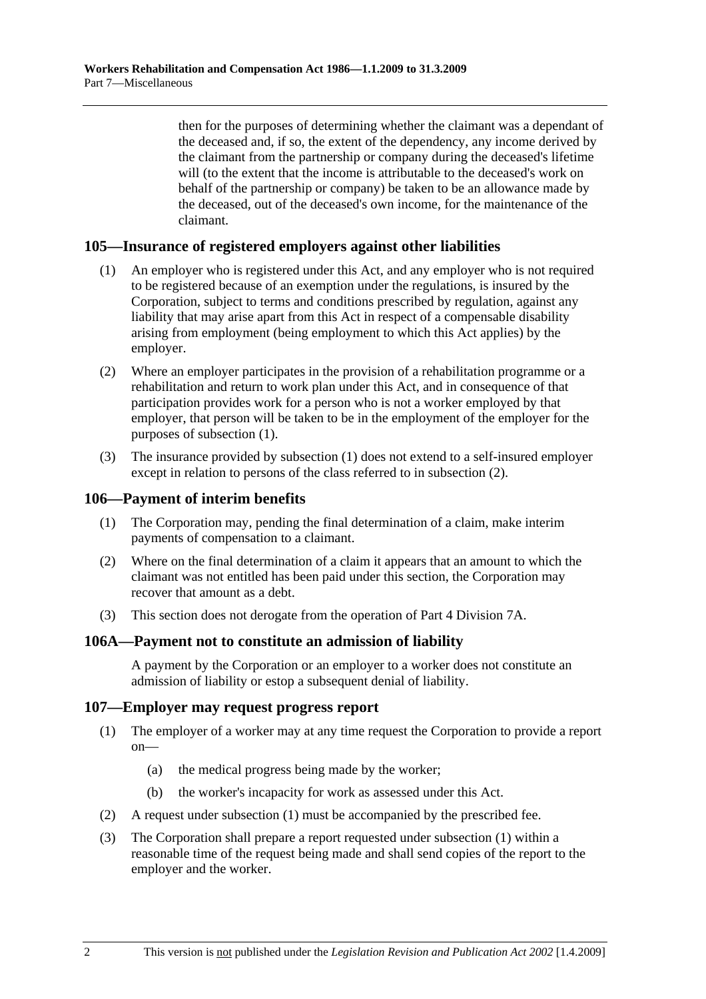then for the purposes of determining whether the claimant was a dependant of the deceased and, if so, the extent of the dependency, any income derived by the claimant from the partnership or company during the deceased's lifetime will (to the extent that the income is attributable to the deceased's work on behalf of the partnership or company) be taken to be an allowance made by the deceased, out of the deceased's own income, for the maintenance of the claimant.

## **105—Insurance of registered employers against other liabilities**

- (1) An employer who is registered under this Act, and any employer who is not required to be registered because of an exemption under the regulations, is insured by the Corporation, subject to terms and conditions prescribed by regulation, against any liability that may arise apart from this Act in respect of a compensable disability arising from employment (being employment to which this Act applies) by the employer.
- (2) Where an employer participates in the provision of a rehabilitation programme or a rehabilitation and return to work plan under this Act, and in consequence of that participation provides work for a person who is not a worker employed by that employer, that person will be taken to be in the employment of the employer for the purposes of subsection (1).
- (3) The insurance provided by subsection (1) does not extend to a self-insured employer except in relation to persons of the class referred to in subsection (2).

### **106—Payment of interim benefits**

- (1) The Corporation may, pending the final determination of a claim, make interim payments of compensation to a claimant.
- (2) Where on the final determination of a claim it appears that an amount to which the claimant was not entitled has been paid under this section, the Corporation may recover that amount as a debt.
- (3) This section does not derogate from the operation of Part 4 Division 7A.

### **106A—Payment not to constitute an admission of liability**

A payment by the Corporation or an employer to a worker does not constitute an admission of liability or estop a subsequent denial of liability.

### **107—Employer may request progress report**

- (1) The employer of a worker may at any time request the Corporation to provide a report on—
	- (a) the medical progress being made by the worker;
	- (b) the worker's incapacity for work as assessed under this Act.
- (2) A request under subsection (1) must be accompanied by the prescribed fee.
- (3) The Corporation shall prepare a report requested under subsection (1) within a reasonable time of the request being made and shall send copies of the report to the employer and the worker.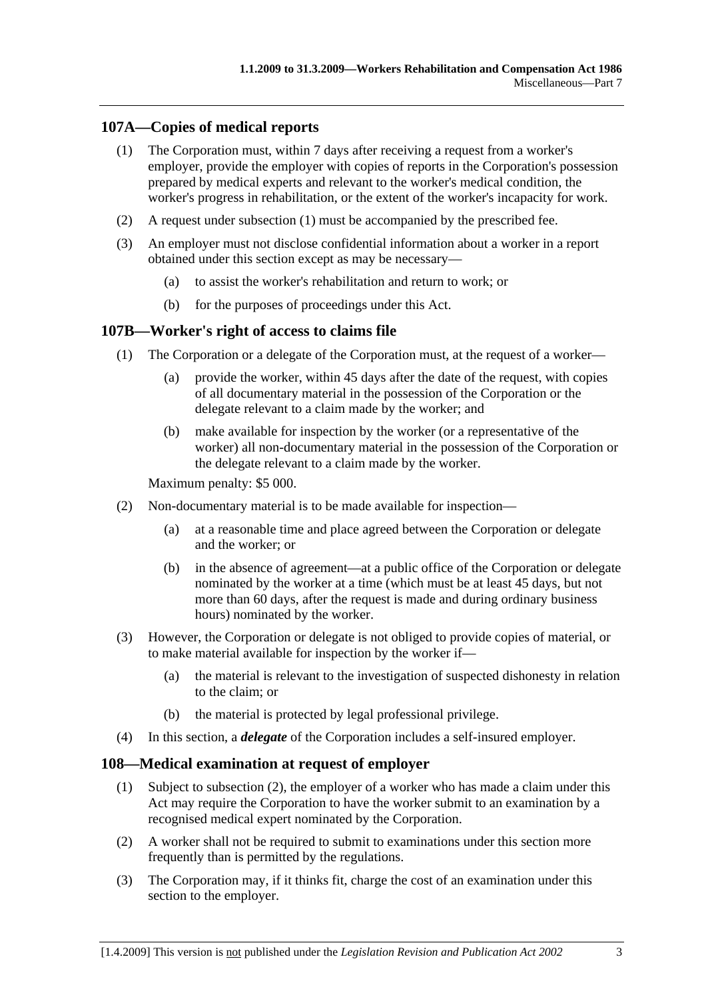## **107A—Copies of medical reports**

- (1) The Corporation must, within 7 days after receiving a request from a worker's employer, provide the employer with copies of reports in the Corporation's possession prepared by medical experts and relevant to the worker's medical condition, the worker's progress in rehabilitation, or the extent of the worker's incapacity for work.
- (2) A request under subsection (1) must be accompanied by the prescribed fee.
- (3) An employer must not disclose confidential information about a worker in a report obtained under this section except as may be necessary—
	- (a) to assist the worker's rehabilitation and return to work; or
	- (b) for the purposes of proceedings under this Act.

### **107B—Worker's right of access to claims file**

- (1) The Corporation or a delegate of the Corporation must, at the request of a worker—
	- (a) provide the worker, within 45 days after the date of the request, with copies of all documentary material in the possession of the Corporation or the delegate relevant to a claim made by the worker; and
	- (b) make available for inspection by the worker (or a representative of the worker) all non-documentary material in the possession of the Corporation or the delegate relevant to a claim made by the worker.

Maximum penalty: \$5 000.

- (2) Non-documentary material is to be made available for inspection—
	- (a) at a reasonable time and place agreed between the Corporation or delegate and the worker; or
	- (b) in the absence of agreement—at a public office of the Corporation or delegate nominated by the worker at a time (which must be at least 45 days, but not more than 60 days, after the request is made and during ordinary business hours) nominated by the worker.
- (3) However, the Corporation or delegate is not obliged to provide copies of material, or to make material available for inspection by the worker if—
	- (a) the material is relevant to the investigation of suspected dishonesty in relation to the claim; or
	- (b) the material is protected by legal professional privilege.
- (4) In this section, a *delegate* of the Corporation includes a self-insured employer.

### **108—Medical examination at request of employer**

- (1) Subject to subsection (2), the employer of a worker who has made a claim under this Act may require the Corporation to have the worker submit to an examination by a recognised medical expert nominated by the Corporation.
- (2) A worker shall not be required to submit to examinations under this section more frequently than is permitted by the regulations.
- (3) The Corporation may, if it thinks fit, charge the cost of an examination under this section to the employer.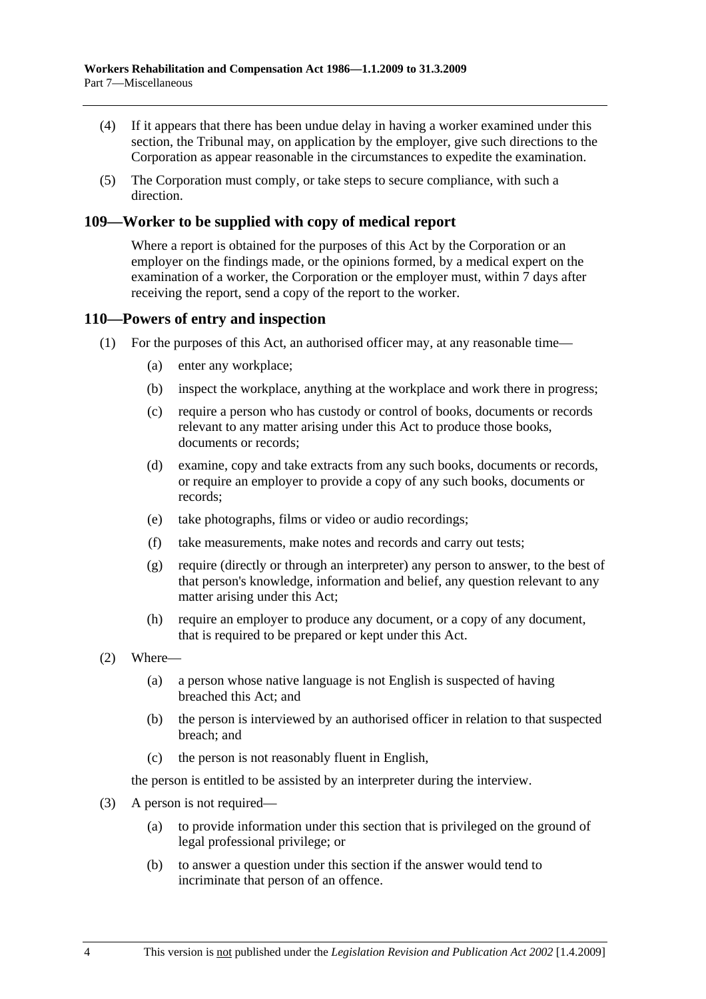- (4) If it appears that there has been undue delay in having a worker examined under this section, the Tribunal may, on application by the employer, give such directions to the Corporation as appear reasonable in the circumstances to expedite the examination.
- (5) The Corporation must comply, or take steps to secure compliance, with such a direction.

## **109—Worker to be supplied with copy of medical report**

Where a report is obtained for the purposes of this Act by the Corporation or an employer on the findings made, or the opinions formed, by a medical expert on the examination of a worker, the Corporation or the employer must, within 7 days after receiving the report, send a copy of the report to the worker.

### **110—Powers of entry and inspection**

- (1) For the purposes of this Act, an authorised officer may, at any reasonable time—
	- (a) enter any workplace;
	- (b) inspect the workplace, anything at the workplace and work there in progress;
	- (c) require a person who has custody or control of books, documents or records relevant to any matter arising under this Act to produce those books, documents or records;
	- (d) examine, copy and take extracts from any such books, documents or records, or require an employer to provide a copy of any such books, documents or records;
	- (e) take photographs, films or video or audio recordings;
	- (f) take measurements, make notes and records and carry out tests;
	- (g) require (directly or through an interpreter) any person to answer, to the best of that person's knowledge, information and belief, any question relevant to any matter arising under this Act;
	- (h) require an employer to produce any document, or a copy of any document, that is required to be prepared or kept under this Act.
- (2) Where—
	- (a) a person whose native language is not English is suspected of having breached this Act; and
	- (b) the person is interviewed by an authorised officer in relation to that suspected breach; and
	- (c) the person is not reasonably fluent in English,

the person is entitled to be assisted by an interpreter during the interview.

- (3) A person is not required—
	- (a) to provide information under this section that is privileged on the ground of legal professional privilege; or
	- (b) to answer a question under this section if the answer would tend to incriminate that person of an offence.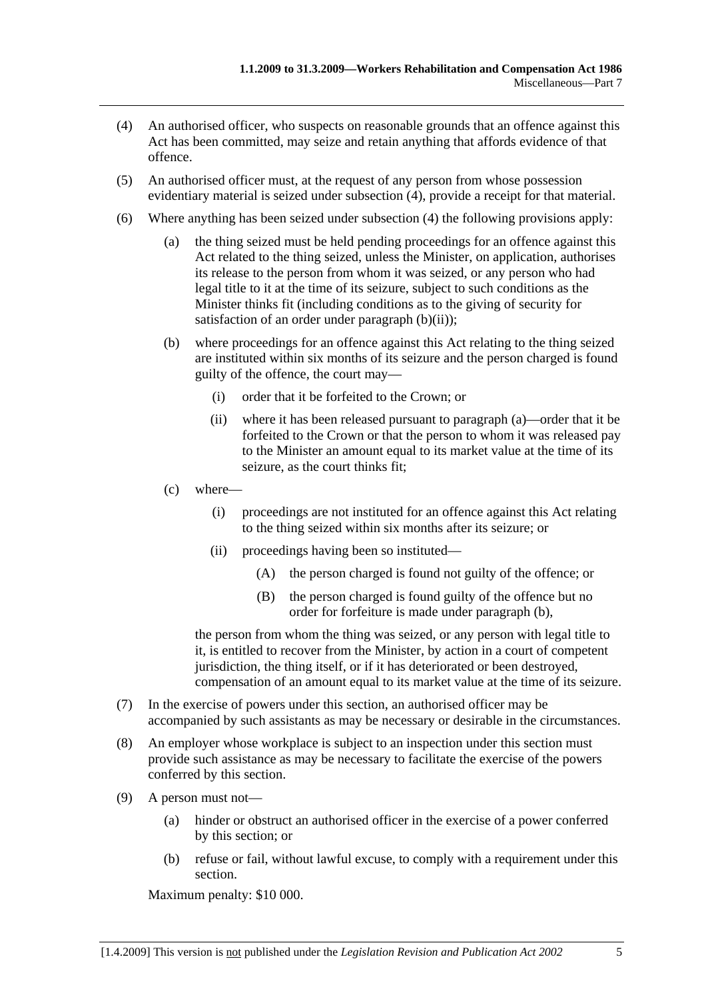- (4) An authorised officer, who suspects on reasonable grounds that an offence against this Act has been committed, may seize and retain anything that affords evidence of that offence.
- (5) An authorised officer must, at the request of any person from whose possession evidentiary material is seized under subsection (4), provide a receipt for that material.
- (6) Where anything has been seized under subsection (4) the following provisions apply:
	- (a) the thing seized must be held pending proceedings for an offence against this Act related to the thing seized, unless the Minister, on application, authorises its release to the person from whom it was seized, or any person who had legal title to it at the time of its seizure, subject to such conditions as the Minister thinks fit (including conditions as to the giving of security for satisfaction of an order under paragraph  $(b)(ii)$ ;
	- (b) where proceedings for an offence against this Act relating to the thing seized are instituted within six months of its seizure and the person charged is found guilty of the offence, the court may—
		- (i) order that it be forfeited to the Crown; or
		- (ii) where it has been released pursuant to paragraph (a)—order that it be forfeited to the Crown or that the person to whom it was released pay to the Minister an amount equal to its market value at the time of its seizure, as the court thinks fit;
	- (c) where—
		- (i) proceedings are not instituted for an offence against this Act relating to the thing seized within six months after its seizure; or
		- (ii) proceedings having been so instituted—
			- (A) the person charged is found not guilty of the offence; or
			- (B) the person charged is found guilty of the offence but no order for forfeiture is made under paragraph (b),

the person from whom the thing was seized, or any person with legal title to it, is entitled to recover from the Minister, by action in a court of competent jurisdiction, the thing itself, or if it has deteriorated or been destroyed, compensation of an amount equal to its market value at the time of its seizure.

- (7) In the exercise of powers under this section, an authorised officer may be accompanied by such assistants as may be necessary or desirable in the circumstances.
- (8) An employer whose workplace is subject to an inspection under this section must provide such assistance as may be necessary to facilitate the exercise of the powers conferred by this section.
- (9) A person must not—
	- (a) hinder or obstruct an authorised officer in the exercise of a power conferred by this section; or
	- (b) refuse or fail, without lawful excuse, to comply with a requirement under this section.

Maximum penalty: \$10 000.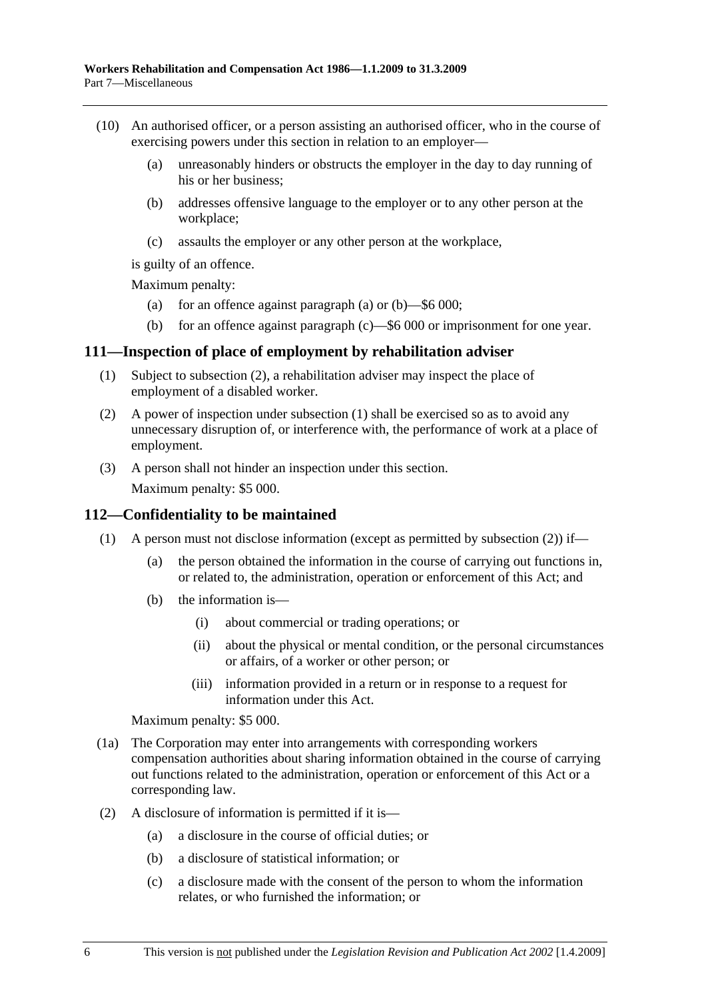- (10) An authorised officer, or a person assisting an authorised officer, who in the course of exercising powers under this section in relation to an employer—
	- (a) unreasonably hinders or obstructs the employer in the day to day running of his or her business;
	- (b) addresses offensive language to the employer or to any other person at the workplace;
	- (c) assaults the employer or any other person at the workplace,

is guilty of an offence.

Maximum penalty:

- (a) for an offence against paragraph (a) or  $(b)$ —\$6 000;
- (b) for an offence against paragraph (c)—\$6 000 or imprisonment for one year.

### **111—Inspection of place of employment by rehabilitation adviser**

- (1) Subject to subsection (2), a rehabilitation adviser may inspect the place of employment of a disabled worker.
- (2) A power of inspection under subsection (1) shall be exercised so as to avoid any unnecessary disruption of, or interference with, the performance of work at a place of employment.
- (3) A person shall not hinder an inspection under this section.

Maximum penalty: \$5 000.

### **112—Confidentiality to be maintained**

- (1) A person must not disclose information (except as permitted by subsection (2)) if—
	- (a) the person obtained the information in the course of carrying out functions in, or related to, the administration, operation or enforcement of this Act; and
	- (b) the information is—
		- (i) about commercial or trading operations; or
		- (ii) about the physical or mental condition, or the personal circumstances or affairs, of a worker or other person; or
		- (iii) information provided in a return or in response to a request for information under this Act.

Maximum penalty: \$5 000.

- (1a) The Corporation may enter into arrangements with corresponding workers compensation authorities about sharing information obtained in the course of carrying out functions related to the administration, operation or enforcement of this Act or a corresponding law.
- (2) A disclosure of information is permitted if it is—
	- (a) a disclosure in the course of official duties; or
	- (b) a disclosure of statistical information; or
	- (c) a disclosure made with the consent of the person to whom the information relates, or who furnished the information; or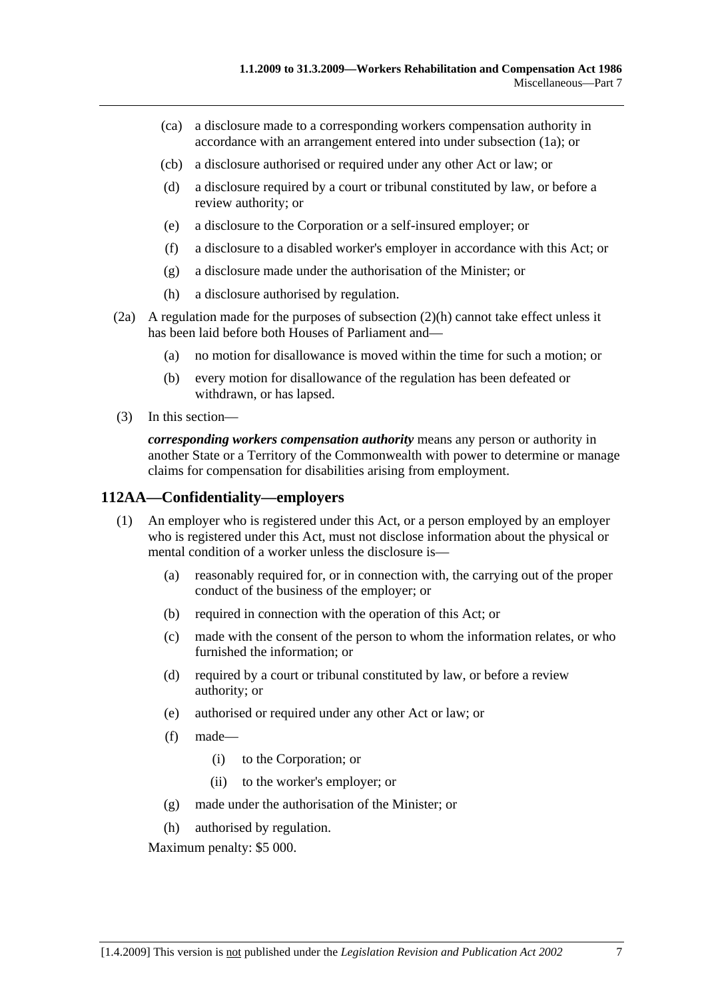- (ca) a disclosure made to a corresponding workers compensation authority in accordance with an arrangement entered into under subsection (1a); or
- (cb) a disclosure authorised or required under any other Act or law; or
- (d) a disclosure required by a court or tribunal constituted by law, or before a review authority; or
- (e) a disclosure to the Corporation or a self-insured employer; or
- (f) a disclosure to a disabled worker's employer in accordance with this Act; or
- (g) a disclosure made under the authorisation of the Minister; or
- (h) a disclosure authorised by regulation.
- (2a) A regulation made for the purposes of subsection (2)(h) cannot take effect unless it has been laid before both Houses of Parliament and—
	- (a) no motion for disallowance is moved within the time for such a motion; or
	- (b) every motion for disallowance of the regulation has been defeated or withdrawn, or has lapsed.
- (3) In this section—

*corresponding workers compensation authority* means any person or authority in another State or a Territory of the Commonwealth with power to determine or manage claims for compensation for disabilities arising from employment.

### **112AA—Confidentiality—employers**

- (1) An employer who is registered under this Act, or a person employed by an employer who is registered under this Act, must not disclose information about the physical or mental condition of a worker unless the disclosure is—
	- (a) reasonably required for, or in connection with, the carrying out of the proper conduct of the business of the employer; or
	- (b) required in connection with the operation of this Act; or
	- (c) made with the consent of the person to whom the information relates, or who furnished the information; or
	- (d) required by a court or tribunal constituted by law, or before a review authority; or
	- (e) authorised or required under any other Act or law; or
	- (f) made—
		- (i) to the Corporation; or
		- (ii) to the worker's employer; or
	- (g) made under the authorisation of the Minister; or
	- (h) authorised by regulation.

Maximum penalty: \$5 000.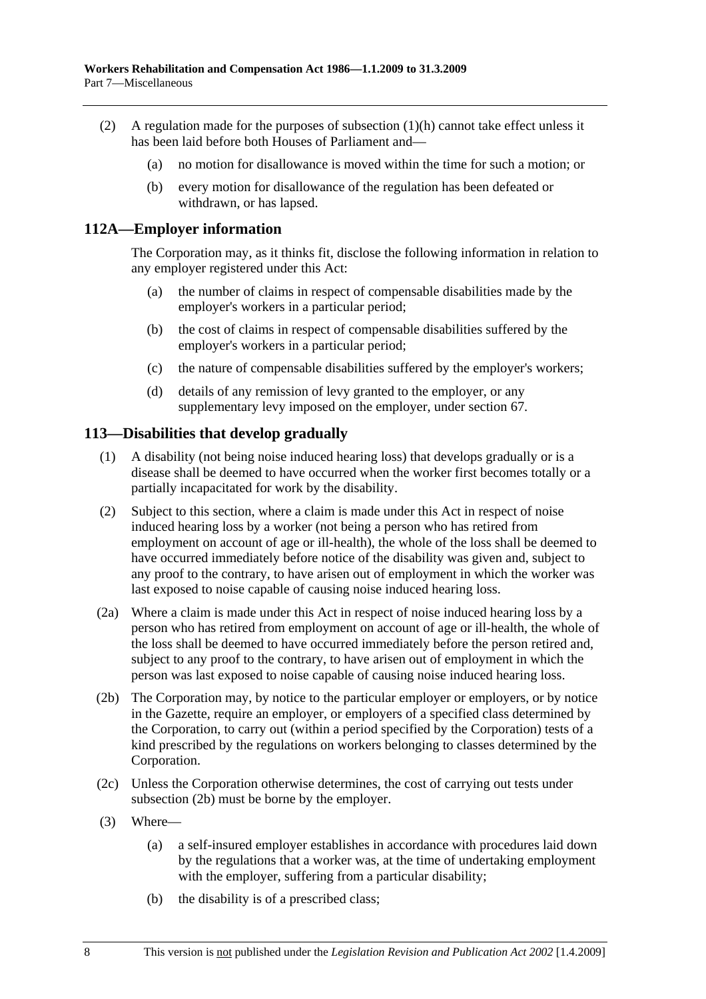- (2) A regulation made for the purposes of subsection (1)(h) cannot take effect unless it has been laid before both Houses of Parliament and—
	- (a) no motion for disallowance is moved within the time for such a motion; or
	- (b) every motion for disallowance of the regulation has been defeated or withdrawn, or has lapsed.

### **112A—Employer information**

The Corporation may, as it thinks fit, disclose the following information in relation to any employer registered under this Act:

- (a) the number of claims in respect of compensable disabilities made by the employer's workers in a particular period;
- (b) the cost of claims in respect of compensable disabilities suffered by the employer's workers in a particular period;
- (c) the nature of compensable disabilities suffered by the employer's workers;
- (d) details of any remission of levy granted to the employer, or any supplementary levy imposed on the employer, under section 67.

### **113—Disabilities that develop gradually**

- (1) A disability (not being noise induced hearing loss) that develops gradually or is a disease shall be deemed to have occurred when the worker first becomes totally or a partially incapacitated for work by the disability.
- (2) Subject to this section, where a claim is made under this Act in respect of noise induced hearing loss by a worker (not being a person who has retired from employment on account of age or ill-health), the whole of the loss shall be deemed to have occurred immediately before notice of the disability was given and, subject to any proof to the contrary, to have arisen out of employment in which the worker was last exposed to noise capable of causing noise induced hearing loss.
- (2a) Where a claim is made under this Act in respect of noise induced hearing loss by a person who has retired from employment on account of age or ill-health, the whole of the loss shall be deemed to have occurred immediately before the person retired and, subject to any proof to the contrary, to have arisen out of employment in which the person was last exposed to noise capable of causing noise induced hearing loss.
- (2b) The Corporation may, by notice to the particular employer or employers, or by notice in the Gazette, require an employer, or employers of a specified class determined by the Corporation, to carry out (within a period specified by the Corporation) tests of a kind prescribed by the regulations on workers belonging to classes determined by the Corporation.
- (2c) Unless the Corporation otherwise determines, the cost of carrying out tests under subsection (2b) must be borne by the employer.
- (3) Where—
	- (a) a self-insured employer establishes in accordance with procedures laid down by the regulations that a worker was, at the time of undertaking employment with the employer, suffering from a particular disability;
	- (b) the disability is of a prescribed class;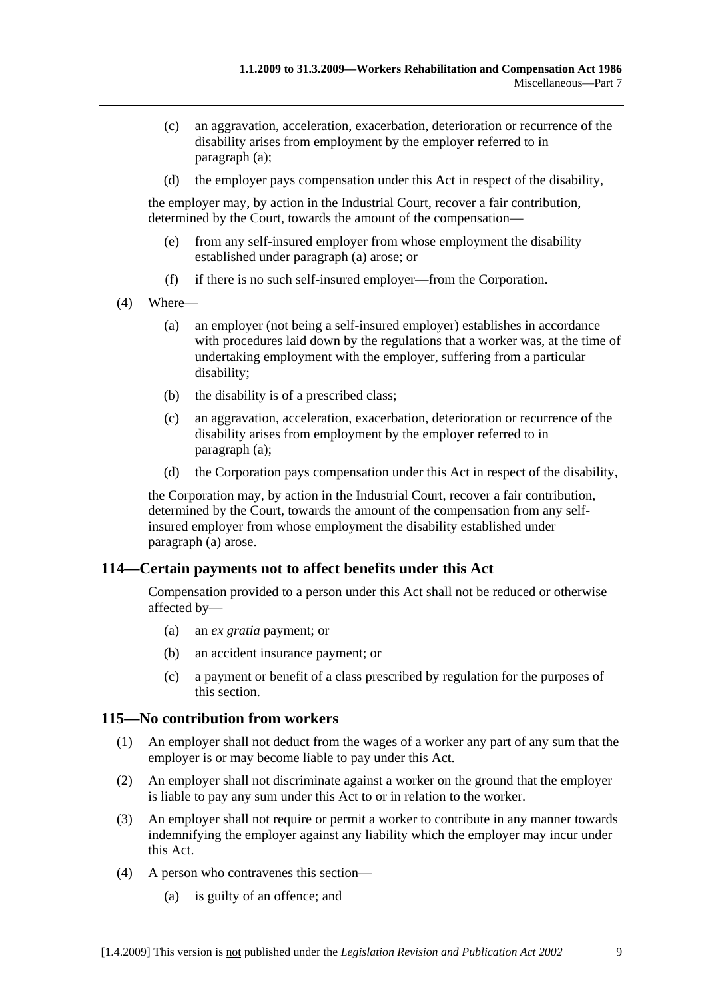- (c) an aggravation, acceleration, exacerbation, deterioration or recurrence of the disability arises from employment by the employer referred to in paragraph (a);
- (d) the employer pays compensation under this Act in respect of the disability,

the employer may, by action in the Industrial Court, recover a fair contribution, determined by the Court, towards the amount of the compensation—

- (e) from any self-insured employer from whose employment the disability established under paragraph (a) arose; or
- (f) if there is no such self-insured employer—from the Corporation.
- (4) Where—
	- (a) an employer (not being a self-insured employer) establishes in accordance with procedures laid down by the regulations that a worker was, at the time of undertaking employment with the employer, suffering from a particular disability;
	- (b) the disability is of a prescribed class;
	- (c) an aggravation, acceleration, exacerbation, deterioration or recurrence of the disability arises from employment by the employer referred to in paragraph (a);
	- (d) the Corporation pays compensation under this Act in respect of the disability,

the Corporation may, by action in the Industrial Court, recover a fair contribution, determined by the Court, towards the amount of the compensation from any selfinsured employer from whose employment the disability established under paragraph (a) arose.

## **114—Certain payments not to affect benefits under this Act**

Compensation provided to a person under this Act shall not be reduced or otherwise affected by—

- (a) an *ex gratia* payment; or
- (b) an accident insurance payment; or
- (c) a payment or benefit of a class prescribed by regulation for the purposes of this section.

### **115—No contribution from workers**

- (1) An employer shall not deduct from the wages of a worker any part of any sum that the employer is or may become liable to pay under this Act.
- (2) An employer shall not discriminate against a worker on the ground that the employer is liable to pay any sum under this Act to or in relation to the worker.
- (3) An employer shall not require or permit a worker to contribute in any manner towards indemnifying the employer against any liability which the employer may incur under this Act.
- (4) A person who contravenes this section—
	- (a) is guilty of an offence; and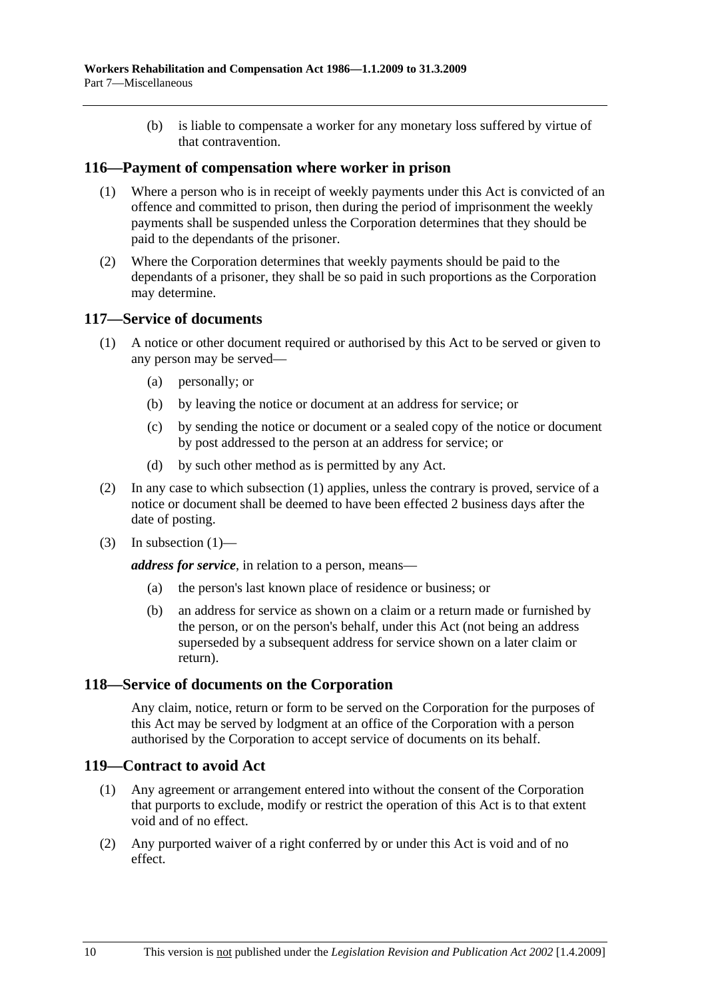(b) is liable to compensate a worker for any monetary loss suffered by virtue of that contravention.

### **116—Payment of compensation where worker in prison**

- (1) Where a person who is in receipt of weekly payments under this Act is convicted of an offence and committed to prison, then during the period of imprisonment the weekly payments shall be suspended unless the Corporation determines that they should be paid to the dependants of the prisoner.
- (2) Where the Corporation determines that weekly payments should be paid to the dependants of a prisoner, they shall be so paid in such proportions as the Corporation may determine.

### **117—Service of documents**

- (1) A notice or other document required or authorised by this Act to be served or given to any person may be served—
	- (a) personally; or
	- (b) by leaving the notice or document at an address for service; or
	- (c) by sending the notice or document or a sealed copy of the notice or document by post addressed to the person at an address for service; or
	- (d) by such other method as is permitted by any Act.
- (2) In any case to which subsection (1) applies, unless the contrary is proved, service of a notice or document shall be deemed to have been effected 2 business days after the date of posting.
- $(3)$  In subsection  $(1)$ —

*address for service*, in relation to a person, means—

- (a) the person's last known place of residence or business; or
- (b) an address for service as shown on a claim or a return made or furnished by the person, or on the person's behalf, under this Act (not being an address superseded by a subsequent address for service shown on a later claim or return).

### **118—Service of documents on the Corporation**

Any claim, notice, return or form to be served on the Corporation for the purposes of this Act may be served by lodgment at an office of the Corporation with a person authorised by the Corporation to accept service of documents on its behalf.

### **119—Contract to avoid Act**

- (1) Any agreement or arrangement entered into without the consent of the Corporation that purports to exclude, modify or restrict the operation of this Act is to that extent void and of no effect.
- (2) Any purported waiver of a right conferred by or under this Act is void and of no effect.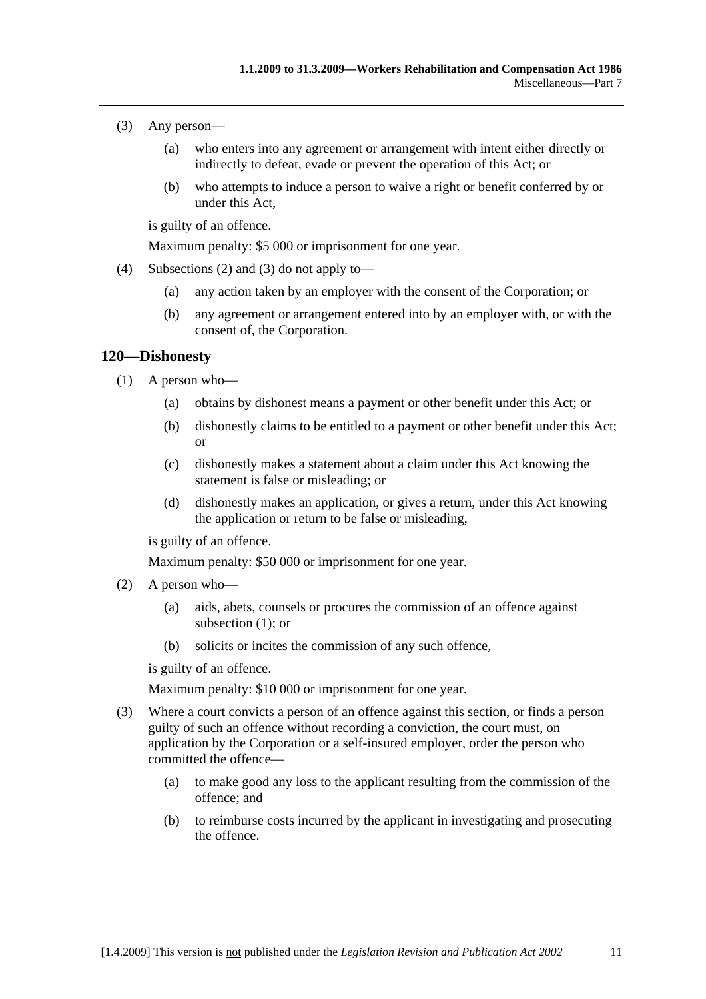- (3) Any person—
	- (a) who enters into any agreement or arrangement with intent either directly or indirectly to defeat, evade or prevent the operation of this Act; or
	- (b) who attempts to induce a person to waive a right or benefit conferred by or under this Act,

is guilty of an offence.

Maximum penalty: \$5 000 or imprisonment for one year.

- (4) Subsections (2) and (3) do not apply to—
	- (a) any action taken by an employer with the consent of the Corporation; or
	- (b) any agreement or arrangement entered into by an employer with, or with the consent of, the Corporation.

### **120—Dishonesty**

- (1) A person who—
	- (a) obtains by dishonest means a payment or other benefit under this Act; or
	- (b) dishonestly claims to be entitled to a payment or other benefit under this Act; or
	- (c) dishonestly makes a statement about a claim under this Act knowing the statement is false or misleading; or
	- (d) dishonestly makes an application, or gives a return, under this Act knowing the application or return to be false or misleading,

is guilty of an offence.

Maximum penalty: \$50 000 or imprisonment for one year.

- (2) A person who—
	- (a) aids, abets, counsels or procures the commission of an offence against subsection (1); or
	- (b) solicits or incites the commission of any such offence,

is guilty of an offence.

Maximum penalty: \$10 000 or imprisonment for one year.

- (3) Where a court convicts a person of an offence against this section, or finds a person guilty of such an offence without recording a conviction, the court must, on application by the Corporation or a self-insured employer, order the person who committed the offence—
	- (a) to make good any loss to the applicant resulting from the commission of the offence; and
	- (b) to reimburse costs incurred by the applicant in investigating and prosecuting the offence.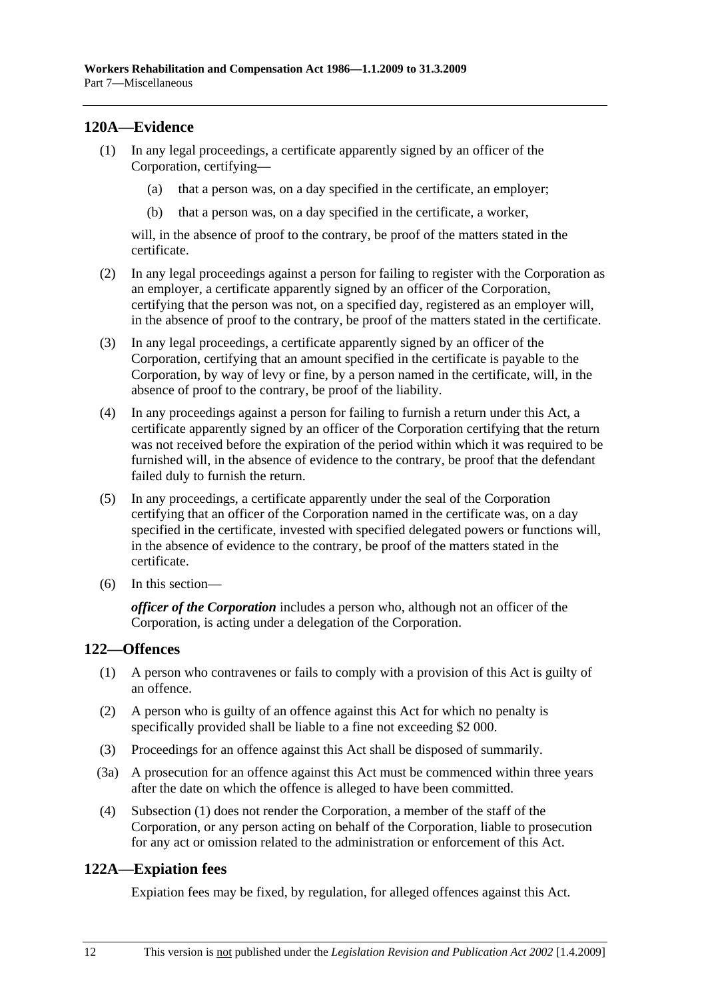## **120A—Evidence**

- (1) In any legal proceedings, a certificate apparently signed by an officer of the Corporation, certifying—
	- (a) that a person was, on a day specified in the certificate, an employer;
	- (b) that a person was, on a day specified in the certificate, a worker,

will, in the absence of proof to the contrary, be proof of the matters stated in the certificate.

- (2) In any legal proceedings against a person for failing to register with the Corporation as an employer, a certificate apparently signed by an officer of the Corporation, certifying that the person was not, on a specified day, registered as an employer will, in the absence of proof to the contrary, be proof of the matters stated in the certificate.
- (3) In any legal proceedings, a certificate apparently signed by an officer of the Corporation, certifying that an amount specified in the certificate is payable to the Corporation, by way of levy or fine, by a person named in the certificate, will, in the absence of proof to the contrary, be proof of the liability.
- (4) In any proceedings against a person for failing to furnish a return under this Act, a certificate apparently signed by an officer of the Corporation certifying that the return was not received before the expiration of the period within which it was required to be furnished will, in the absence of evidence to the contrary, be proof that the defendant failed duly to furnish the return.
- (5) In any proceedings, a certificate apparently under the seal of the Corporation certifying that an officer of the Corporation named in the certificate was, on a day specified in the certificate, invested with specified delegated powers or functions will, in the absence of evidence to the contrary, be proof of the matters stated in the certificate.
- (6) In this section—

*officer of the Corporation* includes a person who, although not an officer of the Corporation, is acting under a delegation of the Corporation.

## **122—Offences**

- (1) A person who contravenes or fails to comply with a provision of this Act is guilty of an offence.
- (2) A person who is guilty of an offence against this Act for which no penalty is specifically provided shall be liable to a fine not exceeding \$2 000.
- (3) Proceedings for an offence against this Act shall be disposed of summarily.
- (3a) A prosecution for an offence against this Act must be commenced within three years after the date on which the offence is alleged to have been committed.
- (4) Subsection (1) does not render the Corporation, a member of the staff of the Corporation, or any person acting on behalf of the Corporation, liable to prosecution for any act or omission related to the administration or enforcement of this Act.

## **122A—Expiation fees**

Expiation fees may be fixed, by regulation, for alleged offences against this Act.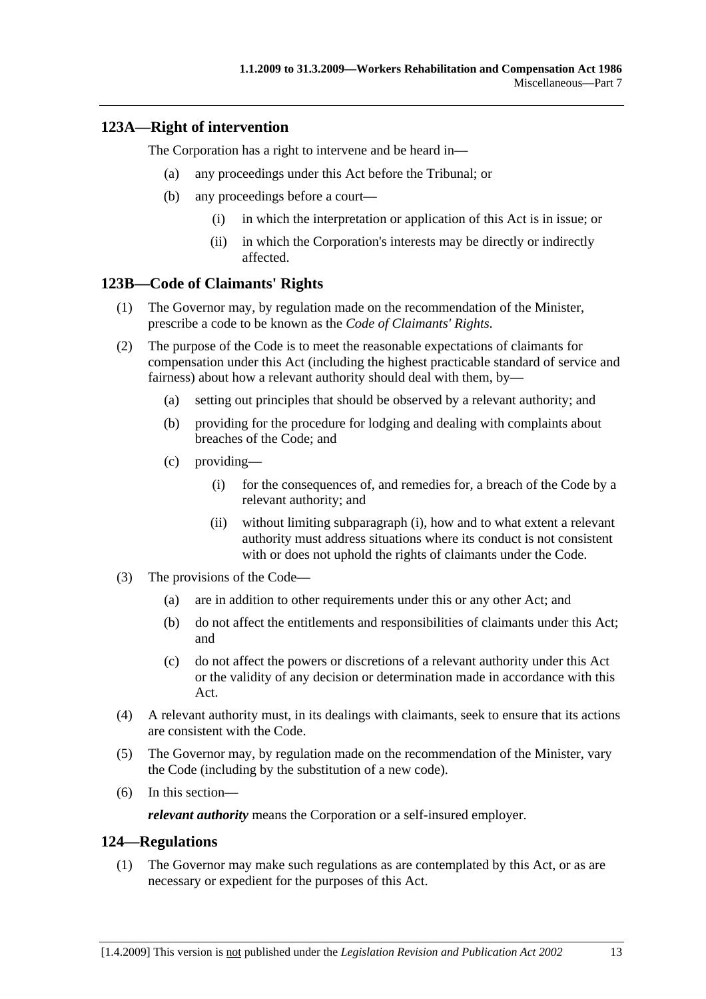## **123A—Right of intervention**

The Corporation has a right to intervene and be heard in—

- (a) any proceedings under this Act before the Tribunal; or
- (b) any proceedings before a court—
	- (i) in which the interpretation or application of this Act is in issue; or
	- (ii) in which the Corporation's interests may be directly or indirectly affected.

## **123B—Code of Claimants' Rights**

- (1) The Governor may, by regulation made on the recommendation of the Minister, prescribe a code to be known as the *Code of Claimants' Rights*.
- (2) The purpose of the Code is to meet the reasonable expectations of claimants for compensation under this Act (including the highest practicable standard of service and fairness) about how a relevant authority should deal with them, by—
	- (a) setting out principles that should be observed by a relevant authority; and
	- (b) providing for the procedure for lodging and dealing with complaints about breaches of the Code; and
	- (c) providing—
		- (i) for the consequences of, and remedies for, a breach of the Code by a relevant authority; and
		- (ii) without limiting subparagraph (i), how and to what extent a relevant authority must address situations where its conduct is not consistent with or does not uphold the rights of claimants under the Code.
- (3) The provisions of the Code—
	- (a) are in addition to other requirements under this or any other Act; and
	- (b) do not affect the entitlements and responsibilities of claimants under this Act; and
	- (c) do not affect the powers or discretions of a relevant authority under this Act or the validity of any decision or determination made in accordance with this Act.
- (4) A relevant authority must, in its dealings with claimants, seek to ensure that its actions are consistent with the Code.
- (5) The Governor may, by regulation made on the recommendation of the Minister, vary the Code (including by the substitution of a new code).
- (6) In this section—

*relevant authority* means the Corporation or a self-insured employer.

## **124—Regulations**

 (1) The Governor may make such regulations as are contemplated by this Act, or as are necessary or expedient for the purposes of this Act.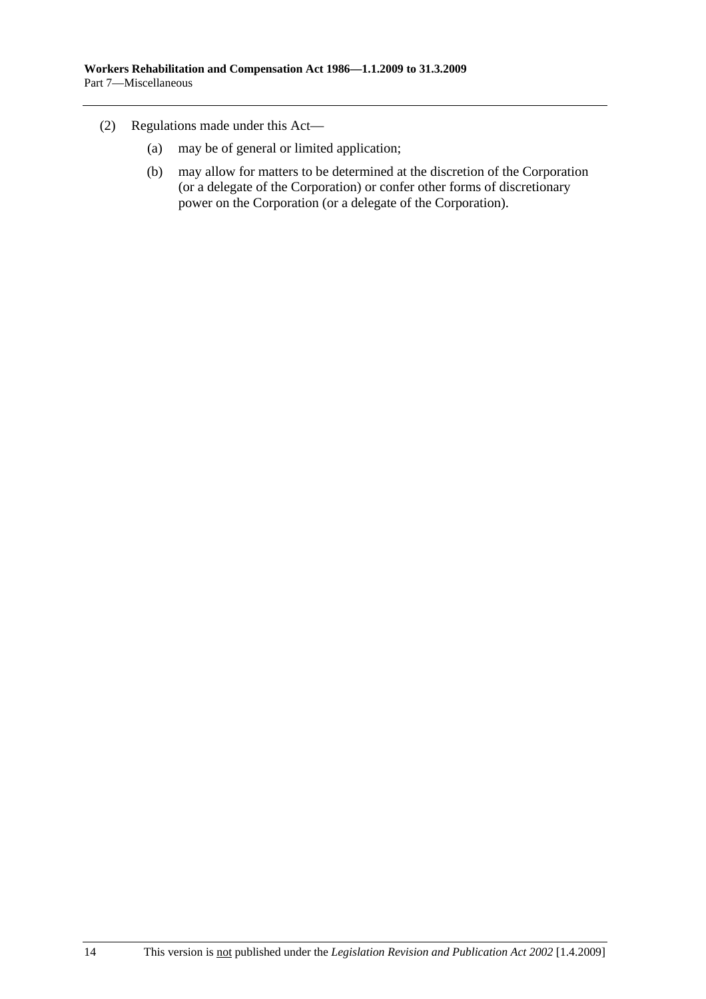- (2) Regulations made under this Act—
	- (a) may be of general or limited application;
	- (b) may allow for matters to be determined at the discretion of the Corporation (or a delegate of the Corporation) or confer other forms of discretionary power on the Corporation (or a delegate of the Corporation).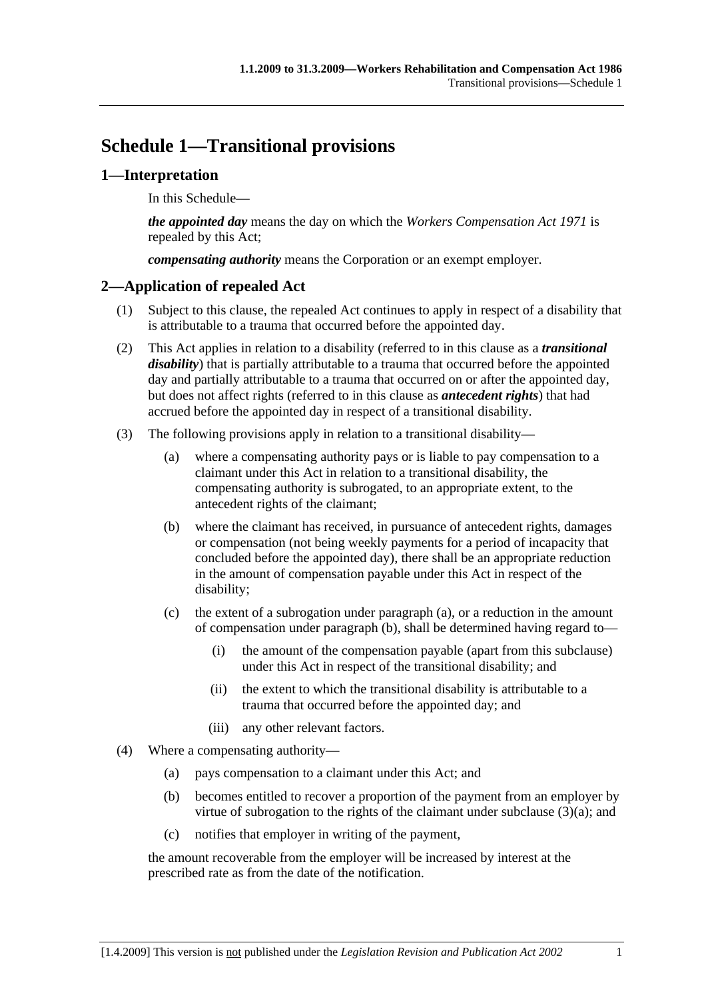# **Schedule 1—Transitional provisions**

## **1—Interpretation**

In this Schedule—

*the appointed day* means the day on which the *Workers Compensation Act 1971* is repealed by this Act;

*compensating authority* means the Corporation or an exempt employer.

## **2—Application of repealed Act**

- (1) Subject to this clause, the repealed Act continues to apply in respect of a disability that is attributable to a trauma that occurred before the appointed day.
- (2) This Act applies in relation to a disability (referred to in this clause as a *transitional disability*) that is partially attributable to a trauma that occurred before the appointed day and partially attributable to a trauma that occurred on or after the appointed day, but does not affect rights (referred to in this clause as *antecedent rights*) that had accrued before the appointed day in respect of a transitional disability.
- (3) The following provisions apply in relation to a transitional disability—
	- (a) where a compensating authority pays or is liable to pay compensation to a claimant under this Act in relation to a transitional disability, the compensating authority is subrogated, to an appropriate extent, to the antecedent rights of the claimant;
	- (b) where the claimant has received, in pursuance of antecedent rights, damages or compensation (not being weekly payments for a period of incapacity that concluded before the appointed day), there shall be an appropriate reduction in the amount of compensation payable under this Act in respect of the disability;
	- (c) the extent of a subrogation under paragraph (a), or a reduction in the amount of compensation under paragraph (b), shall be determined having regard to—
		- (i) the amount of the compensation payable (apart from this subclause) under this Act in respect of the transitional disability; and
		- (ii) the extent to which the transitional disability is attributable to a trauma that occurred before the appointed day; and
		- (iii) any other relevant factors.
- (4) Where a compensating authority—
	- (a) pays compensation to a claimant under this Act; and
	- (b) becomes entitled to recover a proportion of the payment from an employer by virtue of subrogation to the rights of the claimant under subclause (3)(a); and
	- (c) notifies that employer in writing of the payment,

the amount recoverable from the employer will be increased by interest at the prescribed rate as from the date of the notification.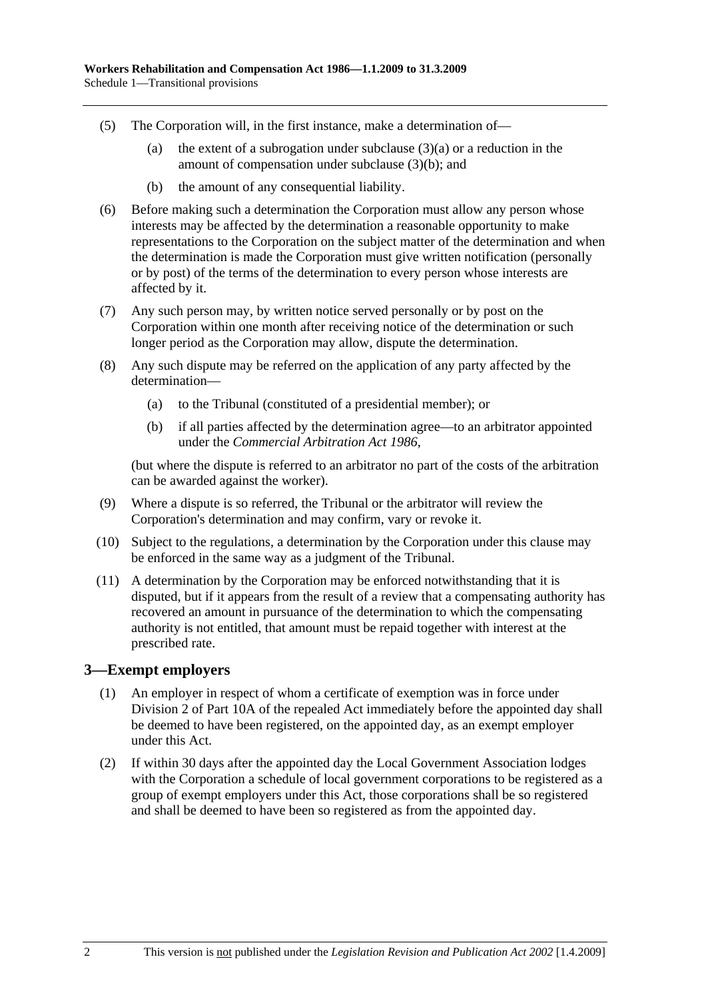- (5) The Corporation will, in the first instance, make a determination of—
	- (a) the extent of a subrogation under subclause  $(3)(a)$  or a reduction in the amount of compensation under subclause (3)(b); and
	- (b) the amount of any consequential liability.
- (6) Before making such a determination the Corporation must allow any person whose interests may be affected by the determination a reasonable opportunity to make representations to the Corporation on the subject matter of the determination and when the determination is made the Corporation must give written notification (personally or by post) of the terms of the determination to every person whose interests are affected by it.
- (7) Any such person may, by written notice served personally or by post on the Corporation within one month after receiving notice of the determination or such longer period as the Corporation may allow, dispute the determination.
- (8) Any such dispute may be referred on the application of any party affected by the determination—
	- (a) to the Tribunal (constituted of a presidential member); or
	- (b) if all parties affected by the determination agree—to an arbitrator appointed under the *Commercial Arbitration Act 1986*,

(but where the dispute is referred to an arbitrator no part of the costs of the arbitration can be awarded against the worker).

- (9) Where a dispute is so referred, the Tribunal or the arbitrator will review the Corporation's determination and may confirm, vary or revoke it.
- (10) Subject to the regulations, a determination by the Corporation under this clause may be enforced in the same way as a judgment of the Tribunal.
- (11) A determination by the Corporation may be enforced notwithstanding that it is disputed, but if it appears from the result of a review that a compensating authority has recovered an amount in pursuance of the determination to which the compensating authority is not entitled, that amount must be repaid together with interest at the prescribed rate.

## **3—Exempt employers**

- (1) An employer in respect of whom a certificate of exemption was in force under Division 2 of Part 10A of the repealed Act immediately before the appointed day shall be deemed to have been registered, on the appointed day, as an exempt employer under this Act.
- (2) If within 30 days after the appointed day the Local Government Association lodges with the Corporation a schedule of local government corporations to be registered as a group of exempt employers under this Act, those corporations shall be so registered and shall be deemed to have been so registered as from the appointed day.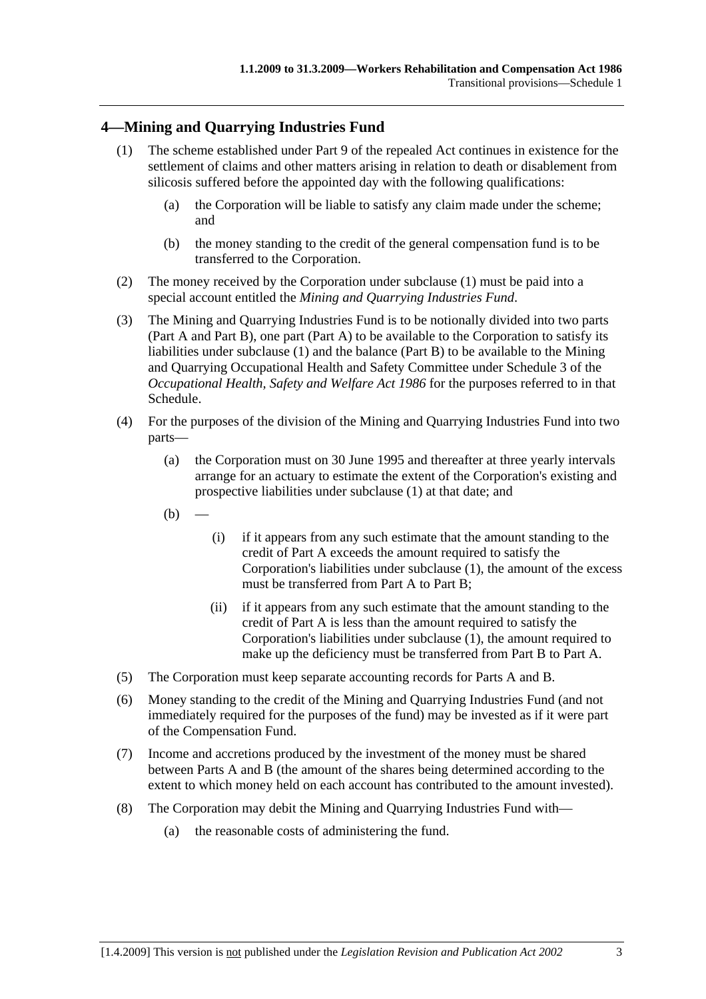## **4—Mining and Quarrying Industries Fund**

- (1) The scheme established under Part 9 of the repealed Act continues in existence for the settlement of claims and other matters arising in relation to death or disablement from silicosis suffered before the appointed day with the following qualifications:
	- (a) the Corporation will be liable to satisfy any claim made under the scheme; and
	- (b) the money standing to the credit of the general compensation fund is to be transferred to the Corporation.
- (2) The money received by the Corporation under subclause (1) must be paid into a special account entitled the *Mining and Quarrying Industries Fund*.
- (3) The Mining and Quarrying Industries Fund is to be notionally divided into two parts (Part A and Part B), one part (Part A) to be available to the Corporation to satisfy its liabilities under subclause (1) and the balance (Part B) to be available to the Mining and Quarrying Occupational Health and Safety Committee under Schedule 3 of the *Occupational Health, Safety and Welfare Act 1986* for the purposes referred to in that Schedule.
- (4) For the purposes of the division of the Mining and Quarrying Industries Fund into two parts—
	- (a) the Corporation must on 30 June 1995 and thereafter at three yearly intervals arrange for an actuary to estimate the extent of the Corporation's existing and prospective liabilities under subclause (1) at that date; and
	- $(b)$
- (i) if it appears from any such estimate that the amount standing to the credit of Part A exceeds the amount required to satisfy the Corporation's liabilities under subclause (1), the amount of the excess must be transferred from Part A to Part B;
- (ii) if it appears from any such estimate that the amount standing to the credit of Part A is less than the amount required to satisfy the Corporation's liabilities under subclause (1), the amount required to make up the deficiency must be transferred from Part B to Part A.
- (5) The Corporation must keep separate accounting records for Parts A and B.
- (6) Money standing to the credit of the Mining and Quarrying Industries Fund (and not immediately required for the purposes of the fund) may be invested as if it were part of the Compensation Fund.
- (7) Income and accretions produced by the investment of the money must be shared between Parts A and B (the amount of the shares being determined according to the extent to which money held on each account has contributed to the amount invested).
- (8) The Corporation may debit the Mining and Quarrying Industries Fund with—
	- (a) the reasonable costs of administering the fund.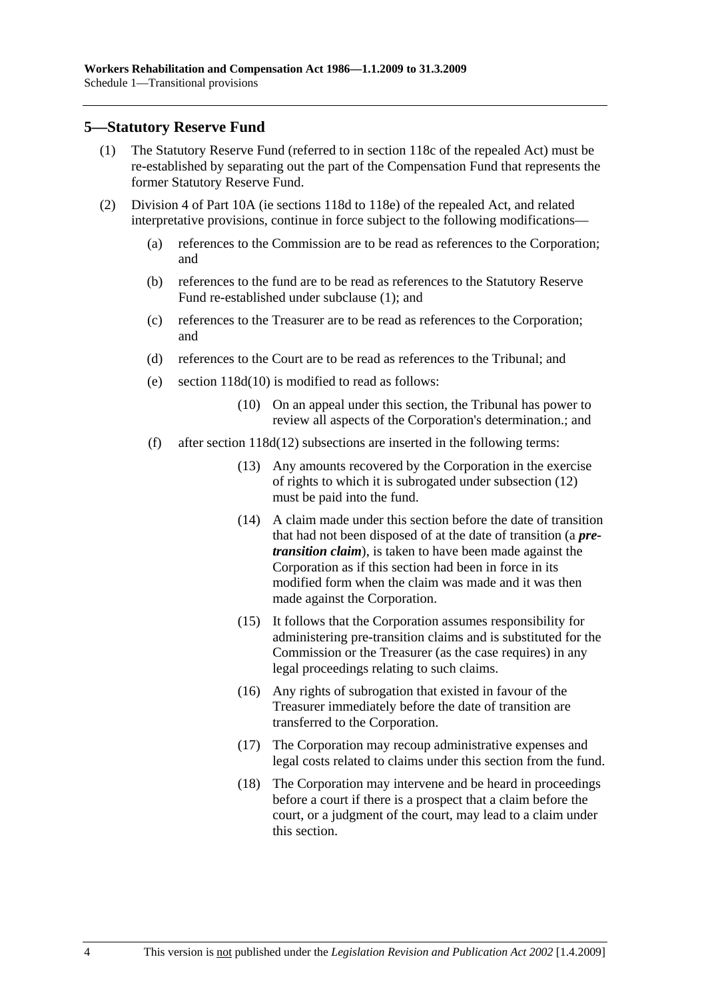## **5—Statutory Reserve Fund**

- (1) The Statutory Reserve Fund (referred to in section 118c of the repealed Act) must be re-established by separating out the part of the Compensation Fund that represents the former Statutory Reserve Fund.
- (2) Division 4 of Part 10A (ie sections 118d to 118e) of the repealed Act, and related interpretative provisions, continue in force subject to the following modifications—
	- (a) references to the Commission are to be read as references to the Corporation; and
	- (b) references to the fund are to be read as references to the Statutory Reserve Fund re-established under subclause (1); and
	- (c) references to the Treasurer are to be read as references to the Corporation; and
	- (d) references to the Court are to be read as references to the Tribunal; and
	- (e) section 118d(10) is modified to read as follows:
		- (10) On an appeal under this section, the Tribunal has power to review all aspects of the Corporation's determination.; and
	- (f) after section 118d(12) subsections are inserted in the following terms:
		- (13) Any amounts recovered by the Corporation in the exercise of rights to which it is subrogated under subsection (12) must be paid into the fund.
		- (14) A claim made under this section before the date of transition that had not been disposed of at the date of transition (a *pretransition claim*), is taken to have been made against the Corporation as if this section had been in force in its modified form when the claim was made and it was then made against the Corporation.
		- (15) It follows that the Corporation assumes responsibility for administering pre-transition claims and is substituted for the Commission or the Treasurer (as the case requires) in any legal proceedings relating to such claims.
		- (16) Any rights of subrogation that existed in favour of the Treasurer immediately before the date of transition are transferred to the Corporation.
		- (17) The Corporation may recoup administrative expenses and legal costs related to claims under this section from the fund.
		- (18) The Corporation may intervene and be heard in proceedings before a court if there is a prospect that a claim before the court, or a judgment of the court, may lead to a claim under this section.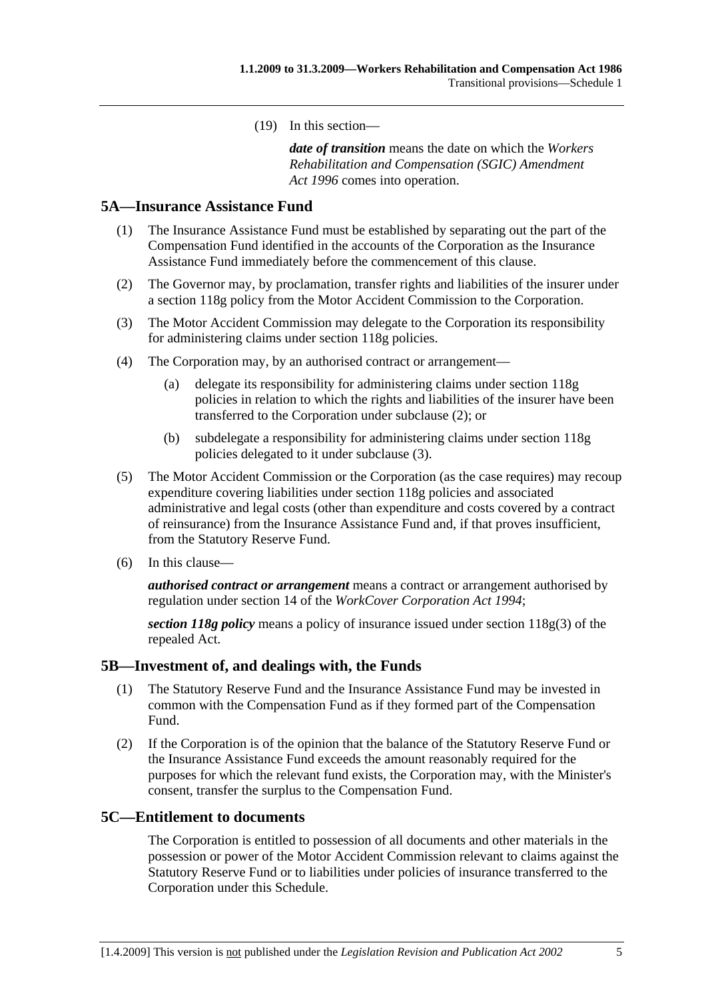(19) In this section—

*date of transition* means the date on which the *Workers Rehabilitation and Compensation (SGIC) Amendment Act 1996* comes into operation.

## **5A—Insurance Assistance Fund**

- (1) The Insurance Assistance Fund must be established by separating out the part of the Compensation Fund identified in the accounts of the Corporation as the Insurance Assistance Fund immediately before the commencement of this clause.
- (2) The Governor may, by proclamation, transfer rights and liabilities of the insurer under a section 118g policy from the Motor Accident Commission to the Corporation.
- (3) The Motor Accident Commission may delegate to the Corporation its responsibility for administering claims under section 118g policies.
- (4) The Corporation may, by an authorised contract or arrangement—
	- (a) delegate its responsibility for administering claims under section 118g policies in relation to which the rights and liabilities of the insurer have been transferred to the Corporation under subclause (2); or
	- (b) subdelegate a responsibility for administering claims under section 118g policies delegated to it under subclause (3).
- (5) The Motor Accident Commission or the Corporation (as the case requires) may recoup expenditure covering liabilities under section 118g policies and associated administrative and legal costs (other than expenditure and costs covered by a contract of reinsurance) from the Insurance Assistance Fund and, if that proves insufficient, from the Statutory Reserve Fund.
- (6) In this clause—

*authorised contract or arrangement* means a contract or arrangement authorised by regulation under section 14 of the *WorkCover Corporation Act 1994*;

*section 118g policy* means a policy of insurance issued under section 118g(3) of the repealed Act.

### **5B—Investment of, and dealings with, the Funds**

- (1) The Statutory Reserve Fund and the Insurance Assistance Fund may be invested in common with the Compensation Fund as if they formed part of the Compensation Fund.
- (2) If the Corporation is of the opinion that the balance of the Statutory Reserve Fund or the Insurance Assistance Fund exceeds the amount reasonably required for the purposes for which the relevant fund exists, the Corporation may, with the Minister's consent, transfer the surplus to the Compensation Fund.

### **5C—Entitlement to documents**

The Corporation is entitled to possession of all documents and other materials in the possession or power of the Motor Accident Commission relevant to claims against the Statutory Reserve Fund or to liabilities under policies of insurance transferred to the Corporation under this Schedule.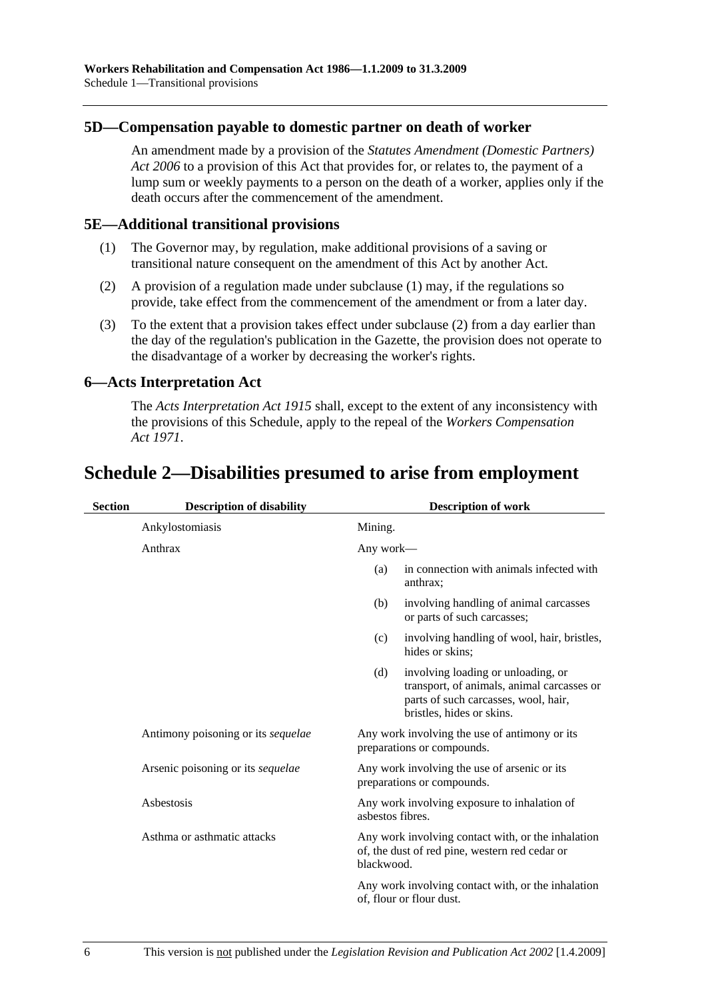## **5D—Compensation payable to domestic partner on death of worker**

An amendment made by a provision of the *Statutes Amendment (Domestic Partners) Act 2006* to a provision of this Act that provides for, or relates to, the payment of a lump sum or weekly payments to a person on the death of a worker, applies only if the death occurs after the commencement of the amendment.

## **5E—Additional transitional provisions**

- (1) The Governor may, by regulation, make additional provisions of a saving or transitional nature consequent on the amendment of this Act by another Act.
- (2) A provision of a regulation made under subclause (1) may, if the regulations so provide, take effect from the commencement of the amendment or from a later day.
- (3) To the extent that a provision takes effect under subclause (2) from a day earlier than the day of the regulation's publication in the Gazette, the provision does not operate to the disadvantage of a worker by decreasing the worker's rights.

## **6—Acts Interpretation Act**

The *Acts Interpretation Act 1915* shall, except to the extent of any inconsistency with the provisions of this Schedule, apply to the repeal of the *Workers Compensation Act 1971*.

# **Schedule 2—Disabilities presumed to arise from employment**

| <b>Section</b> | <b>Description of disability</b>   | <b>Description of work</b> |                                                                                                                                                       |
|----------------|------------------------------------|----------------------------|-------------------------------------------------------------------------------------------------------------------------------------------------------|
|                | Ankylostomiasis                    | Mining.                    |                                                                                                                                                       |
|                | Anthrax                            | Any work—                  |                                                                                                                                                       |
|                |                                    | (a)                        | in connection with animals infected with<br>anthrax;                                                                                                  |
|                |                                    | (b)                        | involving handling of animal carcasses<br>or parts of such carcasses;                                                                                 |
|                |                                    | (c)                        | involving handling of wool, hair, bristles,<br>hides or skins:                                                                                        |
|                |                                    | (d)                        | involving loading or unloading, or<br>transport, of animals, animal carcasses or<br>parts of such carcasses, wool, hair,<br>bristles, hides or skins. |
|                | Antimony poisoning or its sequelae |                            | Any work involving the use of antimony or its<br>preparations or compounds.                                                                           |
|                | Arsenic poisoning or its sequelae  |                            | Any work involving the use of arsenic or its<br>preparations or compounds.                                                                            |
|                | Asbestosis                         | asbestos fibres.           | Any work involving exposure to inhalation of                                                                                                          |
|                | Asthma or asthmatic attacks        | blackwood.                 | Any work involving contact with, or the inhalation<br>of, the dust of red pine, western red cedar or                                                  |
|                |                                    |                            | Any work involving contact with, or the inhalation<br>of, flour or flour dust.                                                                        |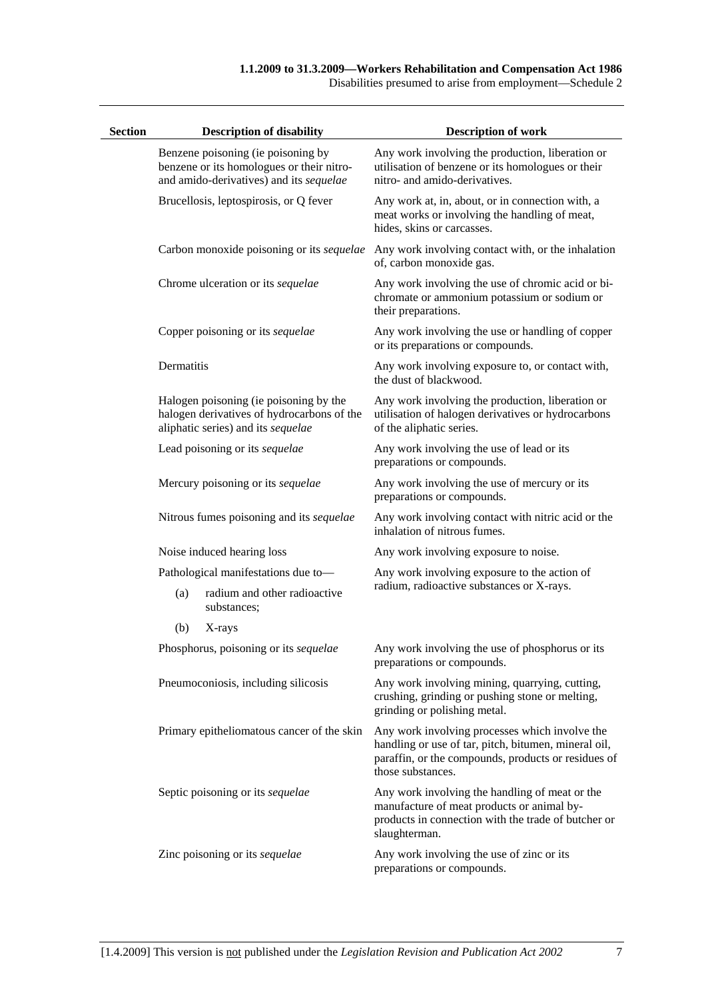Disabilities presumed to arise from employment—Schedule 2

| <b>Section</b> |            | <b>Description of disability</b>                                                                                           | <b>Description of work</b>                                                                                                                                                         |
|----------------|------------|----------------------------------------------------------------------------------------------------------------------------|------------------------------------------------------------------------------------------------------------------------------------------------------------------------------------|
|                |            | Benzene poisoning (ie poisoning by<br>benzene or its homologues or their nitro-<br>and amido-derivatives) and its sequelae | Any work involving the production, liberation or<br>utilisation of benzene or its homologues or their<br>nitro- and amido-derivatives.                                             |
|                |            | Brucellosis, leptospirosis, or Q fever                                                                                     | Any work at, in, about, or in connection with, a<br>meat works or involving the handling of meat,<br>hides, skins or carcasses.                                                    |
|                |            | Carbon monoxide poisoning or its sequelae                                                                                  | Any work involving contact with, or the inhalation<br>of, carbon monoxide gas.                                                                                                     |
|                |            | Chrome ulceration or its sequelae                                                                                          | Any work involving the use of chromic acid or bi-<br>chromate or ammonium potassium or sodium or<br>their preparations.                                                            |
|                |            | Copper poisoning or its sequelae                                                                                           | Any work involving the use or handling of copper<br>or its preparations or compounds.                                                                                              |
|                | Dermatitis |                                                                                                                            | Any work involving exposure to, or contact with,<br>the dust of blackwood.                                                                                                         |
|                |            | Halogen poisoning (ie poisoning by the<br>halogen derivatives of hydrocarbons of the<br>aliphatic series) and its sequelae | Any work involving the production, liberation or<br>utilisation of halogen derivatives or hydrocarbons<br>of the aliphatic series.                                                 |
|                |            | Lead poisoning or its sequelae                                                                                             | Any work involving the use of lead or its<br>preparations or compounds.                                                                                                            |
|                |            | Mercury poisoning or its sequelae                                                                                          | Any work involving the use of mercury or its<br>preparations or compounds.                                                                                                         |
|                |            | Nitrous fumes poisoning and its sequelae                                                                                   | Any work involving contact with nitric acid or the<br>inhalation of nitrous fumes.                                                                                                 |
|                |            | Noise induced hearing loss                                                                                                 | Any work involving exposure to noise.                                                                                                                                              |
|                |            | Pathological manifestations due to-                                                                                        | Any work involving exposure to the action of                                                                                                                                       |
|                | (a)        | radium and other radioactive<br>substances;                                                                                | radium, radioactive substances or X-rays.                                                                                                                                          |
|                | (b)        | X-rays                                                                                                                     |                                                                                                                                                                                    |
|                |            | Phosphorus, poisoning or its sequelae                                                                                      | Any work involving the use of phosphorus or its<br>preparations or compounds.                                                                                                      |
|                |            | Pneumoconiosis, including silicosis                                                                                        | Any work involving mining, quarrying, cutting,<br>crushing, grinding or pushing stone or melting,<br>grinding or polishing metal.                                                  |
|                |            | Primary epitheliomatous cancer of the skin                                                                                 | Any work involving processes which involve the<br>handling or use of tar, pitch, bitumen, mineral oil,<br>paraffin, or the compounds, products or residues of<br>those substances. |
|                |            | Septic poisoning or its sequelae                                                                                           | Any work involving the handling of meat or the<br>manufacture of meat products or animal by-<br>products in connection with the trade of butcher or<br>slaughterman.               |
|                |            | Zinc poisoning or its sequelae                                                                                             | Any work involving the use of zinc or its<br>preparations or compounds.                                                                                                            |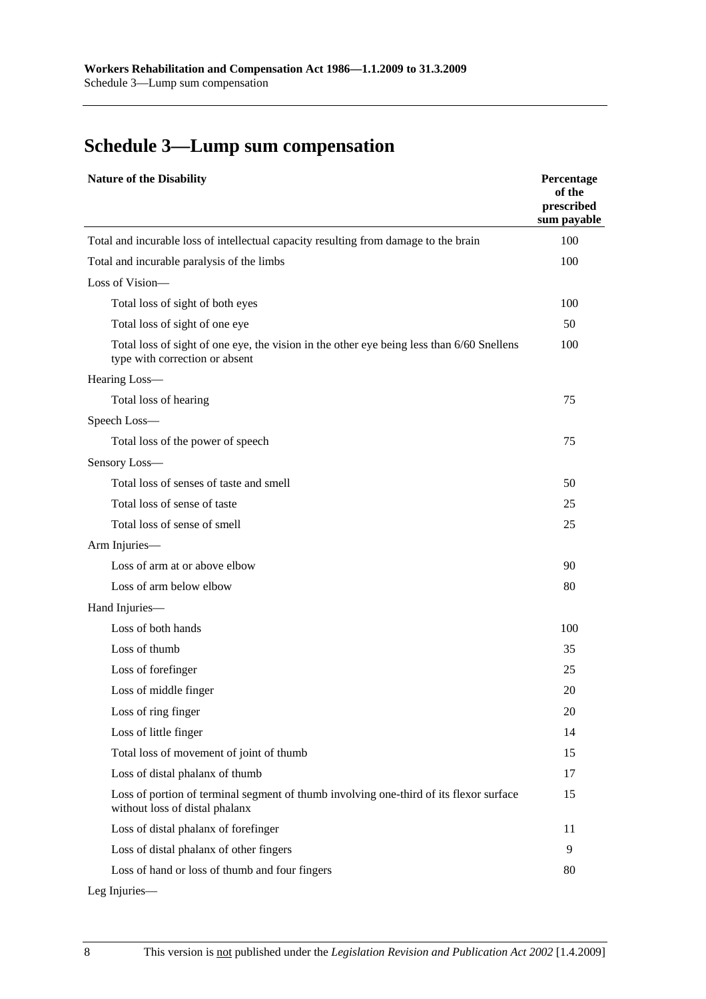# **Schedule 3—Lump sum compensation**

| <b>Nature of the Disability</b>                                                                                             | Percentage<br>of the<br>prescribed<br>sum payable |
|-----------------------------------------------------------------------------------------------------------------------------|---------------------------------------------------|
| Total and incurable loss of intellectual capacity resulting from damage to the brain                                        | 100                                               |
| Total and incurable paralysis of the limbs                                                                                  | 100                                               |
| Loss of Vision-                                                                                                             |                                                   |
| Total loss of sight of both eyes                                                                                            | 100                                               |
| Total loss of sight of one eye                                                                                              | 50                                                |
| Total loss of sight of one eye, the vision in the other eye being less than 6/60 Snellens<br>type with correction or absent | 100                                               |
| Hearing Loss-                                                                                                               |                                                   |
| Total loss of hearing                                                                                                       | 75                                                |
| Speech Loss-                                                                                                                |                                                   |
| Total loss of the power of speech                                                                                           | 75                                                |
| Sensory Loss-                                                                                                               |                                                   |
| Total loss of senses of taste and smell                                                                                     | 50                                                |
| Total loss of sense of taste                                                                                                | 25                                                |
| Total loss of sense of smell                                                                                                | 25                                                |
| Arm Injuries-                                                                                                               |                                                   |
| Loss of arm at or above elbow                                                                                               | 90                                                |
| Loss of arm below elbow                                                                                                     | 80                                                |
| Hand Injuries-                                                                                                              |                                                   |
| Loss of both hands                                                                                                          | 100                                               |
| Loss of thumb                                                                                                               | 35                                                |
| Loss of forefinger                                                                                                          | 25                                                |
| Loss of middle finger                                                                                                       | 20                                                |
| Loss of ring finger                                                                                                         | 20                                                |
| Loss of little finger                                                                                                       | 14                                                |
| Total loss of movement of joint of thumb                                                                                    | 15                                                |
| Loss of distal phalanx of thumb                                                                                             | 17                                                |
| Loss of portion of terminal segment of thumb involving one-third of its flexor surface<br>without loss of distal phalanx    | 15                                                |
| Loss of distal phalanx of forefinger                                                                                        | 11                                                |
| Loss of distal phalanx of other fingers                                                                                     | 9                                                 |
| Loss of hand or loss of thumb and four fingers                                                                              | 80                                                |

Leg Injuries—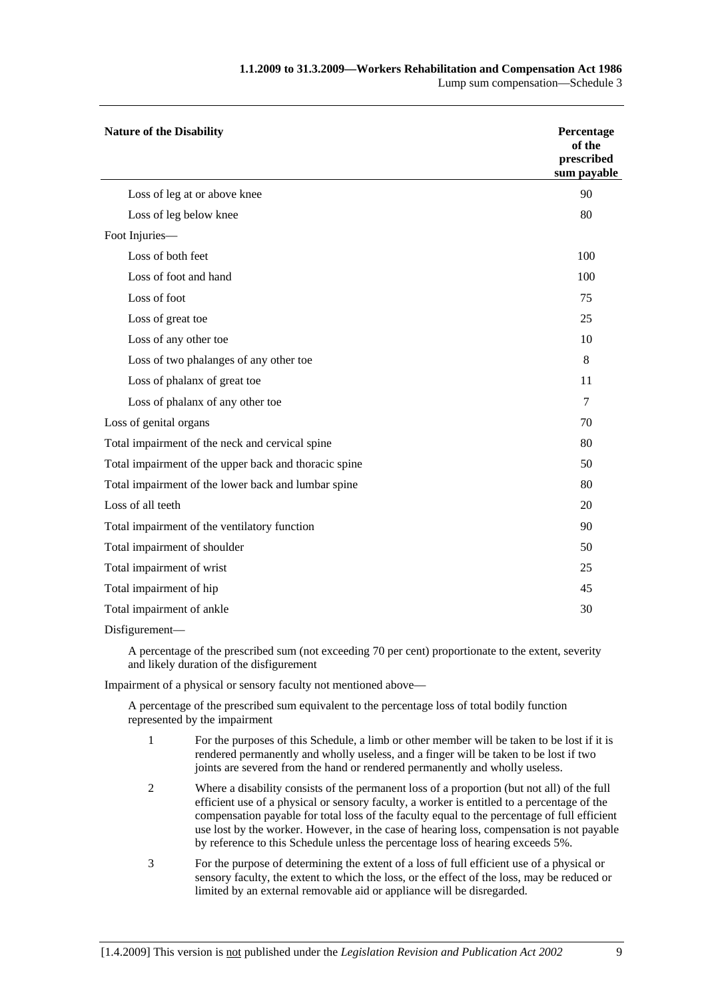| <b>Nature of the Disability</b>                       | Percentage<br>of the<br>prescribed<br>sum payable |  |
|-------------------------------------------------------|---------------------------------------------------|--|
| Loss of leg at or above knee                          | 90                                                |  |
| Loss of leg below knee                                | 80                                                |  |
| Foot Injuries-                                        |                                                   |  |
| Loss of both feet                                     | 100                                               |  |
| Loss of foot and hand                                 | 100                                               |  |
| Loss of foot                                          | 75                                                |  |
| Loss of great toe                                     | 25                                                |  |
| Loss of any other toe                                 | 10                                                |  |
| Loss of two phalanges of any other toe                | 8                                                 |  |
| Loss of phalanx of great toe                          | 11                                                |  |
| Loss of phalanx of any other toe                      | 7                                                 |  |
| Loss of genital organs                                | 70                                                |  |
| Total impairment of the neck and cervical spine       | 80                                                |  |
| Total impairment of the upper back and thoracic spine | 50                                                |  |
| Total impairment of the lower back and lumbar spine   | 80                                                |  |
| Loss of all teeth                                     | 20                                                |  |
| Total impairment of the ventilatory function          | 90                                                |  |
| Total impairment of shoulder                          | 50                                                |  |
| Total impairment of wrist                             |                                                   |  |
| Total impairment of hip                               |                                                   |  |
| Total impairment of ankle                             |                                                   |  |

Disfigurement—

A percentage of the prescribed sum (not exceeding 70 per cent) proportionate to the extent, severity and likely duration of the disfigurement

Impairment of a physical or sensory faculty not mentioned above—

A percentage of the prescribed sum equivalent to the percentage loss of total bodily function represented by the impairment

- 1 For the purposes of this Schedule, a limb or other member will be taken to be lost if it is rendered permanently and wholly useless, and a finger will be taken to be lost if two joints are severed from the hand or rendered permanently and wholly useless.
- 2 Where a disability consists of the permanent loss of a proportion (but not all) of the full efficient use of a physical or sensory faculty, a worker is entitled to a percentage of the compensation payable for total loss of the faculty equal to the percentage of full efficient use lost by the worker. However, in the case of hearing loss, compensation is not payable by reference to this Schedule unless the percentage loss of hearing exceeds 5%.
- 3 For the purpose of determining the extent of a loss of full efficient use of a physical or sensory faculty, the extent to which the loss, or the effect of the loss, may be reduced or limited by an external removable aid or appliance will be disregarded.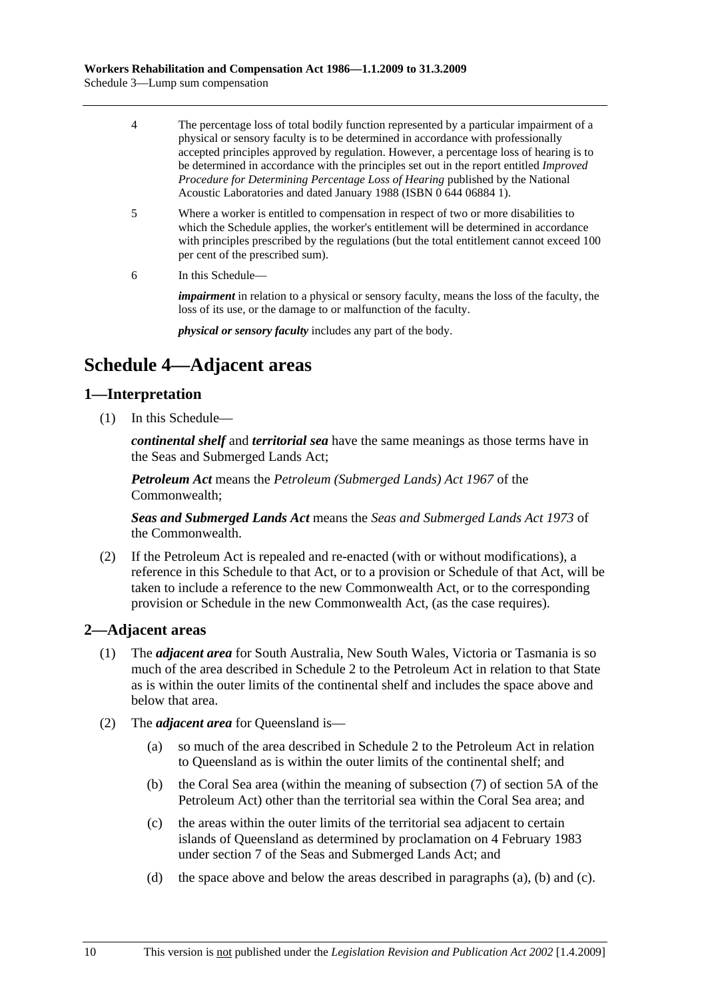- 4 The percentage loss of total bodily function represented by a particular impairment of a physical or sensory faculty is to be determined in accordance with professionally accepted principles approved by regulation. However, a percentage loss of hearing is to be determined in accordance with the principles set out in the report entitled *Improved Procedure for Determining Percentage Loss of Hearing* published by the National Acoustic Laboratories and dated January 1988 (ISBN 0 644 06884 1).
- 5 Where a worker is entitled to compensation in respect of two or more disabilities to which the Schedule applies, the worker's entitlement will be determined in accordance with principles prescribed by the regulations (but the total entitlement cannot exceed 100 per cent of the prescribed sum).
- 6 In this Schedule—

*impairment* in relation to a physical or sensory faculty, means the loss of the faculty, the loss of its use, or the damage to or malfunction of the faculty.

*physical or sensory faculty* includes any part of the body.

# **Schedule 4—Adjacent areas**

## **1—Interpretation**

(1) In this Schedule—

*continental shelf* and *territorial sea* have the same meanings as those terms have in the Seas and Submerged Lands Act;

*Petroleum Act* means the *Petroleum (Submerged Lands) Act 1967* of the Commonwealth;

*Seas and Submerged Lands Act* means the *Seas and Submerged Lands Act 1973* of the Commonwealth.

 (2) If the Petroleum Act is repealed and re-enacted (with or without modifications), a reference in this Schedule to that Act, or to a provision or Schedule of that Act, will be taken to include a reference to the new Commonwealth Act, or to the corresponding provision or Schedule in the new Commonwealth Act, (as the case requires).

## **2—Adjacent areas**

- (1) The *adjacent area* for South Australia, New South Wales, Victoria or Tasmania is so much of the area described in Schedule 2 to the Petroleum Act in relation to that State as is within the outer limits of the continental shelf and includes the space above and below that area.
- (2) The *adjacent area* for Queensland is—
	- (a) so much of the area described in Schedule 2 to the Petroleum Act in relation to Queensland as is within the outer limits of the continental shelf; and
	- (b) the Coral Sea area (within the meaning of subsection (7) of section 5A of the Petroleum Act) other than the territorial sea within the Coral Sea area; and
	- (c) the areas within the outer limits of the territorial sea adjacent to certain islands of Queensland as determined by proclamation on 4 February 1983 under section 7 of the Seas and Submerged Lands Act; and
	- (d) the space above and below the areas described in paragraphs (a), (b) and (c).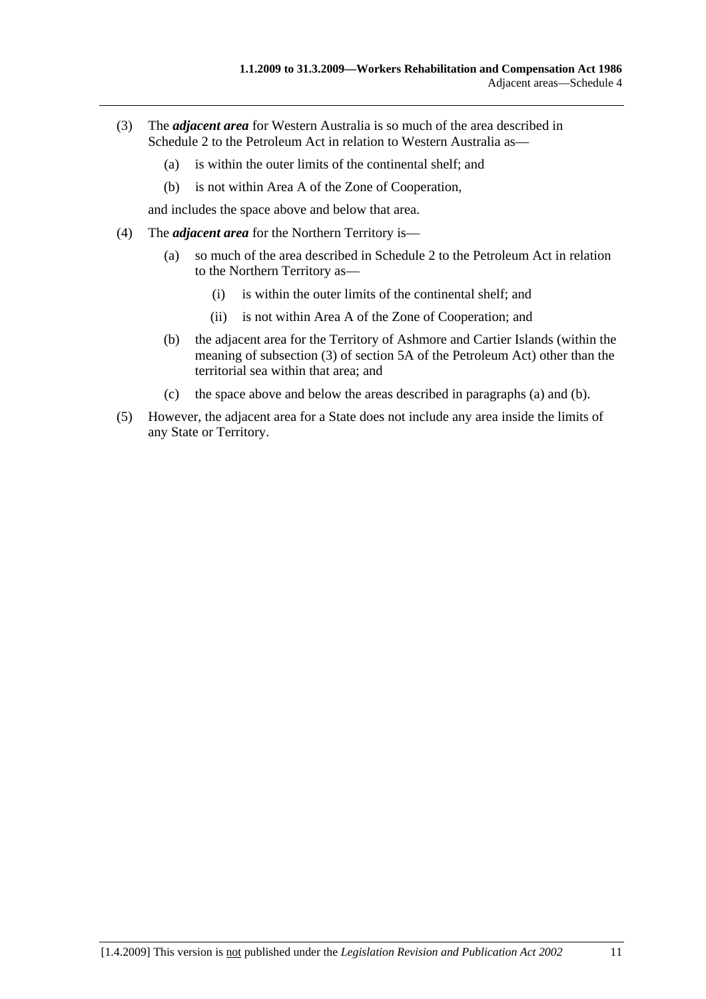- (3) The *adjacent area* for Western Australia is so much of the area described in Schedule 2 to the Petroleum Act in relation to Western Australia as—
	- (a) is within the outer limits of the continental shelf; and
	- (b) is not within Area A of the Zone of Cooperation,

and includes the space above and below that area.

- (4) The *adjacent area* for the Northern Territory is—
	- (a) so much of the area described in Schedule 2 to the Petroleum Act in relation to the Northern Territory as—
		- (i) is within the outer limits of the continental shelf; and
		- (ii) is not within Area A of the Zone of Cooperation; and
	- (b) the adjacent area for the Territory of Ashmore and Cartier Islands (within the meaning of subsection (3) of section 5A of the Petroleum Act) other than the territorial sea within that area; and
	- (c) the space above and below the areas described in paragraphs (a) and (b).
- (5) However, the adjacent area for a State does not include any area inside the limits of any State or Territory.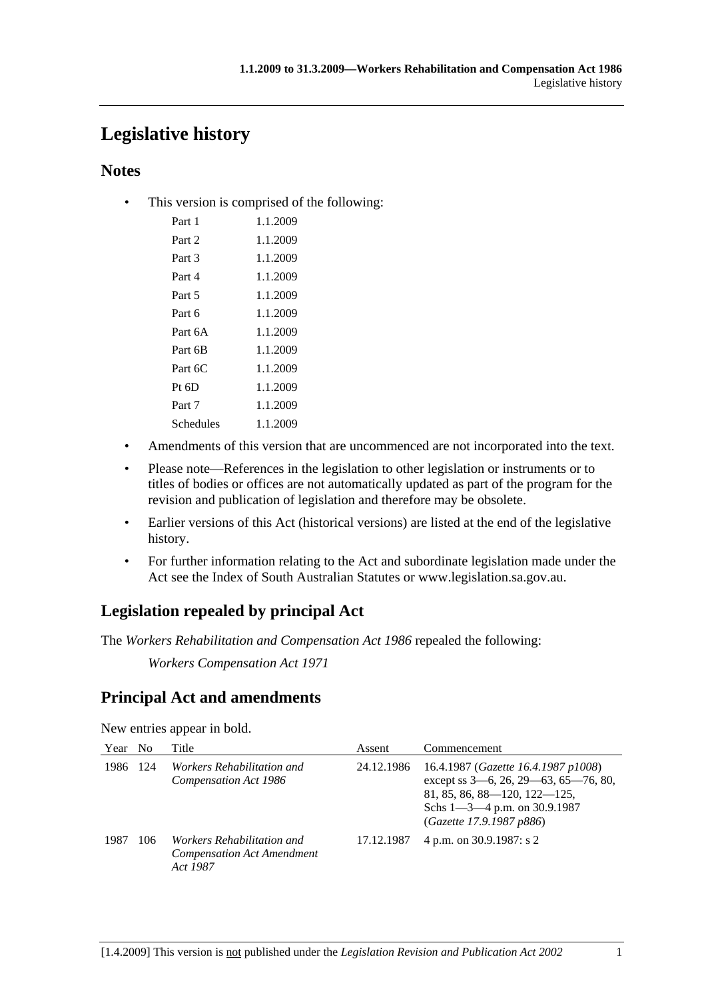# **Legislative history**

## **Notes**

• This version is comprised of the following:

| Part 1    | 1.1.2009 |
|-----------|----------|
| Part 2    | 1.1.2009 |
| Part 3    | 1.1.2009 |
| Part 4    | 1.1.2009 |
| Part 5    | 1.1.2009 |
| Part 6    | 1.1.2009 |
| Part 6A   | 1.1.2009 |
| Part 6B   | 1.1.2009 |
| Part 6C   | 1.1.2009 |
| $Pt\;6D$  | 1.1.2009 |
| Part 7    | 1.1.2009 |
| Schedules | 1.1.2009 |

- Amendments of this version that are uncommenced are not incorporated into the text.
- Please note—References in the legislation to other legislation or instruments or to titles of bodies or offices are not automatically updated as part of the program for the revision and publication of legislation and therefore may be obsolete.
- Earlier versions of this Act (historical versions) are listed at the end of the legislative history.
- For further information relating to the Act and subordinate legislation made under the Act see the Index of South Australian Statutes or www.legislation.sa.gov.au.

# **Legislation repealed by principal Act**

The *Workers Rehabilitation and Compensation Act 1986* repealed the following:

*Workers Compensation Act 1971*

# **Principal Act and amendments**

New entries appear in bold.

| Year | N <sub>0</sub> | Title                                                                       | Assent     | Commencement                                                                                                                                                                        |
|------|----------------|-----------------------------------------------------------------------------|------------|-------------------------------------------------------------------------------------------------------------------------------------------------------------------------------------|
| 1986 | 124            | <i>Workers Rehabilitation and</i><br>Compensation Act 1986                  | 24.12.1986 | 16.4.1987 (Gazette 16.4.1987 p1008)<br>except ss 3-6, 26, 29-63, 65-76, 80,<br>$81, 85, 86, 88 - 120, 122 - 125,$<br>Schs $1 - 3 - 4$ p.m. on 30.9.1987<br>(Gazette 17.9.1987 p886) |
| 1987 | 106            | Workers Rehabilitation and<br><b>Compensation Act Amendment</b><br>Act 1987 | 17.12.1987 | 4 p.m. on 30.9.1987: s 2                                                                                                                                                            |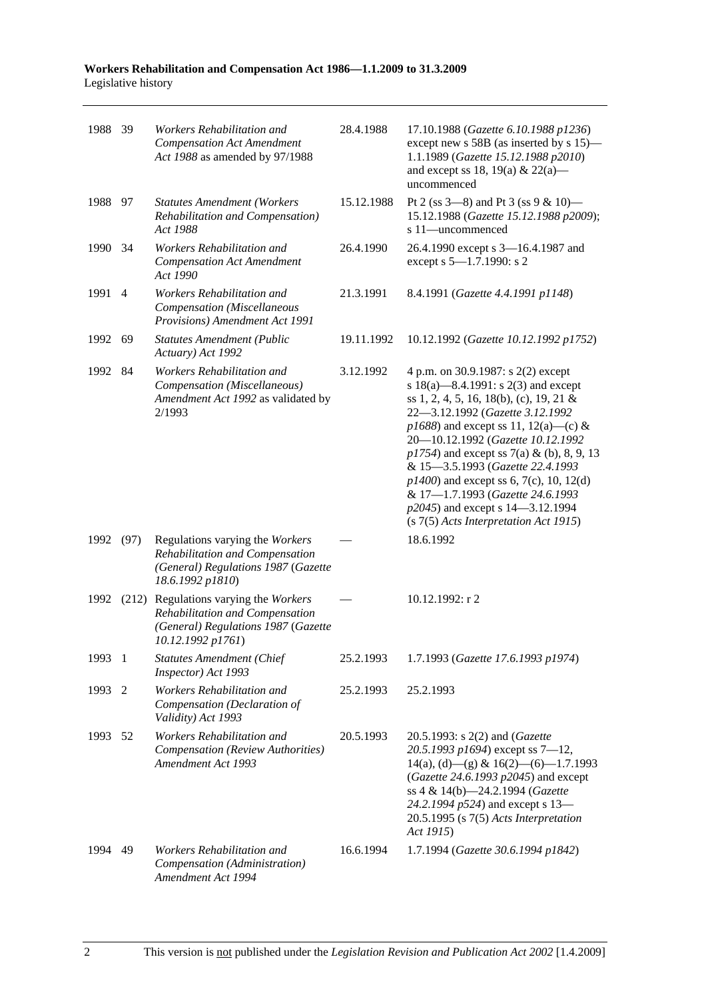| 1988 39 |                | Workers Rehabilitation and<br><b>Compensation Act Amendment</b><br>Act 1988 as amended by 97/1988                                    | 28.4.1988  | 17.10.1988 (Gazette 6.10.1988 p1236)<br>except new s 58B (as inserted by s 15)-<br>1.1.1989 (Gazette 15.12.1988 p2010)<br>and except ss 18, 19(a) & 22(a)—<br>uncommenced                                                                                                                                                                                                                                                                                                                    |
|---------|----------------|--------------------------------------------------------------------------------------------------------------------------------------|------------|----------------------------------------------------------------------------------------------------------------------------------------------------------------------------------------------------------------------------------------------------------------------------------------------------------------------------------------------------------------------------------------------------------------------------------------------------------------------------------------------|
| 1988 97 |                | <b>Statutes Amendment (Workers</b><br>Rehabilitation and Compensation)<br>Act 1988                                                   | 15.12.1988 | Pt 2 (ss $3-8$ ) and Pt 3 (ss $9 & 10$ )<br>15.12.1988 (Gazette 15.12.1988 p2009);<br>s 11-uncommenced                                                                                                                                                                                                                                                                                                                                                                                       |
| 1990    | - 34           | Workers Rehabilitation and<br><b>Compensation Act Amendment</b><br>Act 1990                                                          | 26.4.1990  | 26.4.1990 except s 3-16.4.1987 and<br>except s 5-1.7.1990: s 2                                                                                                                                                                                                                                                                                                                                                                                                                               |
| 1991    | $\overline{4}$ | Workers Rehabilitation and<br>Compensation (Miscellaneous<br>Provisions) Amendment Act 1991                                          | 21.3.1991  | 8.4.1991 (Gazette 4.4.1991 p1148)                                                                                                                                                                                                                                                                                                                                                                                                                                                            |
| 1992    | 69             | <b>Statutes Amendment (Public</b><br>Actuary) Act 1992                                                                               | 19.11.1992 | 10.12.1992 (Gazette 10.12.1992 p1752)                                                                                                                                                                                                                                                                                                                                                                                                                                                        |
| 1992 84 |                | Workers Rehabilitation and<br>Compensation (Miscellaneous)<br>Amendment Act 1992 as validated by<br>2/1993                           | 3.12.1992  | 4 p.m. on 30.9.1987: s 2(2) except<br>s 18(a)—8.4.1991: s 2(3) and except<br>ss 1, 2, 4, 5, 16, 18(b), (c), 19, 21 &<br>22-3.12.1992 (Gazette 3.12.1992<br>$p1688$ ) and except ss 11, 12(a)—(c) &<br>20-10.12.1992 (Gazette 10.12.1992<br>$p1754$ ) and except ss 7(a) & (b), 8, 9, 13<br>& 15-3.5.1993 (Gazette 22.4.1993<br>$p1400$ ) and except ss 6, 7(c), 10, 12(d)<br>& 17-1.7.1993 (Gazette 24.6.1993<br>p2045) and except s 14–3.12.1994<br>$(s 7(5)$ Acts Interpretation Act 1915) |
| 1992    | (97)           | Regulations varying the Workers<br>Rehabilitation and Compensation<br>(General) Regulations 1987 (Gazette<br>18.6.1992 p1810)        |            | 18.6.1992                                                                                                                                                                                                                                                                                                                                                                                                                                                                                    |
| 1992    |                | (212) Regulations varying the Workers<br>Rehabilitation and Compensation<br>(General) Regulations 1987 (Gazette<br>10.12.1992 p1761) |            | $10.12.1992$ : r 2                                                                                                                                                                                                                                                                                                                                                                                                                                                                           |
| 1993 1  |                | <b>Statutes Amendment (Chief</b><br>Inspector) Act 1993                                                                              | 25.2.1993  | 1.7.1993 (Gazette 17.6.1993 p1974)                                                                                                                                                                                                                                                                                                                                                                                                                                                           |
| 1993    | 2              | Workers Rehabilitation and<br>Compensation (Declaration of<br>Validity) Act 1993                                                     | 25.2.1993  | 25.2.1993                                                                                                                                                                                                                                                                                                                                                                                                                                                                                    |
| 1993    | - 52           | Workers Rehabilitation and<br>Compensation (Review Authorities)<br>Amendment Act 1993                                                | 20.5.1993  | 20.5.1993: s 2(2) and (Gazette<br>20.5.1993 p1694) except ss 7-12,<br>$14(a)$ , (d) - (g) & $16(2)$ - (6) - 1.7.1993<br>(Gazette 24.6.1993 p2045) and except<br>ss 4 & 14(b)-24.2.1994 (Gazette<br>24.2.1994 p524) and except s 13-<br>$20.5.1995$ (s $7(5)$ Acts Interpretation<br>Act 1915)                                                                                                                                                                                                |
| 1994    | 49             | Workers Rehabilitation and<br>Compensation (Administration)<br>Amendment Act 1994                                                    | 16.6.1994  | 1.7.1994 (Gazette 30.6.1994 p1842)                                                                                                                                                                                                                                                                                                                                                                                                                                                           |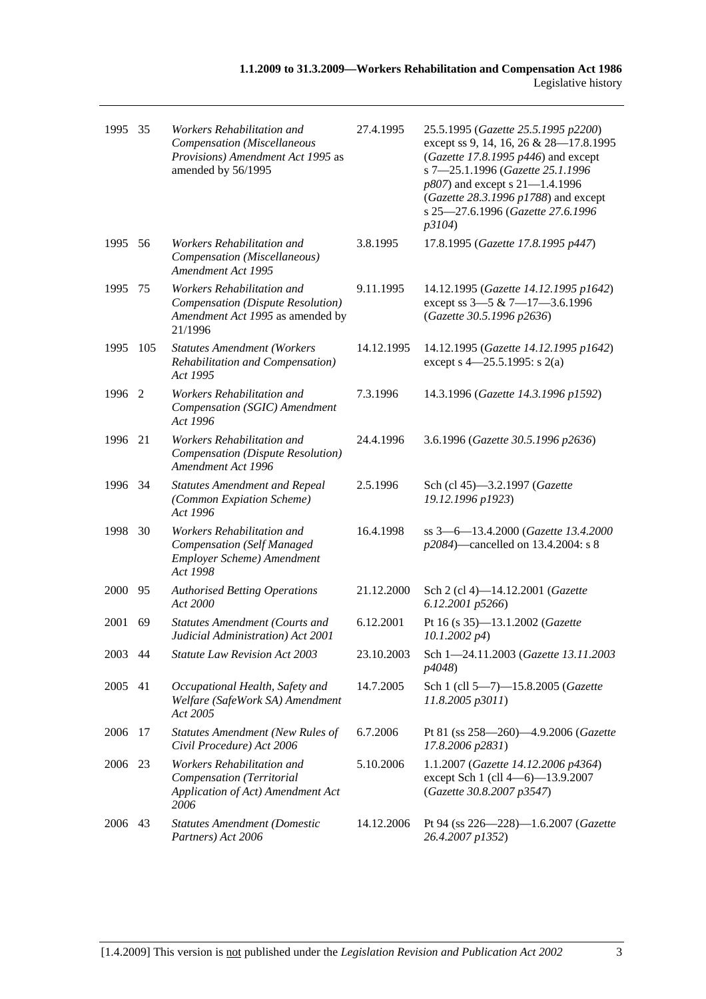| 1995    | 35   | Workers Rehabilitation and<br>Compensation (Miscellaneous<br>Provisions) Amendment Act 1995 as<br>amended by 56/1995 | 27.4.1995  | 25.5.1995 (Gazette 25.5.1995 p2200)<br>except ss 9, 14, 16, 26 & 28-17.8.1995<br>(Gazette 17.8.1995 p446) and except<br>s 7-25.1.1996 (Gazette 25.1.1996<br>$p807$ ) and except s 21-1.4.1996<br>(Gazette 28.3.1996 p1788) and except<br>s 25-27.6.1996 (Gazette 27.6.1996<br>p3104) |
|---------|------|----------------------------------------------------------------------------------------------------------------------|------------|--------------------------------------------------------------------------------------------------------------------------------------------------------------------------------------------------------------------------------------------------------------------------------------|
| 1995    | - 56 | Workers Rehabilitation and<br>Compensation (Miscellaneous)<br>Amendment Act 1995                                     | 3.8.1995   | 17.8.1995 (Gazette 17.8.1995 p447)                                                                                                                                                                                                                                                   |
| 1995    | 75   | Workers Rehabilitation and<br>Compensation (Dispute Resolution)<br>Amendment Act 1995 as amended by<br>21/1996       | 9.11.1995  | 14.12.1995 (Gazette 14.12.1995 p1642)<br>except ss 3-5 & 7-17-3.6.1996<br>(Gazette 30.5.1996 p2636)                                                                                                                                                                                  |
| 1995    | 105  | <b>Statutes Amendment (Workers</b><br>Rehabilitation and Compensation)<br>Act 1995                                   | 14.12.1995 | 14.12.1995 (Gazette 14.12.1995 p1642)<br>except s $4 - 25.5.1995$ : s 2(a)                                                                                                                                                                                                           |
| 1996 2  |      | Workers Rehabilitation and<br>Compensation (SGIC) Amendment<br>Act 1996                                              | 7.3.1996   | 14.3.1996 (Gazette 14.3.1996 p1592)                                                                                                                                                                                                                                                  |
| 1996    | 21   | Workers Rehabilitation and<br>Compensation (Dispute Resolution)<br>Amendment Act 1996                                | 24.4.1996  | 3.6.1996 (Gazette 30.5.1996 p2636)                                                                                                                                                                                                                                                   |
| 1996 34 |      | <b>Statutes Amendment and Repeal</b><br>(Common Expiation Scheme)<br>Act 1996                                        | 2.5.1996   | Sch (cl 45)-3.2.1997 (Gazette<br>19.12.1996 p1923)                                                                                                                                                                                                                                   |
| 1998    | 30   | Workers Rehabilitation and<br><b>Compensation (Self Managed</b><br>Employer Scheme) Amendment<br>Act 1998            | 16.4.1998  | ss 3-6-13.4.2000 (Gazette 13.4.2000<br>p2084)—cancelled on 13.4.2004: s 8                                                                                                                                                                                                            |
| 2000    | 95   | <b>Authorised Betting Operations</b><br>Act 2000                                                                     | 21.12.2000 | Sch 2 (cl 4)-14.12.2001 (Gazette<br>6.12.2001 p5266)                                                                                                                                                                                                                                 |
| 2001    | 69   | <b>Statutes Amendment (Courts and</b><br>Judicial Administration) Act 2001                                           | 6.12.2001  | Pt 16 (s 35)-13.1.2002 (Gazette<br>$10.1.2002\ p4$                                                                                                                                                                                                                                   |
| 2003 44 |      | Statute Law Revision Act 2003                                                                                        | 23.10.2003 | Sch 1-24.11.2003 (Gazette 13.11.2003<br>p4048)                                                                                                                                                                                                                                       |
| 2005    | 41   | Occupational Health, Safety and<br>Welfare (SafeWork SA) Amendment<br>Act 2005                                       | 14.7.2005  | Sch 1 (cll 5-7)-15.8.2005 (Gazette<br>11.8.2005 p3011)                                                                                                                                                                                                                               |
| 2006    | 17   | <b>Statutes Amendment (New Rules of</b><br>Civil Procedure) Act 2006                                                 | 6.7.2006   | Pt 81 (ss 258-260)-4.9.2006 (Gazette<br>17.8.2006 p2831)                                                                                                                                                                                                                             |
| 2006 23 |      | Workers Rehabilitation and<br>Compensation (Territorial<br>Application of Act) Amendment Act<br>2006                 | 5.10.2006  | 1.1.2007 (Gazette 14.12.2006 p4364)<br>except Sch 1 (cll 4-6)-13.9.2007<br>(Gazette 30.8.2007 p3547)                                                                                                                                                                                 |
| 2006 43 |      | <b>Statutes Amendment (Domestic</b><br>Partners) Act 2006                                                            | 14.12.2006 | Pt 94 (ss 226-228)-1.6.2007 (Gazette<br>26.4.2007 p1352)                                                                                                                                                                                                                             |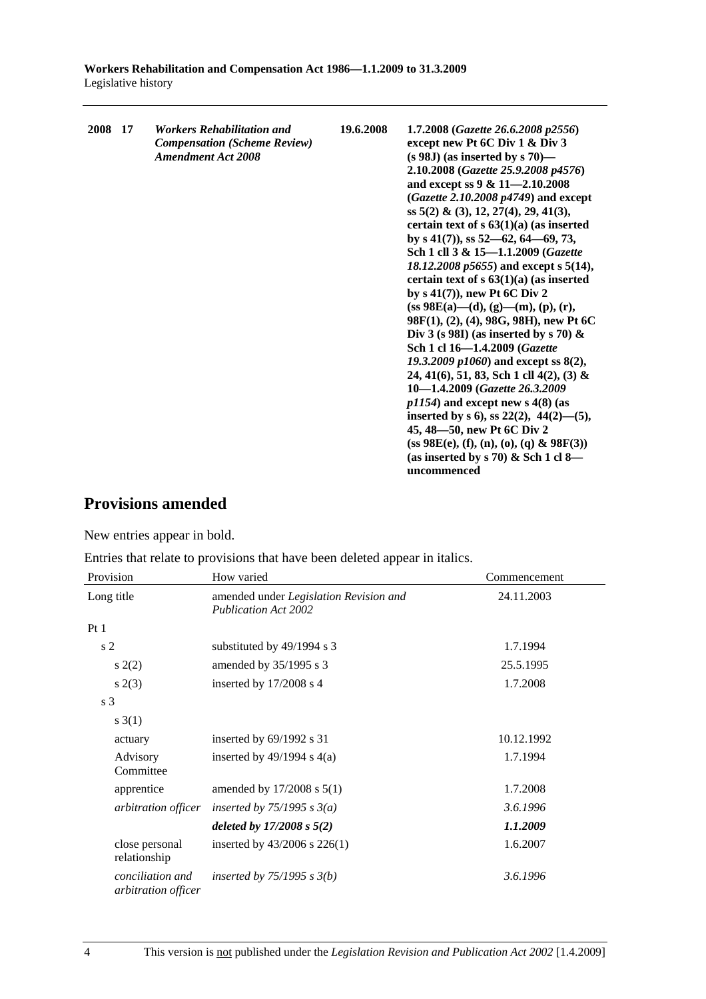| 2008 17 |  | <i><b>Workers Rehabilitation and</b></i><br><b>Compensation (Scheme Review)</b><br><b>Amendment Act 2008</b> | 19.6.2008 | 1.7.2008 (Gazette 26.6.2008 p2556)<br>except new Pt 6C Div 1 & Div 3<br>$(s 98J)$ (as inserted by s 70)—<br>2.10.2008 (Gazette 25.9.2008 p4576)<br>and except ss 9 & 11-2.10.2008<br>$(Gazette 2.10.2008 p4749)$ and except<br>ss $5(2)$ & (3), 12, 27(4), 29, 41(3),<br>certain text of $s$ 63(1)(a) (as inserted<br>by s $41(7)$ , ss $52-62$ , $64-69$ , 73,<br>Sch 1 cll 3 & 15-1.1.2009 (Gazette<br>18.12.2008 p5655) and except s 5(14),<br>certain text of $s$ 63(1)(a) (as inserted<br>by $s(41(7))$ , new Pt 6C Div 2<br>$(s\mathbf{s} 98\mathbf{E}(\mathbf{a})\text{---}(\mathbf{d}), (\mathbf{g})\text{---}(\mathbf{m}), (\mathbf{p}), (\mathbf{r}),$<br>98F(1), (2), (4), 98G, 98H), new Pt 6C<br>Div 3 (s 98I) (as inserted by s 70) $\&$<br>Sch 1 cl 16-1.4.2009 (Gazette<br>19.3.2009 $p1060$ and except ss $8(2)$ ,<br>24, 41(6), 51, 83, Sch 1 cll 4(2), (3) &<br>10-1.4.2009 (Gazette 26.3.2009)<br>$p1154$ ) and except new s 4(8) (as<br>inserted by s 6), ss $22(2)$ , $44(2)$ —(5),<br>45, 48–50, new Pt 6C Div 2<br>$(ss 98E(e), (f), (n), (o), (q) & 98F(3))$<br>(as inserted by s 70) & Sch 1 cl 8—<br>uncommenced |
|---------|--|--------------------------------------------------------------------------------------------------------------|-----------|---------------------------------------------------------------------------------------------------------------------------------------------------------------------------------------------------------------------------------------------------------------------------------------------------------------------------------------------------------------------------------------------------------------------------------------------------------------------------------------------------------------------------------------------------------------------------------------------------------------------------------------------------------------------------------------------------------------------------------------------------------------------------------------------------------------------------------------------------------------------------------------------------------------------------------------------------------------------------------------------------------------------------------------------------------------------------------------------------------------------------------------------|
|---------|--|--------------------------------------------------------------------------------------------------------------|-----------|---------------------------------------------------------------------------------------------------------------------------------------------------------------------------------------------------------------------------------------------------------------------------------------------------------------------------------------------------------------------------------------------------------------------------------------------------------------------------------------------------------------------------------------------------------------------------------------------------------------------------------------------------------------------------------------------------------------------------------------------------------------------------------------------------------------------------------------------------------------------------------------------------------------------------------------------------------------------------------------------------------------------------------------------------------------------------------------------------------------------------------------------|

# **Provisions amended**

New entries appear in bold.

Entries that relate to provisions that have been deleted appear in italics.

| Provision                               | How varied                                                            | Commencement |
|-----------------------------------------|-----------------------------------------------------------------------|--------------|
| Long title                              | amended under Legislation Revision and<br><b>Publication Act 2002</b> | 24.11.2003   |
| Pt1                                     |                                                                       |              |
| s <sub>2</sub>                          | substituted by 49/1994 s 3                                            | 1.7.1994     |
| s(2)                                    | amended by 35/1995 s 3                                                | 25.5.1995    |
| s(2(3))                                 | inserted by $17/2008$ s 4                                             | 1.7.2008     |
| s <sub>3</sub>                          |                                                                       |              |
| s(3(1))                                 |                                                                       |              |
| actuary                                 | inserted by $69/1992$ s 31                                            | 10.12.1992   |
| Advisory<br>Committee                   | inserted by $49/1994$ s $4(a)$                                        | 1.7.1994     |
| apprentice                              | amended by $17/2008$ s $5(1)$                                         | 1.7.2008     |
| arbitration officer                     | inserted by $75/1995$ s $3(a)$                                        | 3.6.1996     |
|                                         | deleted by $17/2008 s 5(2)$                                           | 1.1.2009     |
| close personal<br>relationship          | inserted by $43/2006$ s $226(1)$                                      | 1.6.2007     |
| conciliation and<br>arbitration officer | inserted by $75/1995$ s $3(b)$                                        | 3.6.1996     |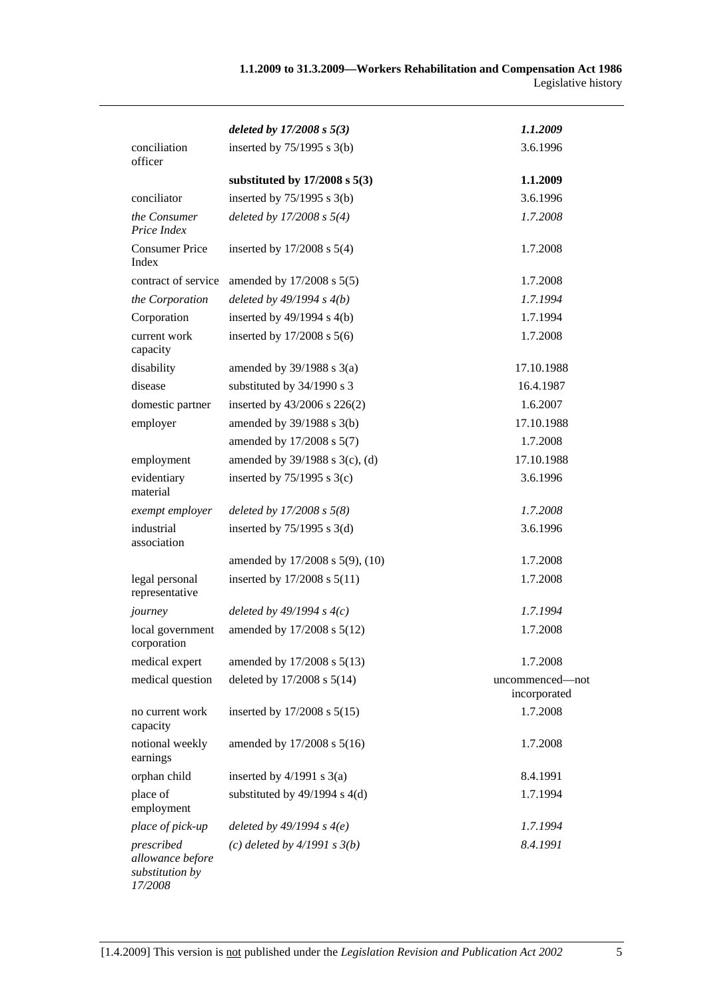|                                                              | deleted by $17/2008 s 5(3)$       | 1.1.2009                        |
|--------------------------------------------------------------|-----------------------------------|---------------------------------|
| conciliation<br>officer                                      | inserted by $75/1995$ s 3(b)      | 3.6.1996                        |
|                                                              | substituted by $17/2008$ s $5(3)$ | 1.1.2009                        |
| conciliator                                                  | inserted by $75/1995$ s 3(b)      | 3.6.1996                        |
| the Consumer<br>Price Index                                  | deleted by $17/2008 s 5(4)$       | 1.7.2008                        |
| <b>Consumer Price</b><br>Index                               | inserted by $17/2008$ s $5(4)$    | 1.7.2008                        |
| contract of service                                          | amended by 17/2008 s 5(5)         | 1.7.2008                        |
| the Corporation                                              | deleted by $49/1994 s 4(b)$       | 1.7.1994                        |
| Corporation                                                  | inserted by $49/1994$ s $4(b)$    | 1.7.1994                        |
| current work<br>capacity                                     | inserted by $17/2008$ s $5(6)$    | 1.7.2008                        |
| disability                                                   | amended by $39/1988$ s $3(a)$     | 17.10.1988                      |
| disease                                                      | substituted by 34/1990 s 3        | 16.4.1987                       |
| domestic partner                                             | inserted by 43/2006 s 226(2)      | 1.6.2007                        |
| employer                                                     | amended by 39/1988 s 3(b)         | 17.10.1988                      |
|                                                              | amended by 17/2008 s 5(7)         | 1.7.2008                        |
| employment                                                   | amended by 39/1988 s 3(c), (d)    | 17.10.1988                      |
| evidentiary<br>material                                      | inserted by $75/1995$ s 3(c)      | 3.6.1996                        |
| exempt employer                                              | deleted by $17/2008 s 5(8)$       | 1.7.2008                        |
| industrial<br>association                                    | inserted by $75/1995$ s 3(d)      | 3.6.1996                        |
|                                                              | amended by 17/2008 s 5(9), (10)   | 1.7.2008                        |
| legal personal<br>representative                             | inserted by 17/2008 s 5(11)       | 1.7.2008                        |
| journey                                                      | deleted by $49/1994 s 4(c)$       | 1.7.1994                        |
| local government<br>corporation                              | amended by 17/2008 s 5(12)        | 1.7.2008                        |
| medical expert                                               | amended by 17/2008 s 5(13)        | 1.7.2008                        |
| medical question                                             | deleted by 17/2008 s 5(14)        | uncommenced-not<br>incorporated |
| no current work<br>capacity                                  | inserted by 17/2008 s 5(15)       | 1.7.2008                        |
| notional weekly<br>earnings                                  | amended by 17/2008 s 5(16)        | 1.7.2008                        |
| orphan child                                                 | inserted by $4/1991$ s $3(a)$     | 8.4.1991                        |
| place of<br>employment                                       | substituted by $49/1994$ s $4(d)$ | 1.7.1994                        |
| place of pick-up                                             | deleted by $49/1994 s 4(e)$       | 1.7.1994                        |
| prescribed<br>allowance before<br>substitution by<br>17/2008 | (c) deleted by $4/1991 s 3(b)$    | 8.4.1991                        |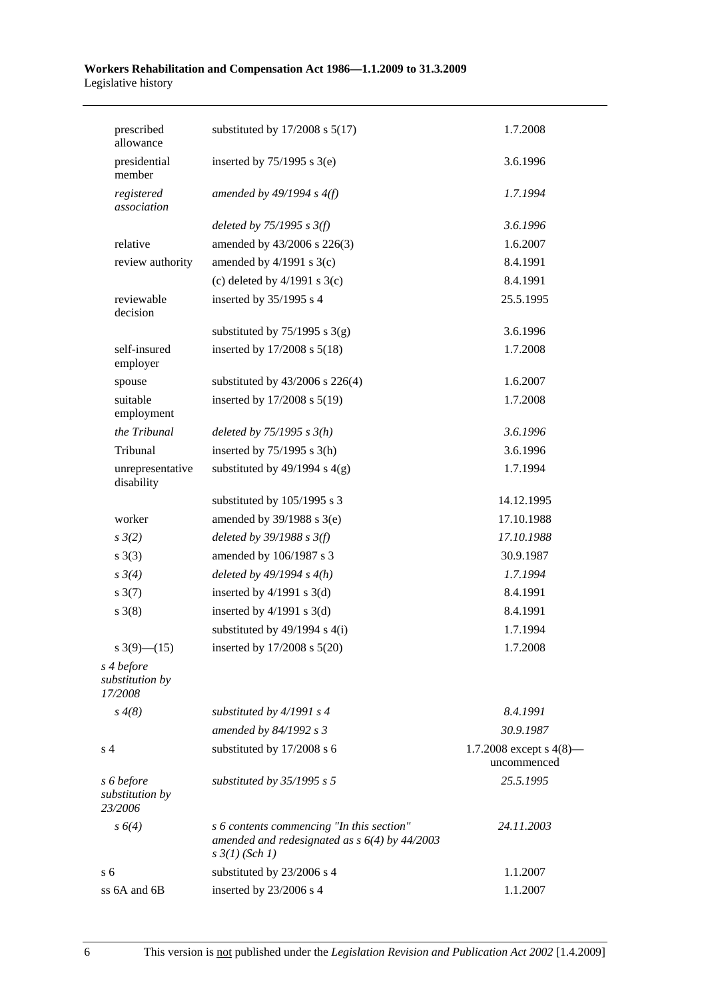| substituted by $17/2008$ s $5(17)$                                                                                      | 1.7.2008                                  |
|-------------------------------------------------------------------------------------------------------------------------|-------------------------------------------|
| inserted by $75/1995$ s 3(e)                                                                                            | 3.6.1996                                  |
| amended by $49/1994 s 4(f)$                                                                                             | 1.7.1994                                  |
| deleted by $75/1995$ s $3(f)$                                                                                           | 3.6.1996                                  |
| amended by 43/2006 s 226(3)                                                                                             | 1.6.2007                                  |
| amended by $4/1991$ s 3(c)                                                                                              | 8.4.1991                                  |
| (c) deleted by $4/1991$ s $3(c)$                                                                                        | 8.4.1991                                  |
| inserted by 35/1995 s 4                                                                                                 | 25.5.1995                                 |
| substituted by $75/1995$ s 3(g)                                                                                         | 3.6.1996                                  |
| inserted by 17/2008 s 5(18)                                                                                             | 1.7.2008                                  |
| substituted by $43/2006$ s $226(4)$                                                                                     | 1.6.2007                                  |
| inserted by 17/2008 s 5(19)                                                                                             | 1.7.2008                                  |
| deleted by $75/1995 s 3(h)$                                                                                             | 3.6.1996                                  |
| inserted by $75/1995$ s 3(h)                                                                                            | 3.6.1996                                  |
| substituted by $49/1994$ s $4(g)$                                                                                       | 1.7.1994                                  |
| substituted by 105/1995 s 3                                                                                             | 14.12.1995                                |
| amended by $39/1988$ s $3(e)$                                                                                           | 17.10.1988                                |
| deleted by $39/1988$ s $3(f)$                                                                                           | 17.10.1988                                |
| amended by 106/1987 s 3                                                                                                 | 30.9.1987                                 |
| deleted by $49/1994 s 4(h)$                                                                                             | 1.7.1994                                  |
| inserted by $4/1991$ s $3(d)$                                                                                           | 8.4.1991                                  |
| inserted by $4/1991$ s $3(d)$                                                                                           | 8.4.1991                                  |
| substituted by $49/1994$ s $4(i)$                                                                                       | 1.7.1994                                  |
|                                                                                                                         | 1.7.2008                                  |
|                                                                                                                         |                                           |
| substituted by $4/1991 s 4$                                                                                             | 8.4.1991                                  |
| amended by 84/1992 s 3                                                                                                  | 30.9.1987                                 |
| substituted by 17/2008 s 6                                                                                              | 1.7.2008 except s $4(8)$ —<br>uncommenced |
| substituted by $35/1995$ s 5                                                                                            | 25.5.1995                                 |
| s 6 contents commencing "In this section"<br>amended and redesignated as $s$ 6(4) by 44/2003<br>$s \frac{3}{1} (Sch 1)$ | 24.11.2003                                |
| substituted by 23/2006 s 4                                                                                              | 1.1.2007                                  |
| inserted by 23/2006 s 4                                                                                                 | 1.1.2007                                  |
|                                                                                                                         | inserted by $17/2008$ s $5(20)$           |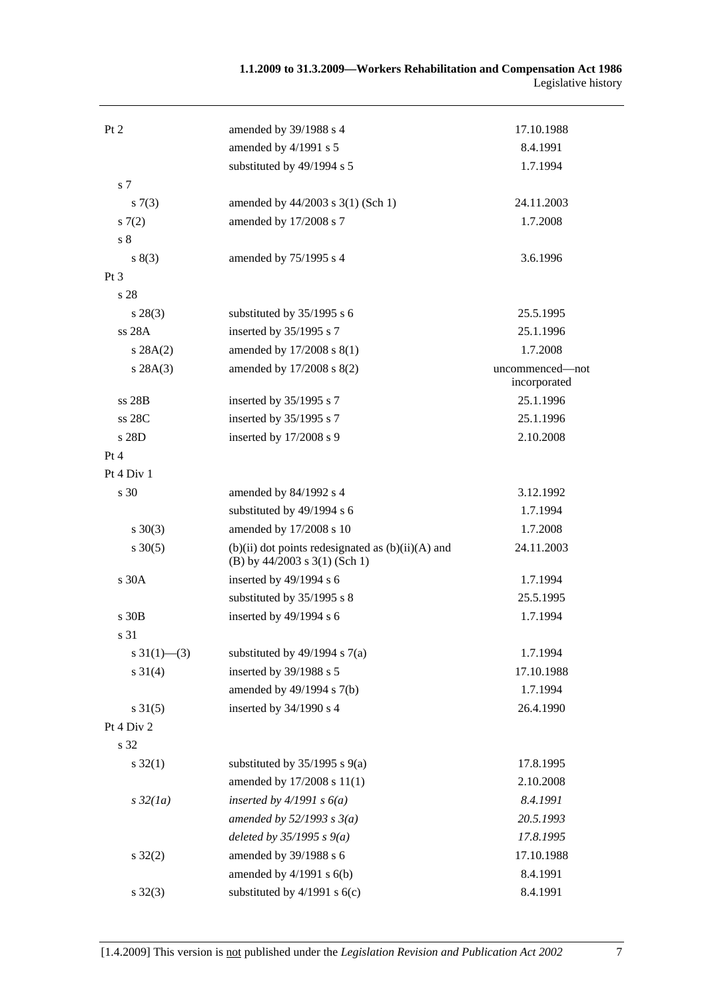| Pt 2                      | amended by 39/1988 s 4                                                                   | 17.10.1988                      |
|---------------------------|------------------------------------------------------------------------------------------|---------------------------------|
|                           | amended by 4/1991 s 5                                                                    | 8.4.1991                        |
|                           | substituted by 49/1994 s 5                                                               | 1.7.1994                        |
| s <sub>7</sub>            |                                                                                          |                                 |
| s(7(3))                   | amended by 44/2003 s 3(1) (Sch 1)                                                        | 24.11.2003                      |
| s(7(2)                    | amended by 17/2008 s 7                                                                   | 1.7.2008                        |
| s <sub>8</sub>            |                                                                                          |                                 |
| s(3)                      | amended by 75/1995 s 4                                                                   | 3.6.1996                        |
| $Pt\,3$                   |                                                                                          |                                 |
| s 28                      |                                                                                          |                                 |
| $s\,28(3)$                | substituted by 35/1995 s 6                                                               | 25.5.1995                       |
| ss 28A                    | inserted by 35/1995 s 7                                                                  | 25.1.1996                       |
| s 28A(2)                  | amended by 17/2008 s 8(1)                                                                | 1.7.2008                        |
| s 28A(3)                  | amended by 17/2008 s 8(2)                                                                | uncommenced-not<br>incorporated |
| $ss$ 28 $B$               | inserted by 35/1995 s 7                                                                  | 25.1.1996                       |
| ss 28C                    | inserted by 35/1995 s 7                                                                  | 25.1.1996                       |
| s 28D                     | inserted by 17/2008 s 9                                                                  | 2.10.2008                       |
| Pt 4                      |                                                                                          |                                 |
| Pt 4 Div 1                |                                                                                          |                                 |
| s 30                      | amended by 84/1992 s 4                                                                   | 3.12.1992                       |
|                           | substituted by 49/1994 s 6                                                               | 1.7.1994                        |
| $s \ 30(3)$               | amended by 17/2008 s 10                                                                  | 1.7.2008                        |
| $s \ 30(5)$               | $(b)(ii)$ dot points redesignated as $(b)(ii)(A)$ and<br>(B) by $44/2003$ s 3(1) (Sch 1) | 24.11.2003                      |
| s 30A                     | inserted by $49/1994$ s 6                                                                | 1.7.1994                        |
|                           | substituted by 35/1995 s 8                                                               | 25.5.1995                       |
| $s$ 30 $B$                | inserted by 49/1994 s 6                                                                  | 1.7.1994                        |
| s 31                      |                                                                                          |                                 |
| $s \frac{31(1) - (3)}{2}$ | substituted by $49/1994$ s $7(a)$                                                        | 1.7.1994                        |
| $s \ 31(4)$               | inserted by 39/1988 s 5                                                                  | 17.10.1988                      |
|                           | amended by 49/1994 s 7(b)                                                                | 1.7.1994                        |
| $s \, 31(5)$              | inserted by 34/1990 s 4                                                                  | 26.4.1990                       |
| Pt 4 Div 2                |                                                                                          |                                 |
| s 32                      |                                                                                          |                                 |
| $s \, 32(1)$              | substituted by $35/1995$ s $9(a)$                                                        | 17.8.1995                       |
|                           | amended by 17/2008 s 11(1)                                                               | 2.10.2008                       |
| $s\,32(1a)$               | inserted by $4/1991 s 6(a)$                                                              | 8.4.1991                        |
|                           | amended by $52/1993$ s $3(a)$                                                            | 20.5.1993                       |
|                           | deleted by $35/1995 s 9(a)$                                                              | 17.8.1995                       |
| $s \, 32(2)$              | amended by 39/1988 s 6                                                                   | 17.10.1988                      |
|                           | amended by $4/1991$ s $6(b)$                                                             | 8.4.1991                        |
| $s \, 32(3)$              | substituted by $4/1991$ s $6(c)$                                                         | 8.4.1991                        |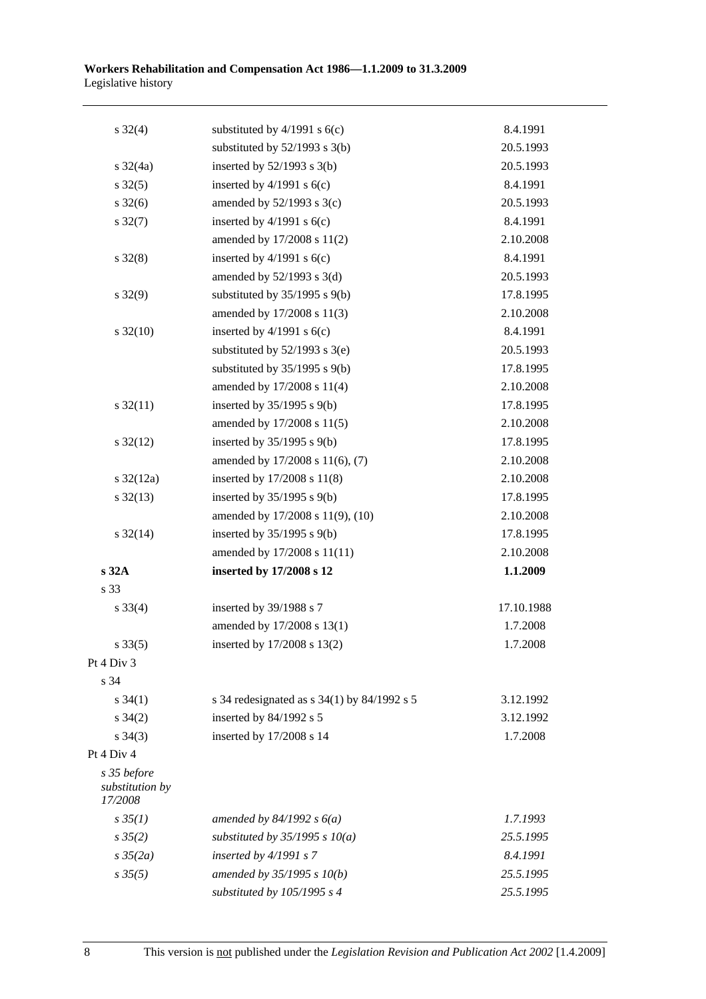| $s \frac{32(4)}{2}$                       | substituted by $4/1991$ s $6(c)$              | 8.4.1991   |
|-------------------------------------------|-----------------------------------------------|------------|
|                                           | substituted by $52/1993$ s 3(b)               | 20.5.1993  |
| $s \frac{32}{4a}$                         | inserted by $52/1993$ s $3(b)$                | 20.5.1993  |
| $s \, 32(5)$                              | inserted by $4/1991$ s $6(c)$                 | 8.4.1991   |
| $s \frac{32(6)}{2}$                       | amended by $52/1993$ s $3(c)$                 | 20.5.1993  |
| $s \, 32(7)$                              | inserted by $4/1991$ s $6(c)$                 | 8.4.1991   |
|                                           | amended by 17/2008 s 11(2)                    | 2.10.2008  |
| $s \, 32(8)$                              | inserted by $4/1991$ s $6(c)$                 | 8.4.1991   |
|                                           | amended by $52/1993$ s $3(d)$                 | 20.5.1993  |
| $s \, 32(9)$                              | substituted by $35/1995$ s $9(b)$             | 17.8.1995  |
|                                           | amended by 17/2008 s 11(3)                    | 2.10.2008  |
| $s \frac{32(10)}{2}$                      | inserted by $4/1991$ s $6(c)$                 | 8.4.1991   |
|                                           | substituted by $52/1993$ s $3(e)$             | 20.5.1993  |
|                                           | substituted by $35/1995$ s $9(b)$             | 17.8.1995  |
|                                           | amended by 17/2008 s 11(4)                    | 2.10.2008  |
| $s \frac{32(11)}{2}$                      | inserted by $35/1995$ s $9(b)$                | 17.8.1995  |
|                                           | amended by 17/2008 s 11(5)                    | 2.10.2008  |
| $s \frac{32(12)}{2}$                      | inserted by $35/1995$ s $9(b)$                | 17.8.1995  |
|                                           | amended by 17/2008 s 11(6), (7)               | 2.10.2008  |
| $s \frac{32(12a)}{2}$                     | inserted by 17/2008 s 11(8)                   | 2.10.2008  |
| $s \frac{32(13)}{2}$                      | inserted by $35/1995$ s $9(b)$                | 17.8.1995  |
|                                           | amended by 17/2008 s 11(9), (10)              | 2.10.2008  |
| $s \frac{32(14)}{2}$                      | inserted by $35/1995$ s $9(b)$                | 17.8.1995  |
|                                           | amended by 17/2008 s 11(11)                   | 2.10.2008  |
| s 32A                                     | inserted by 17/2008 s 12                      | 1.1.2009   |
| s 33                                      |                                               |            |
| $s \, 33(4)$                              | inserted by 39/1988 s 7                       | 17.10.1988 |
|                                           | amended by 17/2008 s 13(1)                    | 1.7.2008   |
| $s \, 33(5)$                              | inserted by 17/2008 s 13(2)                   | 1.7.2008   |
| Pt 4 Div 3                                |                                               |            |
| s 34                                      |                                               |            |
| $s \, 34(1)$                              | s 34 redesignated as $s$ 34(1) by 84/1992 s 5 | 3.12.1992  |
| $s \; 34(2)$                              | inserted by 84/1992 s 5                       | 3.12.1992  |
| $s \; 34(3)$                              | inserted by 17/2008 s 14                      | 1.7.2008   |
| Pt 4 Div 4                                |                                               |            |
| s 35 before<br>substitution by<br>17/2008 |                                               |            |
| $s \, 35(1)$                              | amended by $84/1992 s 6(a)$                   | 1.7.1993   |
| $s \, 35(2)$                              | substituted by $35/1995$ s $10(a)$            | 25.5.1995  |
| $s \frac{35}{2a}$                         | inserted by $4/1991 s 7$                      | 8.4.1991   |
| $s \, 35(5)$                              | amended by 35/1995 s 10(b)                    | 25.5.1995  |
|                                           | substituted by 105/1995 s 4                   | 25.5.1995  |
|                                           |                                               |            |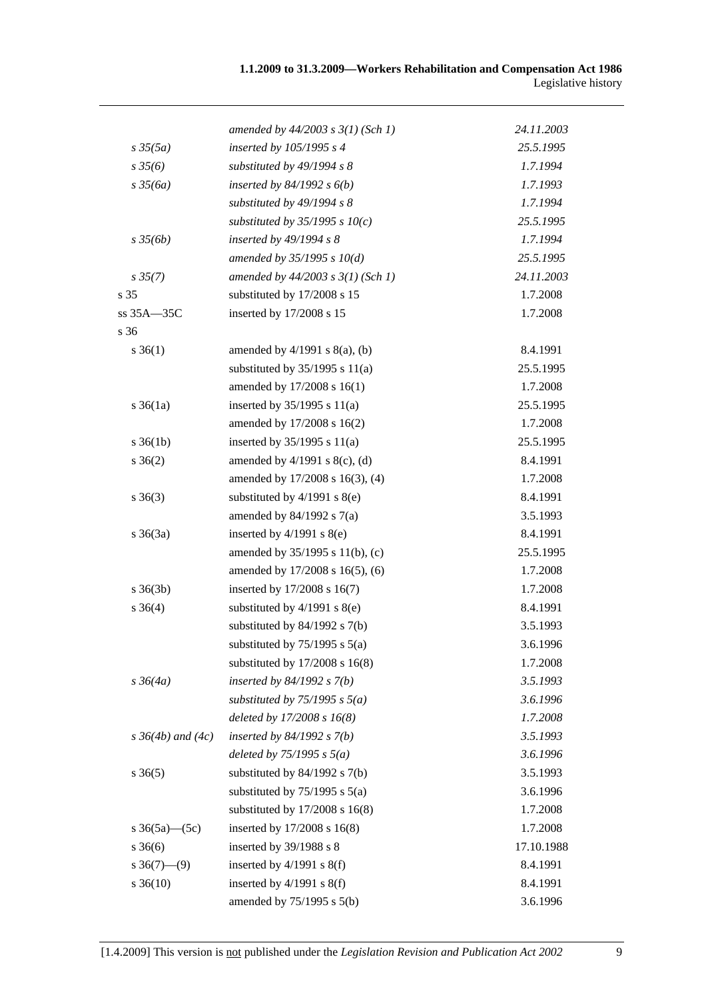|                          | amended by $44/2003$ s $3(1)$ (Sch 1) | 24.11.2003 |
|--------------------------|---------------------------------------|------------|
| $s \frac{35(5a)}{2}$     | inserted by 105/1995 s 4              | 25.5.1995  |
| $s \, 35(6)$             | substituted by 49/1994 s 8            | 1.7.1994   |
| $s \frac{35}{6a}$        | inserted by $84/1992 s 6(b)$          | 1.7.1993   |
|                          | substituted by 49/1994 s 8            | 1.7.1994   |
|                          | substituted by $35/1995$ s $10(c)$    | 25.5.1995  |
| $s \frac{35}{6b}$        | inserted by 49/1994 s 8               | 1.7.1994   |
|                          | amended by $35/1995 s 10(d)$          | 25.5.1995  |
| $s \, 35(7)$             | amended by $44/2003$ s $3(1)$ (Sch 1) | 24.11.2003 |
| s 35                     | substituted by 17/2008 s 15           | 1.7.2008   |
| ss 35A-35C               | inserted by 17/2008 s 15              | 1.7.2008   |
| s 36                     |                                       |            |
| $s \, 36(1)$             | amended by $4/1991$ s $8(a)$ , (b)    | 8.4.1991   |
|                          | substituted by $35/1995$ s $11(a)$    | 25.5.1995  |
|                          | amended by 17/2008 s 16(1)            | 1.7.2008   |
| $s \, 36(1a)$            | inserted by $35/1995$ s $11(a)$       | 25.5.1995  |
|                          | amended by 17/2008 s 16(2)            | 1.7.2008   |
| $s \, 36(1b)$            | inserted by $35/1995$ s $11(a)$       | 25.5.1995  |
| $s \; 36(2)$             | amended by $4/1991$ s $8(c)$ , (d)    | 8.4.1991   |
|                          | amended by 17/2008 s 16(3), (4)       | 1.7.2008   |
| $s \; 36(3)$             | substituted by $4/1991$ s $8(e)$      | 8.4.1991   |
|                          | amended by $84/1992$ s $7(a)$         | 3.5.1993   |
| $s \; 36(3a)$            | inserted by $4/1991$ s $8(e)$         | 8.4.1991   |
|                          | amended by 35/1995 s 11(b), (c)       | 25.5.1995  |
|                          | amended by 17/2008 s 16(5), (6)       | 1.7.2008   |
| $s \; 36(3b)$            | inserted by 17/2008 s 16(7)           | 1.7.2008   |
| $s \; 36(4)$             | substituted by $4/1991$ s $8(e)$      | 8.4.1991   |
|                          | substituted by $84/1992$ s $7(b)$     | 3.5.1993   |
|                          | substituted by $75/1995$ s $5(a)$     | 3.6.1996   |
|                          | substituted by $17/2008$ s $16(8)$    | 1.7.2008   |
| $s \frac{36}{4a}$        | inserted by $84/1992 s 7(b)$          | 3.5.1993   |
|                          | substituted by $75/1995$ s $5(a)$     | 3.6.1996   |
|                          | deleted by $17/2008 s 16(8)$          | 1.7.2008   |
| $s \, 36(4b)$ and $(4c)$ | inserted by $84/1992$ s $7(b)$        | 3.5.1993   |
|                          | deleted by $75/1995$ s $5(a)$         | 3.6.1996   |
| $s \; 36(5)$             | substituted by 84/1992 s 7(b)         | 3.5.1993   |
|                          | substituted by $75/1995$ s $5(a)$     | 3.6.1996   |
|                          | substituted by 17/2008 s 16(8)        | 1.7.2008   |
| s $36(5a)$ (5c)          | inserted by 17/2008 s 16(8)           | 1.7.2008   |
| $s \; 36(6)$             | inserted by 39/1988 s 8               | 17.10.1988 |
| $s \ 36(7) - (9)$        | inserted by $4/1991$ s $8(f)$         | 8.4.1991   |
| $s \, 36(10)$            | inserted by $4/1991$ s $8(f)$         | 8.4.1991   |
|                          | amended by $75/1995$ s $5(b)$         | 3.6.1996   |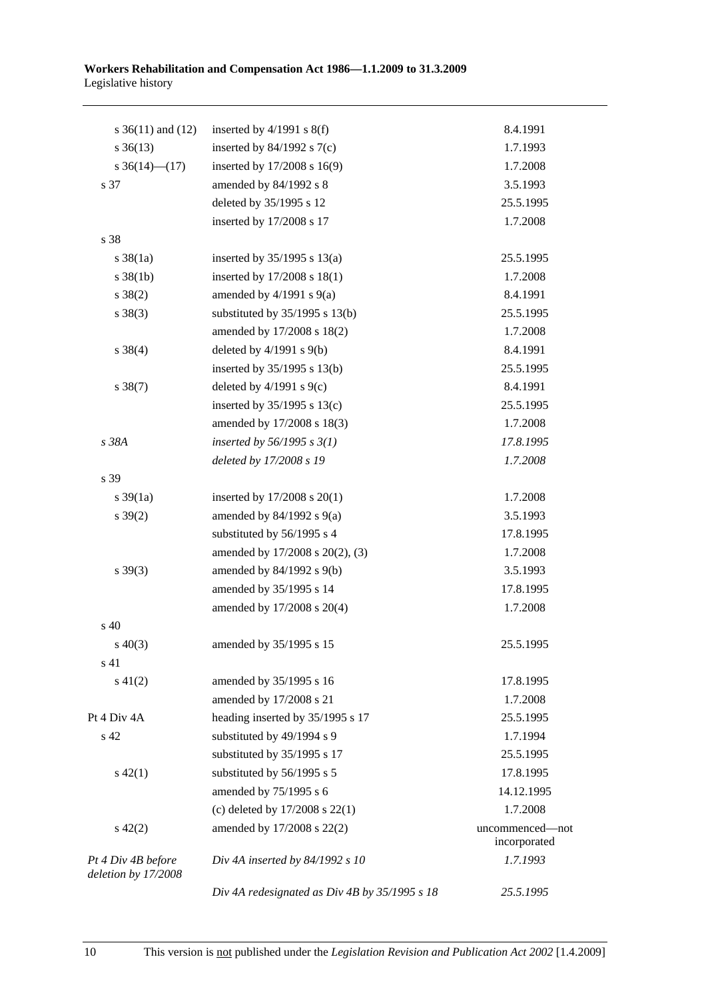| s $36(11)$ and $(12)$                     | inserted by $4/1991$ s $8(f)$                 | 8.4.1991        |
|-------------------------------------------|-----------------------------------------------|-----------------|
| $s \; 36(13)$                             | inserted by $84/1992$ s $7(c)$                | 1.7.1993        |
| s $36(14)$ (17)                           | inserted by 17/2008 s 16(9)                   | 1.7.2008        |
| s 37                                      | amended by 84/1992 s 8                        | 3.5.1993        |
|                                           | deleted by 35/1995 s 12                       | 25.5.1995       |
|                                           | inserted by 17/2008 s 17                      | 1.7.2008        |
| s 38                                      |                                               |                 |
| $s \frac{38}{1a}$                         | inserted by $35/1995$ s $13(a)$               | 25.5.1995       |
| $s \, 38(1b)$                             | inserted by 17/2008 s 18(1)                   | 1.7.2008        |
| $s \ 38(2)$                               | amended by $4/1991$ s $9(a)$                  | 8.4.1991        |
| $s \ 38(3)$                               | substituted by $35/1995$ s $13(b)$            | 25.5.1995       |
|                                           | amended by 17/2008 s 18(2)                    | 1.7.2008        |
| $s \ 38(4)$                               | deleted by $4/1991$ s $9(b)$                  | 8.4.1991        |
|                                           | inserted by 35/1995 s 13(b)                   | 25.5.1995       |
| $s \ 38(7)$                               | deleted by $4/1991$ s $9(c)$                  | 8.4.1991        |
|                                           | inserted by $35/1995$ s $13(c)$               | 25.5.1995       |
|                                           | amended by 17/2008 s 18(3)                    | 1.7.2008        |
| s 38A                                     | inserted by $56/1995 s 3(1)$                  | 17.8.1995       |
|                                           | deleted by 17/2008 s 19                       | 1.7.2008        |
| s 39                                      |                                               |                 |
| $s \frac{39}{1a}$                         | inserted by $17/2008$ s $20(1)$               | 1.7.2008        |
| $s \, 39(2)$                              | amended by $84/1992$ s $9(a)$                 | 3.5.1993        |
|                                           | substituted by 56/1995 s 4                    | 17.8.1995       |
|                                           | amended by 17/2008 s 20(2), (3)               | 1.7.2008        |
| $s \, 39(3)$                              | amended by 84/1992 s 9(b)                     | 3.5.1993        |
|                                           | amended by 35/1995 s 14                       | 17.8.1995       |
|                                           | amended by 17/2008 s 20(4)                    | 1.7.2008        |
| s 40                                      |                                               |                 |
| $s\ 40(3)$                                | amended by 35/1995 s 15                       | 25.5.1995       |
| s 41                                      |                                               |                 |
| $s\ 41(2)$                                | amended by 35/1995 s 16                       | 17.8.1995       |
|                                           | amended by 17/2008 s 21                       | 1.7.2008        |
| Pt 4 Div 4A                               | heading inserted by 35/1995 s 17              | 25.5.1995       |
| $\ensuremath{\mathrm{s}}\xspace$ 42       | substituted by 49/1994 s 9                    | 1.7.1994        |
|                                           | substituted by 35/1995 s 17                   | 25.5.1995       |
| $s\ 42(1)$                                | substituted by 56/1995 s 5                    | 17.8.1995       |
|                                           | amended by 75/1995 s 6                        | 14.12.1995      |
|                                           | (c) deleted by $17/2008$ s $22(1)$            | 1.7.2008        |
| $s\ 42(2)$                                | amended by 17/2008 s 22(2)                    | uncommenced—not |
|                                           |                                               | incorporated    |
| Pt 4 Div 4B before<br>deletion by 17/2008 | Div 4A inserted by $84/1992 s 10$             | 1.7.1993        |
|                                           | Div 4A redesignated as Div 4B by 35/1995 s 18 | 25.5.1995       |
|                                           |                                               |                 |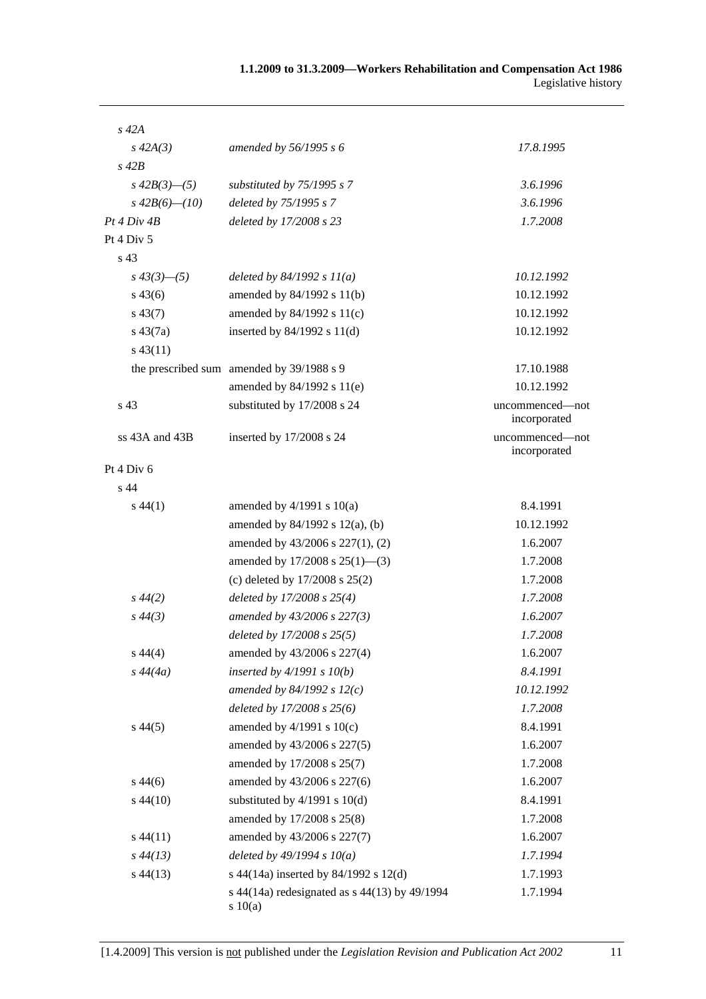| $s\,42A$           |                                                        |                                 |
|--------------------|--------------------------------------------------------|---------------------------------|
| $s\,42A(3)$        | amended by $56/1995 s 6$                               | 17.8.1995                       |
| $s$ 42 $B$         |                                                        |                                 |
| $s\,42B(3)$ —(5)   | substituted by 75/1995 s 7                             | 3.6.1996                        |
| $s\,42B(6)$ - (10) | deleted by 75/1995 s 7                                 | 3.6.1996                        |
| Pt 4 Div 4B        | deleted by 17/2008 s 23                                | 1.7.2008                        |
| Pt 4 Div 5         |                                                        |                                 |
| s <sub>43</sub>    |                                                        |                                 |
| $s\,43(3)$ - (5)   | deleted by $84/1992 s 11(a)$                           | 10.12.1992                      |
| $s\,43(6)$         | amended by 84/1992 s 11(b)                             | 10.12.1992                      |
| $s\,43(7)$         | amended by $84/1992$ s $11(c)$                         | 10.12.1992                      |
| $s\,43(7a)$        | inserted by $84/1992$ s $11(d)$                        | 10.12.1992                      |
| $s\,43(11)$        |                                                        |                                 |
|                    | the prescribed sum amended by 39/1988 s 9              | 17.10.1988                      |
|                    | amended by 84/1992 s 11(e)                             | 10.12.1992                      |
| s 43               | substituted by 17/2008 s 24                            | uncommenced-not<br>incorporated |
| ss 43A and 43B     | inserted by 17/2008 s 24                               | uncommenced-not<br>incorporated |
| Pt 4 Div 6         |                                                        |                                 |
| s 44               |                                                        |                                 |
| $s\,44(1)$         | amended by $4/1991$ s $10(a)$                          | 8.4.1991                        |
|                    | amended by $84/1992$ s $12(a)$ , (b)                   | 10.12.1992                      |
|                    | amended by 43/2006 s 227(1), (2)                       | 1.6.2007                        |
|                    | amended by $17/2008$ s $25(1)$ —(3)                    | 1.7.2008                        |
|                    | (c) deleted by $17/2008$ s $25(2)$                     | 1.7.2008                        |
| $s\,44(2)$         | deleted by $17/2008 s 25(4)$                           | 1.7.2008                        |
| $s\,44(3)$         | amended by 43/2006 s 227(3)                            | 1.6.2007                        |
|                    | deleted by 17/2008 s 25(5)                             | 1.7.2008                        |
| $s\,44(4)$         | amended by 43/2006 s 227(4)                            | 1.6.2007                        |
| $s\,44(4a)$        | inserted by $4/1991 s 10(b)$                           | 8.4.1991                        |
|                    | amended by 84/1992 s $12(c)$                           | 10.12.1992                      |
|                    | deleted by 17/2008 s 25(6)                             | 1.7.2008                        |
| $s\,44(5)$         | amended by $4/1991$ s $10(c)$                          | 8.4.1991                        |
|                    | amended by 43/2006 s 227(5)                            | 1.6.2007                        |
|                    | amended by 17/2008 s 25(7)                             | 1.7.2008                        |
| $s\,44(6)$         | amended by 43/2006 s 227(6)                            | 1.6.2007                        |
| $s\,44(10)$        | substituted by $4/1991$ s $10(d)$                      | 8.4.1991                        |
|                    | amended by 17/2008 s 25(8)                             | 1.7.2008                        |
| $s\,44(11)$        | amended by 43/2006 s 227(7)                            | 1.6.2007                        |
| $s\,44(13)$        | deleted by $49/1994 s 10(a)$                           | 1.7.1994                        |
| $s\,44(13)$        | s 44(14a) inserted by 84/1992 s 12(d)                  | 1.7.1993                        |
|                    | s 44(14a) redesignated as s 44(13) by 49/1994<br>10(a) | 1.7.1994                        |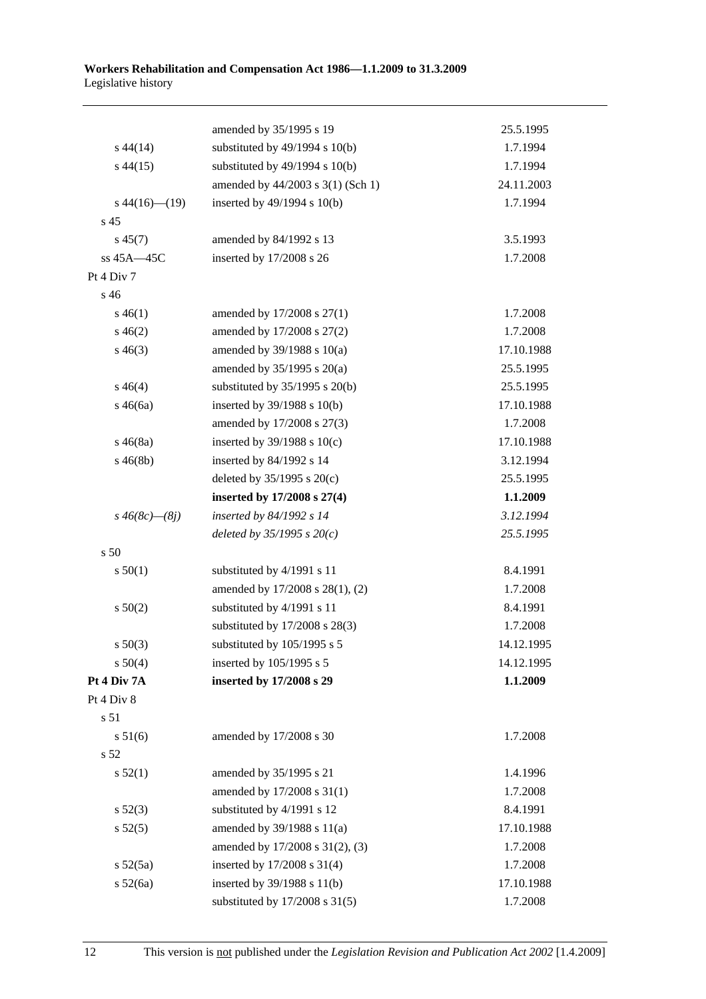|                      | amended by 35/1995 s 19            | 25.5.1995  |
|----------------------|------------------------------------|------------|
| $s\,44(14)$          | substituted by $49/1994$ s $10(b)$ | 1.7.1994   |
| $s\,44(15)$          | substituted by $49/1994$ s $10(b)$ | 1.7.1994   |
|                      | amended by 44/2003 s 3(1) (Sch 1)  | 24.11.2003 |
| $s\,44(16)$ (19)     | inserted by 49/1994 s 10(b)        | 1.7.1994   |
| s <sub>45</sub>      |                                    |            |
| $s\,45(7)$           | amended by 84/1992 s 13            | 3.5.1993   |
| ss 45A-45C           | inserted by 17/2008 s 26           | 1.7.2008   |
| Pt 4 Div 7           |                                    |            |
| s 46                 |                                    |            |
| $s\,46(1)$           | amended by 17/2008 s 27(1)         | 1.7.2008   |
| $s\,46(2)$           | amended by 17/2008 s 27(2)         | 1.7.2008   |
| $s\,46(3)$           | amended by $39/1988$ s $10(a)$     | 17.10.1988 |
|                      | amended by $35/1995$ s $20(a)$     | 25.5.1995  |
| $s\,46(4)$           | substituted by $35/1995$ s $20(b)$ | 25.5.1995  |
| $s\,46(6a)$          | inserted by 39/1988 s 10(b)        | 17.10.1988 |
|                      | amended by 17/2008 s 27(3)         | 1.7.2008   |
| $s\,46(8a)$          | inserted by $39/1988$ s $10(c)$    | 17.10.1988 |
| $s\,46(8b)$          | inserted by 84/1992 s 14           | 3.12.1994  |
|                      | deleted by $35/1995$ s $20(c)$     | 25.5.1995  |
|                      | inserted by 17/2008 s 27(4)        | 1.1.2009   |
| $s\,46(8c)$ — $(8j)$ | inserted by 84/1992 s 14           | 3.12.1994  |
|                      | deleted by $35/1995 s 20(c)$       | 25.5.1995  |
| s 50                 |                                    |            |
| s 50(1)              | substituted by 4/1991 s 11         | 8.4.1991   |
|                      | amended by 17/2008 s 28(1), (2)    | 1.7.2008   |
| s 50(2)              | substituted by 4/1991 s 11         | 8.4.1991   |
|                      | substituted by 17/2008 s 28(3)     | 1.7.2008   |
| $s\,50(3)$           | substituted by 105/1995 s 5        | 14.12.1995 |
| s 50(4)              | inserted by 105/1995 s 5           | 14.12.1995 |
| Pt 4 Div 7A          | inserted by 17/2008 s 29           | 1.1.2009   |
| Pt 4 Div 8           |                                    |            |
| s 51                 |                                    |            |
| s 51(6)              | amended by 17/2008 s 30            | 1.7.2008   |
| s 52                 |                                    |            |
| s 52(1)              | amended by 35/1995 s 21            | 1.4.1996   |
|                      | amended by 17/2008 s 31(1)         | 1.7.2008   |
| s 52(3)              | substituted by 4/1991 s 12         | 8.4.1991   |
| s 52(5)              | amended by 39/1988 s 11(a)         | 17.10.1988 |
|                      | amended by 17/2008 s 31(2), (3)    | 1.7.2008   |
| s 52(5a)             | inserted by 17/2008 s 31(4)        | 1.7.2008   |
| s 52(6a)             | inserted by 39/1988 s 11(b)        | 17.10.1988 |
|                      | substituted by 17/2008 s 31(5)     | 1.7.2008   |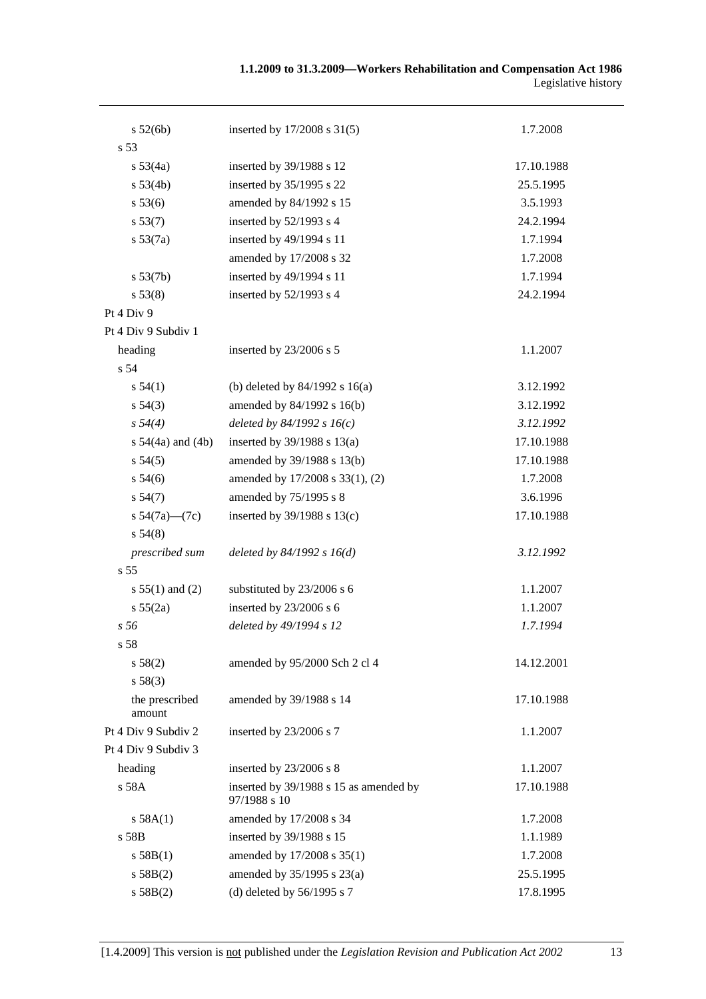| 1.1.2009 to 31.3.2009—Workers Rehabilitation and Compensation Act 1986 |                     |
|------------------------------------------------------------------------|---------------------|
|                                                                        | Legislative history |

| s 52(6b)                 | inserted by 17/2008 s 31(5)                            | 1.7.2008   |
|--------------------------|--------------------------------------------------------|------------|
| s 53                     |                                                        |            |
| s 53(4a)                 | inserted by 39/1988 s 12                               | 17.10.1988 |
| s 53(4b)                 | inserted by 35/1995 s 22                               | 25.5.1995  |
| s 53(6)                  | amended by 84/1992 s 15                                | 3.5.1993   |
| s 53(7)                  | inserted by 52/1993 s 4                                | 24.2.1994  |
| s 53(7a)                 | inserted by 49/1994 s 11                               | 1.7.1994   |
|                          | amended by 17/2008 s 32                                | 1.7.2008   |
| $s\,53(7b)$              | inserted by 49/1994 s 11                               | 1.7.1994   |
| s 53(8)                  | inserted by 52/1993 s 4                                | 24.2.1994  |
| Pt 4 Div 9               |                                                        |            |
| Pt 4 Div 9 Subdiv 1      |                                                        |            |
| heading                  | inserted by 23/2006 s 5                                | 1.1.2007   |
| s 54                     |                                                        |            |
| s 54(1)                  | (b) deleted by $84/1992$ s $16(a)$                     | 3.12.1992  |
| $s\,54(3)$               | amended by 84/1992 s 16(b)                             | 3.12.1992  |
| $s\,54(4)$               | deleted by $84/1992 s 16(c)$                           | 3.12.1992  |
| s $54(4a)$ and $(4b)$    | inserted by $39/1988$ s $13(a)$                        | 17.10.1988 |
| $s\,54(5)$               | amended by 39/1988 s 13(b)                             | 17.10.1988 |
| $s\,54(6)$               | amended by 17/2008 s 33(1), (2)                        | 1.7.2008   |
| s 54(7)                  | amended by 75/1995 s 8                                 | 3.6.1996   |
| s $54(7a)$ — $(7c)$      | inserted by $39/1988$ s $13(c)$                        | 17.10.1988 |
| s 54(8)                  |                                                        |            |
| prescribed sum           | deleted by $84/1992 s 16(d)$                           | 3.12.1992  |
| s <sub>55</sub>          |                                                        |            |
| s $55(1)$ and (2)        | substituted by 23/2006 s 6                             | 1.1.2007   |
| s 55(2a)                 | inserted by 23/2006 s 6                                | 1.1.2007   |
| s <sub>56</sub>          | deleted by 49/1994 s 12                                | 1.7.1994   |
| s 58                     |                                                        |            |
| s 58(2)                  | amended by 95/2000 Sch 2 cl 4                          | 14.12.2001 |
| s 58(3)                  |                                                        |            |
| the prescribed<br>amount | amended by 39/1988 s 14                                | 17.10.1988 |
| Pt 4 Div 9 Subdiv 2      | inserted by 23/2006 s 7                                | 1.1.2007   |
| Pt 4 Div 9 Subdiv 3      |                                                        |            |
| heading                  | inserted by 23/2006 s 8                                | 1.1.2007   |
| s 58A                    | inserted by 39/1988 s 15 as amended by<br>97/1988 s 10 | 17.10.1988 |
| s 58A(1)                 | amended by 17/2008 s 34                                | 1.7.2008   |
| s 58B                    | inserted by 39/1988 s 15                               | 1.1.1989   |
| s 58B(1)                 | amended by 17/2008 s 35(1)                             | 1.7.2008   |
| s 58B(2)                 | amended by 35/1995 s 23(a)                             | 25.5.1995  |
| s 58B(2)                 | (d) deleted by $56/1995$ s 7                           | 17.8.1995  |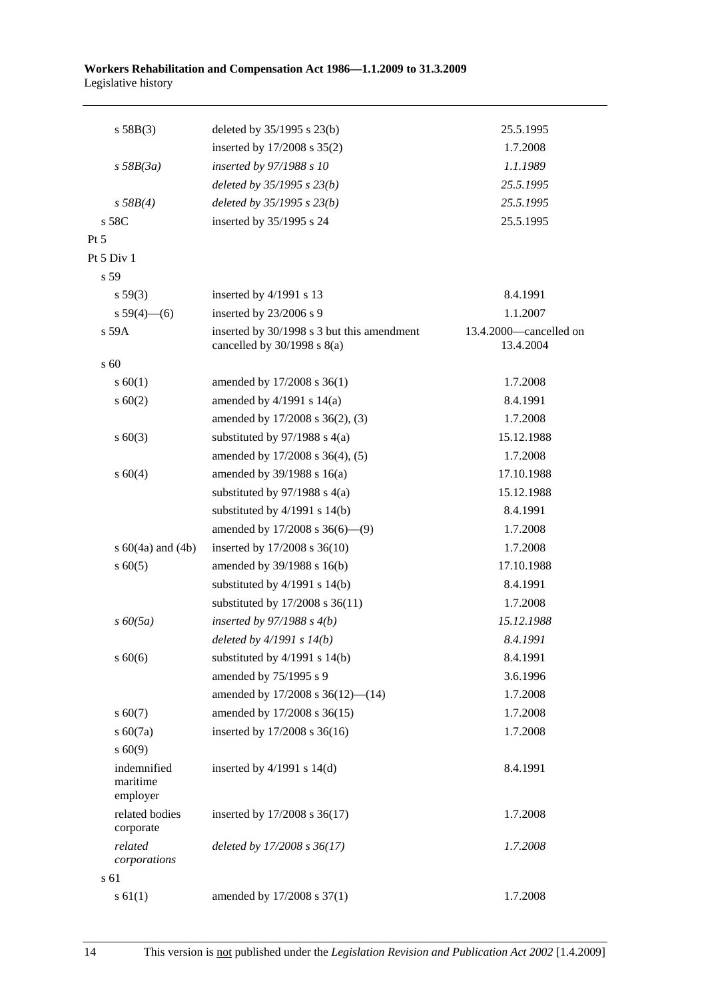| s 58B(3)                            | deleted by $35/1995$ s $23(b)$                                                | 25.5.1995                           |
|-------------------------------------|-------------------------------------------------------------------------------|-------------------------------------|
|                                     | inserted by $17/2008$ s $35(2)$                                               | 1.7.2008                            |
| $s$ 58B(3a)                         | inserted by 97/1988 s 10                                                      | 1.1.1989                            |
|                                     | deleted by $35/1995 s 23(b)$                                                  | 25.5.1995                           |
| s 58B(4)                            | deleted by $35/1995 s 23(b)$                                                  | 25.5.1995                           |
| s 58C                               | inserted by 35/1995 s 24                                                      | 25.5.1995                           |
| Pt 5                                |                                                                               |                                     |
| Pt 5 Div 1                          |                                                                               |                                     |
| s 59                                |                                                                               |                                     |
| s 59(3)                             | inserted by 4/1991 s 13                                                       | 8.4.1991                            |
| s $59(4)$ (6)                       | inserted by 23/2006 s 9                                                       | 1.1.2007                            |
| s 59A                               | inserted by 30/1998 s 3 but this amendment<br>cancelled by $30/1998$ s $8(a)$ | 13.4.2000-cancelled on<br>13.4.2004 |
| s <sub>60</sub>                     |                                                                               |                                     |
| s 60(1)                             | amended by 17/2008 s 36(1)                                                    | 1.7.2008                            |
| $s \ 60(2)$                         | amended by $4/1991$ s $14(a)$                                                 | 8.4.1991                            |
|                                     | amended by 17/2008 s 36(2), (3)                                               | 1.7.2008                            |
| $s\ 60(3)$                          | substituted by $97/1988$ s 4(a)                                               | 15.12.1988                          |
|                                     | amended by 17/2008 s 36(4), (5)                                               | 1.7.2008                            |
| s 60(4)                             | amended by $39/1988$ s $16(a)$                                                | 17.10.1988                          |
|                                     | substituted by $97/1988$ s 4(a)                                               | 15.12.1988                          |
|                                     | substituted by $4/1991$ s $14(b)$                                             | 8.4.1991                            |
|                                     | amended by 17/2008 s 36(6)-(9)                                                | 1.7.2008                            |
| s $60(4a)$ and $(4b)$               | inserted by 17/2008 s 36(10)                                                  | 1.7.2008                            |
| $s \ 60(5)$                         | amended by 39/1988 s 16(b)                                                    | 17.10.1988                          |
|                                     | substituted by $4/1991$ s $14(b)$                                             | 8.4.1991                            |
|                                     | substituted by 17/2008 s 36(11)                                               | 1.7.2008                            |
| $s\,60(5a)$                         | inserted by $97/1988 s 4(b)$                                                  | 15.12.1988                          |
|                                     | deleted by $4/1991 s 14(b)$                                                   | 8.4.1991                            |
| $s\ 60(6)$                          | substituted by $4/1991$ s $14(b)$                                             | 8.4.1991                            |
|                                     | amended by 75/1995 s 9                                                        | 3.6.1996                            |
|                                     | amended by 17/2008 s 36(12)-(14)                                              | 1.7.2008                            |
| $s\ 60(7)$                          | amended by 17/2008 s 36(15)                                                   | 1.7.2008                            |
| $s\ 60(7a)$                         | inserted by 17/2008 s 36(16)                                                  | 1.7.2008                            |
| s 60(9)                             |                                                                               |                                     |
| indemnified<br>maritime<br>employer | inserted by $4/1991$ s $14(d)$                                                | 8.4.1991                            |
| related bodies<br>corporate         | inserted by 17/2008 s 36(17)                                                  | 1.7.2008                            |
| related<br>corporations             | deleted by 17/2008 s 36(17)                                                   | 1.7.2008                            |
| s 61                                |                                                                               |                                     |
| $s \ 61(1)$                         | amended by 17/2008 s 37(1)                                                    | 1.7.2008                            |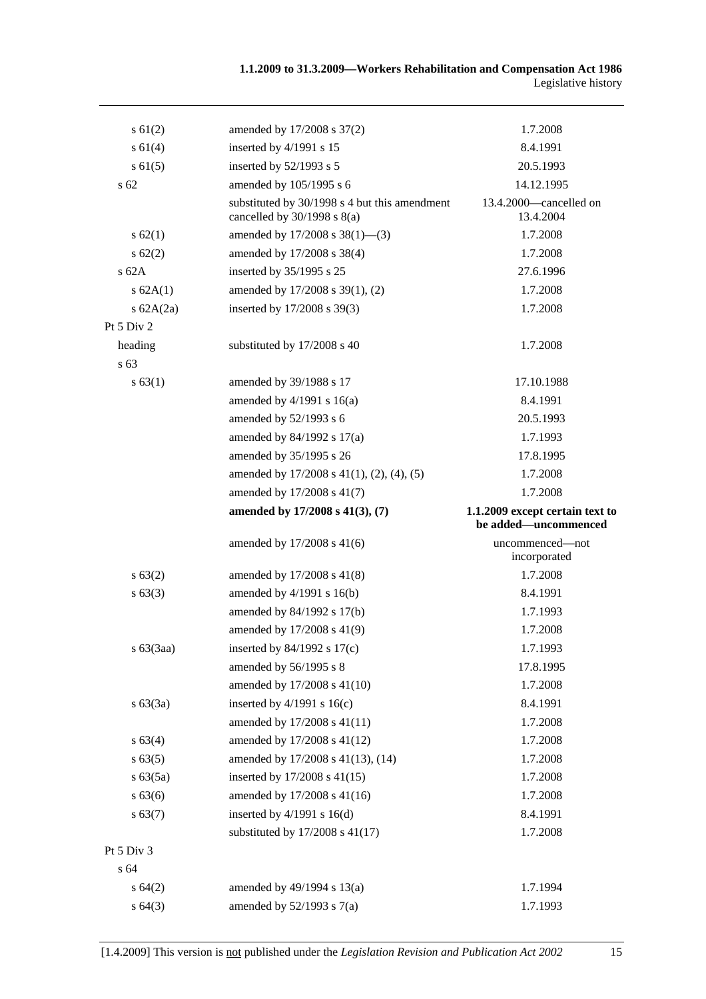| $s \, 61(2)$ | amended by 17/2008 s 37(2)                                                       | 1.7.2008                                                |
|--------------|----------------------------------------------------------------------------------|---------------------------------------------------------|
| s 61(4)      | inserted by 4/1991 s 15                                                          | 8.4.1991                                                |
| $s \, 61(5)$ | inserted by 52/1993 s 5                                                          | 20.5.1993                                               |
| $s\,62$      | amended by 105/1995 s 6                                                          | 14.12.1995                                              |
|              | substituted by 30/1998 s 4 but this amendment<br>cancelled by $30/1998$ s $8(a)$ | 13.4.2000—cancelled on<br>13.4.2004                     |
| s 62(1)      | amended by 17/2008 s 38(1)-(3)                                                   | 1.7.2008                                                |
| s 62(2)      | amended by 17/2008 s 38(4)                                                       | 1.7.2008                                                |
| $s$ 62A      | inserted by 35/1995 s 25                                                         | 27.6.1996                                               |
| s 62A(1)     | amended by 17/2008 s 39(1), (2)                                                  | 1.7.2008                                                |
| s $62A(2a)$  | inserted by 17/2008 s 39(3)                                                      | 1.7.2008                                                |
| Pt 5 Div 2   |                                                                                  |                                                         |
| heading      | substituted by 17/2008 s 40                                                      | 1.7.2008                                                |
| s 63         |                                                                                  |                                                         |
| s 63(1)      | amended by 39/1988 s 17                                                          | 17.10.1988                                              |
|              | amended by $4/1991$ s $16(a)$                                                    | 8.4.1991                                                |
|              | amended by 52/1993 s 6                                                           | 20.5.1993                                               |
|              | amended by 84/1992 s 17(a)                                                       | 1.7.1993                                                |
|              | amended by 35/1995 s 26                                                          | 17.8.1995                                               |
|              | amended by $17/2008$ s $41(1)$ , $(2)$ , $(4)$ , $(5)$                           | 1.7.2008                                                |
|              | amended by 17/2008 s 41(7)                                                       | 1.7.2008                                                |
|              | amended by 17/2008 s 41(3), (7)                                                  | 1.1.2009 except certain text to<br>be added—uncommenced |
|              | amended by 17/2008 s 41(6)                                                       | uncommenced—not<br>incorporated                         |
| s 63(2)      | amended by $17/2008$ s $41(8)$                                                   | 1.7.2008                                                |
| s 63(3)      | amended by $4/1991$ s $16(b)$                                                    | 8.4.1991                                                |
|              | amended by 84/1992 s 17(b)                                                       | 1.7.1993                                                |
|              | amended by 17/2008 s 41(9)                                                       | 1.7.2008                                                |
| $s\ 63(3aa)$ | inserted by $84/1992$ s $17(c)$                                                  | 1.7.1993                                                |
|              | amended by 56/1995 s 8                                                           | 17.8.1995                                               |
|              | amended by 17/2008 s 41(10)                                                      | 1.7.2008                                                |
| s 63(3a)     | inserted by $4/1991$ s $16(c)$                                                   | 8.4.1991                                                |
|              | amended by 17/2008 s 41(11)                                                      | 1.7.2008                                                |
| s 63(4)      | amended by 17/2008 s 41(12)                                                      | 1.7.2008                                                |
| s 63(5)      | amended by 17/2008 s 41(13), (14)                                                | 1.7.2008                                                |
| s 63(5a)     | inserted by 17/2008 s 41(15)                                                     | 1.7.2008                                                |
| s 63(6)      | amended by 17/2008 s 41(16)                                                      | 1.7.2008                                                |
| s 63(7)      | inserted by $4/1991$ s $16(d)$                                                   | 8.4.1991                                                |
|              | substituted by $17/2008$ s $41(17)$                                              | 1.7.2008                                                |
| Pt 5 Div 3   |                                                                                  |                                                         |
| s 64         |                                                                                  |                                                         |
| s 64(2)      | amended by 49/1994 s 13(a)                                                       | 1.7.1994                                                |
| s 64(3)      | amended by $52/1993$ s $7(a)$                                                    | 1.7.1993                                                |
|              |                                                                                  |                                                         |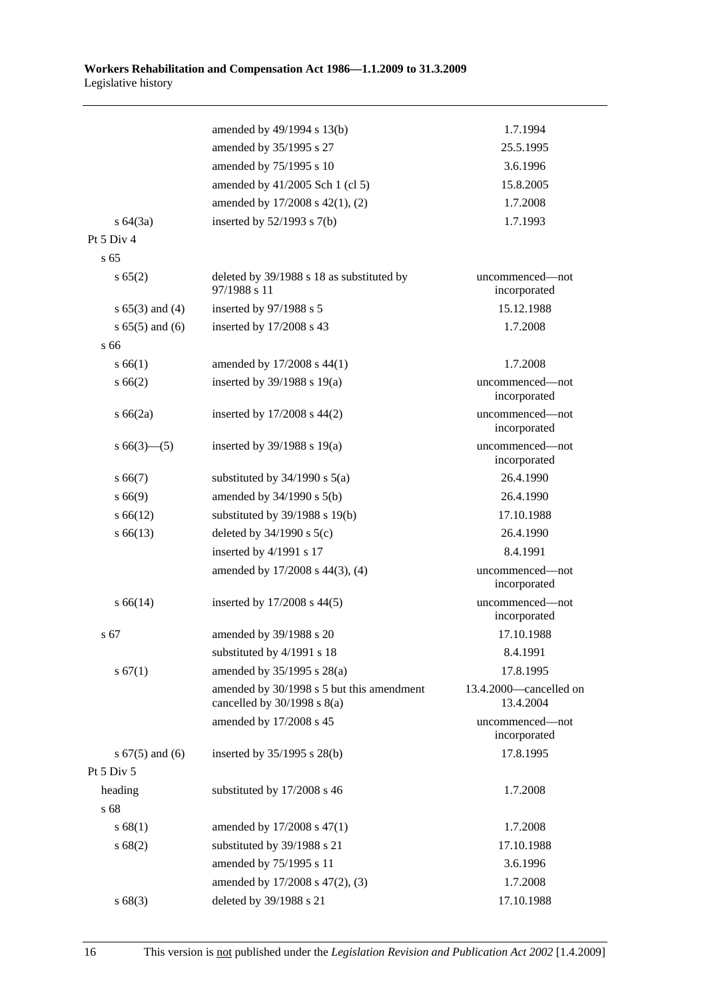|                     | amended by 49/1994 s 13(b)                                                   | 1.7.1994                            |
|---------------------|------------------------------------------------------------------------------|-------------------------------------|
|                     | amended by 35/1995 s 27                                                      | 25.5.1995                           |
|                     | amended by 75/1995 s 10                                                      | 3.6.1996                            |
|                     | amended by 41/2005 Sch 1 (cl 5)                                              | 15.8.2005                           |
|                     | amended by 17/2008 s 42(1), (2)                                              | 1.7.2008                            |
| $s\,64(3a)$         | inserted by $52/1993$ s $7(b)$                                               | 1.7.1993                            |
| Pt 5 Div 4          |                                                                              |                                     |
| s <sub>65</sub>     |                                                                              |                                     |
| s 65(2)             | deleted by 39/1988 s 18 as substituted by<br>97/1988 s 11                    | uncommenced—not<br>incorporated     |
| $s 65(3)$ and (4)   | inserted by 97/1988 s 5                                                      | 15.12.1988                          |
| $s 65(5)$ and (6)   | inserted by 17/2008 s 43                                                     | 1.7.2008                            |
| s 66                |                                                                              |                                     |
| s 66(1)             | amended by 17/2008 s 44(1)                                                   | 1.7.2008                            |
| s 66(2)             | inserted by $39/1988$ s $19(a)$                                              | uncommenced—not<br>incorporated     |
| s 66(2a)            | inserted by 17/2008 s 44(2)                                                  | uncommenced-not<br>incorporated     |
| $s66(3)$ (5)        | inserted by $39/1988$ s $19(a)$                                              | uncommenced-not<br>incorporated     |
| $s\,66(7)$          | substituted by $34/1990$ s $5(a)$                                            | 26.4.1990                           |
| s 66(9)             | amended by $34/1990$ s $5(b)$                                                | 26.4.1990                           |
| $s\,66(12)$         | substituted by 39/1988 s 19(b)                                               | 17.10.1988                          |
| $s\,66(13)$         | deleted by $34/1990$ s $5(c)$                                                | 26.4.1990                           |
|                     | inserted by 4/1991 s 17                                                      | 8.4.1991                            |
|                     | amended by 17/2008 s 44(3), (4)                                              | uncommenced-not<br>incorporated     |
| $s\,66(14)$         | inserted by $17/2008$ s $44(5)$                                              | uncommenced-not<br>incorporated     |
| s 67                | amended by 39/1988 s 20                                                      | 17.10.1988                          |
|                     | substituted by 4/1991 s 18                                                   | 8.4.1991                            |
| s 67(1)             | amended by 35/1995 s 28(a)                                                   | 17.8.1995                           |
|                     | amended by 30/1998 s 5 but this amendment<br>cancelled by $30/1998$ s $8(a)$ | 13.4.2000—cancelled on<br>13.4.2004 |
|                     | amended by 17/2008 s 45                                                      | uncommenced-not<br>incorporated     |
| s $67(5)$ and $(6)$ | inserted by 35/1995 s 28(b)                                                  | 17.8.1995                           |
| Pt 5 Div 5          |                                                                              |                                     |
| heading             | substituted by 17/2008 s 46                                                  | 1.7.2008                            |
| s 68                |                                                                              |                                     |
| s 68(1)             | amended by 17/2008 s 47(1)                                                   | 1.7.2008                            |
| s 68(2)             | substituted by 39/1988 s 21                                                  | 17.10.1988                          |
|                     | amended by 75/1995 s 11                                                      | 3.6.1996                            |
|                     | amended by 17/2008 s 47(2), (3)                                              | 1.7.2008                            |
| s 68(3)             | deleted by 39/1988 s 21                                                      | 17.10.1988                          |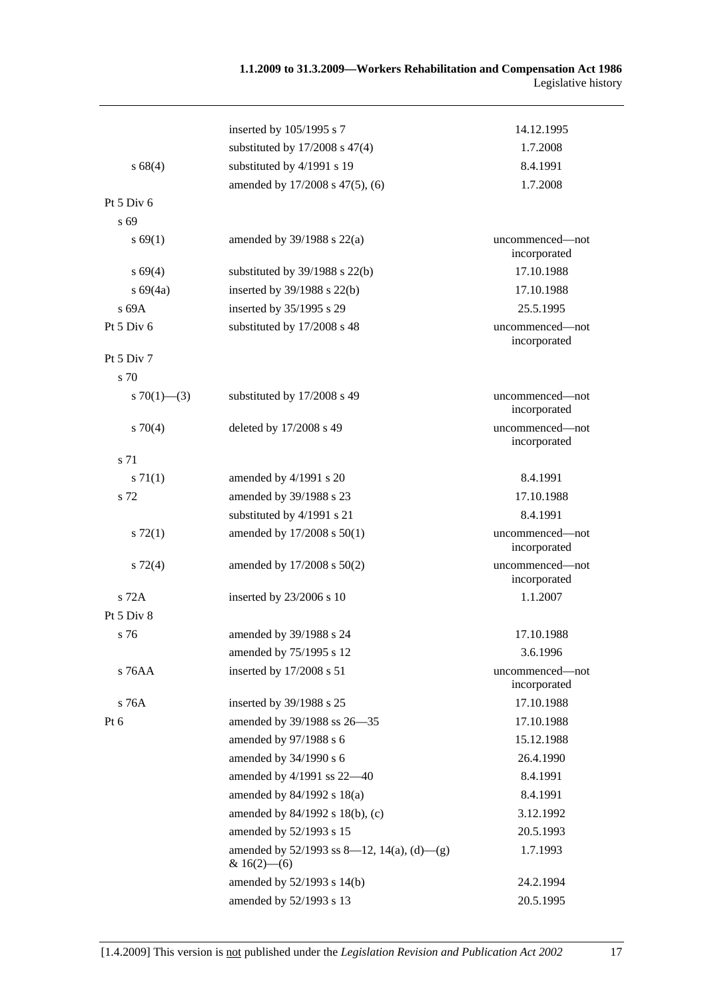## **1.1.2009 to 31.3.2009—Workers Rehabilitation and Compensation Act 1986**  Legislative history

|                | inserted by 105/1995 s 7                                        | 14.12.1995                      |
|----------------|-----------------------------------------------------------------|---------------------------------|
|                | substituted by $17/2008$ s $47(4)$                              | 1.7.2008                        |
| s68(4)         | substituted by 4/1991 s 19                                      | 8.4.1991                        |
|                | amended by 17/2008 s 47(5), (6)                                 | 1.7.2008                        |
| Pt $5$ Div $6$ |                                                                 |                                 |
| s 69           |                                                                 |                                 |
| s 69(1)        | amended by $39/1988$ s $22(a)$                                  | uncommenced—not<br>incorporated |
| $s\,69(4)$     | substituted by $39/1988$ s $22(b)$                              | 17.10.1988                      |
| $s\,69(4a)$    | inserted by $39/1988$ s $22(b)$                                 | 17.10.1988                      |
| s 69A          | inserted by 35/1995 s 29                                        | 25.5.1995                       |
| Pt 5 Div 6     | substituted by 17/2008 s 48                                     | uncommenced—not<br>incorporated |
| Pt 5 Div 7     |                                                                 |                                 |
| s 70           |                                                                 |                                 |
| s 70(1)–(3)    | substituted by 17/2008 s 49                                     | uncommenced—not<br>incorporated |
| 570(4)         | deleted by 17/2008 s 49                                         | uncommenced-not<br>incorporated |
| s 71           |                                                                 |                                 |
| $s \, 71(1)$   | amended by 4/1991 s 20                                          | 8.4.1991                        |
| s 72           | amended by 39/1988 s 23                                         | 17.10.1988                      |
|                | substituted by 4/1991 s 21                                      | 8.4.1991                        |
| $s \, 72(1)$   | amended by 17/2008 s 50(1)                                      | uncommenced—not<br>incorporated |
| $s\,72(4)$     | amended by $17/2008$ s $50(2)$                                  | uncommenced-not<br>incorporated |
| s 72A          | inserted by 23/2006 s 10                                        | 1.1.2007                        |
| Pt 5 Div 8     |                                                                 |                                 |
| s 76           | amended by 39/1988 s 24                                         | 17.10.1988                      |
|                | amended by 75/1995 s 12                                         | 3.6.1996                        |
| s 76AA         | inserted by 17/2008 s 51                                        | uncommenced-not<br>incorporated |
| s 76A          | inserted by 39/1988 s 25                                        | 17.10.1988                      |
| Pt 6           | amended by 39/1988 ss 26-35                                     | 17.10.1988                      |
|                | amended by 97/1988 s 6                                          | 15.12.1988                      |
|                | amended by 34/1990 s 6                                          | 26.4.1990                       |
|                | amended by 4/1991 ss 22-40                                      | 8.4.1991                        |
|                | amended by $84/1992$ s $18(a)$                                  | 8.4.1991                        |
|                | amended by 84/1992 s 18(b), (c)                                 | 3.12.1992                       |
|                | amended by 52/1993 s 15                                         | 20.5.1993                       |
|                | amended by $52/1993$ ss 8—12, 14(a), (d)—(g)<br>& $16(2)$ - (6) | 1.7.1993                        |
|                | amended by 52/1993 s 14(b)                                      | 24.2.1994                       |
|                | amended by 52/1993 s 13                                         | 20.5.1995                       |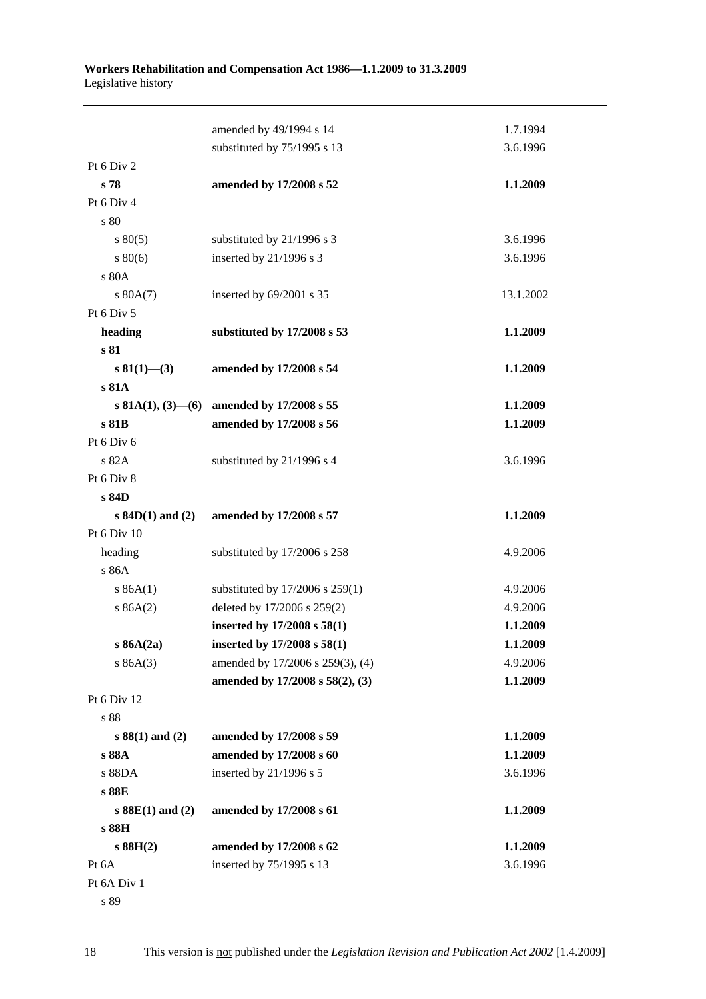|                         | amended by 49/1994 s 14             | 1.7.1994  |
|-------------------------|-------------------------------------|-----------|
|                         | substituted by 75/1995 s 13         | 3.6.1996  |
| Pt 6 Div 2              |                                     |           |
| s 78                    | amended by 17/2008 s 52             | 1.1.2009  |
| Pt 6 Div 4              |                                     |           |
| s 80                    |                                     |           |
| $s\,80(5)$              | substituted by 21/1996 s 3          | 3.6.1996  |
| 80(6)                   | inserted by 21/1996 s 3             | 3.6.1996  |
| s 80A                   |                                     |           |
| s 80A(7)                | inserted by 69/2001 s 35            | 13.1.2002 |
| Pt 6 Div 5              |                                     |           |
| heading                 | substituted by 17/2008 s 53         | 1.1.2009  |
| s 81                    |                                     |           |
| $s\,81(1)$ – (3)        | amended by 17/2008 s 54             | 1.1.2009  |
| s 81A                   |                                     |           |
| s 81A(1), $(3)$ — $(6)$ | amended by 17/2008 s 55             | 1.1.2009  |
| s 81B                   | amended by 17/2008 s 56             | 1.1.2009  |
| Pt 6 Div 6              |                                     |           |
| s 82A                   | substituted by 21/1996 s 4          | 3.6.1996  |
| Pt 6 Div 8              |                                     |           |
| s 84D                   |                                     |           |
| $s$ 84D(1) and (2)      | amended by 17/2008 s 57             | 1.1.2009  |
| Pt 6 Div 10             |                                     |           |
| heading                 | substituted by 17/2006 s 258        | 4.9.2006  |
| s 86A                   |                                     |           |
| s 86A(1)                | substituted by $17/2006$ s $259(1)$ | 4.9.2006  |
| s 86A(2)                | deleted by 17/2006 s 259(2)         | 4.9.2006  |
|                         |                                     |           |
|                         | inserted by 17/2008 s 58(1)         | 1.1.2009  |
| s 86A(2a)               | inserted by 17/2008 s 58(1)         | 1.1.2009  |
| s 86A(3)                | amended by 17/2006 s 259(3), (4)    | 4.9.2006  |
|                         | amended by 17/2008 s 58(2), (3)     | 1.1.2009  |
| Pt 6 Div 12             |                                     |           |
| s 88                    |                                     |           |
| $s 88(1)$ and $(2)$     | amended by 17/2008 s 59             | 1.1.2009  |
| s 88A                   | amended by 17/2008 s 60             | 1.1.2009  |
| s 88DA                  | inserted by 21/1996 s 5             | 3.6.1996  |
| s 88E                   |                                     |           |
| $s$ 88E(1) and (2)      | amended by 17/2008 s 61             | 1.1.2009  |
| s 88H                   |                                     |           |
| $s$ 88H $(2)$           | amended by 17/2008 s 62             | 1.1.2009  |
| Pt 6A<br>Pt 6A Div 1    | inserted by 75/1995 s 13            | 3.6.1996  |

s 89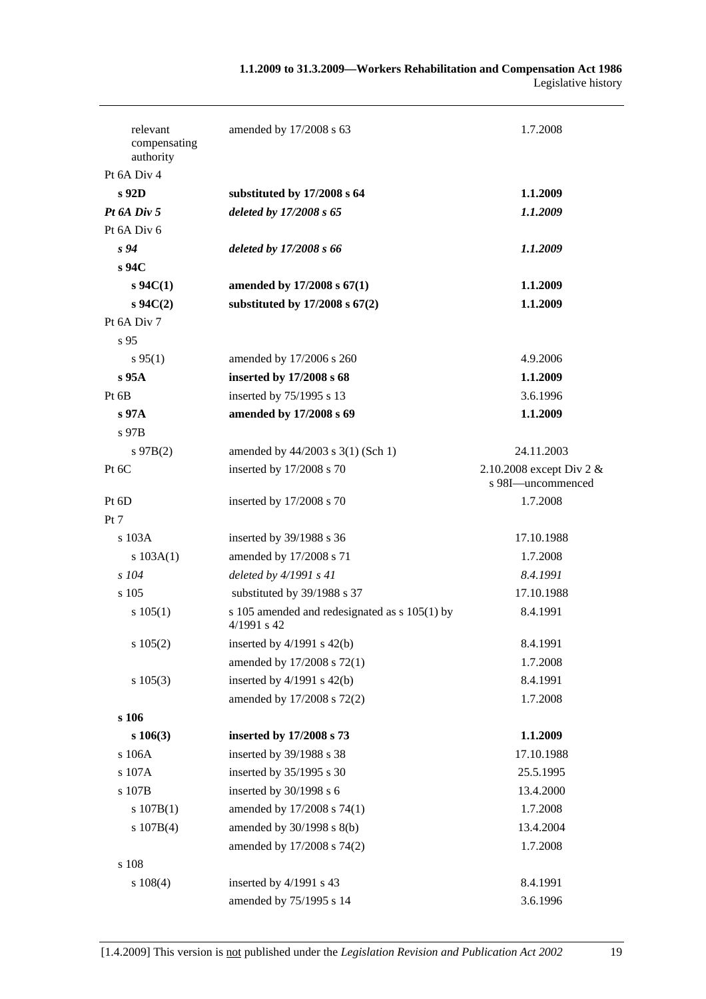| relevant<br>compensating<br>authority | amended by 17/2008 s 63                                          | 1.7.2008                                      |
|---------------------------------------|------------------------------------------------------------------|-----------------------------------------------|
| Pt 6A Div 4                           |                                                                  |                                               |
| s 92D                                 | substituted by 17/2008 s 64                                      | 1.1.2009                                      |
| Pt 6A Div 5                           | deleted by 17/2008 s 65                                          | 1.1.2009                                      |
| Pt 6A Div 6                           |                                                                  |                                               |
| s <sub>94</sub>                       | deleted by 17/2008 s 66                                          | 1.1.2009                                      |
| s 94C                                 |                                                                  |                                               |
| $s \, 94C(1)$                         | amended by 17/2008 s 67(1)                                       | 1.1.2009                                      |
| $s \, 94C(2)$                         | substituted by $17/2008$ s $67(2)$                               | 1.1.2009                                      |
| Pt 6A Div 7                           |                                                                  |                                               |
| s 95                                  |                                                                  |                                               |
| $s\,95(1)$                            | amended by 17/2006 s 260                                         | 4.9.2006                                      |
| s 95A                                 | inserted by 17/2008 s 68                                         | 1.1.2009                                      |
| Pt <sub>6B</sub>                      | inserted by 75/1995 s 13                                         | 3.6.1996                                      |
| $s\,97A$                              | amended by 17/2008 s 69                                          | 1.1.2009                                      |
| s 97B                                 |                                                                  |                                               |
| $s\,97B(2)$                           | amended by 44/2003 s 3(1) (Sch 1)                                | 24.11.2003                                    |
| Pt 6C                                 | inserted by 17/2008 s 70                                         | 2.10.2008 except Div 2 &<br>s 98I-uncommenced |
| Pt 6D                                 | inserted by 17/2008 s 70                                         | 1.7.2008                                      |
| Pt 7                                  |                                                                  |                                               |
| s 103A                                | inserted by 39/1988 s 36                                         | 17.10.1988                                    |
| s 103A(1)                             | amended by 17/2008 s 71                                          | 1.7.2008                                      |
| $s$ 104                               | deleted by $4/1991 s 41$                                         | 8.4.1991                                      |
| s 105                                 | substituted by 39/1988 s 37                                      | 17.10.1988                                    |
| s 105(1)                              | s 105 amended and redesignated as $s$ 105(1) by<br>$4/1991$ s 42 | 8.4.1991                                      |
| s 105(2)                              | inserted by $4/1991$ s $42(b)$                                   | 8.4.1991                                      |
|                                       | amended by 17/2008 s 72(1)                                       | 1.7.2008                                      |
| $s\ 105(3)$                           | inserted by $4/1991$ s $42(b)$                                   | 8.4.1991                                      |
|                                       | amended by 17/2008 s 72(2)                                       | 1.7.2008                                      |
| s 106                                 |                                                                  |                                               |
| $s\ 106(3)$                           | inserted by 17/2008 s 73                                         | 1.1.2009                                      |
| s 106A                                | inserted by 39/1988 s 38                                         | 17.10.1988                                    |
| s 107A                                | inserted by 35/1995 s 30                                         | 25.5.1995                                     |
| s 107B                                | inserted by 30/1998 s 6                                          | 13.4.2000                                     |
| s 107B(1)                             | amended by 17/2008 s 74(1)                                       | 1.7.2008                                      |
| s 107B(4)                             | amended by 30/1998 s 8(b)                                        | 13.4.2004                                     |
|                                       | amended by 17/2008 s 74(2)                                       | 1.7.2008                                      |
| s 108                                 |                                                                  |                                               |
| $s\ 108(4)$                           | inserted by 4/1991 s 43                                          | 8.4.1991                                      |
|                                       | amended by 75/1995 s 14                                          | 3.6.1996                                      |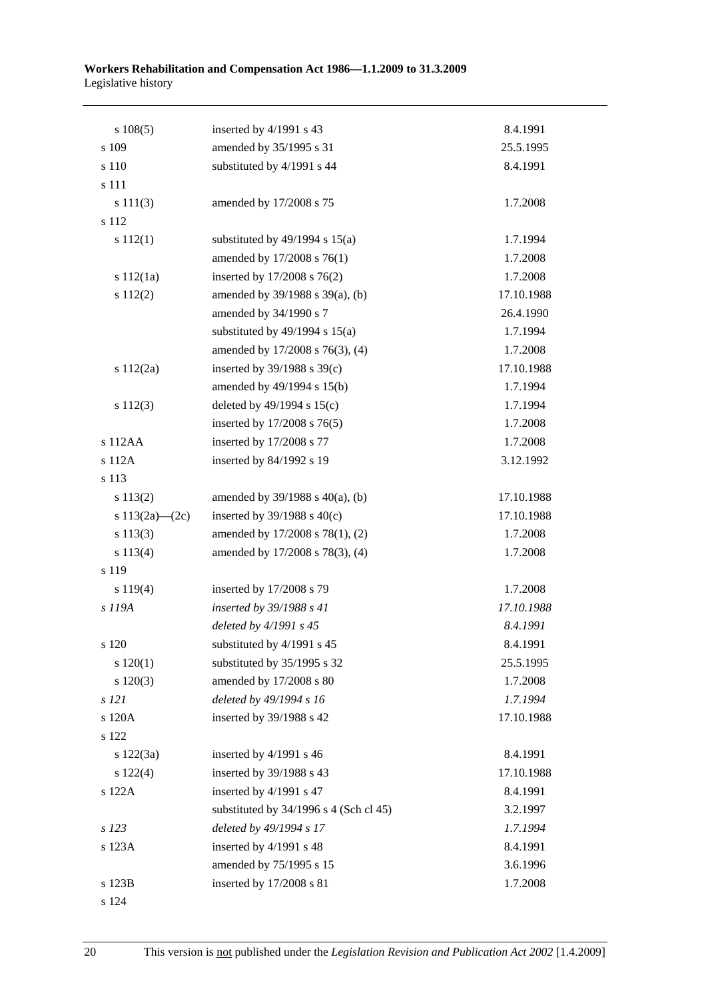| s 108(5)           | inserted by 4/1991 s 43                  | 8.4.1991   |
|--------------------|------------------------------------------|------------|
| s 109              | amended by 35/1995 s 31                  | 25.5.1995  |
| s 110              | substituted by 4/1991 s 44               | 8.4.1991   |
| s 111              |                                          |            |
| s 111(3)           | amended by 17/2008 s 75                  | 1.7.2008   |
| s 112              |                                          |            |
| s 112(1)           | substituted by $49/1994$ s $15(a)$       | 1.7.1994   |
|                    | amended by 17/2008 s 76(1)               | 1.7.2008   |
| s 112(1a)          | inserted by 17/2008 s 76(2)              | 1.7.2008   |
| s 112(2)           | amended by 39/1988 s 39(a), (b)          | 17.10.1988 |
|                    | amended by 34/1990 s 7                   | 26.4.1990  |
|                    | substituted by $49/1994$ s $15(a)$       | 1.7.1994   |
|                    | amended by 17/2008 s 76(3), (4)          | 1.7.2008   |
| s 112(2a)          | inserted by $39/1988$ s $39(c)$          | 17.10.1988 |
|                    | amended by 49/1994 s 15(b)               | 1.7.1994   |
| s 112(3)           | deleted by $49/1994$ s $15(c)$           | 1.7.1994   |
|                    | inserted by 17/2008 s 76(5)              | 1.7.2008   |
| s 112AA            | inserted by 17/2008 s 77                 | 1.7.2008   |
| s 112A             | inserted by 84/1992 s 19                 | 3.12.1992  |
| s 113              |                                          |            |
| s 113(2)           | amended by $39/1988$ s $40(a)$ , (b)     | 17.10.1988 |
| s $113(2a) - (2c)$ | inserted by $39/1988$ s $40(c)$          | 17.10.1988 |
| s 113(3)           | amended by 17/2008 s 78(1), (2)          | 1.7.2008   |
| s 113(4)           | amended by 17/2008 s 78(3), (4)          | 1.7.2008   |
| s 119              |                                          |            |
| s 119(4)           | inserted by 17/2008 s 79                 | 1.7.2008   |
| s 119A             | inserted by 39/1988 s 41                 | 17.10.1988 |
|                    | deleted by 4/1991 s 45                   | 8.4.1991   |
| s 120              | substituted by 4/1991 s 45               | 8.4.1991   |
| 120(1)             | substituted by 35/1995 s 32              | 25.5.1995  |
| 120(3)             | amended by 17/2008 s 80                  | 1.7.2008   |
| s 121              | deleted by 49/1994 s 16                  | 1.7.1994   |
| s 120A             | inserted by 39/1988 s 42                 | 17.10.1988 |
| s 122              |                                          |            |
| s 122(3a)          | inserted by 4/1991 s 46                  | 8.4.1991   |
| s 122(4)           | inserted by 39/1988 s 43                 | 17.10.1988 |
| s 122A             | inserted by 4/1991 s 47                  | 8.4.1991   |
|                    | substituted by $34/1996$ s 4 (Sch cl 45) | 3.2.1997   |
| s 123              | deleted by 49/1994 s 17                  | 1.7.1994   |
| s 123A             | inserted by 4/1991 s 48                  | 8.4.1991   |
|                    | amended by 75/1995 s 15                  | 3.6.1996   |
| s 123B             | inserted by 17/2008 s 81                 | 1.7.2008   |
| s 124              |                                          |            |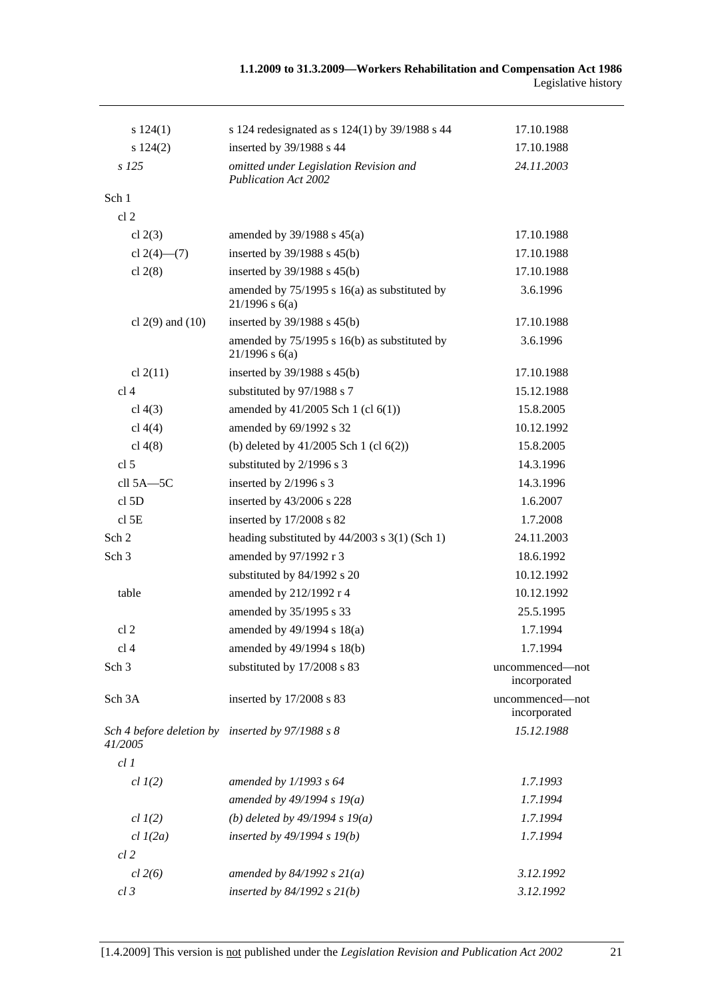| s 124(1)                                                    | s 124 redesignated as s 124(1) by 39/1988 s 44                        | 17.10.1988                      |
|-------------------------------------------------------------|-----------------------------------------------------------------------|---------------------------------|
| s 124(2)                                                    | inserted by 39/1988 s 44                                              | 17.10.1988                      |
| $s$ 125                                                     | omitted under Legislation Revision and<br><b>Publication Act 2002</b> | 24.11.2003                      |
| Sch 1                                                       |                                                                       |                                 |
| cl <sub>2</sub>                                             |                                                                       |                                 |
| cl $2(3)$                                                   | amended by $39/1988$ s $45(a)$                                        | 17.10.1988                      |
| cl $2(4)$ — $(7)$                                           | inserted by $39/1988$ s $45(b)$                                       | 17.10.1988                      |
| cl $2(8)$                                                   | inserted by 39/1988 s 45(b)                                           | 17.10.1988                      |
|                                                             | amended by $75/1995$ s 16(a) as substituted by<br>$21/1996$ s $6(a)$  | 3.6.1996                        |
| cl $2(9)$ and $(10)$                                        | inserted by $39/1988$ s $45(b)$                                       | 17.10.1988                      |
|                                                             | amended by $75/1995$ s 16(b) as substituted by<br>$21/1996$ s $6(a)$  | 3.6.1996                        |
| cl $2(11)$                                                  | inserted by $39/1988$ s $45(b)$                                       | 17.10.1988                      |
| cl <sub>4</sub>                                             | substituted by 97/1988 s 7                                            | 15.12.1988                      |
| cl $4(3)$                                                   | amended by $41/2005$ Sch 1 (cl $6(1)$ )                               | 15.8.2005                       |
| cl $4(4)$                                                   | amended by 69/1992 s 32                                               | 10.12.1992                      |
| cl $4(8)$                                                   | (b) deleted by $41/2005$ Sch 1 (cl $6(2)$ )                           | 15.8.2005                       |
| cl <sub>5</sub>                                             | substituted by 2/1996 s 3                                             | 14.3.1996                       |
| cll $5A - 5C$                                               | inserted by 2/1996 s 3                                                | 14.3.1996                       |
| cl <sub>5</sub> D                                           | inserted by 43/2006 s 228                                             | 1.6.2007                        |
| $cl$ 5E                                                     | inserted by 17/2008 s 82                                              | 1.7.2008                        |
| Sch <sub>2</sub>                                            | heading substituted by 44/2003 s 3(1) (Sch 1)                         | 24.11.2003                      |
| Sch <sub>3</sub>                                            | amended by 97/1992 r 3                                                | 18.6.1992                       |
|                                                             | substituted by 84/1992 s 20                                           | 10.12.1992                      |
| table                                                       | amended by 212/1992 r 4                                               | 10.12.1992                      |
|                                                             | amended by 35/1995 s 33                                               | 25.5.1995                       |
| cl <sub>2</sub>                                             | amended by 49/1994 s 18(a)                                            | 1.7.1994                        |
| cl 4                                                        | amended by 49/1994 s 18(b)                                            | 1.7.1994                        |
| Sch <sub>3</sub>                                            | substituted by 17/2008 s 83                                           | uncommenced-not<br>incorporated |
| Sch 3A                                                      | inserted by 17/2008 s 83                                              | uncommenced-not<br>incorporated |
| Sch 4 before deletion by inserted by 97/1988 s 8<br>41/2005 |                                                                       | 15.12.1988                      |
| cl1                                                         |                                                                       |                                 |
| $cl$ $I(2)$                                                 | amended by $1/1993$ s $64$                                            | 1.7.1993                        |
|                                                             | amended by $49/1994 s 19(a)$                                          | 1.7.1994                        |
| $cl$ $I(2)$                                                 | (b) deleted by $49/1994 s 19(a)$                                      | 1.7.1994                        |
| $cl$ $I(2a)$                                                | inserted by 49/1994 s 19(b)                                           | 1.7.1994                        |
| $cl$ 2                                                      |                                                                       |                                 |
| $cl$ 2(6)                                                   | amended by $84/1992 s 21(a)$                                          | 3.12.1992                       |
| $cl$ 3                                                      | inserted by $84/1992$ s $21(b)$                                       | 3.12.1992                       |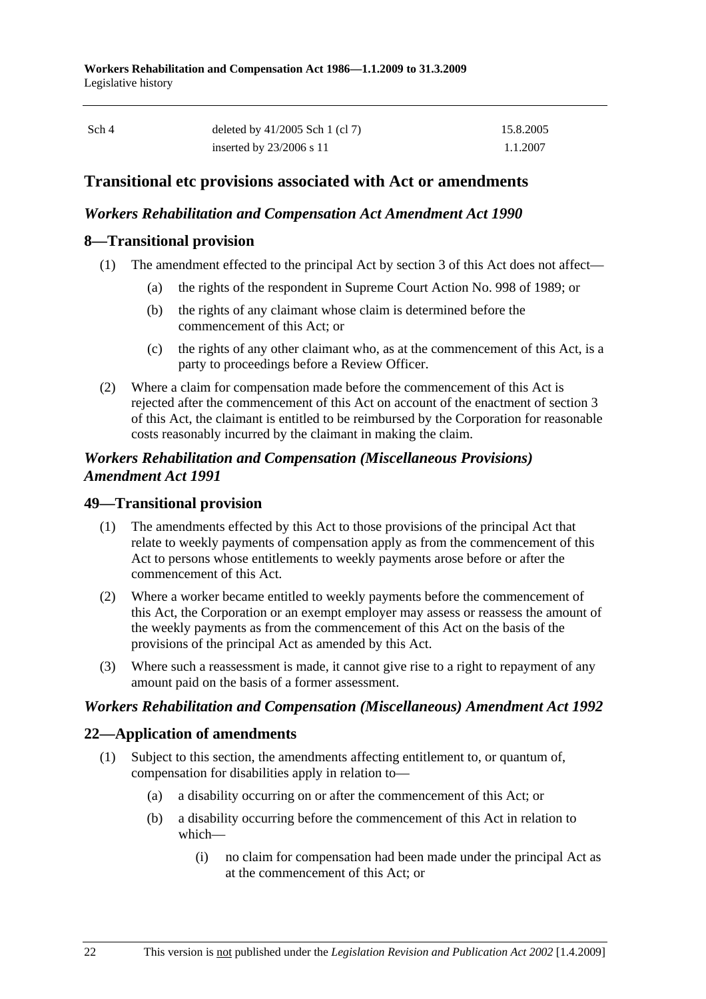| Sch 4 | deleted by $41/2005$ Sch 1 (cl 7) | 15.8.2005 |
|-------|-----------------------------------|-----------|
|       | inserted by $23/2006$ s 11        | 1.1.2007  |

## **Transitional etc provisions associated with Act or amendments**

### *Workers Rehabilitation and Compensation Act Amendment Act 1990*

## **8—Transitional provision**

- (1) The amendment effected to the principal Act by section 3 of this Act does not affect—
	- (a) the rights of the respondent in Supreme Court Action No. 998 of 1989; or
	- (b) the rights of any claimant whose claim is determined before the commencement of this Act; or
	- (c) the rights of any other claimant who, as at the commencement of this Act, is a party to proceedings before a Review Officer.
- (2) Where a claim for compensation made before the commencement of this Act is rejected after the commencement of this Act on account of the enactment of section 3 of this Act, the claimant is entitled to be reimbursed by the Corporation for reasonable costs reasonably incurred by the claimant in making the claim.

## *Workers Rehabilitation and Compensation (Miscellaneous Provisions) Amendment Act 1991*

## **49—Transitional provision**

- (1) The amendments effected by this Act to those provisions of the principal Act that relate to weekly payments of compensation apply as from the commencement of this Act to persons whose entitlements to weekly payments arose before or after the commencement of this Act.
- (2) Where a worker became entitled to weekly payments before the commencement of this Act, the Corporation or an exempt employer may assess or reassess the amount of the weekly payments as from the commencement of this Act on the basis of the provisions of the principal Act as amended by this Act.
- (3) Where such a reassessment is made, it cannot give rise to a right to repayment of any amount paid on the basis of a former assessment.

## *Workers Rehabilitation and Compensation (Miscellaneous) Amendment Act 1992*

## **22—Application of amendments**

- (1) Subject to this section, the amendments affecting entitlement to, or quantum of, compensation for disabilities apply in relation to—
	- (a) a disability occurring on or after the commencement of this Act; or
	- (b) a disability occurring before the commencement of this Act in relation to which—
		- (i) no claim for compensation had been made under the principal Act as at the commencement of this Act; or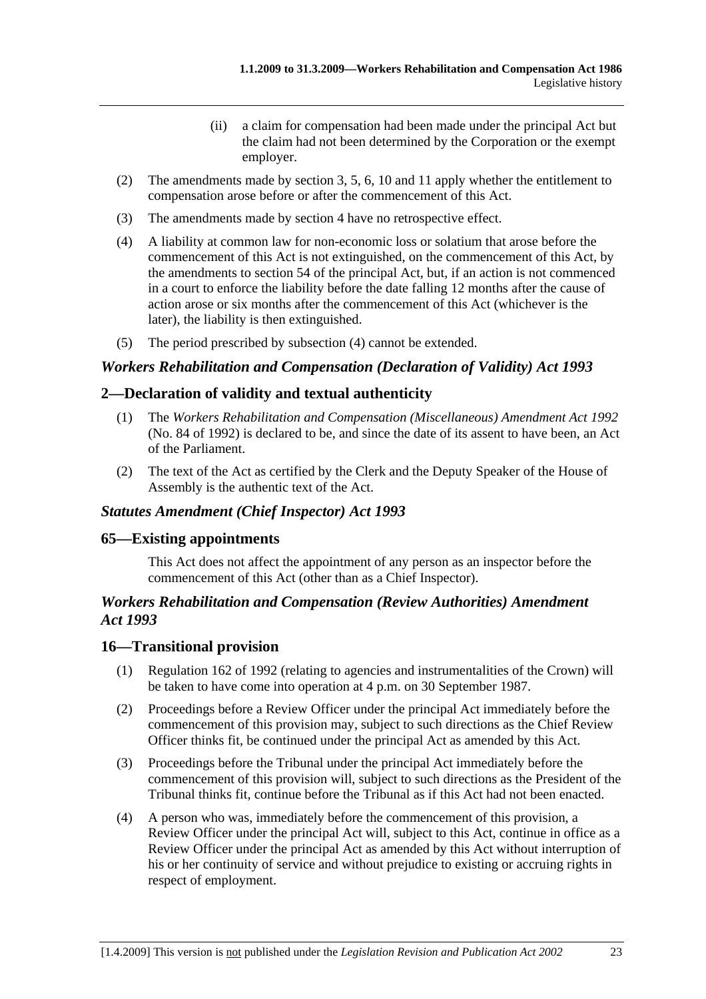- (ii) a claim for compensation had been made under the principal Act but the claim had not been determined by the Corporation or the exempt employer.
- (2) The amendments made by section 3, 5, 6, 10 and 11 apply whether the entitlement to compensation arose before or after the commencement of this Act.
- (3) The amendments made by section 4 have no retrospective effect.
- (4) A liability at common law for non-economic loss or solatium that arose before the commencement of this Act is not extinguished, on the commencement of this Act, by the amendments to section 54 of the principal Act, but, if an action is not commenced in a court to enforce the liability before the date falling 12 months after the cause of action arose or six months after the commencement of this Act (whichever is the later), the liability is then extinguished.
- (5) The period prescribed by subsection (4) cannot be extended.

# *Workers Rehabilitation and Compensation (Declaration of Validity) Act 1993*

## **2—Declaration of validity and textual authenticity**

- (1) The *Workers Rehabilitation and Compensation (Miscellaneous) Amendment Act 1992* (No. 84 of 1992) is declared to be, and since the date of its assent to have been, an Act of the Parliament.
- (2) The text of the Act as certified by the Clerk and the Deputy Speaker of the House of Assembly is the authentic text of the Act.

### *Statutes Amendment (Chief Inspector) Act 1993*

### **65—Existing appointments**

This Act does not affect the appointment of any person as an inspector before the commencement of this Act (other than as a Chief Inspector).

### *Workers Rehabilitation and Compensation (Review Authorities) Amendment Act 1993*

#### **16—Transitional provision**

- (1) Regulation 162 of 1992 (relating to agencies and instrumentalities of the Crown) will be taken to have come into operation at 4 p.m. on 30 September 1987.
- (2) Proceedings before a Review Officer under the principal Act immediately before the commencement of this provision may, subject to such directions as the Chief Review Officer thinks fit, be continued under the principal Act as amended by this Act.
- (3) Proceedings before the Tribunal under the principal Act immediately before the commencement of this provision will, subject to such directions as the President of the Tribunal thinks fit, continue before the Tribunal as if this Act had not been enacted.
- (4) A person who was, immediately before the commencement of this provision, a Review Officer under the principal Act will, subject to this Act, continue in office as a Review Officer under the principal Act as amended by this Act without interruption of his or her continuity of service and without prejudice to existing or accruing rights in respect of employment.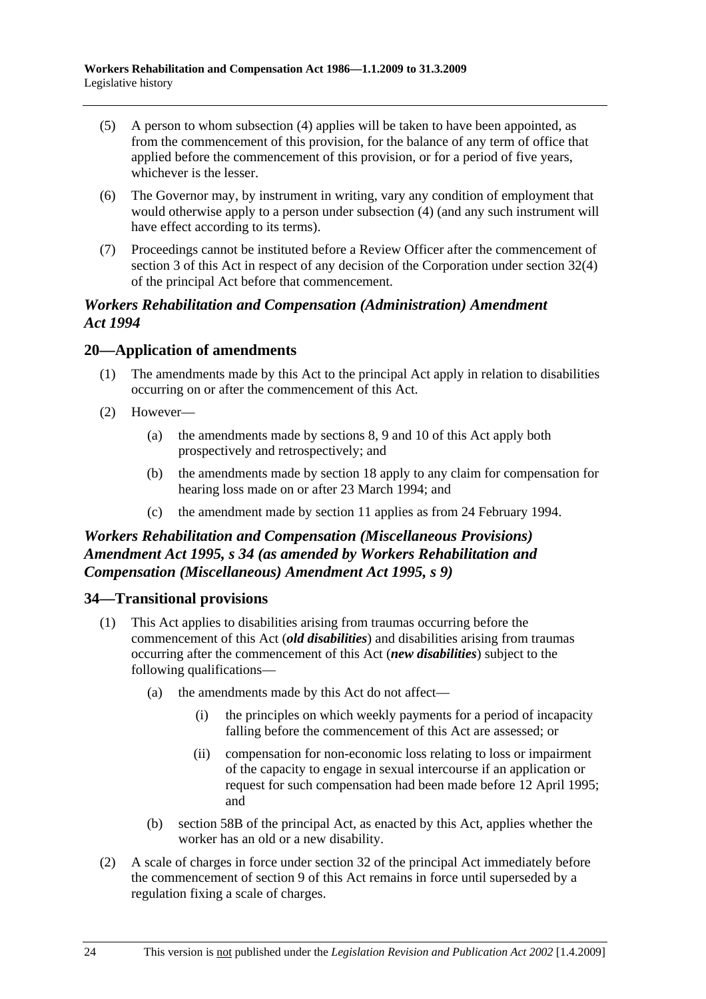- (5) A person to whom subsection (4) applies will be taken to have been appointed, as from the commencement of this provision, for the balance of any term of office that applied before the commencement of this provision, or for a period of five years, whichever is the lesser.
- (6) The Governor may, by instrument in writing, vary any condition of employment that would otherwise apply to a person under subsection (4) (and any such instrument will have effect according to its terms).
- (7) Proceedings cannot be instituted before a Review Officer after the commencement of section 3 of this Act in respect of any decision of the Corporation under section 32(4) of the principal Act before that commencement.

## *Workers Rehabilitation and Compensation (Administration) Amendment Act 1994*

## **20—Application of amendments**

- (1) The amendments made by this Act to the principal Act apply in relation to disabilities occurring on or after the commencement of this Act.
- (2) However—
	- (a) the amendments made by sections 8, 9 and 10 of this Act apply both prospectively and retrospectively; and
	- (b) the amendments made by section 18 apply to any claim for compensation for hearing loss made on or after 23 March 1994; and
	- (c) the amendment made by section 11 applies as from 24 February 1994.

# *Workers Rehabilitation and Compensation (Miscellaneous Provisions) Amendment Act 1995, s 34 (as amended by Workers Rehabilitation and Compensation (Miscellaneous) Amendment Act 1995, s 9)*

### **34—Transitional provisions**

- (1) This Act applies to disabilities arising from traumas occurring before the commencement of this Act (*old disabilities*) and disabilities arising from traumas occurring after the commencement of this Act (*new disabilities*) subject to the following qualifications—
	- (a) the amendments made by this Act do not affect—
		- (i) the principles on which weekly payments for a period of incapacity falling before the commencement of this Act are assessed; or
		- (ii) compensation for non-economic loss relating to loss or impairment of the capacity to engage in sexual intercourse if an application or request for such compensation had been made before 12 April 1995; and
	- (b) section 58B of the principal Act, as enacted by this Act, applies whether the worker has an old or a new disability.
- (2) A scale of charges in force under section 32 of the principal Act immediately before the commencement of section 9 of this Act remains in force until superseded by a regulation fixing a scale of charges.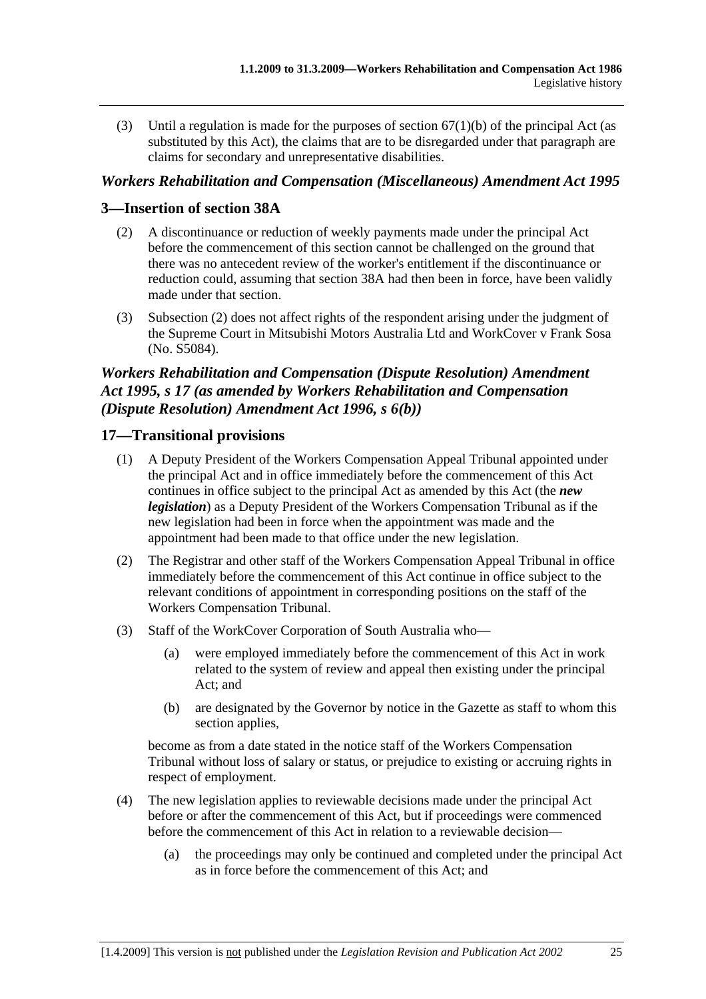(3) Until a regulation is made for the purposes of section  $67(1)(b)$  of the principal Act (as substituted by this Act), the claims that are to be disregarded under that paragraph are claims for secondary and unrepresentative disabilities.

### *Workers Rehabilitation and Compensation (Miscellaneous) Amendment Act 1995*

## **3—Insertion of section 38A**

- (2) A discontinuance or reduction of weekly payments made under the principal Act before the commencement of this section cannot be challenged on the ground that there was no antecedent review of the worker's entitlement if the discontinuance or reduction could, assuming that section 38A had then been in force, have been validly made under that section.
- (3) Subsection (2) does not affect rights of the respondent arising under the judgment of the Supreme Court in Mitsubishi Motors Australia Ltd and WorkCover v Frank Sosa (No. S5084).

# *Workers Rehabilitation and Compensation (Dispute Resolution) Amendment Act 1995, s 17 (as amended by Workers Rehabilitation and Compensation (Dispute Resolution) Amendment Act 1996, s 6(b))*

### **17—Transitional provisions**

- (1) A Deputy President of the Workers Compensation Appeal Tribunal appointed under the principal Act and in office immediately before the commencement of this Act continues in office subject to the principal Act as amended by this Act (the *new legislation*) as a Deputy President of the Workers Compensation Tribunal as if the new legislation had been in force when the appointment was made and the appointment had been made to that office under the new legislation.
- (2) The Registrar and other staff of the Workers Compensation Appeal Tribunal in office immediately before the commencement of this Act continue in office subject to the relevant conditions of appointment in corresponding positions on the staff of the Workers Compensation Tribunal.
- (3) Staff of the WorkCover Corporation of South Australia who—
	- (a) were employed immediately before the commencement of this Act in work related to the system of review and appeal then existing under the principal Act; and
	- (b) are designated by the Governor by notice in the Gazette as staff to whom this section applies,

become as from a date stated in the notice staff of the Workers Compensation Tribunal without loss of salary or status, or prejudice to existing or accruing rights in respect of employment.

- (4) The new legislation applies to reviewable decisions made under the principal Act before or after the commencement of this Act, but if proceedings were commenced before the commencement of this Act in relation to a reviewable decision—
	- (a) the proceedings may only be continued and completed under the principal Act as in force before the commencement of this Act; and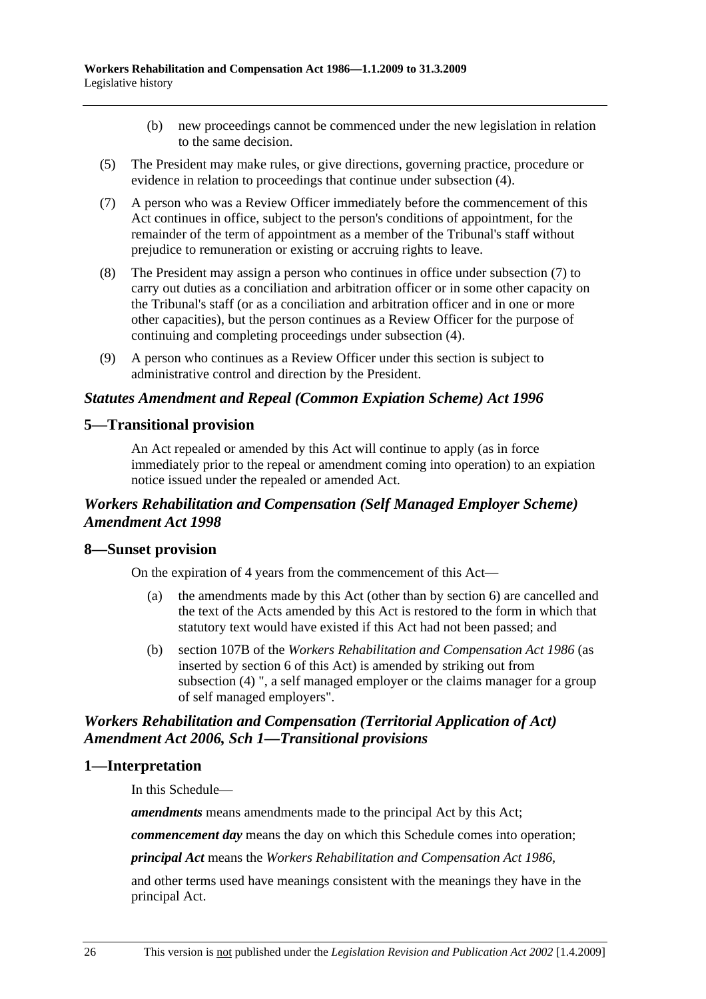- (b) new proceedings cannot be commenced under the new legislation in relation to the same decision.
- (5) The President may make rules, or give directions, governing practice, procedure or evidence in relation to proceedings that continue under subsection (4).
- (7) A person who was a Review Officer immediately before the commencement of this Act continues in office, subject to the person's conditions of appointment, for the remainder of the term of appointment as a member of the Tribunal's staff without prejudice to remuneration or existing or accruing rights to leave.
- (8) The President may assign a person who continues in office under subsection (7) to carry out duties as a conciliation and arbitration officer or in some other capacity on the Tribunal's staff (or as a conciliation and arbitration officer and in one or more other capacities), but the person continues as a Review Officer for the purpose of continuing and completing proceedings under subsection (4).
- (9) A person who continues as a Review Officer under this section is subject to administrative control and direction by the President.

### *Statutes Amendment and Repeal (Common Expiation Scheme) Act 1996*

### **5—Transitional provision**

An Act repealed or amended by this Act will continue to apply (as in force immediately prior to the repeal or amendment coming into operation) to an expiation notice issued under the repealed or amended Act.

## *Workers Rehabilitation and Compensation (Self Managed Employer Scheme) Amendment Act 1998*

### **8—Sunset provision**

On the expiration of 4 years from the commencement of this Act—

- (a) the amendments made by this Act (other than by section 6) are cancelled and the text of the Acts amended by this Act is restored to the form in which that statutory text would have existed if this Act had not been passed; and
- (b) section 107B of the *Workers Rehabilitation and Compensation Act 1986* (as inserted by section 6 of this Act) is amended by striking out from subsection (4) ", a self managed employer or the claims manager for a group of self managed employers".

## *Workers Rehabilitation and Compensation (Territorial Application of Act) Amendment Act 2006, Sch 1—Transitional provisions*

#### **1—Interpretation**

In this Schedule—

*amendments* means amendments made to the principal Act by this Act;

*commencement day* means the day on which this Schedule comes into operation;

*principal Act* means the *Workers Rehabilitation and Compensation Act 1986*,

and other terms used have meanings consistent with the meanings they have in the principal Act.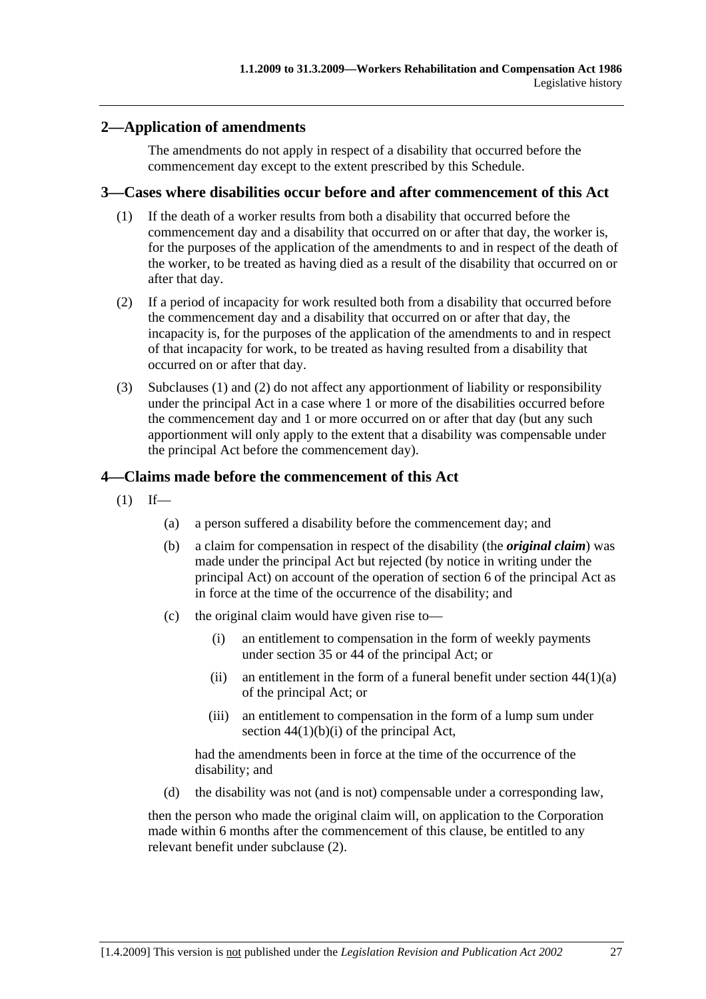## **2—Application of amendments**

The amendments do not apply in respect of a disability that occurred before the commencement day except to the extent prescribed by this Schedule.

#### **3—Cases where disabilities occur before and after commencement of this Act**

- (1) If the death of a worker results from both a disability that occurred before the commencement day and a disability that occurred on or after that day, the worker is, for the purposes of the application of the amendments to and in respect of the death of the worker, to be treated as having died as a result of the disability that occurred on or after that day.
- (2) If a period of incapacity for work resulted both from a disability that occurred before the commencement day and a disability that occurred on or after that day, the incapacity is, for the purposes of the application of the amendments to and in respect of that incapacity for work, to be treated as having resulted from a disability that occurred on or after that day.
- (3) Subclauses (1) and (2) do not affect any apportionment of liability or responsibility under the principal Act in a case where 1 or more of the disabilities occurred before the commencement day and 1 or more occurred on or after that day (but any such apportionment will only apply to the extent that a disability was compensable under the principal Act before the commencement day).

### **4—Claims made before the commencement of this Act**

- $(1)$  If—
	- (a) a person suffered a disability before the commencement day; and
	- (b) a claim for compensation in respect of the disability (the *original claim*) was made under the principal Act but rejected (by notice in writing under the principal Act) on account of the operation of section 6 of the principal Act as in force at the time of the occurrence of the disability; and
	- (c) the original claim would have given rise to—
		- (i) an entitlement to compensation in the form of weekly payments under section 35 or 44 of the principal Act; or
		- (ii) an entitlement in the form of a funeral benefit under section  $44(1)(a)$ of the principal Act; or
		- (iii) an entitlement to compensation in the form of a lump sum under section  $44(1)(b)(i)$  of the principal Act,

had the amendments been in force at the time of the occurrence of the disability; and

(d) the disability was not (and is not) compensable under a corresponding law,

then the person who made the original claim will, on application to the Corporation made within 6 months after the commencement of this clause, be entitled to any relevant benefit under subclause (2).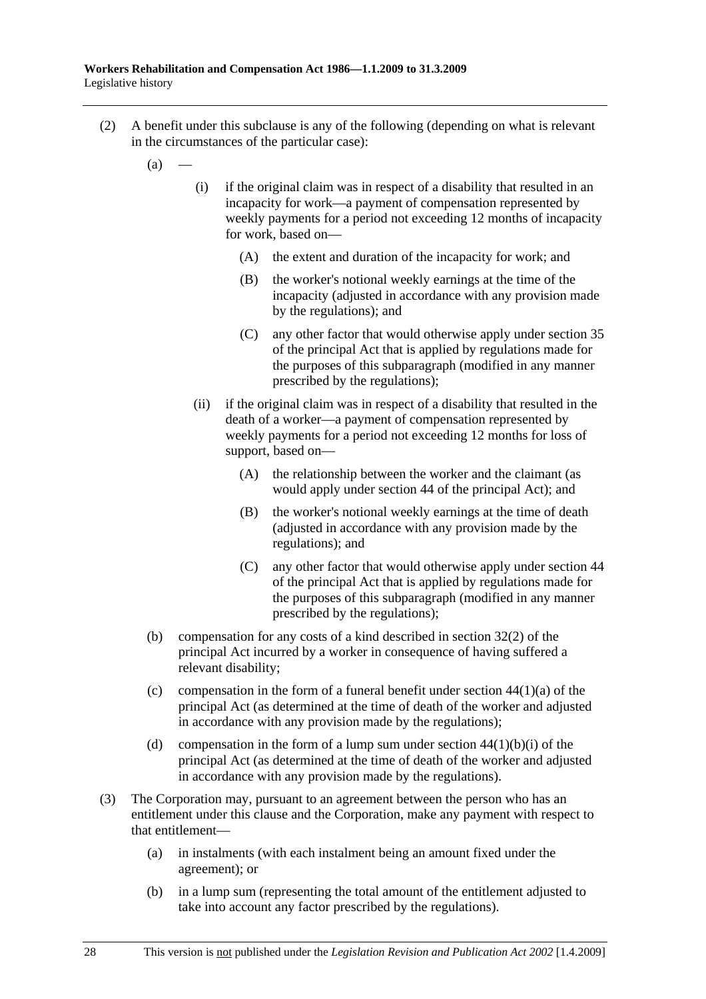- (2) A benefit under this subclause is any of the following (depending on what is relevant in the circumstances of the particular case):
	- $(a)$
- (i) if the original claim was in respect of a disability that resulted in an incapacity for work—a payment of compensation represented by weekly payments for a period not exceeding 12 months of incapacity for work, based on—
	- (A) the extent and duration of the incapacity for work; and
	- (B) the worker's notional weekly earnings at the time of the incapacity (adjusted in accordance with any provision made by the regulations); and
	- (C) any other factor that would otherwise apply under section 35 of the principal Act that is applied by regulations made for the purposes of this subparagraph (modified in any manner prescribed by the regulations);
- (ii) if the original claim was in respect of a disability that resulted in the death of a worker—a payment of compensation represented by weekly payments for a period not exceeding 12 months for loss of support, based on—
	- (A) the relationship between the worker and the claimant (as would apply under section 44 of the principal Act); and
	- (B) the worker's notional weekly earnings at the time of death (adjusted in accordance with any provision made by the regulations); and
	- (C) any other factor that would otherwise apply under section 44 of the principal Act that is applied by regulations made for the purposes of this subparagraph (modified in any manner prescribed by the regulations);
- (b) compensation for any costs of a kind described in section 32(2) of the principal Act incurred by a worker in consequence of having suffered a relevant disability;
- (c) compensation in the form of a funeral benefit under section  $44(1)(a)$  of the principal Act (as determined at the time of death of the worker and adjusted in accordance with any provision made by the regulations);
- (d) compensation in the form of a lump sum under section  $44(1)(b)(i)$  of the principal Act (as determined at the time of death of the worker and adjusted in accordance with any provision made by the regulations).
- (3) The Corporation may, pursuant to an agreement between the person who has an entitlement under this clause and the Corporation, make any payment with respect to that entitlement—
	- (a) in instalments (with each instalment being an amount fixed under the agreement); or
	- (b) in a lump sum (representing the total amount of the entitlement adjusted to take into account any factor prescribed by the regulations).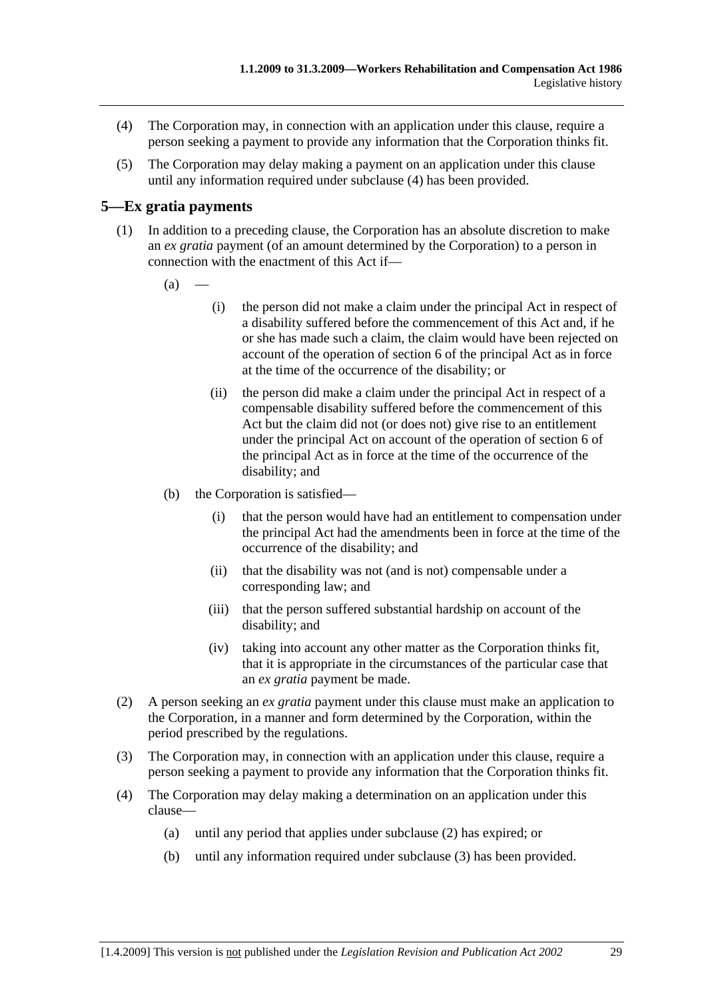- (4) The Corporation may, in connection with an application under this clause, require a person seeking a payment to provide any information that the Corporation thinks fit.
- (5) The Corporation may delay making a payment on an application under this clause until any information required under subclause (4) has been provided.

## **5—Ex gratia payments**

- (1) In addition to a preceding clause, the Corporation has an absolute discretion to make an *ex gratia* payment (of an amount determined by the Corporation) to a person in connection with the enactment of this Act if—
	- $(a)$
- (i) the person did not make a claim under the principal Act in respect of a disability suffered before the commencement of this Act and, if he or she has made such a claim, the claim would have been rejected on account of the operation of section 6 of the principal Act as in force at the time of the occurrence of the disability; or
- (ii) the person did make a claim under the principal Act in respect of a compensable disability suffered before the commencement of this Act but the claim did not (or does not) give rise to an entitlement under the principal Act on account of the operation of section 6 of the principal Act as in force at the time of the occurrence of the disability; and
- (b) the Corporation is satisfied—
	- (i) that the person would have had an entitlement to compensation under the principal Act had the amendments been in force at the time of the occurrence of the disability; and
	- (ii) that the disability was not (and is not) compensable under a corresponding law; and
	- (iii) that the person suffered substantial hardship on account of the disability; and
	- (iv) taking into account any other matter as the Corporation thinks fit, that it is appropriate in the circumstances of the particular case that an *ex gratia* payment be made.
- (2) A person seeking an *ex gratia* payment under this clause must make an application to the Corporation, in a manner and form determined by the Corporation, within the period prescribed by the regulations.
- (3) The Corporation may, in connection with an application under this clause, require a person seeking a payment to provide any information that the Corporation thinks fit.
- (4) The Corporation may delay making a determination on an application under this clause—
	- (a) until any period that applies under subclause (2) has expired; or
	- (b) until any information required under subclause (3) has been provided.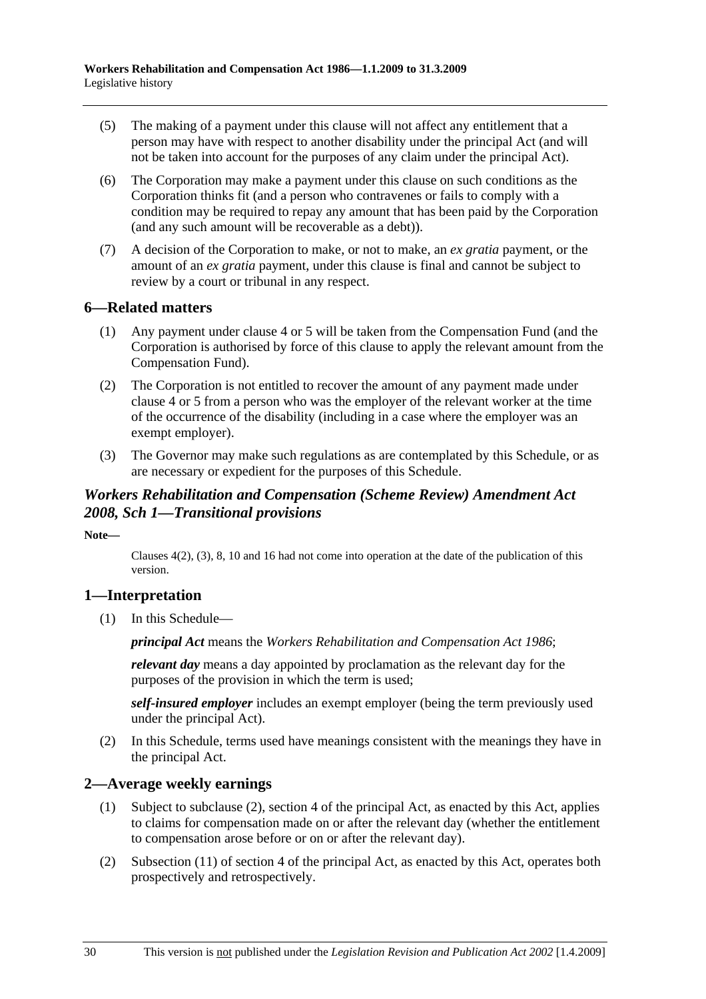- (5) The making of a payment under this clause will not affect any entitlement that a person may have with respect to another disability under the principal Act (and will not be taken into account for the purposes of any claim under the principal Act).
- (6) The Corporation may make a payment under this clause on such conditions as the Corporation thinks fit (and a person who contravenes or fails to comply with a condition may be required to repay any amount that has been paid by the Corporation (and any such amount will be recoverable as a debt)).
- (7) A decision of the Corporation to make, or not to make, an *ex gratia* payment, or the amount of an *ex gratia* payment, under this clause is final and cannot be subject to review by a court or tribunal in any respect.

### **6—Related matters**

- (1) Any payment under clause 4 or 5 will be taken from the Compensation Fund (and the Corporation is authorised by force of this clause to apply the relevant amount from the Compensation Fund).
- (2) The Corporation is not entitled to recover the amount of any payment made under clause 4 or 5 from a person who was the employer of the relevant worker at the time of the occurrence of the disability (including in a case where the employer was an exempt employer).
- (3) The Governor may make such regulations as are contemplated by this Schedule, or as are necessary or expedient for the purposes of this Schedule.

## *Workers Rehabilitation and Compensation (Scheme Review) Amendment Act 2008, Sch 1—Transitional provisions*

**Note—** 

Clauses 4(2), (3), 8, 10 and 16 had not come into operation at the date of the publication of this version.

# **1—Interpretation**

(1) In this Schedule—

*principal Act* means the *Workers Rehabilitation and Compensation Act 1986*;

*relevant day* means a day appointed by proclamation as the relevant day for the purposes of the provision in which the term is used;

*self-insured employer* includes an exempt employer (being the term previously used under the principal Act).

 (2) In this Schedule, terms used have meanings consistent with the meanings they have in the principal Act.

# **2—Average weekly earnings**

- (1) Subject to subclause (2), section 4 of the principal Act, as enacted by this Act, applies to claims for compensation made on or after the relevant day (whether the entitlement to compensation arose before or on or after the relevant day).
- (2) Subsection (11) of section 4 of the principal Act, as enacted by this Act, operates both prospectively and retrospectively.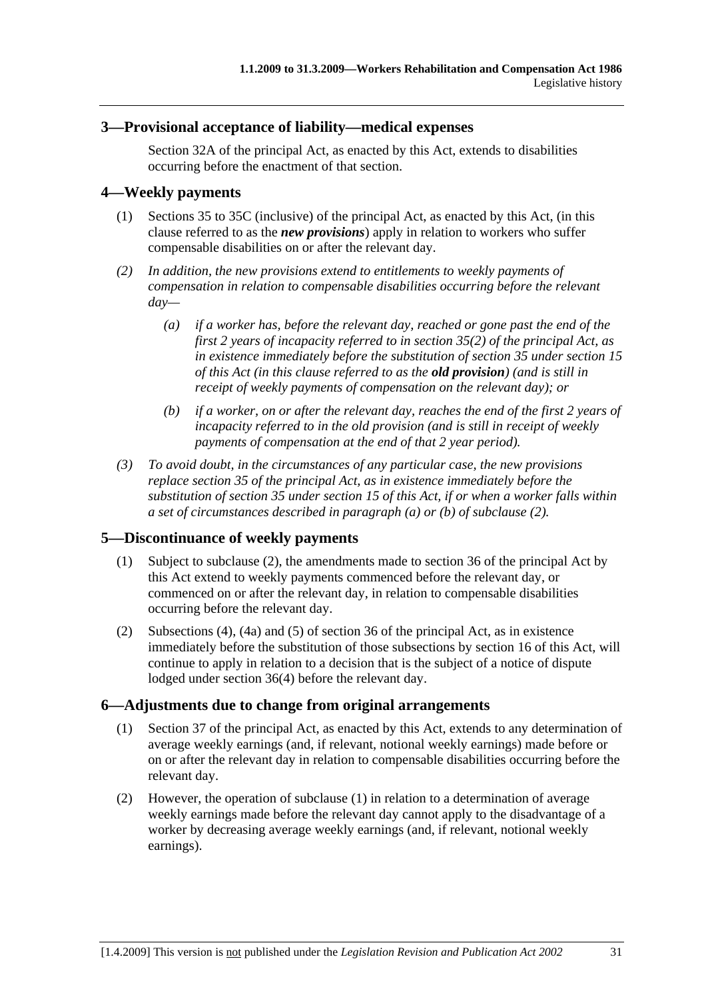### **3—Provisional acceptance of liability—medical expenses**

Section 32A of the principal Act, as enacted by this Act, extends to disabilities occurring before the enactment of that section.

## **4—Weekly payments**

- (1) Sections 35 to 35C (inclusive) of the principal Act, as enacted by this Act, (in this clause referred to as the *new provisions*) apply in relation to workers who suffer compensable disabilities on or after the relevant day.
- *(2) In addition, the new provisions extend to entitlements to weekly payments of compensation in relation to compensable disabilities occurring before the relevant day—* 
	- *(a) if a worker has, before the relevant day, reached or gone past the end of the first 2 years of incapacity referred to in section 35(2) of the principal Act, as in existence immediately before the substitution of section 35 under section 15 of this Act (in this clause referred to as the old provision) (and is still in receipt of weekly payments of compensation on the relevant day); or*
	- *(b) if a worker, on or after the relevant day, reaches the end of the first 2 years of incapacity referred to in the old provision (and is still in receipt of weekly payments of compensation at the end of that 2 year period).*
- *(3) To avoid doubt, in the circumstances of any particular case, the new provisions replace section 35 of the principal Act, as in existence immediately before the substitution of section 35 under section 15 of this Act, if or when a worker falls within a set of circumstances described in paragraph (a) or (b) of subclause (2).*

### **5—Discontinuance of weekly payments**

- (1) Subject to subclause (2), the amendments made to section 36 of the principal Act by this Act extend to weekly payments commenced before the relevant day, or commenced on or after the relevant day, in relation to compensable disabilities occurring before the relevant day.
- (2) Subsections (4), (4a) and (5) of section 36 of the principal Act, as in existence immediately before the substitution of those subsections by section 16 of this Act, will continue to apply in relation to a decision that is the subject of a notice of dispute lodged under section 36(4) before the relevant day.

### **6—Adjustments due to change from original arrangements**

- (1) Section 37 of the principal Act, as enacted by this Act, extends to any determination of average weekly earnings (and, if relevant, notional weekly earnings) made before or on or after the relevant day in relation to compensable disabilities occurring before the relevant day.
- (2) However, the operation of subclause (1) in relation to a determination of average weekly earnings made before the relevant day cannot apply to the disadvantage of a worker by decreasing average weekly earnings (and, if relevant, notional weekly earnings).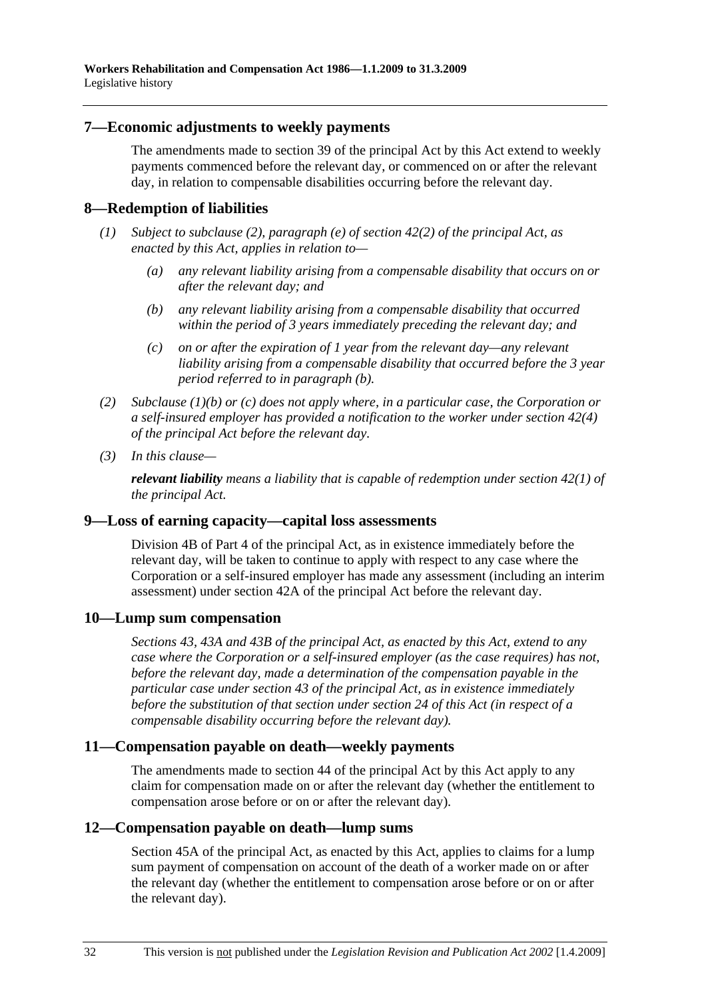#### **7—Economic adjustments to weekly payments**

The amendments made to section 39 of the principal Act by this Act extend to weekly payments commenced before the relevant day, or commenced on or after the relevant day, in relation to compensable disabilities occurring before the relevant day.

#### **8—Redemption of liabilities**

- *(1) Subject to subclause (2), paragraph (e) of section 42(2) of the principal Act, as enacted by this Act, applies in relation to—* 
	- *(a) any relevant liability arising from a compensable disability that occurs on or after the relevant day; and*
	- *(b) any relevant liability arising from a compensable disability that occurred within the period of 3 years immediately preceding the relevant day; and*
	- *(c) on or after the expiration of 1 year from the relevant day—any relevant liability arising from a compensable disability that occurred before the 3 year period referred to in paragraph (b).*
- *(2) Subclause (1)(b) or (c) does not apply where, in a particular case, the Corporation or a self-insured employer has provided a notification to the worker under section 42(4) of the principal Act before the relevant day.*
- *(3) In this clause—*

*relevant liability means a liability that is capable of redemption under section 42(1) of the principal Act.* 

#### **9—Loss of earning capacity—capital loss assessments**

Division 4B of Part 4 of the principal Act, as in existence immediately before the relevant day, will be taken to continue to apply with respect to any case where the Corporation or a self-insured employer has made any assessment (including an interim assessment) under section 42A of the principal Act before the relevant day.

#### **10—Lump sum compensation**

*Sections 43, 43A and 43B of the principal Act, as enacted by this Act, extend to any case where the Corporation or a self-insured employer (as the case requires) has not, before the relevant day, made a determination of the compensation payable in the particular case under section 43 of the principal Act, as in existence immediately before the substitution of that section under section 24 of this Act (in respect of a compensable disability occurring before the relevant day).* 

#### **11—Compensation payable on death—weekly payments**

The amendments made to section 44 of the principal Act by this Act apply to any claim for compensation made on or after the relevant day (whether the entitlement to compensation arose before or on or after the relevant day).

#### **12—Compensation payable on death—lump sums**

Section 45A of the principal Act, as enacted by this Act, applies to claims for a lump sum payment of compensation on account of the death of a worker made on or after the relevant day (whether the entitlement to compensation arose before or on or after the relevant day).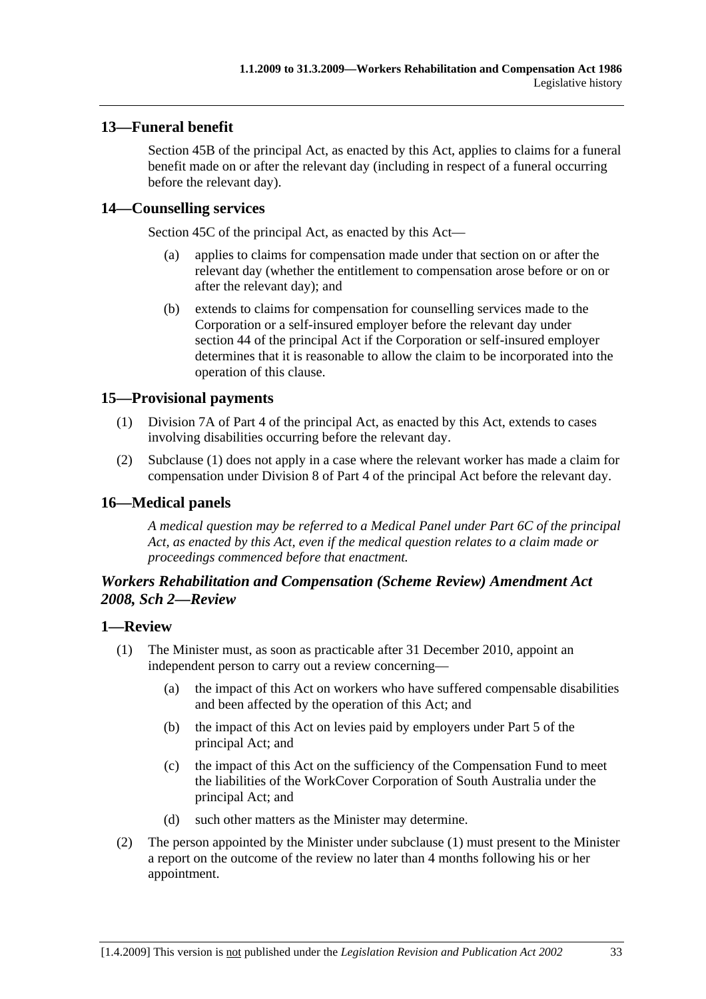## **13—Funeral benefit**

Section 45B of the principal Act, as enacted by this Act, applies to claims for a funeral benefit made on or after the relevant day (including in respect of a funeral occurring before the relevant day).

### **14—Counselling services**

Section 45C of the principal Act, as enacted by this Act—

- (a) applies to claims for compensation made under that section on or after the relevant day (whether the entitlement to compensation arose before or on or after the relevant day); and
- (b) extends to claims for compensation for counselling services made to the Corporation or a self-insured employer before the relevant day under section 44 of the principal Act if the Corporation or self-insured employer determines that it is reasonable to allow the claim to be incorporated into the operation of this clause.

## **15—Provisional payments**

- (1) Division 7A of Part 4 of the principal Act, as enacted by this Act, extends to cases involving disabilities occurring before the relevant day.
- (2) Subclause (1) does not apply in a case where the relevant worker has made a claim for compensation under Division 8 of Part 4 of the principal Act before the relevant day.

### **16—Medical panels**

*A medical question may be referred to a Medical Panel under Part 6C of the principal Act, as enacted by this Act, even if the medical question relates to a claim made or proceedings commenced before that enactment.* 

## *Workers Rehabilitation and Compensation (Scheme Review) Amendment Act 2008, Sch 2—Review*

### **1—Review**

- (1) The Minister must, as soon as practicable after 31 December 2010, appoint an independent person to carry out a review concerning—
	- (a) the impact of this Act on workers who have suffered compensable disabilities and been affected by the operation of this Act; and
	- (b) the impact of this Act on levies paid by employers under Part 5 of the principal Act; and
	- (c) the impact of this Act on the sufficiency of the Compensation Fund to meet the liabilities of the WorkCover Corporation of South Australia under the principal Act; and
	- (d) such other matters as the Minister may determine.
- (2) The person appointed by the Minister under subclause (1) must present to the Minister a report on the outcome of the review no later than 4 months following his or her appointment.